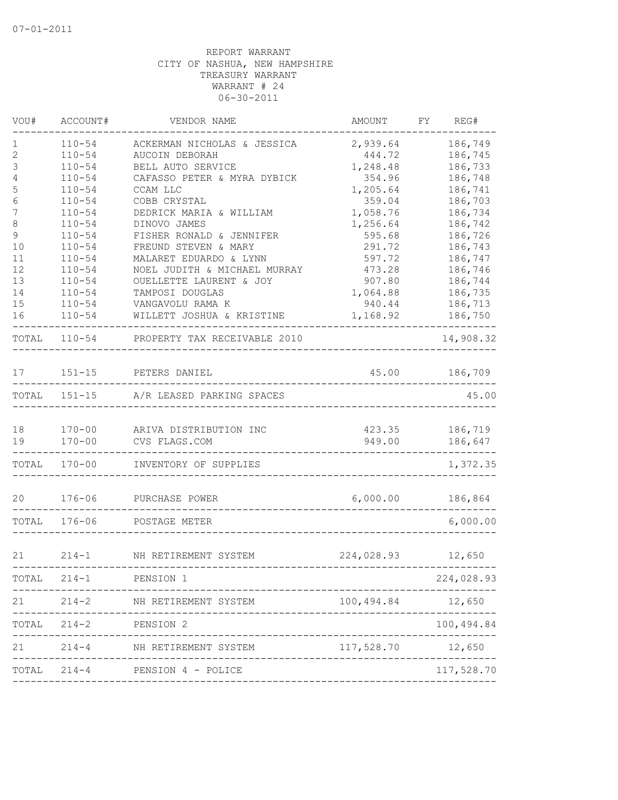| VOU#   | ACCOUNT#                 | VENDOR NAME                             | AMOUNT             | REG#<br>FY         |
|--------|--------------------------|-----------------------------------------|--------------------|--------------------|
| 1      | $110 - 54$               | ACKERMAN NICHOLAS & JESSICA             | 2,939.64           | 186,749            |
| 2      | $110 - 54$               | AUCOIN DEBORAH                          | 444.72             | 186,745            |
| 3      | $110 - 54$               | BELL AUTO SERVICE                       | 1,248.48           | 186,733            |
| 4      | $110 - 54$               | CAFASSO PETER & MYRA DYBICK             | 354.96             | 186,748            |
| 5      | $110 - 54$               | CCAM LLC                                | 1,205.64           | 186,741            |
| 6<br>7 | $110 - 54$<br>$110 - 54$ | COBB CRYSTAL<br>DEDRICK MARIA & WILLIAM | 359.04<br>1,058.76 | 186,703<br>186,734 |
| 8      | $110 - 54$               | DINOVO JAMES                            | 1,256.64           | 186,742            |
| 9      | $110 - 54$               | FISHER RONALD & JENNIFER                | 595.68             | 186,726            |
| 10     | $110 - 54$               | FREUND STEVEN & MARY                    | 291.72             | 186,743            |
| 11     | $110 - 54$               | MALARET EDUARDO & LYNN                  | 597.72             | 186,747            |
| 12     | $110 - 54$               | NOEL JUDITH & MICHAEL MURRAY            | 473.28             | 186,746            |
| 13     | $110 - 54$               | OUELLETTE LAURENT & JOY                 | 907.80             | 186,744            |
| 14     | $110 - 54$               | TAMPOSI DOUGLAS                         | 1,064.88           | 186,735            |
| 15     | $110 - 54$               | VANGAVOLU RAMA K                        | 940.44             | 186,713            |
| 16     | $110 - 54$               | WILLETT JOSHUA & KRISTINE               | 1,168.92           | 186,750            |
| TOTAL  | $110 - 54$               | PROPERTY TAX RECEIVABLE 2010            |                    | 14,908.32          |
| 17     | $151 - 15$               | PETERS DANIEL                           | 45.00              | 186,709            |
| TOTAL  | $151 - 15$               | A/R LEASED PARKING SPACES               |                    | 45.00              |
| 18     | $170 - 00$               | ARIVA DISTRIBUTION INC                  | 423.35             | 186,719            |
| 19     | $170 - 00$               | CVS FLAGS.COM                           | 949.00             | 186,647            |
| TOTAL  | $170 - 00$               | INVENTORY OF SUPPLIES                   |                    | 1,372.35           |
| 20     | $176 - 06$               | PURCHASE POWER                          | 6,000.00           | 186,864            |
| TOTAL  | $176 - 06$               | POSTAGE METER                           |                    | 6,000.00           |
| 21     | $214 - 1$                | NH RETIREMENT SYSTEM                    | 224,028.93         | 12,650             |
| TOTAL  | $214 - 1$                | PENSION 1                               |                    | 224,028.93         |
|        |                          |                                         |                    |                    |
| 21     | $214 - 2$                | NH RETIREMENT SYSTEM                    | 100,494.84 12,650  |                    |
| TOTAL  | $214 - 2$                | PENSION 2                               |                    | 100,494.84         |
| 21     | $214 - 4$                | NH RETIREMENT SYSTEM                    | 117,528.70 12,650  |                    |
| TOTAL  |                          | 214-4 PENSION 4 - POLICE                |                    | 117,528.70         |
|        |                          |                                         |                    |                    |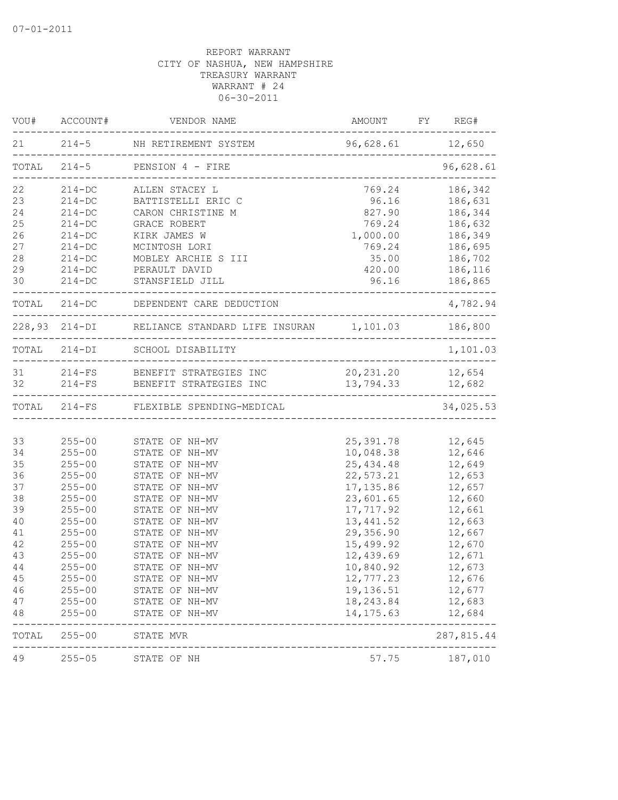|          | VOU# ACCOUNT#            | VENDOR NAME                                                                                    |                          | AMOUNT FY REG#                       |
|----------|--------------------------|------------------------------------------------------------------------------------------------|--------------------------|--------------------------------------|
|          |                          | 21 214-5 NH RETIREMENT SYSTEM<br>----------------------------------                            | 96,628.61 12,650         |                                      |
| TOTAL    |                          | 214-5 PENSION 4 - FIRE<br>______________________________________                               |                          | 96,628.61                            |
| 22       | $214 - DC$               | ALLEN STACEY L                                                                                 | 769.24                   | 186,342                              |
| 23       | $214 - DC$               | BATTISTELLI ERIC C                                                                             | 96.16                    | 186,631                              |
| 24       | $214 - DC$               | CARON CHRISTINE M                                                                              | 827.90                   | 186,344                              |
| 25       | $214 - DC$               | GRACE ROBERT                                                                                   | 769.24                   | 186,632                              |
| 26       | $214 - DC$               | KIRK JAMES W                                                                                   | 1,000.00                 | 186,349                              |
| 27       | $214 - DC$               | MCINTOSH LORI                                                                                  | 769.24                   | 186,695                              |
| 28       | $214 - DC$               | MOBLEY ARCHIE S III                                                                            | 35.00                    | 186,702                              |
| 29       | $214 - DC$               | PERAULT DAVID                                                                                  | 420.00                   | 186,116                              |
| 30       | $214 - DC$               | STANSFIELD JILL                                                                                | 96.16                    | 186,865                              |
|          |                          | TOTAL 214-DC DEPENDENT CARE DEDUCTION<br>_____________________                                 |                          | 4,782.94                             |
|          |                          | 228,93 214-DI RELIANCE STANDARD LIFE INSURAN 1,101.03 186,800<br>----------------------------- |                          |                                      |
|          |                          | TOTAL 214-DI SCHOOL DISABILITY                                                                 |                          | 1,101.03                             |
|          |                          | 31 214-FS BENEFIT STRATEGIES INC                                                               | 20, 231. 20 12, 654      |                                      |
| 32       |                          | 214-FS BENEFIT STRATEGIES INC                                                                  | 13,794.33 12,682         | . <u>_ _ _ _ _ _ _ _ _ _ _ _ _</u> _ |
|          |                          | TOTAL 214-FS FLEXIBLE SPENDING-MEDICAL                                                         |                          | 34,025.53                            |
|          |                          |                                                                                                |                          |                                      |
| 33       | $255 - 00$               | STATE OF NH-MV                                                                                 | 25,391.78                | 12,645                               |
| 34       | $255 - 00$               | STATE OF NH-MV                                                                                 | 10,048.38                | 12,646                               |
| 35       | $255 - 00$               | STATE OF NH-MV                                                                                 | 25, 434.48               | 12,649                               |
| 36       | $255 - 00$               | STATE OF NH-MV                                                                                 | 22,573.21                | 12,653                               |
| 37       | $255 - 00$               | STATE OF NH-MV                                                                                 | 17, 135.86               | 12,657                               |
| 38       | $255 - 00$               | STATE OF NH-MV                                                                                 | 23,601.65                | 12,660                               |
| 39       | $255 - 00$               | STATE OF NH-MV                                                                                 | 17,717.92                | 12,661                               |
| 40       | $255 - 00$               | STATE OF NH-MV                                                                                 | 13, 441.52               | 12,663                               |
| 41       | $255 - 00$               | STATE OF NH-MV                                                                                 | 29,356.90                | 12,667                               |
| 42       | $255 - 00$               | STATE OF NH-MV                                                                                 | 15,499.92                | 12,670                               |
| 43       | $255 - 00$               | STATE OF NH-MV                                                                                 | 12,439.69                | 12,671                               |
| 44       | $255 - 00$               | STATE OF NH-MV                                                                                 | 10,840.92                | 12,673                               |
| 45       | $255 - 00$               | STATE OF NH-MV                                                                                 | 12,777.23                | 12,676                               |
| 46       | $255 - 00$               | STATE OF NH-MV                                                                                 | 19,136.51                | 12,677                               |
| 47<br>48 | $255 - 00$<br>$255 - 00$ | STATE OF NH-MV<br>STATE OF NH-MV                                                               | 18, 243.84<br>14, 175.63 | 12,683<br>12,684                     |
| TOTAL    | $255 - 00$               | STATE MVR                                                                                      |                          | 287,815.44                           |
| 49       | $255 - 05$               | STATE OF NH                                                                                    | 57.75                    | 187,010                              |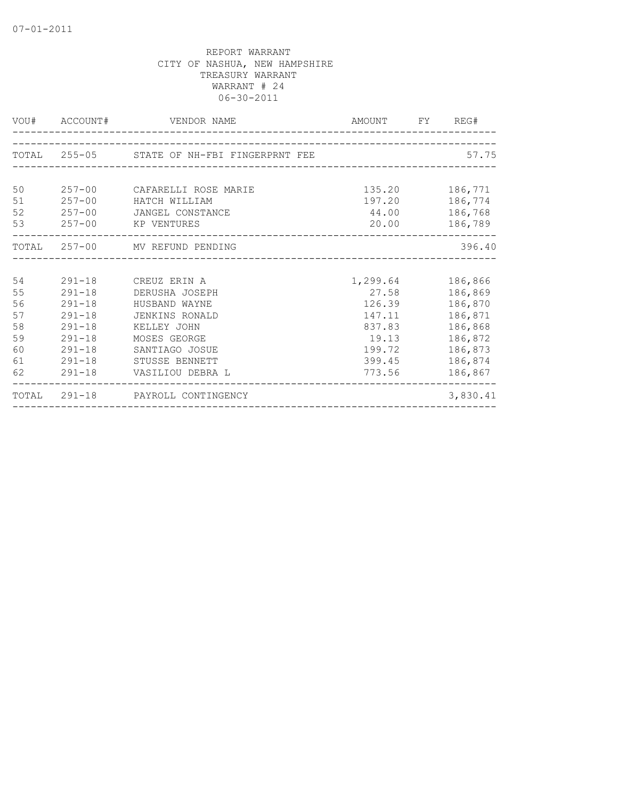|                                                    |                                                                    | VOU# ACCOUNT# VENDOR NAME                                                                                                                                                            | AMOUNT FY REG#                                                                                 |                                                                                      |
|----------------------------------------------------|--------------------------------------------------------------------|--------------------------------------------------------------------------------------------------------------------------------------------------------------------------------------|------------------------------------------------------------------------------------------------|--------------------------------------------------------------------------------------|
|                                                    |                                                                    | TOTAL 255-05 STATE OF NH-FBI FINGERPRNT FEE                                                                                                                                          |                                                                                                | 57.75                                                                                |
| 50<br>51<br>52<br>53                               |                                                                    | 257-00 CAFARELLI ROSE MARIE<br>257-00 HATCH WILLIAM<br>257-00 JANGEL CONSTANCE<br>257-00 KP VENTURES                                                                                 | 135.20<br>44.00 186,768<br>20.00 186,789                                                       | 186,771<br>197.20 186,774                                                            |
|                                                    |                                                                    | TOTAL 257-00 MV REFUND PENDING                                                                                                                                                       |                                                                                                | 396.40                                                                               |
| 54<br>55<br>56<br>57<br>58<br>59<br>60<br>61<br>62 | $291 - 18$<br>$291 - 18$<br>$291 - 18$<br>$291 - 18$<br>$291 - 18$ | 291-18 CREUZ ERIN A<br>291-18 DERUSHA JOSEPH<br>HUSBAND WAYNE<br>JENKINS RONALD<br>KELLEY JOHN<br>MOSES GEORGE<br>SANTIAGO JOSUE<br>291-18 STUSSE BENNETT<br>291-18 VASILIOU DEBRA L | 1,299.64 186,866<br>27.58<br>126.39<br>147.11<br>837.83<br>19.13<br>199.72<br>399.45<br>773.56 | 186,869<br>186,870<br>186,871<br>186,868<br>186,872<br>186,873<br>186,874<br>186,867 |
|                                                    |                                                                    | TOTAL 291-18 PAYROLL CONTINGENCY                                                                                                                                                     |                                                                                                | 3,830.41                                                                             |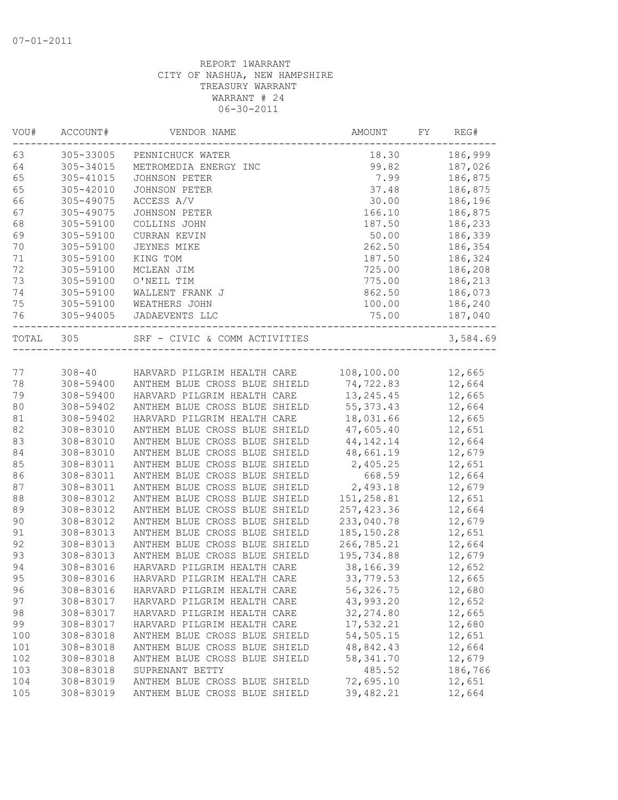| VOU#  | ACCOUNT#  | VENDOR NAME                        | AMOUNT      | FY<br>REG# |
|-------|-----------|------------------------------------|-------------|------------|
| 63    | 305-33005 | PENNICHUCK WATER                   | 18.30       | 186,999    |
| 64    | 305-34015 | METROMEDIA ENERGY INC              | 99.82       | 187,026    |
| 65    | 305-41015 | <b>JOHNSON PETER</b>               | 7.99        | 186,875    |
| 65    | 305-42010 | JOHNSON PETER                      | 37.48       | 186,875    |
| 66    | 305-49075 | ACCESS A/V                         | 30.00       | 186,196    |
| 67    | 305-49075 | JOHNSON PETER                      | 166.10      | 186,875    |
| 68    | 305-59100 | COLLINS JOHN                       | 187.50      | 186,233    |
| 69    | 305-59100 | CURRAN KEVIN                       | 50.00       | 186,339    |
| 70    | 305-59100 | JEYNES MIKE                        | 262.50      | 186,354    |
| 71    | 305-59100 | KING TOM                           | 187.50      | 186,324    |
| 72    | 305-59100 | MCLEAN JIM                         | 725.00      | 186,208    |
| 73    | 305-59100 | O'NEIL TIM                         | 775.00      | 186,213    |
| 74    | 305-59100 | WALLENT FRANK J                    | 862.50      | 186,073    |
| 75    | 305-59100 | WEATHERS JOHN                      | 100.00      | 186,240    |
| 76    | 305-94005 | JADAEVENTS LLC                     | 75.00       | 187,040    |
|       |           |                                    |             |            |
| TOTAL | 305       | SRF - CIVIC & COMM ACTIVITIES      |             | 3,584.69   |
|       |           |                                    |             |            |
| 77    |           | 308-40 HARVARD PILGRIM HEALTH CARE | 108,100.00  | 12,665     |
| 78    | 308-59400 | ANTHEM BLUE CROSS BLUE SHIELD      | 74,722.83   | 12,664     |
| 79    | 308-59400 | HARVARD PILGRIM HEALTH CARE        | 13, 245.45  | 12,665     |
| 80    | 308-59402 | ANTHEM BLUE CROSS BLUE SHIELD      | 55, 373.43  | 12,664     |
| 81    | 308-59402 | HARVARD PILGRIM HEALTH CARE        | 18,031.66   | 12,665     |
| 82    | 308-83010 | ANTHEM BLUE CROSS BLUE SHIELD      | 47,605.40   | 12,651     |
| 83    | 308-83010 | ANTHEM BLUE CROSS BLUE SHIELD      | 44, 142. 14 | 12,664     |
| 84    | 308-83010 | ANTHEM BLUE CROSS BLUE SHIELD      | 48,661.19   | 12,679     |
| 85    | 308-83011 | ANTHEM BLUE CROSS BLUE SHIELD      | 2,405.25    | 12,651     |
| 86    | 308-83011 | ANTHEM BLUE CROSS BLUE SHIELD      | 668.59      | 12,664     |
| 87    | 308-83011 | ANTHEM BLUE CROSS BLUE SHIELD      | 2,493.18    | 12,679     |
| 88    | 308-83012 | ANTHEM BLUE CROSS BLUE SHIELD      | 151,258.81  | 12,651     |
| 89    | 308-83012 | ANTHEM BLUE CROSS BLUE SHIELD      | 257, 423.36 | 12,664     |
| 90    | 308-83012 | ANTHEM BLUE CROSS BLUE SHIELD      | 233,040.78  | 12,679     |
| 91    | 308-83013 | ANTHEM BLUE CROSS BLUE SHIELD      | 185, 150.28 | 12,651     |
| 92    | 308-83013 | ANTHEM BLUE CROSS BLUE SHIELD      | 266,785.21  | 12,664     |
| 93    | 308-83013 | ANTHEM BLUE CROSS BLUE SHIELD      | 195,734.88  | 12,679     |
| 94    | 308-83016 | HARVARD PILGRIM HEALTH CARE        | 38,166.39   | 12,652     |
| 95    | 308-83016 | HARVARD PILGRIM HEALTH CARE        | 33,779.53   | 12,665     |
| 96    | 308-83016 | HARVARD PILGRIM HEALTH CARE        | 56,326.75   | 12,680     |
| 97    | 308-83017 | HARVARD PILGRIM HEALTH CARE        | 43,993.20   | 12,652     |
| 98    | 308-83017 | HARVARD PILGRIM HEALTH CARE        | 32, 274.80  | 12,665     |
| 99    | 308-83017 | HARVARD PILGRIM HEALTH CARE        | 17,532.21   | 12,680     |
|       | 308-83018 |                                    | 54,505.15   |            |
| 100   |           | ANTHEM BLUE CROSS BLUE SHIELD      |             | 12,651     |
| 101   | 308-83018 | ANTHEM BLUE CROSS BLUE SHIELD      | 48,842.43   | 12,664     |
| 102   | 308-83018 | ANTHEM BLUE CROSS BLUE SHIELD      | 58,341.70   | 12,679     |
| 103   | 308-83018 | SUPRENANT BETTY                    | 485.52      | 186,766    |
| 104   | 308-83019 | ANTHEM BLUE CROSS BLUE SHIELD      | 72,695.10   | 12,651     |
| 105   | 308-83019 | ANTHEM BLUE CROSS BLUE SHIELD      | 39,482.21   | 12,664     |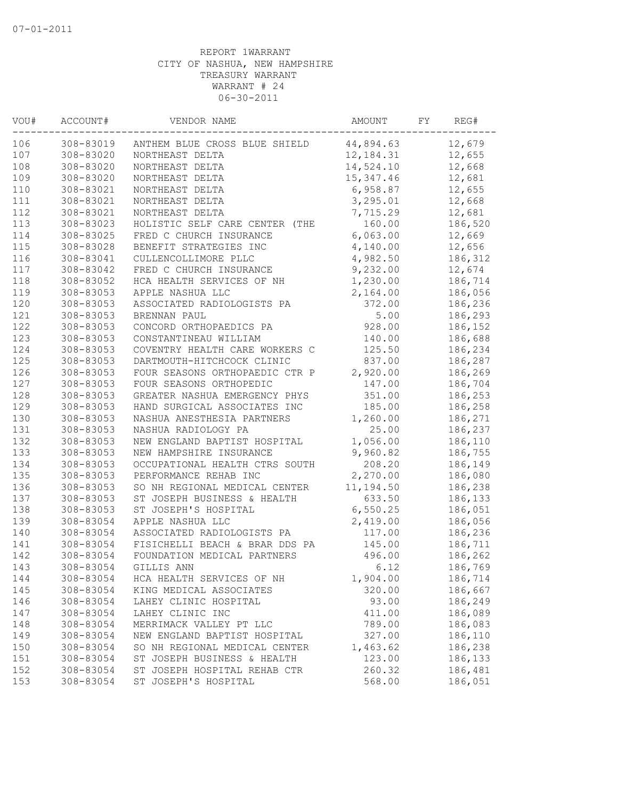| VOU# | ACCOUNT#  | VENDOR NAME                    | AMOUNT     | FY | REG#    |
|------|-----------|--------------------------------|------------|----|---------|
| 106  | 308-83019 | ANTHEM BLUE CROSS BLUE SHIELD  | 44,894.63  |    | 12,679  |
| 107  | 308-83020 | NORTHEAST DELTA                | 12,184.31  |    | 12,655  |
| 108  | 308-83020 | NORTHEAST DELTA                | 14,524.10  |    | 12,668  |
| 109  | 308-83020 | NORTHEAST DELTA                | 15, 347.46 |    | 12,681  |
| 110  | 308-83021 | NORTHEAST DELTA                | 6,958.87   |    | 12,655  |
| 111  | 308-83021 | NORTHEAST DELTA                | 3,295.01   |    | 12,668  |
| 112  | 308-83021 | NORTHEAST DELTA                | 7,715.29   |    | 12,681  |
| 113  | 308-83023 | HOLISTIC SELF CARE CENTER (THE | 160.00     |    | 186,520 |
| 114  | 308-83025 | FRED C CHURCH INSURANCE        | 6,063.00   |    | 12,669  |
| 115  | 308-83028 | BENEFIT STRATEGIES INC         | 4,140.00   |    | 12,656  |
| 116  | 308-83041 | CULLENCOLLIMORE PLLC           | 4,982.50   |    | 186,312 |
| 117  | 308-83042 | FRED C CHURCH INSURANCE        | 9,232.00   |    | 12,674  |
| 118  | 308-83052 | HCA HEALTH SERVICES OF NH      | 1,230.00   |    | 186,714 |
| 119  | 308-83053 | APPLE NASHUA LLC               | 2,164.00   |    | 186,056 |
| 120  | 308-83053 | ASSOCIATED RADIOLOGISTS PA     | 372.00     |    | 186,236 |
| 121  | 308-83053 | BRENNAN PAUL                   | 5.00       |    | 186,293 |
| 122  | 308-83053 | CONCORD ORTHOPAEDICS PA        | 928.00     |    | 186,152 |
| 123  | 308-83053 | CONSTANTINEAU WILLIAM          | 140.00     |    | 186,688 |
| 124  | 308-83053 | COVENTRY HEALTH CARE WORKERS C | 125.50     |    | 186,234 |
| 125  | 308-83053 | DARTMOUTH-HITCHCOCK CLINIC     | 837.00     |    | 186,287 |
| 126  | 308-83053 | FOUR SEASONS ORTHOPAEDIC CTR P | 2,920.00   |    | 186,269 |
| 127  | 308-83053 | FOUR SEASONS ORTHOPEDIC        | 147.00     |    | 186,704 |
| 128  | 308-83053 | GREATER NASHUA EMERGENCY PHYS  | 351.00     |    | 186,253 |
| 129  | 308-83053 | HAND SURGICAL ASSOCIATES INC   | 185.00     |    | 186,258 |
| 130  | 308-83053 | NASHUA ANESTHESIA PARTNERS     | 1,260.00   |    | 186,271 |
| 131  | 308-83053 | NASHUA RADIOLOGY PA            | 25.00      |    | 186,237 |
| 132  | 308-83053 | NEW ENGLAND BAPTIST HOSPITAL   | 1,056.00   |    | 186,110 |
| 133  | 308-83053 | NEW HAMPSHIRE INSURANCE        | 9,960.82   |    | 186,755 |
| 134  | 308-83053 | OCCUPATIONAL HEALTH CTRS SOUTH | 208.20     |    | 186,149 |
| 135  | 308-83053 | PERFORMANCE REHAB INC          | 2,270.00   |    | 186,080 |
| 136  | 308-83053 | SO NH REGIONAL MEDICAL CENTER  | 11,194.50  |    | 186,238 |
| 137  | 308-83053 | ST JOSEPH BUSINESS & HEALTH    | 633.50     |    | 186,133 |
| 138  | 308-83053 | ST JOSEPH'S HOSPITAL           | 6, 550.25  |    | 186,051 |
| 139  | 308-83054 | APPLE NASHUA LLC               | 2,419.00   |    | 186,056 |
| 140  | 308-83054 | ASSOCIATED RADIOLOGISTS PA     | 117.00     |    | 186,236 |
| 141  | 308-83054 | FISICHELLI BEACH & BRAR DDS PA | 145.00     |    | 186,711 |
| 142  | 308-83054 | FOUNDATION MEDICAL PARTNERS    | 496.00     |    | 186,262 |
| 143  | 308-83054 | GILLIS ANN                     | 6.12       |    | 186,769 |
| 144  | 308-83054 | HCA HEALTH SERVICES OF NH      | 1,904.00   |    | 186,714 |
| 145  | 308-83054 | KING MEDICAL ASSOCIATES        | 320.00     |    | 186,667 |
| 146  | 308-83054 | LAHEY CLINIC HOSPITAL          | 93.00      |    | 186,249 |
| 147  | 308-83054 | LAHEY CLINIC INC               | 411.00     |    | 186,089 |
| 148  | 308-83054 | MERRIMACK VALLEY PT LLC        | 789.00     |    | 186,083 |
| 149  | 308-83054 | NEW ENGLAND BAPTIST HOSPITAL   | 327.00     |    | 186,110 |
| 150  | 308-83054 | SO NH REGIONAL MEDICAL CENTER  | 1,463.62   |    | 186,238 |
| 151  | 308-83054 | ST JOSEPH BUSINESS & HEALTH    | 123.00     |    | 186,133 |
| 152  | 308-83054 | ST JOSEPH HOSPITAL REHAB CTR   | 260.32     |    | 186,481 |
| 153  | 308-83054 | ST JOSEPH'S HOSPITAL           | 568.00     |    | 186,051 |
|      |           |                                |            |    |         |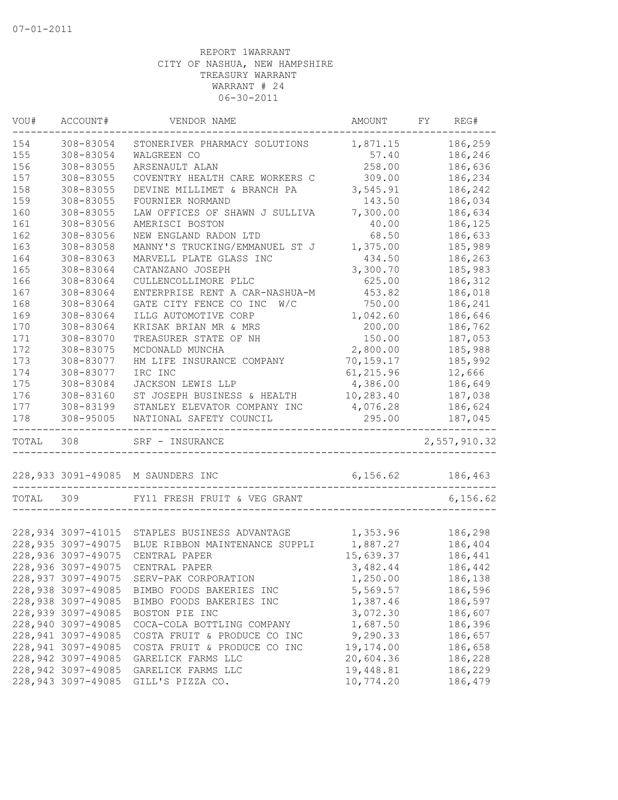| WOU#  | ACCOUNT#           | VENDOR NAME                                   | AMOUNT    | FY | REG#         |
|-------|--------------------|-----------------------------------------------|-----------|----|--------------|
| 154   | 308-83054          | STONERIVER PHARMACY SOLUTIONS                 | 1,871.15  |    | 186,259      |
| 155   | 308-83054          | WALGREEN CO                                   | 57.40     |    | 186,246      |
| 156   | 308-83055          | ARSENAULT ALAN                                | 258.00    |    | 186,636      |
| 157   | 308-83055          | COVENTRY HEALTH CARE WORKERS C                | 309.00    |    | 186,234      |
| 158   | 308-83055          | DEVINE MILLIMET & BRANCH PA                   | 3,545.91  |    | 186,242      |
| 159   | 308-83055          | FOURNIER NORMAND                              | 143.50    |    | 186,034      |
| 160   | 308-83055          | LAW OFFICES OF SHAWN J SULLIVA                | 7,300.00  |    | 186,634      |
| 161   | 308-83056          | AMERISCI BOSTON                               | 40.00     |    | 186,125      |
| 162   | 308-83056          | NEW ENGLAND RADON LTD                         | 68.50     |    | 186,633      |
| 163   | 308-83058          | MANNY'S TRUCKING/EMMANUEL ST J                | 1,375.00  |    | 185,989      |
| 164   | 308-83063          | MARVELL PLATE GLASS INC                       | 434.50    |    | 186,263      |
| 165   | 308-83064          | CATANZANO JOSEPH                              | 3,300.70  |    | 185,983      |
| 166   | 308-83064          | CULLENCOLLIMORE PLLC                          | 625.00    |    | 186,312      |
| 167   | 308-83064          | ENTERPRISE RENT A CAR-NASHUA-M                | 453.82    |    | 186,018      |
| 168   | 308-83064          | GATE CITY FENCE CO INC<br>W/C                 | 750.00    |    | 186,241      |
| 169   | 308-83064          | ILLG AUTOMOTIVE CORP                          | 1,042.60  |    | 186,646      |
| 170   | 308-83064          | KRISAK BRIAN MR & MRS                         | 200.00    |    | 186,762      |
| 171   | 308-83070          | TREASURER STATE OF NH                         | 150.00    |    | 187,053      |
| 172   | 308-83075          | MCDONALD MUNCHA                               | 2,800.00  |    | 185,988      |
| 173   | 308-83077          | HM LIFE INSURANCE COMPANY                     | 70,159.17 |    | 185,992      |
| 174   | 308-83077          | IRC INC                                       | 61,215.96 |    | 12,666       |
| 175   | 308-83084          | JACKSON LEWIS LLP                             | 4,386.00  |    | 186,649      |
| 176   | 308-83160          | ST JOSEPH BUSINESS & HEALTH                   | 10,283.40 |    | 187,038      |
| 177   | 308-83199          | STANLEY ELEVATOR COMPANY INC                  | 4,076.28  |    | 186,624      |
| 178   | 308-95005          | NATIONAL SAFETY COUNCIL                       | 295.00    |    | 187,045      |
| TOTAL | 308                | SRF - INSURANCE                               |           |    | 2,557,910.32 |
|       |                    | 228,933 3091-49085 M SAUNDERS INC             | 6, 156.62 |    | 186,463      |
| TOTAL | 309                | FY11 FRESH FRUIT & VEG GRANT                  |           |    | 6, 156.62    |
|       |                    |                                               |           |    |              |
|       |                    | 228,934 3097-41015 STAPLES BUSINESS ADVANTAGE | 1,353.96  |    | 186,298      |
|       | 228,935 3097-49075 | BLUE RIBBON MAINTENANCE SUPPLI                | 1,887.27  |    | 186,404      |
|       | 228,936 3097-49075 | CENTRAL PAPER                                 | 15,639.37 |    | 186,441      |
|       |                    | 228,936 3097-49075 CENTRAL PAPER              | 3,482.44  |    | 186,442      |
|       | 228,937 3097-49075 | SERV-PAK CORPORATION                          | 1,250.00  |    | 186,138      |
|       | 228,938 3097-49085 | BIMBO FOODS BAKERIES INC                      | 5,569.57  |    | 186,596      |
|       | 228,938 3097-49085 | BIMBO FOODS BAKERIES INC                      | 1,387.46  |    | 186,597      |
|       | 228,939 3097-49085 | BOSTON PIE INC                                | 3,072.30  |    | 186,607      |
|       | 228,940 3097-49085 | COCA-COLA BOTTLING COMPANY                    | 1,687.50  |    | 186,396      |
|       | 228,941 3097-49085 | COSTA FRUIT & PRODUCE CO INC                  | 9,290.33  |    | 186,657      |
|       | 228,941 3097-49085 | COSTA FRUIT & PRODUCE CO INC                  | 19,174.00 |    | 186,658      |
|       | 228,942 3097-49085 | GARELICK FARMS LLC                            | 20,604.36 |    | 186,228      |
|       | 228,942 3097-49085 | GARELICK FARMS LLC                            | 19,448.81 |    | 186,229      |
|       | 228,943 3097-49085 | GILL'S PIZZA CO.                              | 10,774.20 |    | 186,479      |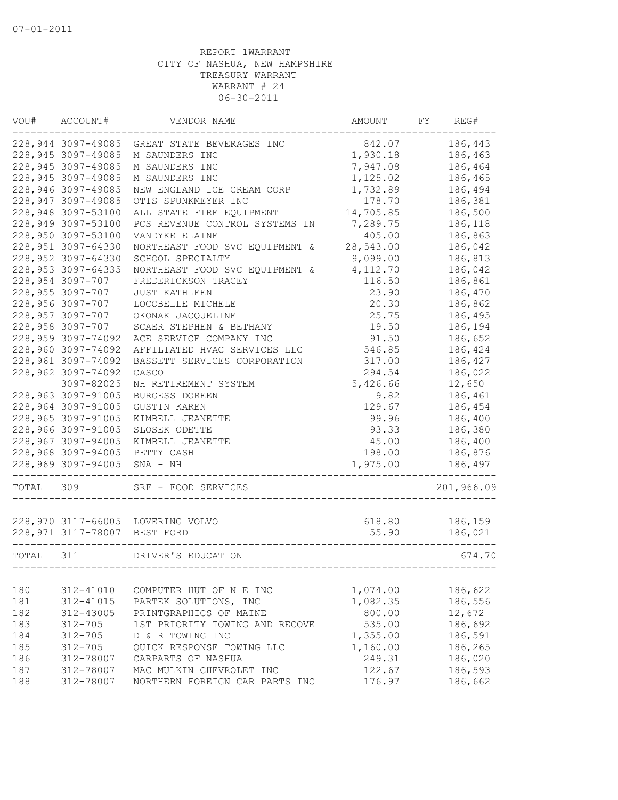| VOU#  | ACCOUNT#                     | VENDOR NAME                       | AMOUNT    | FY | REG#       |
|-------|------------------------------|-----------------------------------|-----------|----|------------|
|       | 228,944 3097-49085           | GREAT STATE BEVERAGES INC         | 842.07    |    | 186,443    |
|       | 228,945 3097-49085           | M SAUNDERS INC                    | 1,930.18  |    | 186,463    |
|       | 228,945 3097-49085           | M SAUNDERS INC                    | 7,947.08  |    | 186,464    |
|       | 228,945 3097-49085           | M SAUNDERS INC                    | 1,125.02  |    | 186,465    |
|       | 228,946 3097-49085           | NEW ENGLAND ICE CREAM CORP        | 1,732.89  |    | 186,494    |
|       | 228,947 3097-49085           | OTIS SPUNKMEYER INC               | 178.70    |    | 186,381    |
|       | 228,948 3097-53100           | ALL STATE FIRE EQUIPMENT          | 14,705.85 |    | 186,500    |
|       | 228,949 3097-53100           | PCS REVENUE CONTROL SYSTEMS IN    | 7,289.75  |    | 186,118    |
|       | 228,950 3097-53100           | VANDYKE ELAINE                    | 405.00    |    | 186,863    |
|       | 228,951 3097-64330           | NORTHEAST FOOD SVC EQUIPMENT &    | 28,543.00 |    | 186,042    |
|       | 228,952 3097-64330           | SCHOOL SPECIALTY                  | 9,099.00  |    | 186,813    |
|       | 228,953 3097-64335           | NORTHEAST FOOD SVC EQUIPMENT &    | 4,112.70  |    | 186,042    |
|       | 228,954 3097-707             | FREDERICKSON TRACEY               | 116.50    |    | 186,861    |
|       | 228,955 3097-707             | <b>JUST KATHLEEN</b>              | 23.90     |    | 186,470    |
|       | 228,956 3097-707             | LOCOBELLE MICHELE                 | 20.30     |    | 186,862    |
|       | 228,957 3097-707             | OKONAK JACQUELINE                 | 25.75     |    | 186,495    |
|       | 228,958 3097-707             | SCAER STEPHEN & BETHANY           | 19.50     |    | 186,194    |
|       | 228,959 3097-74092           | ACE SERVICE COMPANY INC           | 91.50     |    | 186,652    |
|       | 228,960 3097-74092           | AFFILIATED HVAC SERVICES LLC      | 546.85    |    | 186,424    |
|       | 228,961 3097-74092           | BASSETT SERVICES CORPORATION      | 317.00    |    | 186,427    |
|       | 228,962 3097-74092           | CASCO                             | 294.54    |    | 186,022    |
|       | 3097-82025                   | NH RETIREMENT SYSTEM              | 5,426.66  |    | 12,650     |
|       | 228,963 3097-91005           | BURGESS DOREEN                    | 9.82      |    | 186,461    |
|       |                              |                                   |           |    |            |
|       | 228,964 3097-91005           | <b>GUSTIN KAREN</b>               | 129.67    |    | 186,454    |
|       | 228,965 3097-91005           | KIMBELL JEANETTE                  | 99.96     |    | 186,400    |
|       | 228,966 3097-91005           | SLOSEK ODETTE                     | 93.33     |    | 186,380    |
|       | 228,967 3097-94005           | KIMBELL JEANETTE                  | 45.00     |    | 186,400    |
|       | 228,968 3097-94005           | PETTY CASH                        | 198.00    |    | 186,876    |
|       | 228,969 3097-94005           | $SNA - NH$                        | 1,975.00  |    | 186,497    |
| TOTAL | 309                          | SRF - FOOD SERVICES               |           |    | 201,966.09 |
|       |                              |                                   |           |    |            |
|       |                              | 228,970 3117-66005 LOVERING VOLVO | 618.80    |    | 186,159    |
|       | 228,971 3117-78007 BEST FORD |                                   | 55.90     |    | 186,021    |
| TOTAL | 311                          | DRIVER'S EDUCATION                |           |    | 674.70     |
|       |                              |                                   |           |    |            |
| 180   | 312-41010                    | COMPUTER HUT OF N E INC           | 1,074.00  |    | 186,622    |
| 181   | 312-41015                    | PARTEK SOLUTIONS, INC             | 1,082.35  |    | 186,556    |
| 182   | 312-43005                    | PRINTGRAPHICS OF MAINE            | 800.00    |    | 12,672     |
| 183   | $312 - 705$                  | 1ST PRIORITY TOWING AND RECOVE    | 535.00    |    | 186,692    |
| 184   | $312 - 705$                  | D & R TOWING INC                  | 1,355.00  |    | 186,591    |
| 185   | $312 - 705$                  | QUICK RESPONSE TOWING LLC         | 1,160.00  |    | 186,265    |
| 186   | 312-78007                    | CARPARTS OF NASHUA                | 249.31    |    | 186,020    |
| 187   | 312-78007                    | MAC MULKIN CHEVROLET INC          | 122.67    |    | 186,593    |
| 188   | 312-78007                    | NORTHERN FOREIGN CAR PARTS INC    | 176.97    |    | 186,662    |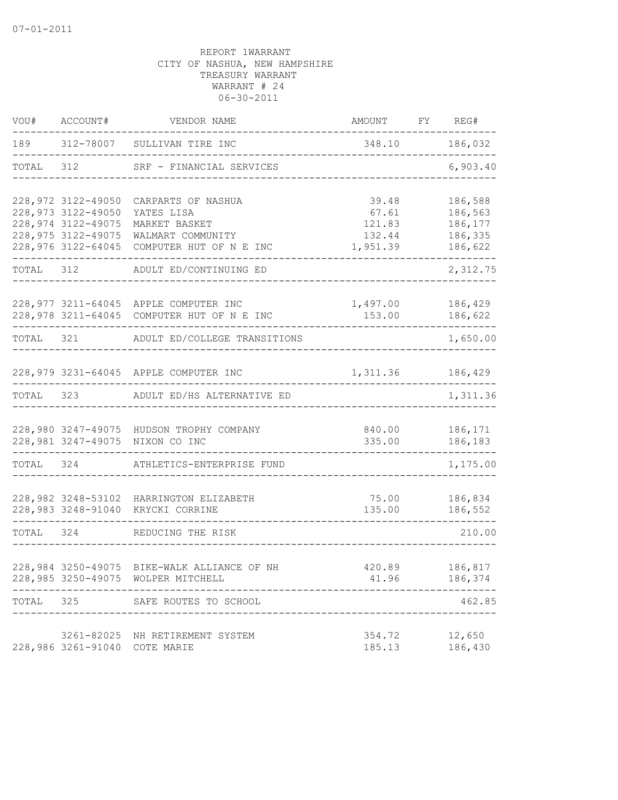| VOU#      | ACCOUNT#                                                                              | VENDOR NAME                                                                         | AMOUNT                             | FY REG#                                  |
|-----------|---------------------------------------------------------------------------------------|-------------------------------------------------------------------------------------|------------------------------------|------------------------------------------|
| 189       |                                                                                       | 312-78007 SULLIVAN TIRE INC<br>. _ _ _ _ _ _ _ _ _ _ _ _ _ _ _ _ _ _                | 348.10                             | 186,032                                  |
| TOTAL     | 312                                                                                   | SRF - FINANCIAL SERVICES                                                            |                                    | -----<br>6,903.40                        |
|           | 228,972 3122-49050<br>228,973 3122-49050<br>228,974 3122-49075<br>228, 975 3122-49075 | CARPARTS OF NASHUA<br>YATES LISA<br>MARKET BASKET<br>WALMART COMMUNITY              | 39.48<br>67.61<br>121.83<br>132.44 | 186,588<br>186,563<br>186,177<br>186,335 |
|           | 228,976 3122-64045                                                                    | COMPUTER HUT OF N E INC                                                             | 1,951.39                           | 186,622                                  |
| TOTAL     | 312                                                                                   | ADULT ED/CONTINUING ED                                                              |                                    | 2,312.75                                 |
|           |                                                                                       | 228,977 3211-64045 APPLE COMPUTER INC<br>228,978 3211-64045 COMPUTER HUT OF N E INC | 1,497.00<br>153.00                 | 186,429<br>186,622                       |
|           |                                                                                       | TOTAL 321 ADULT ED/COLLEGE TRANSITIONS                                              |                                    | 1,650.00                                 |
|           |                                                                                       | 228,979 3231-64045 APPLE COMPUTER INC                                               | 1,311.36                           | 186,429                                  |
| TOTAL     | 323                                                                                   | ADULT ED/HS ALTERNATIVE ED                                                          |                                    | 1,311.36                                 |
|           |                                                                                       | 228,980 3247-49075 HUDSON TROPHY COMPANY<br>228,981 3247-49075 NIXON CO INC         | 840.00<br>335.00                   | 186,171<br>186,183                       |
| TOTAL 324 |                                                                                       | ATHLETICS-ENTERPRISE FUND                                                           |                                    | 1,175.00                                 |
|           |                                                                                       | 228,982 3248-53102 HARRINGTON ELIZABETH<br>228,983 3248-91040 KRYCKI CORRINE        | 75.00<br>135.00                    | 186,834<br>186,552                       |
| TOTAL 324 |                                                                                       | REDUCING THE RISK                                                                   |                                    | 210.00                                   |
|           |                                                                                       | 228,984 3250-49075 BIKE-WALK ALLIANCE OF NH<br>228,985 3250-49075 WOLPER MITCHELL   | 420.89<br>41.96                    | 186,817<br>186,374                       |
| TOTAL     |                                                                                       | 325 SAFE ROUTES TO SCHOOL                                                           |                                    | 462.85                                   |
|           |                                                                                       | 3261-82025 NH RETIREMENT SYSTEM<br>228,986 3261-91040 COTE MARIE                    | 354.72<br>185.13                   | 12,650<br>186,430                        |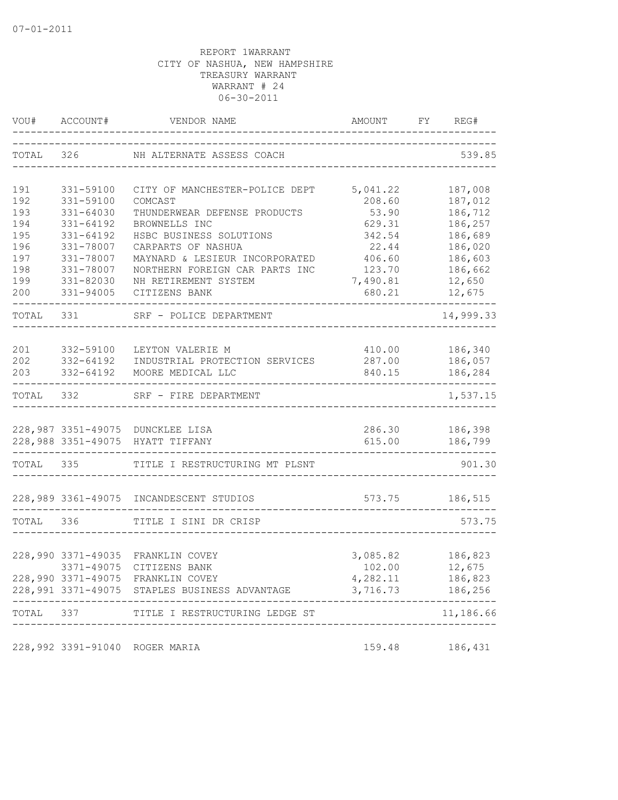|           | VOU# ACCOUNT# | VENDOR NAME                                                          | AMOUNT           | FY REG#                                             |
|-----------|---------------|----------------------------------------------------------------------|------------------|-----------------------------------------------------|
|           |               | TOTAL 326 NH ALTERNATE ASSESS COACH                                  |                  | 539.85                                              |
| 191       | 331-59100     | CITY OF MANCHESTER-POLICE DEPT                                       | 5,041.22         | 187,008                                             |
| 192       | 331-59100     | COMCAST                                                              | 208.60           | 187,012                                             |
| 193       | 331-64030     | THUNDERWEAR DEFENSE PRODUCTS                                         | 53.90            | 186,712                                             |
| 194       | 331-64192     | BROWNELLS INC                                                        | 629.31           | 186,257                                             |
| 195       | 331-64192     | HSBC BUSINESS SOLUTIONS                                              | 342.54           | 186,689                                             |
| 196       | 331-78007     | CARPARTS OF NASHUA                                                   | 22.44            | 186,020                                             |
| 197       | 331-78007     | MAYNARD & LESIEUR INCORPORATED                                       | 406.60           | 186,603                                             |
| 198       | 331-78007     | NORTHERN FOREIGN CAR PARTS INC                                       | 123.70           | 186,662                                             |
| 199       | 331-82030     | NH RETIREMENT SYSTEM                                                 | 7,490.81         | 12,650                                              |
| 200       | 331-94005     | CITIZENS BANK                                                        | 680.21           | 12,675                                              |
| TOTAL 331 |               | SRF - POLICE DEPARTMENT                                              |                  | 14,999.33                                           |
|           |               |                                                                      |                  |                                                     |
| 201       | 332-59100     | LEYTON VALERIE M                                                     | 410.00           | 186,340                                             |
| 202       | 332-64192     | INDUSTRIAL PROTECTION SERVICES                                       | 287.00           | 186,057                                             |
| 203       | 332-64192     | MOORE MEDICAL LLC                                                    |                  | 840.15 186,284<br>. _ _ _ _ _ _ _ _ _ _ _ _ _ _ _ _ |
|           |               | TOTAL 332 SRF - FIRE DEPARTMENT                                      |                  | 1,537.15                                            |
|           |               |                                                                      |                  |                                                     |
|           |               | 228,987 3351-49075 DUNCKLEE LISA<br>228,988 3351-49075 HYATT TIFFANY | 286.30<br>615.00 | 186,398<br>186,799                                  |
|           |               |                                                                      |                  |                                                     |
|           | TOTAL 335     | TITLE I RESTRUCTURING MT PLSNT                                       |                  | 901.30                                              |
|           |               | 228,989 3361-49075 INCANDESCENT STUDIOS                              | 573.75           | 186,515                                             |
|           |               |                                                                      |                  |                                                     |
| TOTAL 336 |               | TITLE I SINI DR CRISP                                                |                  | 573.75                                              |
|           |               | 228,990 3371-49035 FRANKLIN COVEY                                    | 3,085.82         | 186,823                                             |
|           |               | 3371-49075 CITIZENS BANK                                             | 102.00           | 12,675                                              |
|           |               | 228,990 3371-49075 FRANKLIN COVEY                                    | 4,282.11         | 186,823                                             |
|           |               | 228,991 3371-49075 STAPLES BUSINESS ADVANTAGE                        | 3,716.73         | 186,256                                             |
| TOTAL 337 | ----------    | TITLE I RESTRUCTURING LEDGE ST                                       |                  | 11,186.66                                           |
|           |               |                                                                      |                  |                                                     |
|           |               | 228,992 3391-91040 ROGER MARIA                                       | 159.48           | 186,431                                             |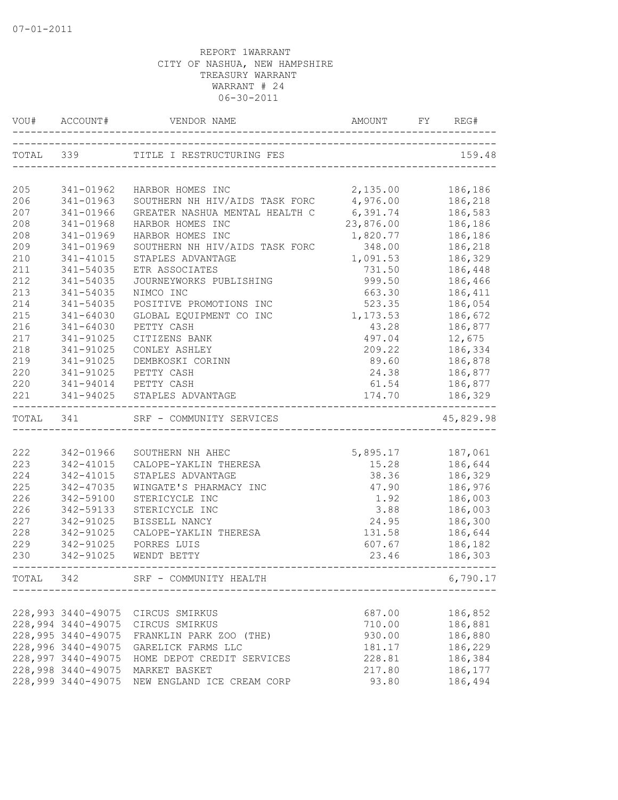| VOU#      | ACCOUNT#           | VENDOR NAME                    | AMOUNT           | FY | REG#          |
|-----------|--------------------|--------------------------------|------------------|----|---------------|
| TOTAL 339 |                    | TITLE I RESTRUCTURING FES      |                  |    | 159.48        |
|           |                    |                                |                  |    |               |
| 205       | 341-01962          | HARBOR HOMES INC               | 2,135.00         |    | 186,186       |
| 206       | 341-01963          | SOUTHERN NH HIV/AIDS TASK FORC | 4,976.00         |    | 186,218       |
| 207       | 341-01966          | GREATER NASHUA MENTAL HEALTH C | 6,391.74         |    | 186,583       |
| 208       | 341-01968          | HARBOR HOMES INC               | 23,876.00        |    | 186,186       |
| 208       | 341-01969          | HARBOR HOMES INC               | 1,820.77         |    | 186,186       |
| 209       | $341 - 01969$      | SOUTHERN NH HIV/AIDS TASK FORC | 348.00           |    | 186,218       |
| 210       | 341-41015          | STAPLES ADVANTAGE              | 1,091.53         |    | 186,329       |
| 211       | 341-54035          | ETR ASSOCIATES                 | 731.50           |    | 186,448       |
| 212       | 341-54035          | JOURNEYWORKS PUBLISHING        | 999.50           |    | 186,466       |
| 213       | 341-54035          | NIMCO INC                      | 663.30           |    | 186,411       |
| 214       | 341-54035          | POSITIVE PROMOTIONS INC        | 523.35           |    | 186,054       |
| 215       | 341-64030          | GLOBAL EQUIPMENT CO INC        | 1,173.53         |    | 186,672       |
| 216       | $341 - 64030$      | PETTY CASH                     | 43.28            |    | 186,877       |
| 217       | 341-91025          | CITIZENS BANK                  | 497.04           |    | 12,675        |
| 218       | 341-91025          | CONLEY ASHLEY                  | 209.22           |    | 186,334       |
| 219       | 341-91025          | DEMBKOSKI CORINN               | 89.60            |    | 186,878       |
| 220       | 341-91025          | PETTY CASH                     |                  |    | 24.38 186,877 |
| 220       |                    | 341-94014 PETTY CASH           | 61.54            |    | 186,877       |
| 221       |                    | 341-94025 STAPLES ADVANTAGE    | 174.70           |    | 186,329       |
| TOTAL 341 |                    | SRF - COMMUNITY SERVICES       |                  |    | 45,829.98     |
|           |                    |                                |                  |    |               |
| 222       | 342-01966          | SOUTHERN NH AHEC               | 5,895.17 187,061 |    |               |
| 223       | 342-41015          | CALOPE-YAKLIN THERESA          | 15.28            |    | 186,644       |
| 224       | 342-41015          | STAPLES ADVANTAGE              | 38.36            |    | 186,329       |
| 225       | 342-47035          | WINGATE'S PHARMACY INC         | 47.90            |    | 186,976       |
| 226       | 342-59100          | STERICYCLE INC                 | 1.92             |    | 186,003       |
| 226       | 342-59133          | STERICYCLE INC                 | 3.88             |    | 186,003       |
| 227       | 342-91025          | BISSELL NANCY                  | 24.95            |    | 186,300       |
| 228       | 342-91025          | CALOPE-YAKLIN THERESA          | 131.58           |    | 186,644       |
| 229       | 342-91025          | PORRES LUIS                    | 607.67           |    | 186,182       |
| 230       | 342-91025          | WENDT BETTY                    | 23.46            |    | 186,303       |
| TOTAL     | 342                | SRF - COMMUNITY HEALTH         |                  |    | 6,790.17      |
|           |                    |                                |                  |    |               |
|           | 228,993 3440-49075 | CIRCUS SMIRKUS                 | 687.00           |    | 186,852       |
|           | 228,994 3440-49075 | CIRCUS SMIRKUS                 | 710.00           |    | 186,881       |
|           | 228,995 3440-49075 | FRANKLIN PARK ZOO (THE)        | 930.00           |    | 186,880       |
|           | 228,996 3440-49075 | GARELICK FARMS LLC             | 181.17           |    | 186,229       |
|           | 228,997 3440-49075 | HOME DEPOT CREDIT SERVICES     | 228.81           |    | 186,384       |
|           | 228,998 3440-49075 | MARKET BASKET                  | 217.80           |    | 186,177       |
|           | 228,999 3440-49075 | NEW ENGLAND ICE CREAM CORP     | 93.80            |    | 186,494       |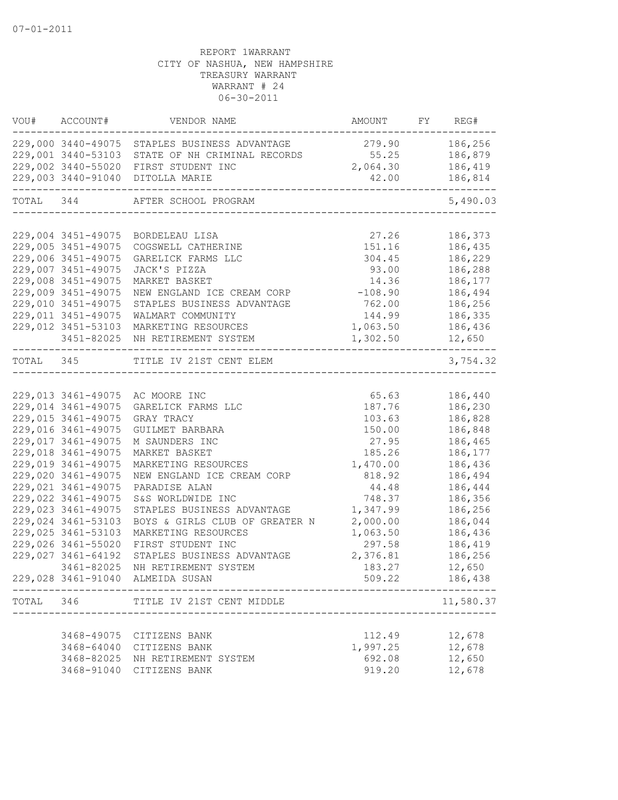|       | VOU# ACCOUNT#      | VENDOR NAME                                                              | AMOUNT FY REG# |                     |
|-------|--------------------|--------------------------------------------------------------------------|----------------|---------------------|
|       |                    | 229,000 3440-49075 STAPLES BUSINESS ADVANTAGE                            | 279.90 186,256 |                     |
|       |                    | 229,001 3440-53103 STATE OF NH CRIMINAL RECORDS 55.25                    |                | 186,879             |
|       |                    | 229,002 3440-55020 FIRST STUDENT INC                                     | 2,064.30       | 186,419             |
|       |                    | 229,003 3440-91040 DITOLLA MARIE                                         | 42.00          | 186,814<br>------   |
|       |                    | TOTAL 344 AFTER SCHOOL PROGRAM<br>------------------------               |                | 5,490.03            |
|       |                    |                                                                          |                |                     |
|       |                    | 229,004 3451-49075 BORDELEAU LISA                                        | 27.26          | 186,373             |
|       | 229,005 3451-49075 | COGSWELL CATHERINE                                                       | 151.16         | 186,435             |
|       | 229,006 3451-49075 | GARELICK FARMS LLC                                                       | 304.45         | 186,229             |
|       | 229,007 3451-49075 | JACK'S PIZZA                                                             | 93.00          | 186,288             |
|       | 229,008 3451-49075 | MARKET BASKET                                                            | 14.36          | 186,177             |
|       | 229,009 3451-49075 | NEW ENGLAND ICE CREAM CORP                                               | $-108.90$      | 186,494             |
|       | 229,010 3451-49075 | STAPLES BUSINESS ADVANTAGE                                               | 762.00         | 186,256             |
|       | 229,011 3451-49075 | WALMART COMMUNITY                                                        | 144.99         | 186,335             |
|       | 229,012 3451-53103 | MARKETING RESOURCES                                                      | 1,063.50       | 186,436             |
|       |                    | 3451-82025 NH RETIREMENT SYSTEM<br>------------------------------------- | 1,302.50       | 12,650<br>--------- |
|       |                    | TOTAL 345 TITLE IV 21ST CENT ELEM                                        |                | 3,754.32            |
|       |                    |                                                                          |                |                     |
|       |                    | 229,013 3461-49075 AC MOORE INC                                          | 65.63          | 186,440             |
|       | 229,014 3461-49075 | GARELICK FARMS LLC                                                       | 187.76         | 186,230             |
|       | 229,015 3461-49075 | GRAY TRACY                                                               | 103.63         | 186,828             |
|       | 229,016 3461-49075 | GUILMET BARBARA                                                          | 150.00         | 186,848             |
|       | 229,017 3461-49075 | M SAUNDERS INC                                                           | 27.95          | 186,465             |
|       | 229,018 3461-49075 | MARKET BASKET                                                            | 185.26         | 186,177             |
|       | 229,019 3461-49075 | MARKETING RESOURCES                                                      | 1,470.00       | 186,436             |
|       | 229,020 3461-49075 | NEW ENGLAND ICE CREAM CORP                                               | 818.92         | 186,494             |
|       | 229,021 3461-49075 | PARADISE ALAN                                                            | 44.48          | 186,444             |
|       | 229,022 3461-49075 | S&S WORLDWIDE INC                                                        | 748.37         | 186,356             |
|       | 229,023 3461-49075 | STAPLES BUSINESS ADVANTAGE                                               | 1,347.99       | 186,256             |
|       | 229,024 3461-53103 | BOYS & GIRLS CLUB OF GREATER N                                           | 2,000.00       | 186,044             |
|       | 229,025 3461-53103 | MARKETING RESOURCES                                                      | 1,063.50       | 186,436             |
|       | 229,026 3461-55020 | FIRST STUDENT INC                                                        | 297.58         | 186,419             |
|       | 229,027 3461-64192 | STAPLES BUSINESS ADVANTAGE                                               | 2,376.81       | 186,256             |
|       | 3461-82025         | NH RETIREMENT SYSTEM                                                     | 183.27         | 12,650              |
|       |                    | 229,028 3461-91040 ALMEIDA SUSAN                                         | 509.22         | 186,438             |
| TOTAL | 346                | TITLE IV 21ST CENT MIDDLE                                                |                | 11,580.37           |
|       |                    |                                                                          |                |                     |
|       | 3468-49075         | CITIZENS BANK                                                            | 112.49         | 12,678              |
|       | 3468-64040         | CITIZENS BANK                                                            | 1,997.25       | 12,678              |
|       | 3468-82025         | NH RETIREMENT SYSTEM                                                     | 692.08         | 12,650              |
|       | 3468-91040         | CITIZENS BANK                                                            | 919.20         | 12,678              |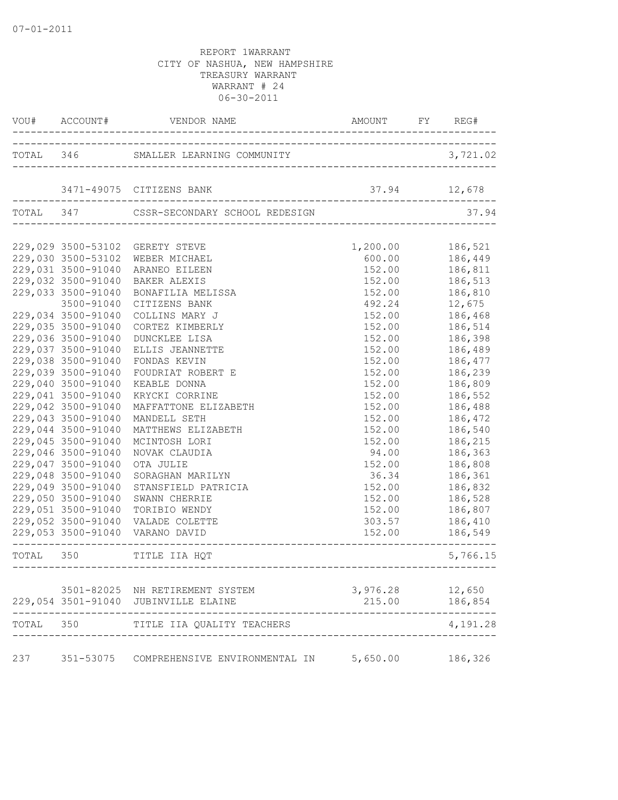|           | VOU# ACCOUNT#                            |                                          | AMOUNT FY REG#     |                    |
|-----------|------------------------------------------|------------------------------------------|--------------------|--------------------|
|           |                                          |                                          |                    | 3,721.02           |
|           |                                          | 3471-49075 CITIZENS BANK                 | 37.94 12,678       |                    |
|           |                                          | TOTAL 347 CSSR-SECONDARY SCHOOL REDESIGN |                    | 37.94              |
|           |                                          | 229,029 3500-53102 GERETY STEVE          | 1,200.00           | 186,521            |
|           |                                          | 229,030 3500-53102 WEBER MICHAEL         | 600.00             | 186,449            |
|           | 229,031 3500-91040                       | ARANEO EILEEN                            | 152.00             | 186,811            |
|           | 229,032 3500-91040                       | BAKER ALEXIS                             | 152.00             | 186,513            |
|           | 229,033 3500-91040                       | BONAFILIA MELISSA                        | 152.00             | 186,810            |
|           | 3500-91040                               | CITIZENS BANK                            | 492.24             | 12,675             |
|           | 229,034 3500-91040                       | COLLINS MARY J                           | 152.00             | 186,468            |
|           | 229,035 3500-91040                       | CORTEZ KIMBERLY                          | 152.00             | 186,514            |
|           | 229,036 3500-91040                       | DUNCKLEE LISA                            | 152.00             | 186,398            |
|           | 229,037 3500-91040                       | ELLIS JEANNETTE                          | 152.00             | 186,489            |
|           | 229,038 3500-91040                       | FONDAS KEVIN                             | 152.00             | 186,477            |
|           | 229,039 3500-91040                       | FOUDRIAT ROBERT E                        | 152.00             | 186,239            |
|           | 229,040 3500-91040                       | KEABLE DONNA                             | 152.00             | 186,809            |
|           | 229,041 3500-91040<br>229,042 3500-91040 | KRYCKI CORRINE                           | 152.00             | 186,552            |
|           | 229,043 3500-91040                       | MAFFATTONE ELIZABETH                     | 152.00             | 186,488            |
|           | 229,044 3500-91040                       | MANDELL SETH                             | 152.00             | 186,472            |
|           | 229,045 3500-91040                       | MATTHEWS ELIZABETH<br>MCINTOSH LORI      | 152.00<br>152.00   | 186,540<br>186,215 |
|           | 229,046 3500-91040                       | NOVAK CLAUDIA                            | 94.00              | 186,363            |
|           | 229,047 3500-91040                       | OTA JULIE                                | 152.00             | 186,808            |
|           | 229,048 3500-91040                       | SORAGHAN MARILYN                         | 36.34              | 186,361            |
|           | 229,049 3500-91040                       | STANSFIELD PATRICIA                      | 152.00             | 186,832            |
|           | 229,050 3500-91040                       | SWANN CHERRIE                            | 152.00             | 186,528            |
|           | 229,051 3500-91040                       | TORIBIO WENDY                            | 152.00             | 186,807            |
|           | 229,052 3500-91040                       | VALADE COLETTE                           | 303.57             | 186,410            |
|           |                                          | 229,053 3500-91040 VARANO DAVID          | 152.00             | 186,549            |
| TOTAL 350 |                                          | TITLE IIA HQT                            |                    | 5,766.15           |
|           |                                          | 3501-82025 NH RETIREMENT SYSTEM          |                    | 12,650             |
|           |                                          | 229,054 3501-91040 JUBINVILLE ELAINE     | 3,976.28<br>215.00 | 186,854            |
| TOTAL     | 350                                      | TITLE IIA QUALITY TEACHERS               |                    | 4,191.28           |
| 237       | 351-53075                                | COMPREHENSIVE ENVIRONMENTAL IN           | 5,650.00           | 186,326            |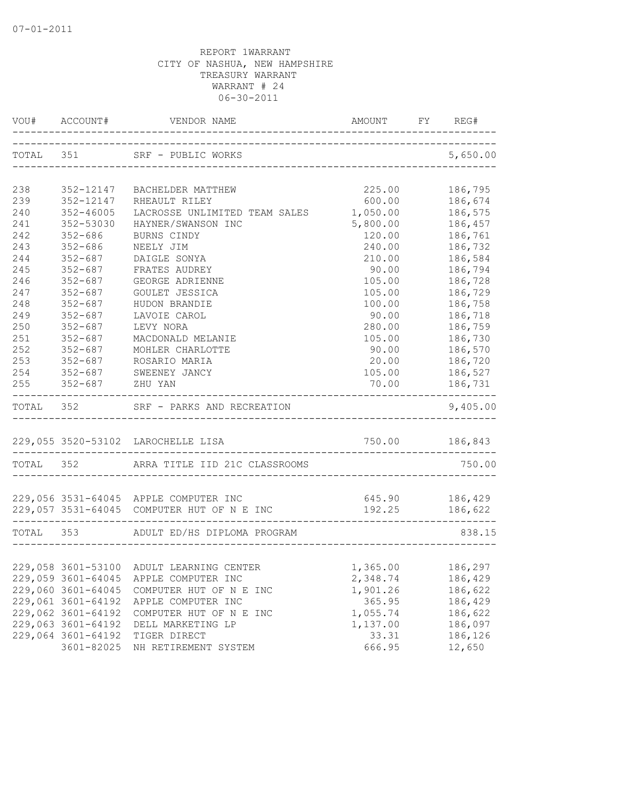|           | VOU# ACCOUNT#       |                                                                                     |                                | FY REG#            |
|-----------|---------------------|-------------------------------------------------------------------------------------|--------------------------------|--------------------|
| TOTAL 351 |                     | SRF - PUBLIC WORKS<br>-------------------------------------                         |                                | 5,650.00           |
| 238       | 352-12147           | BACHELDER MATTHEW                                                                   | 225.00                         | 186,795            |
| 239       | 352-12147           | RHEAULT RILEY                                                                       | 600.00                         | 186,674            |
| 240       | 352-46005           | LACROSSE UNLIMITED TEAM SALES                                                       | 1,050.00                       | 186,575            |
| 241       | 352-53030           | HAYNER/SWANSON INC                                                                  | 5,800.00                       | 186,457            |
| 242       | $352 - 686$         | BURNS CINDY                                                                         | 120.00                         | 186,761            |
| 243       | $352 - 686$         | NEELY JIM                                                                           | 240.00                         | 186,732            |
| 244       | $352 - 687$         | DAIGLE SONYA                                                                        | 210.00                         | 186,584            |
| 245       | $352 - 687$         | FRATES AUDREY                                                                       | 90.00                          | 186,794            |
| 246       | $352 - 687$         | GEORGE ADRIENNE                                                                     | 105.00                         | 186,728            |
| 247       | $352 - 687$         | GOULET JESSICA                                                                      | 105.00                         | 186,729            |
| 248       | $352 - 687$         | HUDON BRANDIE                                                                       | 100.00                         | 186,758            |
| 249       | $352 - 687$         | LAVOIE CAROL                                                                        | 90.00                          | 186,718            |
| 250       | $352 - 687$         | LEVY NORA                                                                           | 280.00                         | 186,759            |
| 251       | $352 - 687$         | MACDONALD MELANIE                                                                   | 105.00                         | 186,730            |
| 252       | $352 - 687$         | MOHLER CHARLOTTE                                                                    | 90.00                          | 186,570            |
| 253       | $352 - 687$         | ROSARIO MARIA                                                                       | 20.00                          | 186,720            |
|           |                     | 254 352-687 SWEENEY JANCY                                                           | 105.00                         | 186,527            |
|           | 255 352-687 ZHU YAN |                                                                                     | 70.00 186,731                  |                    |
|           |                     | TOTAL 352 SRF - PARKS AND RECREATION                                                |                                | 9,405.00           |
|           |                     |                                                                                     |                                |                    |
|           |                     | 229,055 3520-53102 LAROCHELLE LISA                                                  | 750.00 186,843                 |                    |
| TOTAL 352 |                     | ARRA TITLE IID 21C CLASSROOMS                                                       |                                | 750.00             |
|           |                     |                                                                                     |                                |                    |
|           |                     | 229,056 3531-64045 APPLE COMPUTER INC<br>229,057 3531-64045 COMPUTER HUT OF N E INC | 645.90<br>192.25               | 186,429<br>186,622 |
| TOTAL 353 |                     | ADULT ED/HS DIPLOMA PROGRAM                                                         | ------------------------------ | 838.15             |
|           |                     |                                                                                     |                                |                    |
|           |                     | 229,058 3601-53100 ADULT LEARNING CENTER                                            | 1,365.00 186,297               |                    |
|           | 229,059 3601-64045  | APPLE COMPUTER INC                                                                  | 2,348.74                       | 186,429            |
|           | 229,060 3601-64045  | COMPUTER HUT OF N E INC                                                             | 1,901.26                       | 186,622            |
|           | 229,061 3601-64192  | APPLE COMPUTER INC                                                                  | 365.95                         | 186,429            |
|           | 229,062 3601-64192  | COMPUTER HUT OF N E INC                                                             | 1,055.74                       | 186,622            |
|           | 229,063 3601-64192  | DELL MARKETING LP                                                                   | 1,137.00                       | 186,097            |
|           | 229,064 3601-64192  | TIGER DIRECT                                                                        | 33.31                          | 186,126            |
|           | 3601-82025          | NH RETIREMENT SYSTEM                                                                | 666.95                         | 12,650             |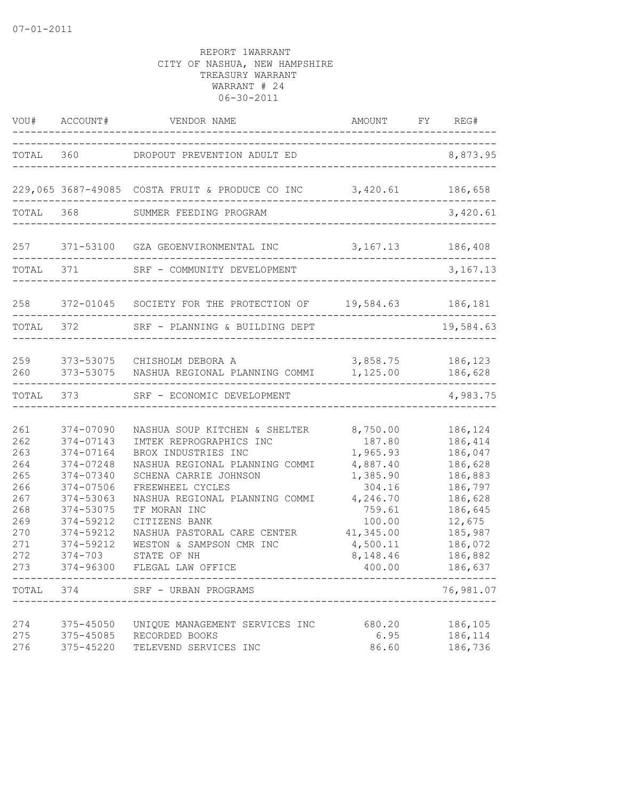|                                                                                                      |                                                                                                                                                                         | VOU# ACCOUNT# VENDOR NAME                                                                                                                                                                                                                                                                                                                                         | AMOUNT FY REG#                                                                                                                      |                                                                                                                                                         |
|------------------------------------------------------------------------------------------------------|-------------------------------------------------------------------------------------------------------------------------------------------------------------------------|-------------------------------------------------------------------------------------------------------------------------------------------------------------------------------------------------------------------------------------------------------------------------------------------------------------------------------------------------------------------|-------------------------------------------------------------------------------------------------------------------------------------|---------------------------------------------------------------------------------------------------------------------------------------------------------|
|                                                                                                      |                                                                                                                                                                         | TOTAL 360 DROPOUT PREVENTION ADULT ED                                                                                                                                                                                                                                                                                                                             |                                                                                                                                     | 8,873.95                                                                                                                                                |
|                                                                                                      |                                                                                                                                                                         | 229,065 3687-49085 COSTA FRUIT & PRODUCE CO INC 3,420.61 186,658                                                                                                                                                                                                                                                                                                  |                                                                                                                                     | ----------------                                                                                                                                        |
|                                                                                                      |                                                                                                                                                                         | TOTAL 368 SUMMER FEEDING PROGRAM                                                                                                                                                                                                                                                                                                                                  |                                                                                                                                     | 3,420.61                                                                                                                                                |
|                                                                                                      |                                                                                                                                                                         | 257 371-53100 GZA GEOENVIRONMENTAL INC 3,167.13 186,408                                                                                                                                                                                                                                                                                                           |                                                                                                                                     |                                                                                                                                                         |
|                                                                                                      | TOTAL 371                                                                                                                                                               | SRF - COMMUNITY DEVELOPMENT                                                                                                                                                                                                                                                                                                                                       |                                                                                                                                     | 3, 167. 13                                                                                                                                              |
|                                                                                                      |                                                                                                                                                                         | 258 372-01045 SOCIETY FOR THE PROTECTION OF 19,584.63 186,181                                                                                                                                                                                                                                                                                                     |                                                                                                                                     |                                                                                                                                                         |
|                                                                                                      | TOTAL 372                                                                                                                                                               | SRF - PLANNING & BUILDING DEPT                                                                                                                                                                                                                                                                                                                                    |                                                                                                                                     | 19,584.63                                                                                                                                               |
| 259<br>260                                                                                           |                                                                                                                                                                         | 373-53075 CHISHOLM DEBORA A<br>373-53075 NASHUA REGIONAL PLANNING COMMI 1,125.00 186,628                                                                                                                                                                                                                                                                          | 3,858.75 186,123                                                                                                                    |                                                                                                                                                         |
|                                                                                                      |                                                                                                                                                                         | TOTAL 373 SRF - ECONOMIC DEVELOPMENT<br>__________________________                                                                                                                                                                                                                                                                                                |                                                                                                                                     | --------------<br>4,983.75                                                                                                                              |
| 261<br>262<br>263<br>264<br>265<br>266<br>267<br>268<br>269<br>270<br>271<br>272<br>273<br>TOTAL 374 | 374-07090<br>374-07143<br>374-07164<br>374-07248<br>374-07340<br>374-07506<br>374-53063<br>374-53075<br>374-59212<br>374-59212<br>374-59212<br>$374 - 703$<br>374-96300 | NASHUA SOUP KITCHEN & SHELTER 8,750.00<br>IMTEK REPROGRAPHICS INC<br>BROX INDUSTRIES INC<br>NASHUA REGIONAL PLANNING COMMI<br>SCHENA CARRIE JOHNSON<br>FREEWHEEL CYCLES<br>NASHUA REGIONAL PLANNING COMMI<br>TF MORAN INC<br>CITIZENS BANK<br>NASHUA PASTORAL CARE CENTER<br>WESTON & SAMPSON CMR INC<br>STATE OF NH<br>FLEGAL LAW OFFICE<br>SRF - URBAN PROGRAMS | 187.80<br>1,965.93<br>4,887.40<br>1,385.90<br>304.16<br>4,246.70<br>759.61<br>100.00<br>41,345.00<br>4,500.11<br>8,148.46<br>400.00 | 186,124<br>186,414<br>186,047<br>186,628<br>186,883<br>186,797<br>186,628<br>186,645<br>12,675<br>185,987<br>186,072<br>186,882<br>186,637<br>76,981.07 |
| 274<br>275<br>276                                                                                    | 375-45050<br>375-45085<br>375-45220                                                                                                                                     | UNIQUE MANAGEMENT SERVICES INC<br>RECORDED BOOKS<br>TELEVEND SERVICES INC                                                                                                                                                                                                                                                                                         | 680.20<br>6.95<br>86.60                                                                                                             | 186,105<br>186,114<br>186,736                                                                                                                           |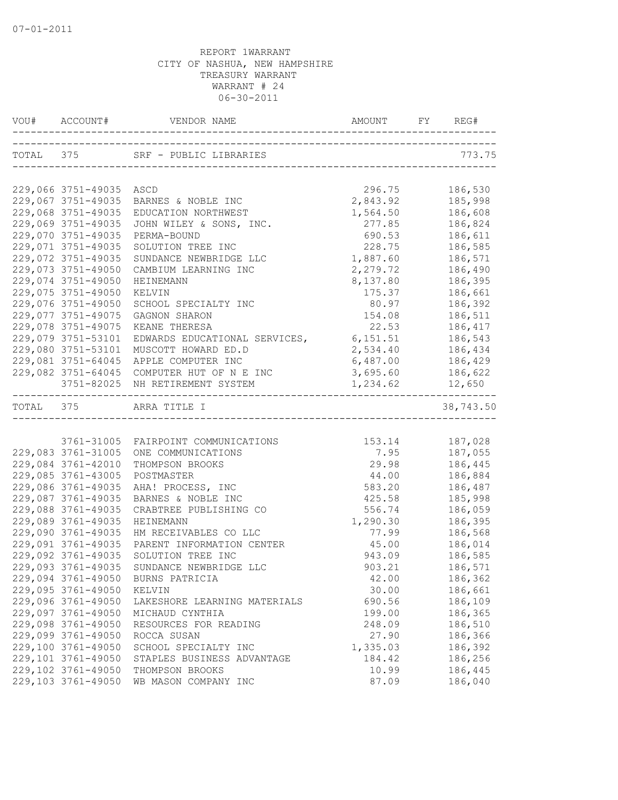| VOU# ACCOUNT#           |                                            |                                   | REG#      |
|-------------------------|--------------------------------------------|-----------------------------------|-----------|
|                         | TOTAL 375 SRF - PUBLIC LIBRARIES           |                                   | 773.75    |
|                         |                                            | --------------------------------- |           |
| 229,066 3751-49035 ASCD |                                            | 296.75                            | 186,530   |
| 229,067 3751-49035      | BARNES & NOBLE INC                         | 2,843.92                          | 185,998   |
| 229,068 3751-49035      | EDUCATION NORTHWEST                        | 1,564.50                          | 186,608   |
| 229,069 3751-49035      | JOHN WILEY & SONS, INC.                    | 277.85                            | 186,824   |
| 229,070 3751-49035      | PERMA-BOUND                                | 690.53                            | 186,611   |
| 229,071 3751-49035      | SOLUTION TREE INC                          | 228.75                            | 186,585   |
| 229,072 3751-49035      | SUNDANCE NEWBRIDGE LLC                     | 1,887.60                          | 186,571   |
| 229,073 3751-49050      | CAMBIUM LEARNING INC                       | 2,279.72                          | 186,490   |
| 229,074 3751-49050      | <b>HEINEMANN</b>                           | 8,137.80                          | 186,395   |
| 229,075 3751-49050      | KELVIN                                     | 175.37                            | 186,661   |
| 229,076 3751-49050      | SCHOOL SPECIALTY INC                       | 80.97                             | 186,392   |
| 229,077 3751-49075      | GAGNON SHARON                              | 154.08                            | 186,511   |
| 229,078 3751-49075      | KEANE THERESA                              | 22.53                             | 186,417   |
| 229,079 3751-53101      | EDWARDS EDUCATIONAL SERVICES,              | 6,151.51                          | 186,543   |
| 229,080 3751-53101      | MUSCOTT HOWARD ED.D                        | 2,534.40                          | 186,434   |
| 229,081 3751-64045      | APPLE COMPUTER INC                         | 6,487.00                          | 186,429   |
|                         | 229,082 3751-64045 COMPUTER HUT OF N E INC | 3,695.60 186,622                  |           |
|                         | 3751-82025 NH RETIREMENT SYSTEM            | 1,234.62                          | 12,650    |
|                         | TOTAL 375 ARRA TITLE I                     |                                   | 38,743.50 |
|                         |                                            |                                   |           |
|                         | 3761-31005 FAIRPOINT COMMUNICATIONS        | 153.14                            | 187,028   |
| 229,083 3761-31005      | ONE COMMUNICATIONS                         | 7.95                              | 187,055   |
| 229,084 3761-42010      | THOMPSON BROOKS                            | 29.98                             | 186,445   |
| 229,085 3761-43005      | POSTMASTER                                 | 44.00                             | 186,884   |
| 229,086 3761-49035      | AHA! PROCESS, INC                          | 583.20                            | 186,487   |
| 229,087 3761-49035      | BARNES & NOBLE INC                         | 425.58                            | 185,998   |
| 229,088 3761-49035      | CRABTREE PUBLISHING CO                     | 556.74                            | 186,059   |
| 229,089 3761-49035      | HEINEMANN                                  | 1,290.30                          | 186,395   |
| 229,090 3761-49035      | HM RECEIVABLES CO LLC                      | 77.99                             | 186,568   |
| 229,091 3761-49035      | PARENT INFORMATION CENTER                  | 45.00                             | 186,014   |
| 229,092 3761-49035      | SOLUTION TREE INC                          | 943.09                            | 186,585   |
| 229,093 3761-49035      | SUNDANCE NEWBRIDGE LLC                     | 903.21                            | 186,571   |
|                         | 229,094 3761-49050 BURNS PATRICIA          | 42.00                             | 186,362   |
| 229,095 3761-49050      | KELVIN                                     | 30.00                             | 186,661   |
| 229,096 3761-49050      | LAKESHORE LEARNING MATERIALS               | 690.56                            | 186,109   |
| 229,097 3761-49050      | MICHAUD CYNTHIA                            | 199.00                            | 186,365   |
| 229,098 3761-49050      | RESOURCES FOR READING                      | 248.09                            | 186,510   |
| 229,099 3761-49050      | ROCCA SUSAN                                | 27.90                             | 186,366   |
| 229,100 3761-49050      | SCHOOL SPECIALTY INC                       | 1,335.03                          | 186,392   |
| 229,101 3761-49050      | STAPLES BUSINESS ADVANTAGE                 | 184.42                            | 186,256   |
| 229,102 3761-49050      | THOMPSON BROOKS                            | 10.99                             | 186,445   |
| 229,103 3761-49050      | WB MASON COMPANY INC                       | 87.09                             | 186,040   |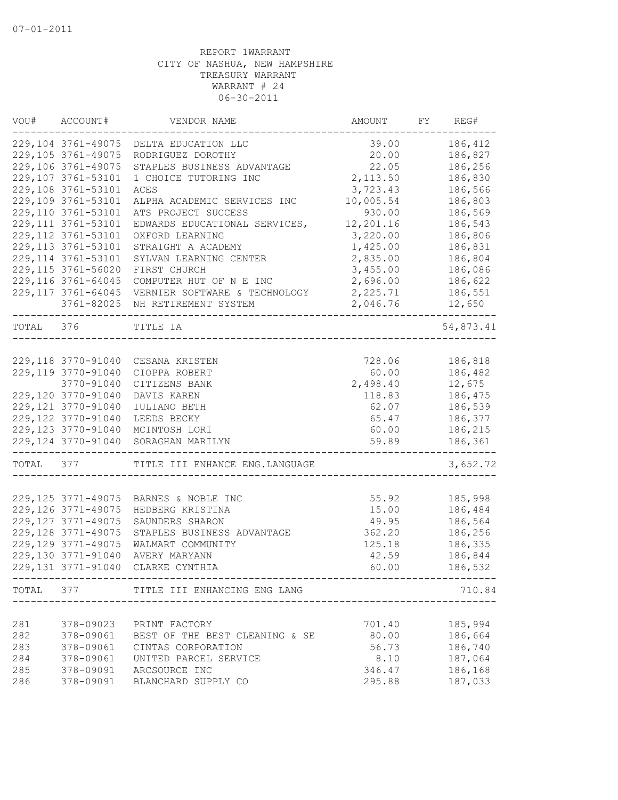| VOU#      | ACCOUNT#            | VENDOR NAME                            | AMOUNT    | FY | REG#      |
|-----------|---------------------|----------------------------------------|-----------|----|-----------|
|           | 229,104 3761-49075  | DELTA EDUCATION LLC                    | 39.00     |    | 186,412   |
|           | 229,105 3761-49075  | RODRIGUEZ DOROTHY                      | 20.00     |    | 186,827   |
|           | 229,106 3761-49075  | STAPLES BUSINESS ADVANTAGE             | 22.05     |    | 186,256   |
|           | 229,107 3761-53101  | 1 CHOICE TUTORING INC                  | 2, 113.50 |    | 186,830   |
|           | 229,108 3761-53101  | ACES                                   | 3,723.43  |    | 186,566   |
|           | 229,109 3761-53101  | ALPHA ACADEMIC SERVICES INC            | 10,005.54 |    | 186,803   |
|           | 229,110 3761-53101  | ATS PROJECT SUCCESS                    | 930.00    |    | 186,569   |
|           | 229, 111 3761-53101 | EDWARDS EDUCATIONAL SERVICES,          | 12,201.16 |    | 186,543   |
|           | 229, 112 3761-53101 | OXFORD LEARNING                        | 3,220.00  |    | 186,806   |
|           | 229,113 3761-53101  | STRAIGHT A ACADEMY                     | 1,425.00  |    | 186,831   |
|           | 229, 114 3761-53101 | SYLVAN LEARNING CENTER                 | 2,835.00  |    | 186,804   |
|           | 229, 115 3761-56020 | FIRST CHURCH                           | 3,455.00  |    | 186,086   |
|           | 229, 116 3761-64045 | COMPUTER HUT OF N E INC                | 2,696.00  |    | 186,622   |
|           | 229, 117 3761-64045 | VERNIER SOFTWARE & TECHNOLOGY          | 2,225.71  |    | 186,551   |
|           |                     | 3761-82025 NH RETIREMENT SYSTEM        | 2,046.76  |    | 12,650    |
| TOTAL 376 |                     | TITLE IA                               |           |    | 54,873.41 |
|           |                     |                                        |           |    |           |
|           | 229,118 3770-91040  | CESANA KRISTEN                         | 728.06    |    | 186,818   |
|           | 229,119 3770-91040  | CIOPPA ROBERT                          | 60.00     |    | 186,482   |
|           | 3770-91040          | CITIZENS BANK                          | 2,498.40  |    | 12,675    |
|           | 229,120 3770-91040  | DAVIS KAREN                            | 118.83    |    | 186,475   |
|           | 229, 121 3770-91040 | IULIANO BETH                           | 62.07     |    | 186,539   |
|           | 229,122 3770-91040  | LEEDS BECKY                            | 65.47     |    | 186,377   |
|           | 229,123 3770-91040  | MCINTOSH LORI                          | 60.00     |    | 186,215   |
|           | 229,124 3770-91040  | SORAGHAN MARILYN                       | 59.89     |    | 186,361   |
| TOTAL     | 377                 | TITLE III ENHANCE ENG. LANGUAGE        |           |    | 3,652.72  |
|           |                     |                                        |           |    |           |
|           | 229, 125 3771-49075 | BARNES & NOBLE INC                     | 55.92     |    | 185,998   |
|           | 229, 126 3771-49075 | HEDBERG KRISTINA                       | 15.00     |    | 186,484   |
|           | 229, 127 3771-49075 | SAUNDERS SHARON                        | 49.95     |    | 186,564   |
|           | 229,128 3771-49075  | STAPLES BUSINESS ADVANTAGE             | 362.20    |    | 186,256   |
|           | 229,129 3771-49075  | WALMART COMMUNITY                      | 125.18    |    | 186,335   |
|           | 229,130 3771-91040  | AVERY MARYANN                          | 42.59     |    | 186,844   |
|           | 229, 131 3771-91040 | CLARKE CYNTHIA                         | 60.00     |    | 186,532   |
|           |                     | TOTAL 377 TITLE III ENHANCING ENG LANG |           |    | 710.84    |
|           |                     |                                        |           |    |           |
| 281       | 378-09023           | PRINT FACTORY                          | 701.40    |    | 185,994   |
| 282       | 378-09061           | BEST OF THE BEST CLEANING & SE         | 80.00     |    | 186,664   |
| 283       | 378-09061           | CINTAS CORPORATION                     | 56.73     |    | 186,740   |
| 284       | 378-09061           | UNITED PARCEL SERVICE                  | 8.10      |    | 187,064   |
| 285       | 378-09091           | ARCSOURCE INC                          | 346.47    |    | 186,168   |
| 286       | 378-09091           | BLANCHARD SUPPLY CO                    | 295.88    |    | 187,033   |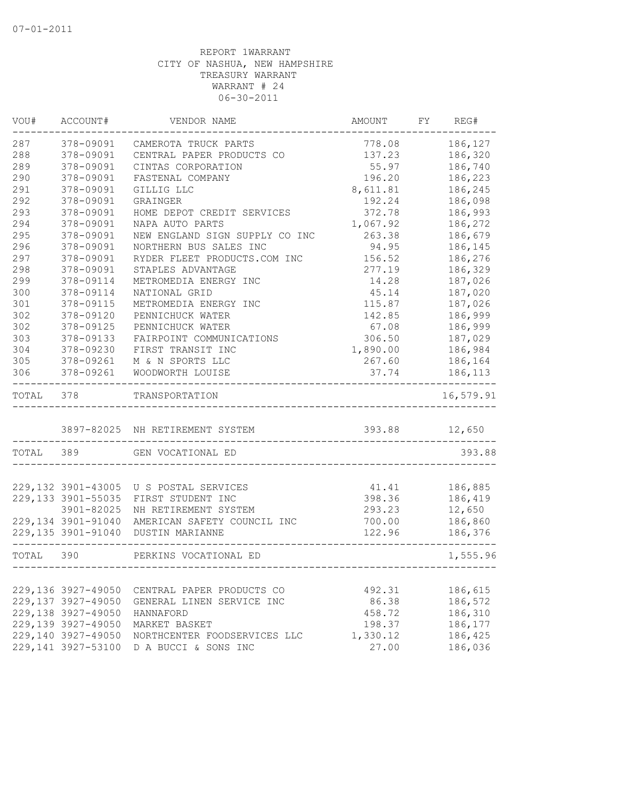| VOU#      | ACCOUNT#            | VENDOR NAME                     | <b>AMOUNT</b> | FY | REG#      |
|-----------|---------------------|---------------------------------|---------------|----|-----------|
| 287       | 378-09091           | CAMEROTA TRUCK PARTS            | 778.08        |    | 186,127   |
| 288       | 378-09091           | CENTRAL PAPER PRODUCTS CO       | 137.23        |    | 186,320   |
| 289       | 378-09091           | CINTAS CORPORATION              | 55.97         |    | 186,740   |
| 290       | 378-09091           | FASTENAL COMPANY                | 196.20        |    | 186,223   |
| 291       | 378-09091           | GILLIG LLC                      | 8,611.81      |    | 186,245   |
| 292       | 378-09091           | GRAINGER                        | 192.24        |    | 186,098   |
| 293       | 378-09091           | HOME DEPOT CREDIT SERVICES      | 372.78        |    | 186,993   |
| 294       | 378-09091           | NAPA AUTO PARTS                 | 1,067.92      |    | 186,272   |
| 295       | 378-09091           | NEW ENGLAND SIGN SUPPLY CO INC  | 263.38        |    | 186,679   |
| 296       | 378-09091           | NORTHERN BUS SALES INC          | 94.95         |    | 186,145   |
| 297       | 378-09091           | RYDER FLEET PRODUCTS.COM INC    | 156.52        |    | 186,276   |
| 298       | 378-09091           | STAPLES ADVANTAGE               | 277.19        |    | 186,329   |
| 299       | 378-09114           | METROMEDIA ENERGY INC           | 14.28         |    | 187,026   |
| 300       | 378-09114           | NATIONAL GRID                   | 45.14         |    | 187,020   |
| 301       | 378-09115           | METROMEDIA ENERGY INC           | 115.87        |    | 187,026   |
| 302       | 378-09120           | PENNICHUCK WATER                | 142.85        |    | 186,999   |
| 302       | 378-09125           | PENNICHUCK WATER                | 67.08         |    | 186,999   |
| 303       | 378-09133           | FAIRPOINT COMMUNICATIONS        | 306.50        |    | 187,029   |
| 304       | 378-09230           | FIRST TRANSIT INC               | 1,890.00      |    | 186,984   |
| 305       | 378-09261           | M & N SPORTS LLC                | 267.60        |    | 186,164   |
| 306       | 378-09261           | WOODWORTH LOUISE                | 37.74         |    | 186,113   |
| TOTAL     | 378                 | TRANSPORTATION                  |               |    | 16,579.91 |
|           |                     | 3897-82025 NH RETIREMENT SYSTEM | 393.88        |    | 12,650    |
|           |                     |                                 |               |    |           |
| TOTAL 389 |                     | GEN VOCATIONAL ED               |               |    | 393.88    |
|           | 229,132 3901-43005  | U S POSTAL SERVICES             | 41.41         |    | 186,885   |
|           | 229, 133 3901-55035 | FIRST STUDENT INC               | 398.36        |    | 186,419   |
|           | 3901-82025          | NH RETIREMENT SYSTEM            | 293.23        |    | 12,650    |
|           | 229, 134 3901-91040 | AMERICAN SAFETY COUNCIL INC     | 700.00        |    | 186,860   |
|           | 229,135 3901-91040  | DUSTIN MARIANNE                 | 122.96        |    | 186,376   |
| TOTAL 390 |                     | PERKINS VOCATIONAL ED           |               |    | 1,555.96  |
|           |                     |                                 |               |    |           |
|           | 229,136 3927-49050  | CENTRAL PAPER PRODUCTS CO       | 492.31        |    | 186,615   |
|           | 229,137 3927-49050  | GENERAL LINEN SERVICE INC       | 86.38         |    | 186,572   |
|           | 229,138 3927-49050  | HANNAFORD                       | 458.72        |    | 186,310   |
|           | 229,139 3927-49050  | MARKET BASKET                   | 198.37        |    | 186,177   |
|           | 229,140 3927-49050  | NORTHCENTER FOODSERVICES LLC    | 1,330.12      |    | 186,425   |
|           | 229,141 3927-53100  | D A BUCCI & SONS INC            | 27.00         |    | 186,036   |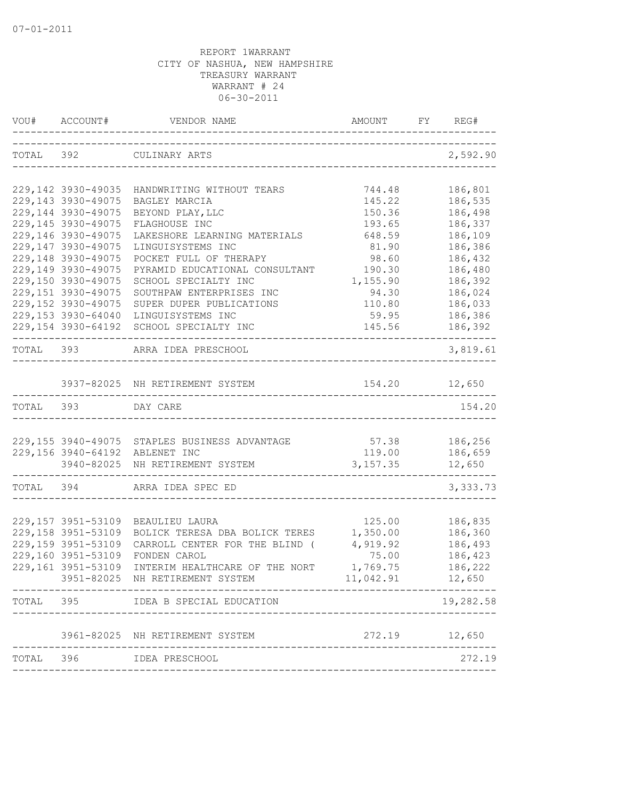|           | VOU# ACCOUNT#                            | VENDOR NAME                                                 |                 | REG#               |
|-----------|------------------------------------------|-------------------------------------------------------------|-----------------|--------------------|
|           |                                          | TOTAL 392 CULINARY ARTS                                     |                 | 2,592.90           |
|           | 229, 142 3930-49035                      | HANDWRITING WITHOUT TEARS                                   | 744.48          | 186,801            |
|           | 229, 143 3930-49075                      | BAGLEY MARCIA                                               | 145.22          | 186,535            |
|           | 229,144 3930-49075                       | BEYOND PLAY, LLC                                            | 150.36          | 186,498            |
|           | 229,145 3930-49075                       | FLAGHOUSE INC                                               | 193.65          | 186,337            |
|           | 229,146 3930-49075                       | LAKESHORE LEARNING MATERIALS                                | 648.59          | 186,109            |
|           | 229,147 3930-49075                       | LINGUISYSTEMS INC                                           | 81.90           | 186,386            |
|           | 229,148 3930-49075                       | POCKET FULL OF THERAPY                                      | 98.60           | 186,432            |
|           | 229,149 3930-49075                       | PYRAMID EDUCATIONAL CONSULTANT                              | 190.30          | 186,480            |
|           | 229,150 3930-49075                       | SCHOOL SPECIALTY INC                                        | 1,155.90        | 186,392            |
|           | 229,151 3930-49075                       | SOUTHPAW ENTERPRISES INC                                    | 94.30           | 186,024            |
|           | 229,152 3930-49075<br>229,153 3930-64040 | SUPER DUPER PUBLICATIONS<br>LINGUISYSTEMS INC               | 110.80<br>59.95 | 186,033<br>186,386 |
|           | 229,154 3930-64192                       | SCHOOL SPECIALTY INC                                        | 145.56          | 186,392            |
|           |                                          | --------------------------------                            |                 | ------             |
|           |                                          | TOTAL 393 ARRA IDEA PRESCHOOL                               |                 | 3,819.61           |
|           |                                          |                                                             |                 |                    |
|           |                                          | 3937-82025 NH RETIREMENT SYSTEM                             | 154.20          | 12,650             |
| TOTAL 393 |                                          | DAY CARE                                                    |                 | 154.20             |
|           |                                          |                                                             |                 |                    |
|           |                                          | 229,155 3940-49075 STAPLES BUSINESS ADVANTAGE 57.38 186,256 |                 |                    |
|           |                                          | 229,156 3940-64192 ABLENET INC                              | 119.00          | 186,659            |
|           | 3940-82025                               | NH RETIREMENT SYSTEM                                        | 3, 157.35       | 12,650             |
| TOTAL 394 |                                          | ARRA IDEA SPEC ED                                           |                 | 3,333.73           |
|           |                                          |                                                             |                 |                    |
|           | 229,157 3951-53109                       | BEAULIEU LAURA                                              | 125.00          | 186,835            |
|           | 229,158 3951-53109                       | BOLICK TERESA DBA BOLICK TERES                              | 1,350.00        | 186,360            |
|           | 229,159 3951-53109                       | CARROLL CENTER FOR THE BLIND (                              | 4,919.92        | 186,493            |
|           | 229,160 3951-53109                       | FONDEN CAROL                                                | 75.00           | 186,423            |
|           | 229,161 3951-53109                       | INTERIM HEALTHCARE OF THE NORT                              | 1,769.75        | 186,222            |
|           |                                          | 3951-82025 NH RETIREMENT SYSTEM                             | 11,042.91       | 12,650             |
| TOTAL     | 395                                      | IDEA B SPECIAL EDUCATION                                    |                 | 19,282.58          |
|           | 3961-82025                               | NH RETIREMENT SYSTEM                                        | 272.19          | 12,650             |
|           |                                          |                                                             |                 |                    |
| TOTAL     | 396                                      | IDEA PRESCHOOL                                              |                 | 272.19             |
|           |                                          |                                                             |                 |                    |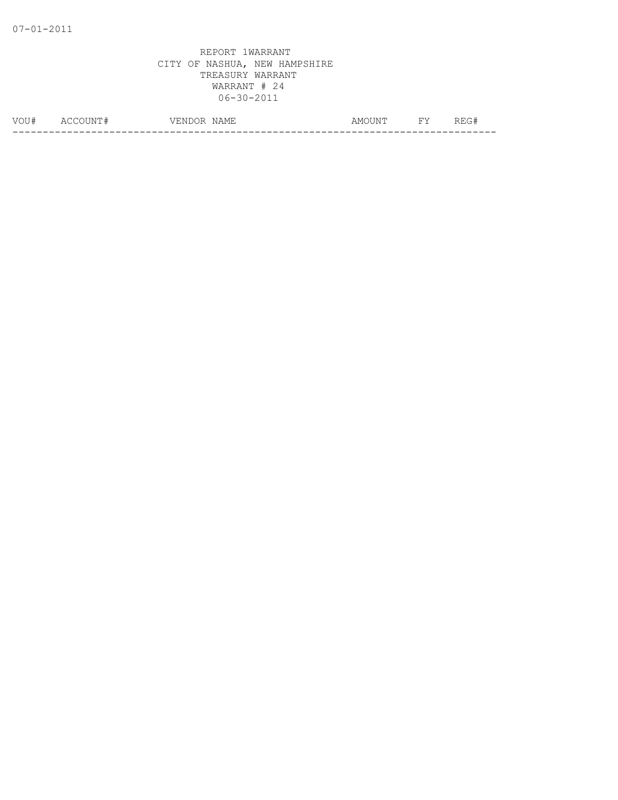| $\ldots$<br>- 1 | $\Delta$<br>w | NAME<br>$77$ RNI.<br>$\lambda$<br>$\rightarrow$<br>$\sim$ $\sim$ | . IN!'<br>ΑMΙ | $\overline{\phantom{0}}$ | - 1   |
|-----------------|---------------|------------------------------------------------------------------|---------------|--------------------------|-------|
|                 |               |                                                                  |               |                          | - - - |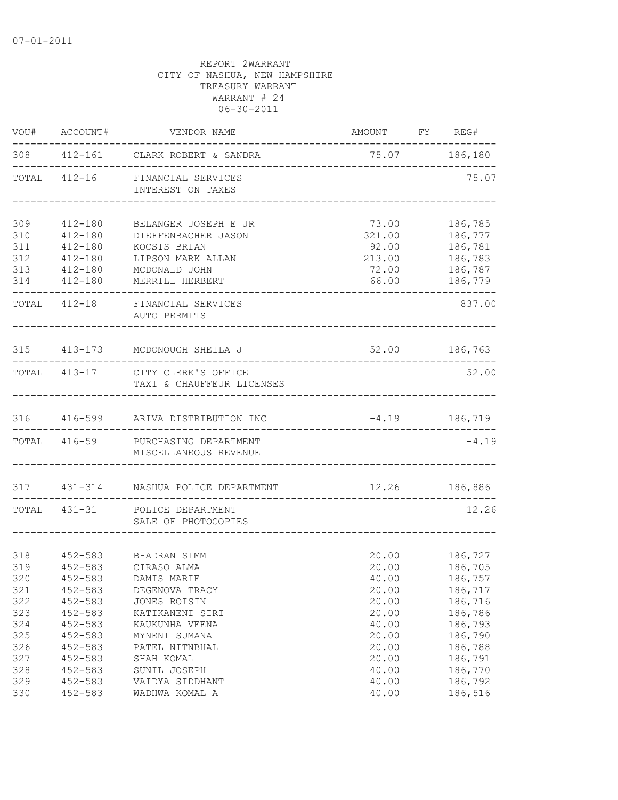| VOU#       | ACCOUNT#                   | VENDOR NAME                                                   | AMOUNT FY REG#  |                    |
|------------|----------------------------|---------------------------------------------------------------|-----------------|--------------------|
|            |                            | 308 412-161 CLARK ROBERT & SANDRA                             | 75.07 186,180   |                    |
|            |                            | TOTAL 412-16 FINANCIAL SERVICES<br>INTEREST ON TAXES          |                 | 75.07              |
| 309        | 412-180                    | BELANGER JOSEPH E JR                                          | 73.00           | 186,785            |
| 310        | $412 - 180$                | DIEFFENBACHER JASON                                           | 321.00          | 186,777            |
| 311        | $412 - 180$                | KOCSIS BRIAN                                                  | 92.00           | 186,781            |
| 312        | $412 - 180$                | LIPSON MARK ALLAN                                             | 213.00          | 186,783            |
| 313        | 412-180                    | MCDONALD JOHN                                                 | 72.00           | 186,787            |
| 314        | 412-180                    | MERRILL HERBERT                                               | 66.00           | 186,779            |
|            |                            | TOTAL 412-18 FINANCIAL SERVICES<br>AUTO PERMITS               |                 | 837.00             |
|            |                            | 315 413-173 MCDONOUGH SHEILA J                                |                 | 52.00 186,763      |
|            |                            | TOTAL 413-17 CITY CLERK'S OFFICE<br>TAXI & CHAUFFEUR LICENSES |                 | 52.00              |
|            |                            | 316 416-599 ARIVA DISTRIBUTION INC                            | $-4.19$ 186,719 |                    |
|            |                            | TOTAL 416-59 PURCHASING DEPARTMENT<br>MISCELLANEOUS REVENUE   |                 | $-4.19$            |
|            |                            | 317 431-314 NASHUA POLICE DEPARTMENT                          | 12.26 186,886   |                    |
|            | TOTAL 431-31               | POLICE DEPARTMENT<br>SALE OF PHOTOCOPIES                      |                 | 12.26              |
|            |                            |                                                               |                 |                    |
| 318        | $452 - 583$                | BHADRAN SIMMI                                                 |                 | 20.00 186,727      |
| 319        | $452 - 583$                | CIRASO ALMA                                                   | 20.00           | 186,705            |
| 320        | $452 - 583$                | DAMIS MARIE                                                   | 40.00           | 186,757            |
| 321<br>322 | $452 - 583$<br>$452 - 583$ | DEGENOVA TRACY<br>JONES ROISIN                                | 20.00<br>20.00  | 186,717<br>186,716 |
| 323        | $452 - 583$                | KATIKANENI SIRI                                               | 20.00           | 186,786            |
| 324        | $452 - 583$                | KAUKUNHA VEENA                                                | 40.00           | 186,793            |
| 325        | $452 - 583$                | MYNENI SUMANA                                                 | 20.00           | 186,790            |
| 326        | $452 - 583$                | PATEL NITNBHAL                                                | 20.00           | 186,788            |
| 327        | $452 - 583$                | SHAH KOMAL                                                    | 20.00           | 186,791            |
| 328        | $452 - 583$                | SUNIL JOSEPH                                                  | 40.00           | 186,770            |
| 329        | $452 - 583$                | VAIDYA SIDDHANT                                               | 40.00           | 186,792            |
| 330        | $452 - 583$                | WADHWA KOMAL A                                                | 40.00           | 186,516            |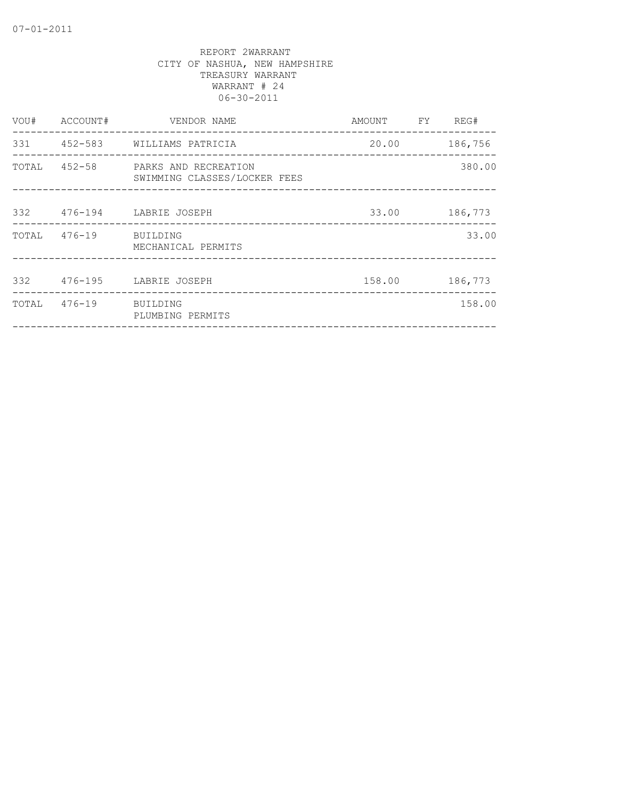| VOU# | ACCOUNT#              | VENDOR NAME                                                       | AMOUNT FY REG# |         |
|------|-----------------------|-------------------------------------------------------------------|----------------|---------|
|      |                       | 331 452-583 WILLIAMS PATRICIA                                     | 20.00          | 186,756 |
|      |                       | TOTAL 452-58 PARKS AND RECREATION<br>SWIMMING CLASSES/LOCKER FEES |                | 380.00  |
|      |                       | 332 476-194 LABRIE JOSEPH                                         | 33.00          | 186,773 |
|      | TOTAL 476-19 BUILDING | MECHANICAL PERMITS                                                |                | 33.00   |
|      |                       | 332 476-195 LABRIE JOSEPH                                         | 158.00         | 186,773 |
|      | TOTAL 476-19 BUILDING | PLUMBING PERMITS                                                  |                | 158.00  |
|      |                       |                                                                   |                |         |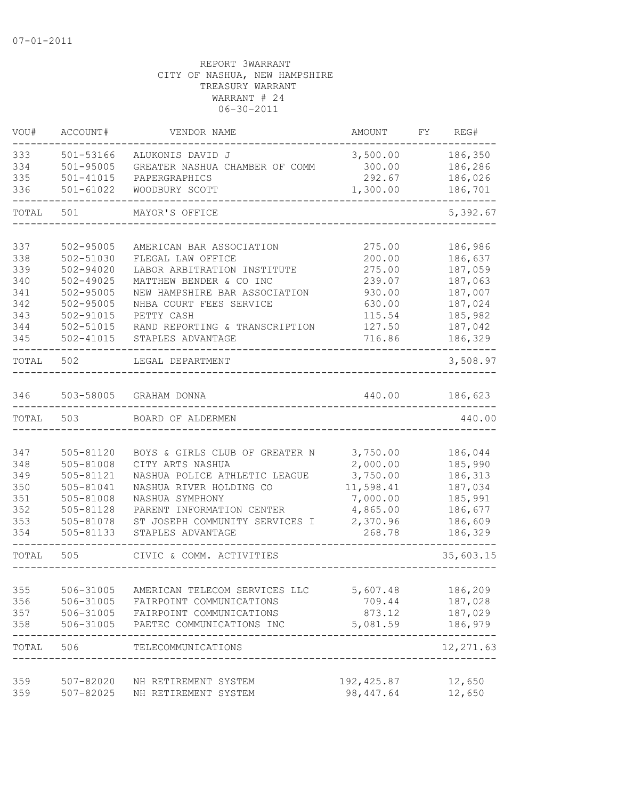| VOU#       | ACCOUNT#                   | VENDOR NAME                                         | AMOUNT             | FY. | REG#               |
|------------|----------------------------|-----------------------------------------------------|--------------------|-----|--------------------|
| 333        | 501-53166                  | ALUKONIS DAVID J                                    | 3,500.00           |     | 186,350            |
| 334        | $501 - 95005$              | GREATER NASHUA CHAMBER OF COMM                      | 300.00             |     | 186,286            |
| 335        | $501 - 41015$              | PAPERGRAPHICS                                       | 292.67             |     | 186,026            |
| 336        | $501 - 61022$              | WOODBURY SCOTT                                      | 1,300.00           |     | 186,701            |
| TOTAL      | 501                        | MAYOR'S OFFICE                                      |                    |     | 5,392.67           |
|            |                            |                                                     |                    |     |                    |
| 337        | 502-95005                  | AMERICAN BAR ASSOCIATION                            | 275.00             |     | 186,986            |
| 338<br>339 | 502-51030<br>$502 - 94020$ | FLEGAL LAW OFFICE<br>LABOR ARBITRATION INSTITUTE    | 200.00             |     | 186,637<br>187,059 |
| 340        | $502 - 49025$              | MATTHEW BENDER & CO INC                             | 275.00<br>239.07   |     | 187,063            |
| 341        | $502 - 95005$              | NEW HAMPSHIRE BAR ASSOCIATION                       | 930.00             |     | 187,007            |
| 342        | $502 - 95005$              | NHBA COURT FEES SERVICE                             | 630.00             |     | 187,024            |
| 343        | $502 - 91015$              | PETTY CASH                                          | 115.54             |     | 185,982            |
| 344        | 502-51015                  | RAND REPORTING & TRANSCRIPTION                      | 127.50             |     | 187,042            |
| 345        | $502 - 41015$              | STAPLES ADVANTAGE                                   | 716.86             |     | 186,329            |
| TOTAL      | 502                        | LEGAL DEPARTMENT                                    |                    |     | 3,508.97           |
| 346        | 503-58005                  | GRAHAM DONNA                                        | 440.00             |     | 186,623            |
| TOTAL      | 503                        | BOARD OF ALDERMEN                                   |                    |     | 440.00             |
|            |                            |                                                     |                    |     |                    |
| 347        | 505-81120                  | BOYS & GIRLS CLUB OF GREATER N                      | 3,750.00           |     | 186,044            |
| 348        | 505-81008                  | CITY ARTS NASHUA                                    | 2,000.00           |     | 185,990            |
| 349        | 505-81121                  | NASHUA POLICE ATHLETIC LEAGUE                       | 3,750.00           |     | 186,313            |
| 350        | 505-81041                  | NASHUA RIVER HOLDING CO                             | 11,598.41          |     | 187,034            |
| 351        | 505-81008                  | NASHUA SYMPHONY                                     | 7,000.00           |     | 185,991            |
| 352        | 505-81128                  | PARENT INFORMATION CENTER                           | 4,865.00           |     | 186,677            |
| 353<br>354 | 505-81078<br>505-81133     | ST JOSEPH COMMUNITY SERVICES I<br>STAPLES ADVANTAGE | 2,370.96<br>268.78 |     | 186,609<br>186,329 |
|            |                            |                                                     |                    |     |                    |
| TOTAL      | 505                        | CIVIC & COMM. ACTIVITIES                            |                    |     | 35,603.15          |
|            | 506-31005                  | AMERICAN TELECOM SERVICES LLC                       | 5,607.48           |     |                    |
| 355<br>356 | 506-31005                  | FAIRPOINT COMMUNICATIONS                            | 709.44             |     | 186,209<br>187,028 |
| 357        | 506-31005                  | FAIRPOINT COMMUNICATIONS                            | 873.12             |     | 187,029            |
| 358        | 506-31005                  | PAETEC COMMUNICATIONS INC                           | 5,081.59           |     | 186,979            |
| TOTAL      | 506                        | TELECOMMUNICATIONS                                  |                    |     | 12,271.63          |
| 359        | 507-82020                  | NH RETIREMENT SYSTEM                                | 192,425.87         |     | 12,650             |
| 359        | 507-82025                  | NH RETIREMENT SYSTEM                                | 98, 447.64         |     | 12,650             |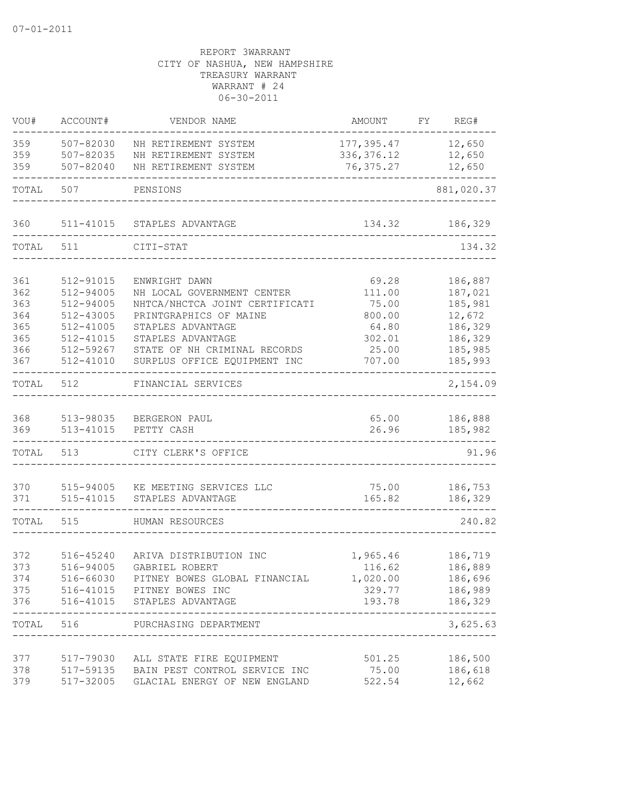| VOU#       | ACCOUNT#               | VENDOR NAME                                                               | AMOUNT             | FY | REG#               |
|------------|------------------------|---------------------------------------------------------------------------|--------------------|----|--------------------|
| 359        | 507-82030              | NH RETIREMENT SYSTEM                                                      | 177,395.47         |    | 12,650             |
| 359        | 507-82035              | NH RETIREMENT SYSTEM                                                      | 336, 376.12        |    | 12,650             |
| 359        | 507-82040              | NH RETIREMENT SYSTEM                                                      | 76, 375.27         |    | 12,650             |
| TOTAL      | 507                    | PENSIONS                                                                  |                    |    | 881,020.37         |
| 360        | 511-41015              | STAPLES ADVANTAGE                                                         | 134.32             |    | 186,329            |
| TOTAL      | 511                    | CITI-STAT                                                                 |                    |    | 134.32             |
|            |                        |                                                                           |                    |    |                    |
| 361        | 512-91015              | ENWRIGHT DAWN                                                             | 69.28              |    | 186,887            |
| 362        | 512-94005              | NH LOCAL GOVERNMENT CENTER                                                | 111.00             |    | 187,021            |
| 363        | 512-94005              | NHTCA/NHCTCA JOINT CERTIFICATI                                            | 75.00              |    | 185,981            |
| 364        | 512-43005              | PRINTGRAPHICS OF MAINE                                                    | 800.00             |    | 12,672             |
| 365        | 512-41005              | STAPLES ADVANTAGE                                                         | 64.80              |    | 186,329            |
| 365        | 512-41015              | STAPLES ADVANTAGE                                                         | 302.01             |    | 186,329            |
| 366        | 512-59267              | STATE OF NH CRIMINAL RECORDS                                              | 25.00              |    | 185,985            |
| 367        | 512-41010              | SURPLUS OFFICE EQUIPMENT INC                                              | 707.00             |    | 185,993            |
| TOTAL      | 512                    | FINANCIAL SERVICES                                                        |                    |    | 2,154.09           |
| 368        | 513-98035              | BERGERON PAUL                                                             | 65.00              |    | 186,888            |
| 369        | 513-41015              | PETTY CASH                                                                | 26.96              |    | 185,982            |
| TOTAL      | 513                    | CITY CLERK'S OFFICE                                                       |                    |    | 91.96              |
| 370        | 515-94005              | KE MEETING SERVICES LLC                                                   | 75.00              |    | 186,753            |
| 371        | 515-41015              | STAPLES ADVANTAGE                                                         | 165.82             |    | 186,329            |
|            |                        |                                                                           |                    |    |                    |
| TOTAL      | 515                    | HUMAN RESOURCES                                                           |                    |    | 240.82             |
|            |                        |                                                                           |                    |    |                    |
| 372<br>373 | 516-45240<br>516-94005 | ARIVA DISTRIBUTION INC<br>GABRIEL ROBERT                                  | 1,965.46           |    | 186,719            |
|            |                        |                                                                           | 116.62             |    | 186,889            |
| 374        |                        | 516-66030 PITNEY BOWES GLOBAL FINANCIAL<br>375 516-41015 PITNEY BOWES INC | 1,020.00<br>329.77 |    | 186,696<br>186,989 |
| 376        |                        | 516-41015 STAPLES ADVANTAGE                                               | 193.78             |    | 186,329            |
|            |                        | TOTAL 516 PURCHASING DEPARTMENT                                           |                    |    | ------<br>3,625.63 |
|            |                        |                                                                           |                    |    |                    |
| 377        |                        | 517-79030 ALL STATE FIRE EQUIPMENT                                        | 501.25             |    | 186,500            |
| 378        |                        | 517-59135 BAIN PEST CONTROL SERVICE INC                                   | 75.00              |    | 186,618            |
| 379        | 517-32005              | GLACIAL ENERGY OF NEW ENGLAND                                             | 522.54             |    | 12,662             |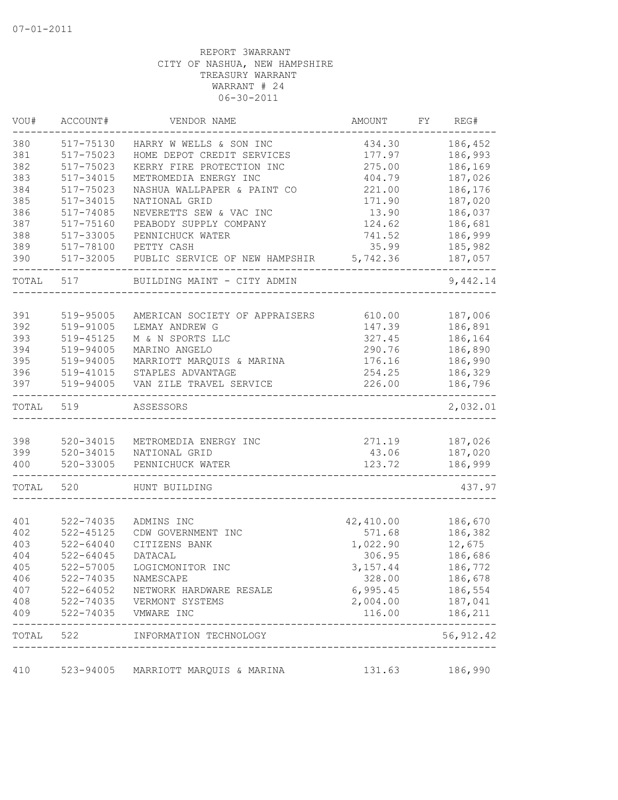| VOU#      | ACCOUNT#      | VENDOR NAME                                     | <b>AMOUNT</b>                    | FY | REG#                                     |
|-----------|---------------|-------------------------------------------------|----------------------------------|----|------------------------------------------|
| 380       | 517-75130     | HARRY W WELLS & SON INC                         | 434.30                           |    | 186,452                                  |
| 381       | 517-75023     | HOME DEPOT CREDIT SERVICES                      | 177.97                           |    | 186,993                                  |
| 382       | 517-75023     | KERRY FIRE PROTECTION INC                       | 275.00                           |    | 186,169                                  |
| 383       | 517-34015     | METROMEDIA ENERGY INC                           | 404.79                           |    | 187,026                                  |
| 384       | 517-75023     | NASHUA WALLPAPER & PAINT CO                     | 221.00                           |    | 186,176                                  |
| 385       | 517-34015     | NATIONAL GRID                                   | 171.90                           |    | 187,020                                  |
| 386       | 517-74085     | NEVERETTS SEW & VAC INC                         | 13.90                            |    | 186,037                                  |
| 387       | 517-75160     | PEABODY SUPPLY COMPANY                          | 124.62                           |    | 186,681                                  |
| 388       | 517-33005     | PENNICHUCK WATER                                | 741.52                           |    | 186,999                                  |
| 389       | 517-78100     | PETTY CASH                                      | 35.99                            |    | 185,982                                  |
| 390       | 517-32005     | PUBLIC SERVICE OF NEW HAMPSHIR                  | 5,742.36                         |    | 187,057                                  |
| TOTAL     | 517           | BUILDING MAINT - CITY ADMIN                     |                                  |    | 9,442.14                                 |
|           |               |                                                 |                                  |    |                                          |
| 391       | 519-95005     | AMERICAN SOCIETY OF APPRAISERS                  | 610.00                           |    | 187,006<br>186,891                       |
| 392       | 519-91005     | LEMAY ANDREW G                                  | 147.39                           |    |                                          |
| 393       | 519-45125     | M & N SPORTS LLC                                | 327.45                           |    | 186,164                                  |
| 394       | 519-94005     | MARINO ANGELO                                   | 290.76                           |    | 186,890                                  |
| 395       | 519-94005     | MARRIOTT MARQUIS & MARINA                       | 176.16                           |    | 186,990                                  |
| 396       | 519-41015     | STAPLES ADVANTAGE                               | 254.25                           |    | 186,329                                  |
| 397       | 519-94005     | VAN ZILE TRAVEL SERVICE                         | 226.00                           |    | 186,796                                  |
| TOTAL     | 519           | ASSESSORS                                       |                                  |    | 2,032.01                                 |
| 398       | 520-34015     | METROMEDIA ENERGY INC                           | 271.19                           |    | 187,026                                  |
| 399       | $520 - 34015$ | NATIONAL GRID                                   | 43.06                            |    | 187,020                                  |
| 400       | $520 - 33005$ | PENNICHUCK WATER                                | 123.72                           |    | 186,999                                  |
|           |               |                                                 |                                  |    |                                          |
| TOTAL     | 520           | HUNT BUILDING                                   |                                  |    | 437.97                                   |
|           |               |                                                 |                                  |    |                                          |
| 401       | 522-74035     | ADMINS INC                                      | 42,410.00                        |    | 186,670                                  |
| 402       | $522 - 45125$ | CDW GOVERNMENT INC                              | 571.68                           |    | 186,382                                  |
| 403       | $522 - 64040$ | CITIZENS BANK                                   | 1,022.90                         |    | 12,675                                   |
| 404       | $522 - 64045$ | DATACAL                                         | 306.95                           |    | 186,686                                  |
| 405       | 522-57005     | LOGICMONITOR INC                                | 3, 157.44                        |    | 186,772                                  |
| 406       | 522-74035     | NAMESCAPE                                       | 328.00                           |    | 186,678                                  |
| 407       | 522-64052     | NETWORK HARDWARE RESALE                         | 6,995.45                         |    | 186,554                                  |
| 408       |               | 522-74035 VERMONT SYSTEMS                       | 2,004.00                         |    | 187,041                                  |
| 409       |               | 522-74035    VMWARE INC<br>-------------------- | 116.00                           |    | 186,211<br>. _ _ _ _ _ _ _ _ _ _ _ _ _ _ |
| TOTAL 522 |               | INFORMATION TECHNOLOGY                          | -------------------------------- |    | 56, 912.42                               |
| 410       | 523-94005     | MARRIOTT MARQUIS & MARINA                       | 131.63                           |    | 186,990                                  |
|           |               |                                                 |                                  |    |                                          |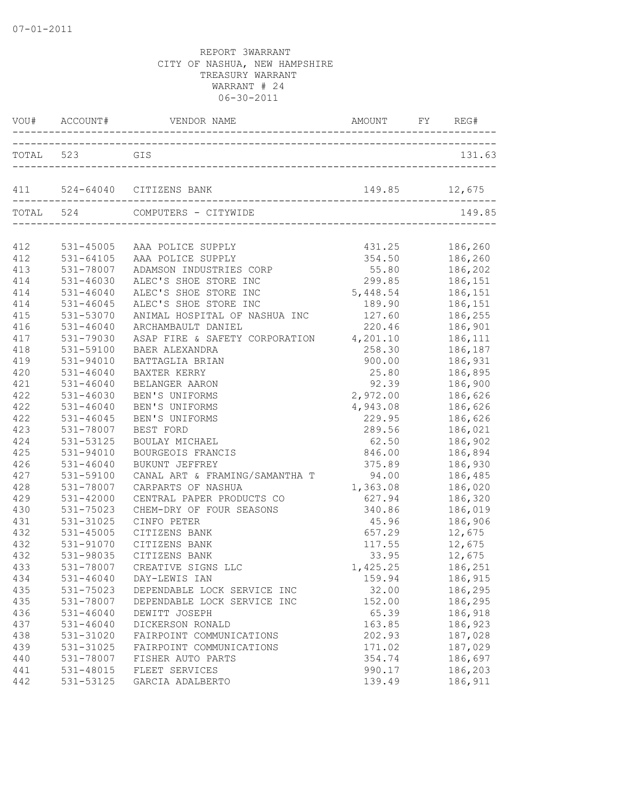|     |               | VOU# ACCOUNT# VENDOR NAME ANOUNT FY REQUESTION OF A LOCAL VERTICLE AND AMOUNT ACCOUNT |                    | REG#               |
|-----|---------------|---------------------------------------------------------------------------------------|--------------------|--------------------|
|     | TOTAL 523 GIS |                                                                                       |                    | 131.63             |
|     |               |                                                                                       | 149.85 12,675      |                    |
|     | TOTAL 524     | COMPUTERS - CITYWIDE                                                                  |                    | 149.85             |
|     |               |                                                                                       |                    |                    |
|     |               | 412 531-45005 AAA POLICE SUPPLY                                                       | 431.25 186,260     |                    |
| 412 |               | 531-64105 AAA POLICE SUPPLY                                                           |                    | 354.50 186,260     |
| 413 | 531-78007     | ADAMSON INDUSTRIES CORP                                                               | 55.80 186,202      |                    |
| 414 | 531-46030     | ALEC'S SHOE STORE INC                                                                 | 299.85 186,151     |                    |
| 414 | 531-46040     | ALEC'S SHOE STORE INC                                                                 | 5, 448.54 186, 151 |                    |
| 414 | 531-46045     | ALEC'S SHOE STORE INC                                                                 | 189.90 186,151     |                    |
| 415 | 531-53070     | ANIMAL HOSPITAL OF NASHUA INC                                                         | 127.60             | 186, 255           |
| 416 | $531 - 46040$ | ARCHAMBAULT DANIEL                                                                    | 220.46             |                    |
| 417 | 531-79030     | ASAP FIRE & SAFETY CORPORATION 4,201.10                                               |                    | 186,901<br>186,111 |
| 418 | 531-59100     | <b>BAER ALEXANDRA</b>                                                                 | 258.30             | 186,187            |
| 419 | 531-94010     | BATTAGLIA BRIAN                                                                       | 900.00             | 186,931            |
| 420 | $531 - 46040$ | BAXTER KERRY                                                                          | 25.80              | 186,895            |
| 421 | $531 - 46040$ | BELANGER AARON                                                                        | 92.39              | 186,900            |
| 422 | 531-46030     | BEN'S UNIFORMS                                                                        | 2,972.00 186,626   |                    |
| 422 | $531 - 46040$ | BEN'S UNIFORMS                                                                        | 4,943.08           | 186,626            |
| 422 | $531 - 46045$ | BEN'S UNIFORMS                                                                        | 229.95             | 186,626            |
| 423 | 531-78007     | BEST FORD                                                                             | 289.56             | 186,021            |
| 424 | 531-53125     | BOULAY MICHAEL                                                                        | 62.50              | 186,902            |
| 425 | $531 - 94010$ | BOURGEOIS FRANCIS                                                                     | 846.00 186,894     |                    |
| 426 | $531 - 46040$ | BUKUNT JEFFREY                                                                        | 375.89 186,930     |                    |
| 427 | 531-59100     | CANAL ART & FRAMING/SAMANTHA T 94.00 186,485                                          |                    |                    |
| 428 | 531-78007     | CARPARTS OF NASHUA                                                                    | 1,363.08 186,020   |                    |
| 429 | $531 - 42000$ | CENTRAL PAPER PRODUCTS CO                                                             | 627.94 186,320     |                    |
| 430 | 531-75023     | CHEM-DRY OF FOUR SEASONS                                                              | 340.86             | 186,019            |
| 431 | 531-31025     | CINFO PETER                                                                           | 45.96              | 186,906            |
| 432 | $531 - 45005$ | CITIZENS BANK                                                                         | 657.29             | 12,675             |
| 432 | 531-91070     | CITIZENS BANK                                                                         | 117.55             | 12,675             |
| 432 | 531-98035     | CITIZENS BANK                                                                         |                    | 33.95 12,675       |
| 433 |               | 531-78007 CREATIVE SIGNS LLC                                                          | 1,425.25 186,251   |                    |
| 434 | $531 - 46040$ | DAY-LEWIS IAN                                                                         | 159.94             | 186,915            |
| 435 | 531-75023     | DEPENDABLE LOCK SERVICE INC                                                           | 32.00              | 186,295            |
| 435 | 531-78007     | DEPENDABLE LOCK SERVICE INC                                                           | 152.00             | 186,295            |
| 436 | $531 - 46040$ | DEWITT JOSEPH                                                                         | 65.39              | 186,918            |
| 437 | $531 - 46040$ | DICKERSON RONALD                                                                      | 163.85             | 186,923            |
| 438 | 531-31020     | FAIRPOINT COMMUNICATIONS                                                              | 202.93             | 187,028            |
| 439 | 531-31025     | FAIRPOINT COMMUNICATIONS                                                              | 171.02             | 187,029            |
| 440 | 531-78007     | FISHER AUTO PARTS                                                                     | 354.74             | 186,697            |
| 441 | 531-48015     | FLEET SERVICES                                                                        | 990.17             | 186,203            |
| 442 | 531-53125     | GARCIA ADALBERTO                                                                      | 139.49             | 186,911            |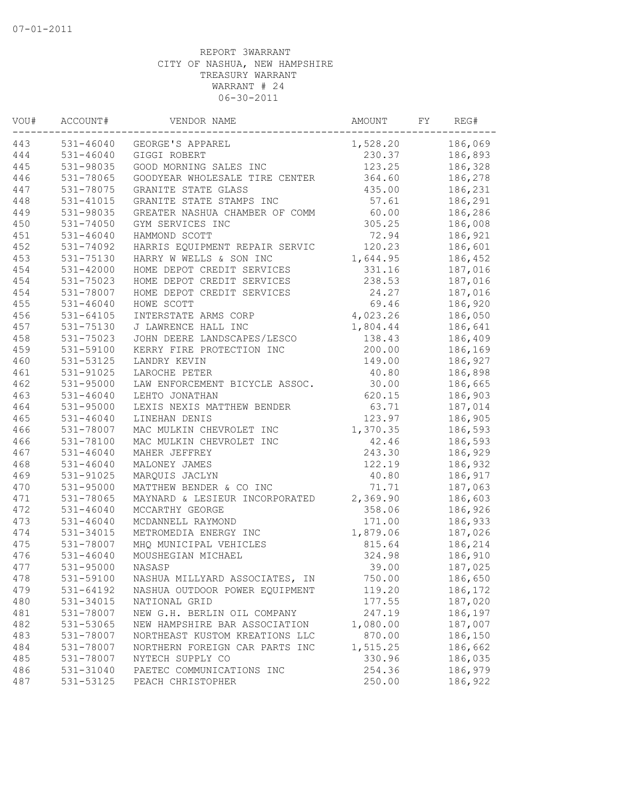| VOU# | ACCOUNT#                   | VENDOR NAME                    | AMOUNT   | FY | REG#    |
|------|----------------------------|--------------------------------|----------|----|---------|
| 443  | 531-46040                  | GEORGE'S APPAREL               | 1,528.20 |    | 186,069 |
| 444  | 531-46040                  | GIGGI ROBERT                   | 230.37   |    | 186,893 |
| 445  | 531-98035                  | GOOD MORNING SALES INC         | 123.25   |    | 186,328 |
| 446  | 531-78065                  | GOODYEAR WHOLESALE TIRE CENTER | 364.60   |    | 186,278 |
| 447  | 531-78075                  | GRANITE STATE GLASS            | 435.00   |    | 186,231 |
| 448  | 531-41015                  | GRANITE STATE STAMPS INC       | 57.61    |    | 186,291 |
| 449  | 531-98035                  | GREATER NASHUA CHAMBER OF COMM | 60.00    |    | 186,286 |
| 450  | 531-74050                  | GYM SERVICES INC               | 305.25   |    | 186,008 |
| 451  | $531 - 46040$              | HAMMOND SCOTT                  | 72.94    |    | 186,921 |
| 452  | 531-74092                  | HARRIS EQUIPMENT REPAIR SERVIC | 120.23   |    | 186,601 |
| 453  | 531-75130                  | HARRY W WELLS & SON INC        | 1,644.95 |    | 186,452 |
| 454  | $531 - 42000$              | HOME DEPOT CREDIT SERVICES     | 331.16   |    | 187,016 |
| 454  | 531-75023                  | HOME DEPOT CREDIT SERVICES     | 238.53   |    | 187,016 |
| 454  | 531-78007                  | HOME DEPOT CREDIT SERVICES     | 24.27    |    | 187,016 |
| 455  | $531 - 46040$              | HOWE SCOTT                     | 69.46    |    | 186,920 |
| 456  | $531 - 64105$              | INTERSTATE ARMS CORP           | 4,023.26 |    | 186,050 |
| 457  | 531-75130                  | J LAWRENCE HALL INC            | 1,804.44 |    | 186,641 |
| 458  | 531-75023                  | JOHN DEERE LANDSCAPES/LESCO    | 138.43   |    | 186,409 |
| 459  | 531-59100                  | KERRY FIRE PROTECTION INC      | 200.00   |    | 186,169 |
| 460  | 531-53125                  | LANDRY KEVIN                   | 149.00   |    | 186,927 |
| 461  | 531-91025                  | LAROCHE PETER                  | 40.80    |    | 186,898 |
| 462  | 531-95000                  | LAW ENFORCEMENT BICYCLE ASSOC. | 30.00    |    | 186,665 |
| 463  | $531 - 46040$              | LEHTO JONATHAN                 | 620.15   |    | 186,903 |
| 464  | 531-95000                  | LEXIS NEXIS MATTHEW BENDER     | 63.71    |    | 187,014 |
| 465  | $531 - 46040$              | LINEHAN DENIS                  | 123.97   |    | 186,905 |
| 466  | 531-78007                  | MAC MULKIN CHEVROLET INC       | 1,370.35 |    | 186,593 |
| 466  | 531-78100                  | MAC MULKIN CHEVROLET INC       | 42.46    |    | 186,593 |
| 467  | $531 - 46040$              | MAHER JEFFREY                  | 243.30   |    | 186,929 |
| 468  | $531 - 46040$              | MALONEY JAMES                  | 122.19   |    | 186,932 |
| 469  | 531-91025                  | MARQUIS JACLYN                 | 40.80    |    | 186,917 |
| 470  | 531-95000                  | MATTHEW BENDER & CO INC        | 71.71    |    | 187,063 |
| 471  |                            |                                | 2,369.90 |    | 186,603 |
| 472  | 531-78065<br>$531 - 46040$ | MAYNARD & LESIEUR INCORPORATED | 358.06   |    |         |
|      |                            | MCCARTHY GEORGE                |          |    | 186,926 |
| 473  | $531 - 46040$              | MCDANNELL RAYMOND              | 171.00   |    | 186,933 |
| 474  | 531-34015                  | METROMEDIA ENERGY INC          | 1,879.06 |    | 187,026 |
| 475  | 531-78007                  | MHQ MUNICIPAL VEHICLES         | 815.64   |    | 186,214 |
| 476  | 531-46040                  | MOUSHEGIAN MICHAEL             | 324.98   |    | 186,910 |
| 477  | 531-95000                  | NASASP                         | 39.00    |    | 187,025 |
| 478  | 531-59100                  | NASHUA MILLYARD ASSOCIATES, IN | 750.00   |    | 186,650 |
| 479  | 531-64192                  | NASHUA OUTDOOR POWER EQUIPMENT | 119.20   |    | 186,172 |
| 480  | 531-34015                  | NATIONAL GRID                  | 177.55   |    | 187,020 |
| 481  | 531-78007                  | NEW G.H. BERLIN OIL COMPANY    | 247.19   |    | 186,197 |
| 482  | 531-53065                  | NEW HAMPSHIRE BAR ASSOCIATION  | 1,080.00 |    | 187,007 |
| 483  | 531-78007                  | NORTHEAST KUSTOM KREATIONS LLC | 870.00   |    | 186,150 |
| 484  | 531-78007                  | NORTHERN FOREIGN CAR PARTS INC | 1,515.25 |    | 186,662 |
| 485  | 531-78007                  | NYTECH SUPPLY CO               | 330.96   |    | 186,035 |
| 486  | 531-31040                  | PAETEC COMMUNICATIONS INC      | 254.36   |    | 186,979 |
| 487  | 531-53125                  | PEACH CHRISTOPHER              | 250.00   |    | 186,922 |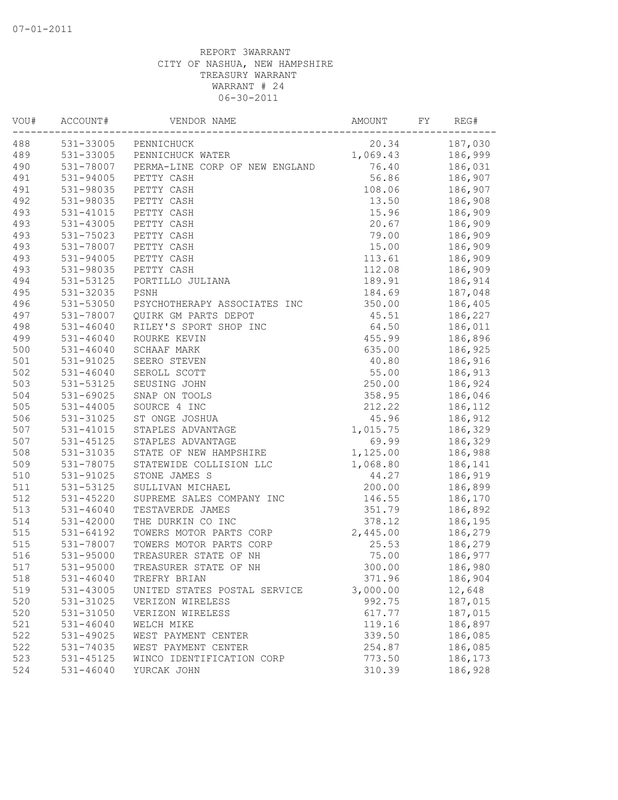| VOU# | ACCOUNT#      | VENDOR NAME                    | AMOUNT   | FY | REG#    |
|------|---------------|--------------------------------|----------|----|---------|
| 488  | 531-33005     | PENNICHUCK                     | 20.34    |    | 187,030 |
| 489  |               | 531-33005 PENNICHUCK WATER     | 1,069.43 |    | 186,999 |
| 490  | 531-78007     | PERMA-LINE CORP OF NEW ENGLAND | 76.40    |    | 186,031 |
| 491  | 531-94005     | PETTY CASH                     | 56.86    |    | 186,907 |
| 491  | 531-98035     | PETTY CASH                     | 108.06   |    | 186,907 |
| 492  | 531-98035     | PETTY CASH                     | 13.50    |    | 186,908 |
| 493  | 531-41015     | PETTY CASH                     | 15.96    |    | 186,909 |
| 493  | 531-43005     | PETTY CASH                     | 20.67    |    | 186,909 |
| 493  | 531-75023     | PETTY CASH                     | 79.00    |    | 186,909 |
| 493  | 531-78007     | PETTY CASH                     | 15.00    |    | 186,909 |
| 493  | 531-94005     | PETTY CASH                     | 113.61   |    | 186,909 |
| 493  | 531-98035     | PETTY CASH                     | 112.08   |    | 186,909 |
| 494  | 531-53125     | PORTILLO JULIANA               | 189.91   |    | 186,914 |
| 495  | 531-32035     | PSNH                           | 184.69   |    | 187,048 |
| 496  | 531-53050     | PSYCHOTHERAPY ASSOCIATES INC   | 350.00   |    | 186,405 |
| 497  | 531-78007     | QUIRK GM PARTS DEPOT           | 45.51    |    | 186,227 |
| 498  | $531 - 46040$ | RILEY'S SPORT SHOP INC         | 64.50    |    | 186,011 |
| 499  | $531 - 46040$ | ROURKE KEVIN                   | 455.99   |    | 186,896 |
| 500  | 531-46040     | <b>SCHAAF MARK</b>             | 635.00   |    | 186,925 |
| 501  | 531-91025     | SEERO STEVEN                   | 40.80    |    | 186,916 |
| 502  | $531 - 46040$ | SEROLL SCOTT                   | 55.00    |    | 186,913 |
| 503  | 531-53125     | SEUSING JOHN                   | 250.00   |    | 186,924 |
| 504  | 531-69025     | SNAP ON TOOLS                  | 358.95   |    | 186,046 |
| 505  | 531-44005     | SOURCE 4 INC                   | 212.22   |    | 186,112 |
| 506  | 531-31025     | ST ONGE JOSHUA                 | 45.96    |    | 186,912 |
| 507  | 531-41015     | STAPLES ADVANTAGE              | 1,015.75 |    | 186,329 |
| 507  | 531-45125     | STAPLES ADVANTAGE              | 69.99    |    | 186,329 |
| 508  | 531-31035     | STATE OF NEW HAMPSHIRE         | 1,125.00 |    | 186,988 |
| 509  | 531-78075     | STATEWIDE COLLISION LLC        | 1,068.80 |    | 186,141 |
| 510  | 531-91025     | STONE JAMES S                  | 44.27    |    | 186,919 |
| 511  | 531-53125     | SULLIVAN MICHAEL               | 200.00   |    | 186,899 |
| 512  | 531-45220     | SUPREME SALES COMPANY INC      | 146.55   |    | 186,170 |
| 513  | $531 - 46040$ | TESTAVERDE JAMES               | 351.79   |    | 186,892 |
| 514  | $531 - 42000$ | THE DURKIN CO INC              | 378.12   |    | 186,195 |
| 515  | $531 - 64192$ | TOWERS MOTOR PARTS CORP        | 2,445.00 |    | 186,279 |
| 515  | 531-78007     | TOWERS MOTOR PARTS CORP        | 25.53    |    | 186,279 |
| 516  | 531-95000     | TREASURER STATE OF NH          | 75.00    |    | 186,977 |
| 517  | 531-95000     | TREASURER STATE OF NH          | 300.00   |    | 186,980 |
| 518  | 531-46040     | TREFRY BRIAN                   | 371.96   |    | 186,904 |
| 519  | 531-43005     | UNITED STATES POSTAL SERVICE   | 3,000.00 |    | 12,648  |
| 520  | 531-31025     | VERIZON WIRELESS               | 992.75   |    | 187,015 |
| 520  | 531-31050     | VERIZON WIRELESS               | 617.77   |    | 187,015 |
| 521  | $531 - 46040$ | WELCH MIKE                     | 119.16   |    | 186,897 |
| 522  | 531-49025     | WEST PAYMENT CENTER            | 339.50   |    | 186,085 |
| 522  | 531-74035     | WEST PAYMENT CENTER            | 254.87   |    | 186,085 |
| 523  | 531-45125     | WINCO IDENTIFICATION CORP      | 773.50   |    | 186,173 |
| 524  | 531-46040     | YURCAK JOHN                    | 310.39   |    | 186,928 |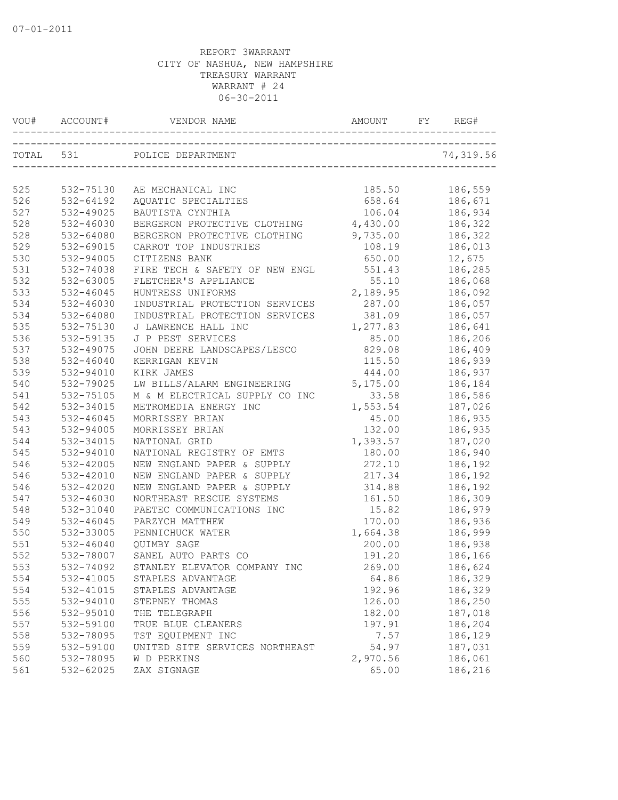| VOU#      | ACCOUNT#  | VENDOR NAME                    | AMOUNT   | REG#      |
|-----------|-----------|--------------------------------|----------|-----------|
| TOTAL 531 |           | POLICE DEPARTMENT              |          | 74,319.56 |
| 525       | 532-75130 | AE MECHANICAL INC              | 185.50   | 186,559   |
| 526       | 532-64192 | AQUATIC SPECIALTIES            | 658.64   | 186,671   |
| 527       | 532-49025 | BAUTISTA CYNTHIA               | 106.04   | 186,934   |
| 528       | 532-46030 | BERGERON PROTECTIVE CLOTHING   | 4,430.00 | 186,322   |
| 528       | 532-64080 | BERGERON PROTECTIVE CLOTHING   | 9,735.00 | 186,322   |
| 529       | 532-69015 | CARROT TOP INDUSTRIES          | 108.19   | 186,013   |
| 530       | 532-94005 | CITIZENS BANK                  | 650.00   | 12,675    |
| 531       | 532-74038 | FIRE TECH & SAFETY OF NEW ENGL | 551.43   | 186,285   |
| 532       | 532-63005 | FLETCHER'S APPLIANCE           | 55.10    | 186,068   |
| 533       | 532-46045 | HUNTRESS UNIFORMS              | 2,189.95 | 186,092   |
| 534       | 532-46030 | INDUSTRIAL PROTECTION SERVICES | 287.00   | 186,057   |
| 534       | 532-64080 | INDUSTRIAL PROTECTION SERVICES | 381.09   | 186,057   |
| 535       | 532-75130 | J LAWRENCE HALL INC            | 1,277.83 | 186,641   |
| 536       | 532-59135 | J P PEST SERVICES              | 85.00    | 186,206   |
| 537       | 532-49075 | JOHN DEERE LANDSCAPES/LESCO    | 829.08   | 186,409   |
| 538       | 532-46040 | KERRIGAN KEVIN                 | 115.50   | 186,939   |
| 539       | 532-94010 | KIRK JAMES                     | 444.00   | 186,937   |
| 540       | 532-79025 | LW BILLS/ALARM ENGINEERING     | 5,175.00 | 186,184   |
| 541       | 532-75105 | M & M ELECTRICAL SUPPLY CO INC | 33.58    | 186,586   |
| 542       | 532-34015 | METROMEDIA ENERGY INC          | 1,553.54 | 187,026   |
| 543       | 532-46045 | MORRISSEY BRIAN                | 45.00    | 186,935   |
| 543       | 532-94005 | MORRISSEY BRIAN                | 132.00   | 186,935   |
| 544       | 532-34015 | NATIONAL GRID                  | 1,393.57 | 187,020   |
| 545       | 532-94010 | NATIONAL REGISTRY OF EMTS      | 180.00   | 186,940   |
| 546       | 532-42005 | NEW ENGLAND PAPER & SUPPLY     | 272.10   | 186,192   |
| 546       | 532-42010 | NEW ENGLAND PAPER & SUPPLY     | 217.34   | 186,192   |
| 546       | 532-42020 | NEW ENGLAND PAPER & SUPPLY     | 314.88   | 186,192   |
| 547       | 532-46030 | NORTHEAST RESCUE SYSTEMS       | 161.50   | 186,309   |
| 548       | 532-31040 | PAETEC COMMUNICATIONS INC      | 15.82    | 186,979   |
| 549       | 532-46045 | PARZYCH MATTHEW                | 170.00   | 186,936   |
| 550       | 532-33005 | PENNICHUCK WATER               | 1,664.38 | 186,999   |
| 551       | 532-46040 | <b>OUIMBY SAGE</b>             | 200.00   | 186,938   |
| 552       | 532-78007 | SANEL AUTO PARTS CO            | 191.20   | 186,166   |
| 553       | 532-74092 | STANLEY ELEVATOR COMPANY INC   | 269.00   | 186,624   |
| 554       | 532-41005 | STAPLES ADVANTAGE              | 64.86    | 186,329   |
| 554       | 532-41015 | STAPLES ADVANTAGE              | 192.96   | 186,329   |
| 555       | 532-94010 | STEPNEY THOMAS                 | 126.00   | 186,250   |
| 556       | 532-95010 | THE TELEGRAPH                  | 182.00   | 187,018   |
| 557       | 532-59100 | TRUE BLUE CLEANERS             | 197.91   | 186,204   |
| 558       | 532-78095 | TST EQUIPMENT INC              | 7.57     | 186,129   |
| 559       | 532-59100 | UNITED SITE SERVICES NORTHEAST | 54.97    | 187,031   |
| 560       | 532-78095 | W D PERKINS                    | 2,970.56 | 186,061   |
| 561       | 532-62025 | ZAX SIGNAGE                    | 65.00    | 186,216   |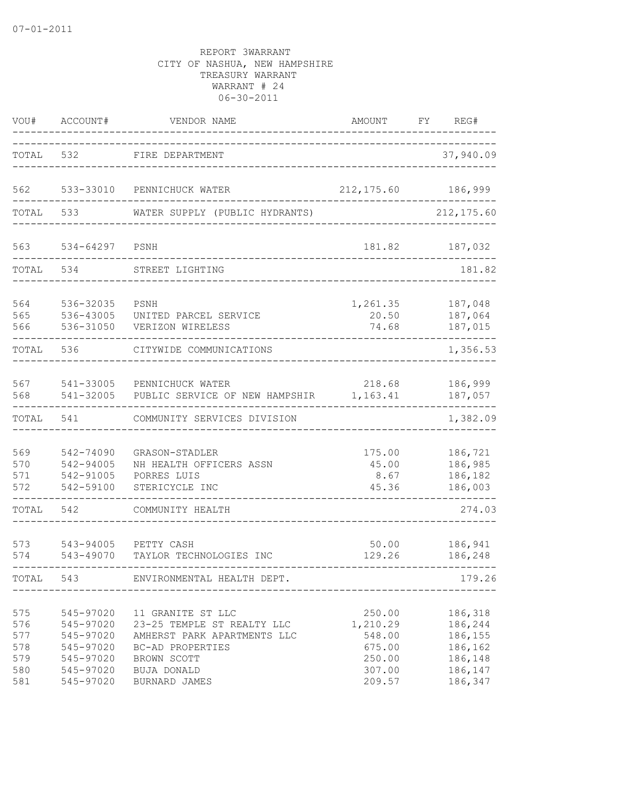| VOU#                                          | ACCOUNT#                                                                                | VENDOR NAME                                                                                                                                       | AMOUNT                                                               | FY | REG#                                                                      |
|-----------------------------------------------|-----------------------------------------------------------------------------------------|---------------------------------------------------------------------------------------------------------------------------------------------------|----------------------------------------------------------------------|----|---------------------------------------------------------------------------|
| TOTAL                                         | 532                                                                                     | FIRE DEPARTMENT                                                                                                                                   |                                                                      |    | 37,940.09                                                                 |
| 562                                           | 533-33010                                                                               | PENNICHUCK WATER                                                                                                                                  | 212, 175.60                                                          |    | 186,999                                                                   |
| TOTAL                                         | 533                                                                                     | WATER SUPPLY (PUBLIC HYDRANTS)                                                                                                                    |                                                                      |    | 212, 175.60                                                               |
| 563                                           | 534-64297                                                                               | PSNH                                                                                                                                              | 181.82                                                               |    | 187,032                                                                   |
| TOTAL                                         | 534                                                                                     | STREET LIGHTING                                                                                                                                   |                                                                      |    | 181.82                                                                    |
| 564<br>565<br>566                             | 536-32035<br>536-43005<br>536-31050                                                     | PSNH<br>UNITED PARCEL SERVICE<br>VERIZON WIRELESS                                                                                                 | 1,261.35<br>20.50<br>74.68                                           |    | 187,048<br>187,064<br>187,015                                             |
| TOTAL                                         | 536                                                                                     | CITYWIDE COMMUNICATIONS                                                                                                                           |                                                                      |    | 1,356.53                                                                  |
| 567<br>568                                    | 541-33005<br>541-32005                                                                  | PENNICHUCK WATER<br>PUBLIC SERVICE OF NEW HAMPSHIR                                                                                                | 218.68<br>1,163.41                                                   |    | 186,999<br>187,057                                                        |
| TOTAL                                         | 541                                                                                     | COMMUNITY SERVICES DIVISION                                                                                                                       |                                                                      |    | 1,382.09                                                                  |
| 569<br>570<br>571<br>572                      | 542-74090<br>542-94005<br>542-91005<br>542-59100                                        | GRASON-STADLER<br>NH HEALTH OFFICERS ASSN<br>PORRES LUIS<br>STERICYCLE INC                                                                        | 175.00<br>45.00<br>8.67<br>45.36                                     |    | 186,721<br>186,985<br>186,182<br>186,003                                  |
| TOTAL                                         | 542                                                                                     | COMMUNITY HEALTH                                                                                                                                  |                                                                      |    | 274.03                                                                    |
| 573<br>574                                    | 543-94005<br>543-49070                                                                  | PETTY CASH<br>TAYLOR TECHNOLOGIES INC                                                                                                             | 50.00<br>129.26                                                      |    | 186,941<br>186,248                                                        |
| TOTAL                                         | 543                                                                                     | ENVIRONMENTAL HEALTH DEPT.                                                                                                                        |                                                                      |    | $------$<br>179.26                                                        |
| 575<br>576<br>577<br>578<br>579<br>580<br>581 | 545-97020<br>545-97020<br>545-97020<br>545-97020<br>545-97020<br>545-97020<br>545-97020 | 11 GRANITE ST LLC<br>23-25 TEMPLE ST REALTY LLC<br>AMHERST PARK APARTMENTS LLC<br>BC-AD PROPERTIES<br>BROWN SCOTT<br>BUJA DONALD<br>BURNARD JAMES | 250.00<br>1,210.29<br>548.00<br>675.00<br>250.00<br>307.00<br>209.57 |    | 186,318<br>186,244<br>186,155<br>186,162<br>186,148<br>186,147<br>186,347 |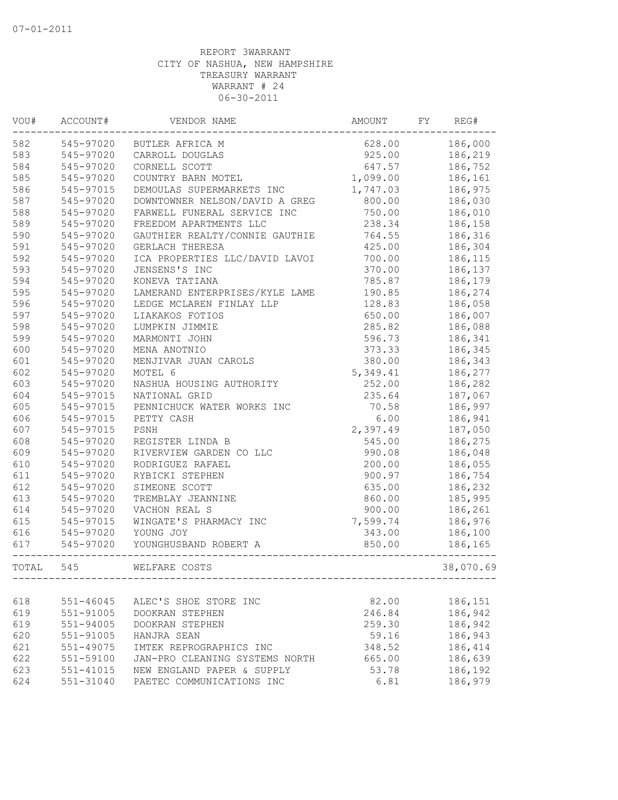| VOU#  | ACCOUNT#  | VENDOR NAME                    | AMOUNT   | FY | REG#      |
|-------|-----------|--------------------------------|----------|----|-----------|
| 582   | 545-97020 | BUTLER AFRICA M                | 628.00   |    | 186,000   |
| 583   | 545-97020 | CARROLL DOUGLAS                | 925.00   |    | 186,219   |
| 584   | 545-97020 | CORNELL SCOTT                  | 647.57   |    | 186,752   |
| 585   | 545-97020 | COUNTRY BARN MOTEL             | 1,099.00 |    | 186,161   |
| 586   | 545-97015 | DEMOULAS SUPERMARKETS INC      | 1,747.03 |    | 186,975   |
| 587   | 545-97020 | DOWNTOWNER NELSON/DAVID A GREG | 800.00   |    | 186,030   |
| 588   | 545-97020 | FARWELL FUNERAL SERVICE INC    | 750.00   |    | 186,010   |
| 589   | 545-97020 | FREEDOM APARTMENTS LLC         | 238.34   |    | 186,158   |
| 590   | 545-97020 | GAUTHIER REALTY/CONNIE GAUTHIE | 764.55   |    | 186,316   |
| 591   | 545-97020 | GERLACH THERESA                | 425.00   |    | 186,304   |
| 592   | 545-97020 | ICA PROPERTIES LLC/DAVID LAVOI | 700.00   |    | 186,115   |
| 593   | 545-97020 | JENSENS'S INC                  | 370.00   |    | 186,137   |
| 594   | 545-97020 | KONEVA TATIANA                 | 785.87   |    | 186,179   |
| 595   | 545-97020 | LAMERAND ENTERPRISES/KYLE LAME | 190.85   |    | 186,274   |
| 596   | 545-97020 | LEDGE MCLAREN FINLAY LLP       | 128.83   |    | 186,058   |
| 597   | 545-97020 | LIAKAKOS FOTIOS                | 650.00   |    | 186,007   |
| 598   | 545-97020 | LUMPKIN JIMMIE                 | 285.82   |    | 186,088   |
| 599   | 545-97020 | MARMONTI JOHN                  | 596.73   |    | 186,341   |
| 600   | 545-97020 | MENA ANOTNIO                   | 373.33   |    | 186,345   |
| 601   | 545-97020 | MENJIVAR JUAN CAROLS           | 380.00   |    | 186,343   |
| 602   | 545-97020 | MOTEL 6                        | 5,349.41 |    | 186,277   |
| 603   | 545-97020 | NASHUA HOUSING AUTHORITY       | 252.00   |    | 186,282   |
| 604   | 545-97015 | NATIONAL GRID                  | 235.64   |    | 187,067   |
| 605   | 545-97015 | PENNICHUCK WATER WORKS INC     | 70.58    |    | 186,997   |
| 606   | 545-97015 | PETTY CASH                     | 6.00     |    | 186,941   |
| 607   | 545-97015 | PSNH                           | 2,397.49 |    | 187,050   |
| 608   | 545-97020 | REGISTER LINDA B               | 545.00   |    | 186,275   |
| 609   | 545-97020 | RIVERVIEW GARDEN CO LLC        | 990.08   |    | 186,048   |
| 610   | 545-97020 | RODRIGUEZ RAFAEL               | 200.00   |    | 186,055   |
| 611   | 545-97020 | RYBICKI STEPHEN                | 900.97   |    | 186,754   |
| 612   | 545-97020 | SIMEONE SCOTT                  | 635.00   |    | 186,232   |
| 613   | 545-97020 | TREMBLAY JEANNINE              | 860.00   |    | 185,995   |
| 614   | 545-97020 | VACHON REAL S                  | 900.00   |    | 186,261   |
| 615   | 545-97015 | WINGATE'S PHARMACY INC         | 7,599.74 |    | 186,976   |
|       |           |                                | 343.00   |    |           |
| 616   | 545-97020 | YOUNG JOY                      |          |    | 186,100   |
| 617   | 545-97020 | YOUNGHUSBAND ROBERT A          | 850.00   |    | 186,165   |
| TOTAL | 545       | WELFARE COSTS                  |          |    | 38,070.69 |
|       |           |                                |          |    |           |
| 618   | 551-46045 | ALEC'S SHOE STORE INC          | 82.00    |    | 186,151   |
| 619   | 551-91005 | DOOKRAN STEPHEN                | 246.84   |    | 186,942   |
| 619   | 551-94005 | DOOKRAN STEPHEN                | 259.30   |    | 186,942   |
| 620   | 551-91005 | HANJRA SEAN                    | 59.16    |    | 186,943   |
| 621   | 551-49075 | IMTEK REPROGRAPHICS INC        | 348.52   |    | 186,414   |
| 622   | 551-59100 | JAN-PRO CLEANING SYSTEMS NORTH | 665.00   |    | 186,639   |
| 623   | 551-41015 | NEW ENGLAND PAPER & SUPPLY     | 53.78    |    | 186,192   |
| 624   | 551-31040 | PAETEC COMMUNICATIONS INC      | 6.81     |    | 186,979   |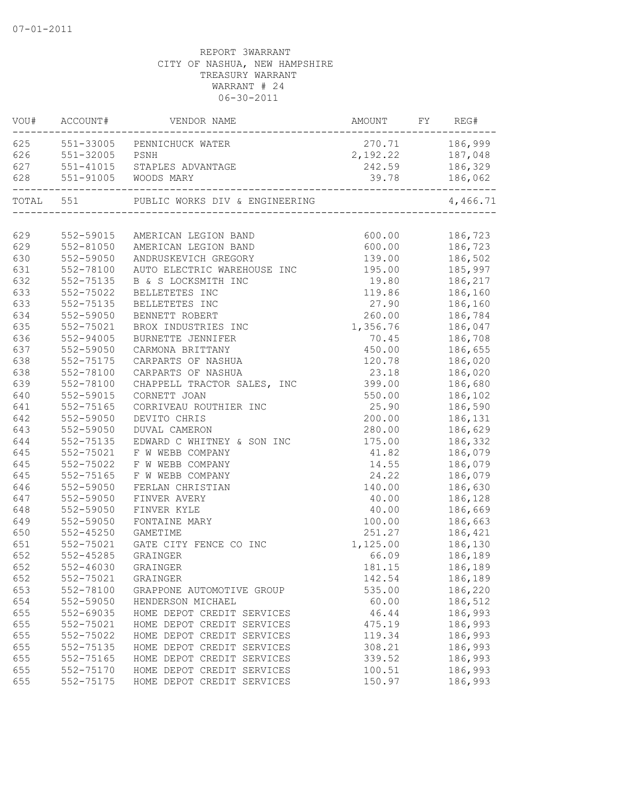| VOU#      | ACCOUNT#           | VENDOR NAME                                                    | AMOUNT FY REG# |                           |
|-----------|--------------------|----------------------------------------------------------------|----------------|---------------------------|
|           |                    | 625 551-33005 PENNICHUCK WATER                                 |                | 270.71 186,999            |
|           | 626 551-32005 PSNH |                                                                |                | 2, 192.22 187, 048        |
|           |                    | 627 551-41015 STAPLES ADVANTAGE                                |                | 242.59 186,329            |
| 628       |                    | 551-91005 WOODS MARY<br>______________________________________ | 39.78          | 186,062                   |
| TOTAL 551 |                    |                                                                |                | 4,466.71                  |
|           |                    |                                                                |                |                           |
| 629       | 552-59015          | AMERICAN LEGION BAND                                           | 600.00         | 186,723                   |
| 629       | 552-81050          | AMERICAN LEGION BAND                                           | 600.00         | 186,723<br>139.00 186,502 |
| 630       | 552-59050          | ANDRUSKEVICH GREGORY                                           |                |                           |
| 631       | 552-78100          | AUTO ELECTRIC WAREHOUSE INC                                    | 195.00         | 185,997                   |
| 632       | 552-75135          | B & S LOCKSMITH INC                                            | 19.80          | 186,217                   |
| 633       | 552-75022          | BELLETETES INC                                                 | 119.86         | 186,160                   |
| 633       | 552-75135          | BELLETETES INC                                                 | 27.90          | 186,160                   |
| 634       | 552-59050          | BENNETT ROBERT                                                 | 260.00         | 186,784                   |
| 635       | 552-75021          | BROX INDUSTRIES INC                                            | 1,356.76       | 186,047                   |
| 636       | 552-94005          | BURNETTE JENNIFER                                              | 70.45          | 186,708                   |
| 637       | 552-59050          | CARMONA BRITTANY                                               | 450.00         | 186,655                   |
| 638       | 552-75175          | CARPARTS OF NASHUA                                             | 120.78         | 186,020                   |
| 638       | 552-78100          | CARPARTS OF NASHUA                                             | 23.18          | 186,020                   |
| 639       | 552-78100          | CHAPPELL TRACTOR SALES, INC                                    | 399.00         | 186,680                   |
| 640       | 552-59015          | CORNETT JOAN                                                   | 550.00         | 186,102                   |
| 641       | 552-75165          | CORRIVEAU ROUTHIER INC                                         | 25.90          | 186,590                   |
| 642       | 552-59050          | DEVITO CHRIS                                                   | 200.00         | 186,131                   |
| 643       | 552-59050          | <b>DUVAL CAMERON</b>                                           | 280.00         | 186,629                   |
| 644       | 552-75135          | EDWARD C WHITNEY & SON INC                                     | 175.00         | 186,332                   |
| 645       | 552-75021          | F W WEBB COMPANY                                               | 41.82          | 186,079                   |
| 645       | 552-75022          | F W WEBB COMPANY                                               | 14.55          | 186,079                   |
| 645       | 552-75165          | F W WEBB COMPANY                                               | 24.22          | 186,079                   |
| 646       | 552-59050          | FERLAN CHRISTIAN                                               | 140.00         | 186,630                   |
| 647       | 552-59050          | FINVER AVERY                                                   | 40.00          | 186,128                   |
| 648       | 552-59050          | FINVER KYLE                                                    | 40.00          | 186,669                   |
| 649       | 552-59050          | FONTAINE MARY                                                  | 100.00         | 186,663                   |
| 650       | $552 - 45250$      | GAMETIME                                                       | 251.27         | 186,421                   |
| 651       | 552-75021          | GATE CITY FENCE CO INC                                         | 1,125.00       | 186,130                   |
| 652       | 552-45285          | GRAINGER                                                       | 66.09          | 186,189                   |
| 652       | 552-46030 GRAINGER |                                                                | 181.15         | 186,189                   |
| 652       | 552-75021          | GRAINGER                                                       | 142.54         | 186,189                   |
| 653       | 552-78100          | GRAPPONE AUTOMOTIVE GROUP                                      | 535.00         | 186,220                   |
| 654       | 552-59050          | HENDERSON MICHAEL                                              | 60.00          | 186,512                   |
| 655       | 552-69035          | HOME DEPOT CREDIT SERVICES                                     | 46.44          | 186,993                   |
| 655       | 552-75021          | HOME DEPOT CREDIT SERVICES                                     | 475.19         | 186,993                   |
| 655       | 552-75022          | HOME DEPOT CREDIT SERVICES                                     | 119.34         | 186,993                   |
| 655       | 552-75135          | HOME DEPOT CREDIT SERVICES                                     | 308.21         | 186,993                   |
| 655       | 552-75165          | HOME DEPOT CREDIT SERVICES                                     | 339.52         | 186,993                   |
| 655       | 552-75170          | HOME DEPOT CREDIT SERVICES                                     | 100.51         | 186,993                   |
| 655       | 552-75175          | HOME DEPOT CREDIT SERVICES                                     | 150.97         | 186,993                   |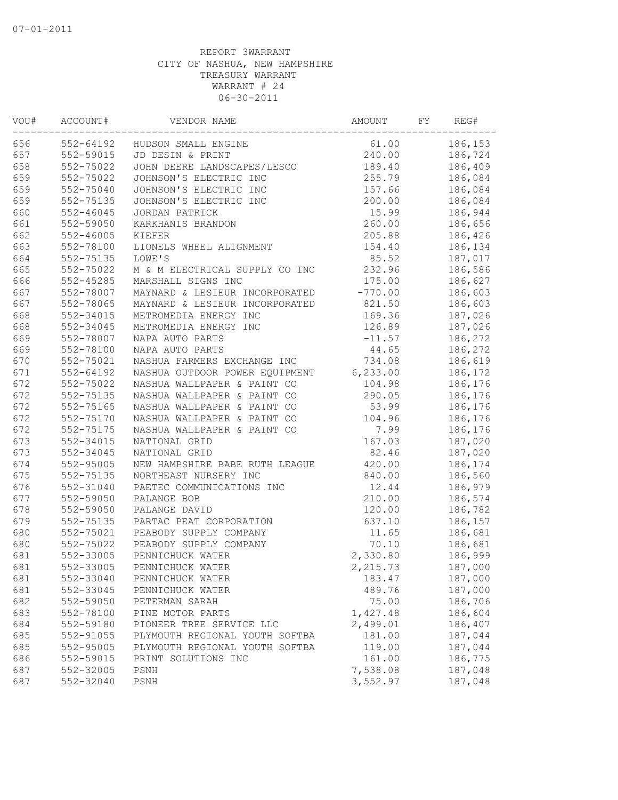| VOU# | ACCOUNT#      | VENDOR NAME                    | AMOUNT    | FΥ | REG#    |
|------|---------------|--------------------------------|-----------|----|---------|
| 656  | $552 - 64192$ | HUDSON SMALL ENGINE            | 61.00     |    | 186,153 |
| 657  | 552-59015     | JD DESIN & PRINT               | 240.00    |    | 186,724 |
| 658  | 552-75022     | JOHN DEERE LANDSCAPES/LESCO    | 189.40    |    | 186,409 |
| 659  | 552-75022     | JOHNSON'S ELECTRIC INC         | 255.79    |    | 186,084 |
| 659  | 552-75040     | JOHNSON'S ELECTRIC INC         | 157.66    |    | 186,084 |
| 659  | 552-75135     | JOHNSON'S ELECTRIC INC         | 200.00    |    | 186,084 |
| 660  | $552 - 46045$ | JORDAN PATRICK                 | 15.99     |    | 186,944 |
| 661  | 552-59050     | KARKHANIS BRANDON              | 260.00    |    | 186,656 |
| 662  | $552 - 46005$ | KIEFER                         | 205.88    |    | 186,426 |
| 663  | 552-78100     | LIONELS WHEEL ALIGNMENT        | 154.40    |    | 186,134 |
| 664  | 552-75135     | LOWE'S                         | 85.52     |    | 187,017 |
| 665  | 552-75022     | M & M ELECTRICAL SUPPLY CO INC | 232.96    |    | 186,586 |
| 666  | 552-45285     | MARSHALL SIGNS INC             | 175.00    |    | 186,627 |
| 667  | 552-78007     | MAYNARD & LESIEUR INCORPORATED | $-770.00$ |    | 186,603 |
| 667  | 552-78065     | MAYNARD & LESIEUR INCORPORATED | 821.50    |    | 186,603 |
| 668  | 552-34015     | METROMEDIA ENERGY INC          | 169.36    |    | 187,026 |
| 668  | 552-34045     | METROMEDIA ENERGY INC          | 126.89    |    | 187,026 |
| 669  | 552-78007     | NAPA AUTO PARTS                | $-11.57$  |    | 186,272 |
| 669  | 552-78100     | NAPA AUTO PARTS                | 44.65     |    | 186,272 |
| 670  | 552-75021     | NASHUA FARMERS EXCHANGE INC    | 734.08    |    | 186,619 |
| 671  | 552-64192     | NASHUA OUTDOOR POWER EQUIPMENT | 6,233.00  |    | 186,172 |
| 672  | 552-75022     | NASHUA WALLPAPER & PAINT CO    | 104.98    |    | 186,176 |
| 672  | 552-75135     | NASHUA WALLPAPER & PAINT CO    | 290.05    |    | 186,176 |
| 672  | 552-75165     | NASHUA WALLPAPER & PAINT CO    | 53.99     |    | 186,176 |
| 672  | 552-75170     | NASHUA WALLPAPER & PAINT CO    | 104.96    |    | 186,176 |
| 672  | 552-75175     | NASHUA WALLPAPER & PAINT CO    | 7.99      |    | 186,176 |
| 673  | 552-34015     | NATIONAL GRID                  | 167.03    |    | 187,020 |
| 673  | 552-34045     | NATIONAL GRID                  | 82.46     |    | 187,020 |
| 674  | 552-95005     | NEW HAMPSHIRE BABE RUTH LEAGUE | 420.00    |    | 186,174 |
| 675  | 552-75135     | NORTHEAST NURSERY INC          | 840.00    |    | 186,560 |
| 676  | 552-31040     | PAETEC COMMUNICATIONS INC      | 12.44     |    | 186,979 |
| 677  | 552-59050     | PALANGE BOB                    | 210.00    |    | 186,574 |
| 678  | 552-59050     | PALANGE DAVID                  | 120.00    |    | 186,782 |
| 679  | 552-75135     | PARTAC PEAT CORPORATION        | 637.10    |    | 186,157 |
| 680  | 552-75021     | PEABODY SUPPLY COMPANY         | 11.65     |    | 186,681 |
| 680  | 552-75022     | PEABODY SUPPLY COMPANY         | 70.10     |    | 186,681 |
| 681  | 552-33005     | PENNICHUCK WATER               | 2,330.80  |    | 186,999 |
| 681  | 552-33005     | PENNICHUCK WATER               | 2,215.73  |    | 187,000 |
| 681  | 552-33040     | PENNICHUCK WATER               | 183.47    |    | 187,000 |
| 681  | 552-33045     | PENNICHUCK WATER               | 489.76    |    | 187,000 |
| 682  | 552-59050     | PETERMAN SARAH                 | 75.00     |    | 186,706 |
| 683  | 552-78100     | PINE MOTOR PARTS               | 1,427.48  |    | 186,604 |
| 684  | 552-59180     | PIONEER TREE SERVICE LLC       | 2,499.01  |    | 186,407 |
| 685  | 552-91055     | PLYMOUTH REGIONAL YOUTH SOFTBA | 181.00    |    | 187,044 |
| 685  | 552-95005     | PLYMOUTH REGIONAL YOUTH SOFTBA | 119.00    |    | 187,044 |
| 686  | 552-59015     | PRINT SOLUTIONS INC            | 161.00    |    | 186,775 |
| 687  | 552-32005     | PSNH                           | 7,538.08  |    | 187,048 |
| 687  | 552-32040     | PSNH                           | 3,552.97  |    | 187,048 |
|      |               |                                |           |    |         |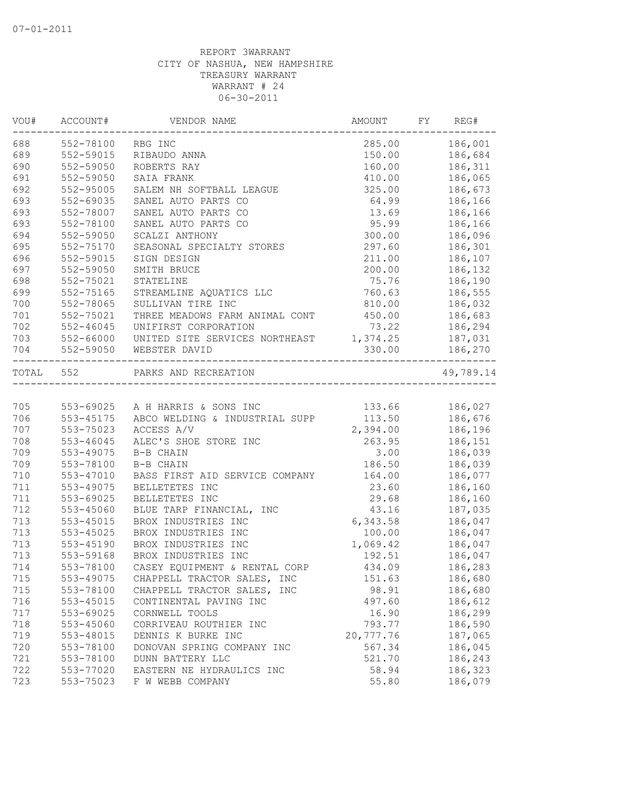| VOU#      | ACCOUNT#      | VENDOR NAME                             | AMOUNT    | FY | REG#      |
|-----------|---------------|-----------------------------------------|-----------|----|-----------|
| 688       | 552-78100     | RBG INC                                 | 285.00    |    | 186,001   |
| 689       | 552-59015     | RIBAUDO ANNA                            | 150.00    |    | 186,684   |
| 690       | 552-59050     | ROBERTS RAY                             | 160.00    |    | 186,311   |
| 691       | 552-59050     | SAIA FRANK                              | 410.00    |    | 186,065   |
| 692       | 552-95005     | SALEM NH SOFTBALL LEAGUE                | 325.00    |    | 186,673   |
| 693       | 552-69035     | SANEL AUTO PARTS CO                     | 64.99     |    | 186,166   |
| 693       | 552-78007     | SANEL AUTO PARTS CO                     | 13.69     |    | 186,166   |
| 693       | 552-78100     | SANEL AUTO PARTS CO                     | 95.99     |    | 186,166   |
| 694       | 552-59050     | SCALZI ANTHONY                          | 300.00    |    | 186,096   |
| 695       | 552-75170     | SEASONAL SPECIALTY STORES               | 297.60    |    | 186,301   |
| 696       | 552-59015     | SIGN DESIGN                             | 211.00    |    | 186,107   |
| 697       | 552-59050     | SMITH BRUCE                             | 200.00    |    | 186,132   |
| 698       | 552-75021     | STATELINE                               | 75.76     |    | 186,190   |
| 699       | 552-75165     | STREAMLINE AQUATICS LLC                 | 760.63    |    | 186,555   |
| 700       | 552-78065     | SULLIVAN TIRE INC                       | 810.00    |    | 186,032   |
| 701       | 552-75021     | THREE MEADOWS FARM ANIMAL CONT          | 450.00    |    | 186,683   |
| 702       | $552 - 46045$ | UNIFIRST CORPORATION                    | 73.22     |    | 186,294   |
| 703       | 552-66000     | UNITED SITE SERVICES NORTHEAST 1,374.25 |           |    | 187,031   |
| 704       | 552-59050     | WEBSTER DAVID                           | 330.00    |    | 186,270   |
| TOTAL 552 |               | PARKS AND RECREATION                    |           |    | 49,789.14 |
|           |               |                                         |           |    |           |
| 705       |               | 553-69025 A H HARRIS & SONS INC         | 133.66    |    | 186,027   |
| 706       | 553-45175     | ABCO WELDING & INDUSTRIAL SUPP          | 113.50    |    | 186,676   |
| 707       | 553-75023     | ACCESS A/V                              | 2,394.00  |    | 186,196   |
| 708       | 553-46045     | ALEC'S SHOE STORE INC                   | 263.95    |    | 186,151   |
| 709       | 553-49075     | B-B CHAIN                               | 3.00      |    | 186,039   |
| 709       | 553-78100     | B-B CHAIN                               | 186.50    |    | 186,039   |
| 710       | 553-47010     | BASS FIRST AID SERVICE COMPANY          | 164.00    |    | 186,077   |
| 711       | 553-49075     | BELLETETES INC                          | 23.60     |    | 186,160   |
| 711       | 553-69025     | BELLETETES INC                          | 29.68     |    | 186,160   |
| 712       | 553-45060     | BLUE TARP FINANCIAL, INC                | 43.16     |    | 187,035   |
| 713       | $553 - 45015$ | BROX INDUSTRIES INC                     | 6,343.58  |    | 186,047   |
| 713       | 553-45025     | BROX INDUSTRIES INC                     | 100.00    |    | 186,047   |
| 713       | 553-45190     | BROX INDUSTRIES INC                     | 1,069.42  |    | 186,047   |
| 713       | 553-59168     | BROX INDUSTRIES INC                     | 192.51    |    | 186,047   |
| 714       | 553-78100     | CASEY EQUIPMENT & RENTAL CORP           | 434.09    |    | 186,283   |
| 715       | 553-49075     | CHAPPELL TRACTOR SALES,<br>INC          | 151.63    |    | 186,680   |
| 715       | 553-78100     | CHAPPELL TRACTOR SALES,<br>INC          | 98.91     |    | 186,680   |
| 716       | $553 - 45015$ | CONTINENTAL PAVING INC                  | 497.60    |    | 186,612   |
| 717       | 553-69025     | CORNWELL TOOLS                          | 16.90     |    | 186,299   |
| 718       | 553-45060     | CORRIVEAU ROUTHIER INC                  | 793.77    |    | 186,590   |
| 719       | 553-48015     | DENNIS K BURKE INC                      | 20,777.76 |    | 187,065   |
| 720       | 553-78100     | DONOVAN SPRING COMPANY INC              | 567.34    |    | 186,045   |
| 721       | 553-78100     | DUNN BATTERY LLC                        | 521.70    |    | 186,243   |
| 722       | 553-77020     | EASTERN NE HYDRAULICS INC               | 58.94     |    | 186,323   |
| 723       | 553-75023     | F W WEBB COMPANY                        | 55.80     |    | 186,079   |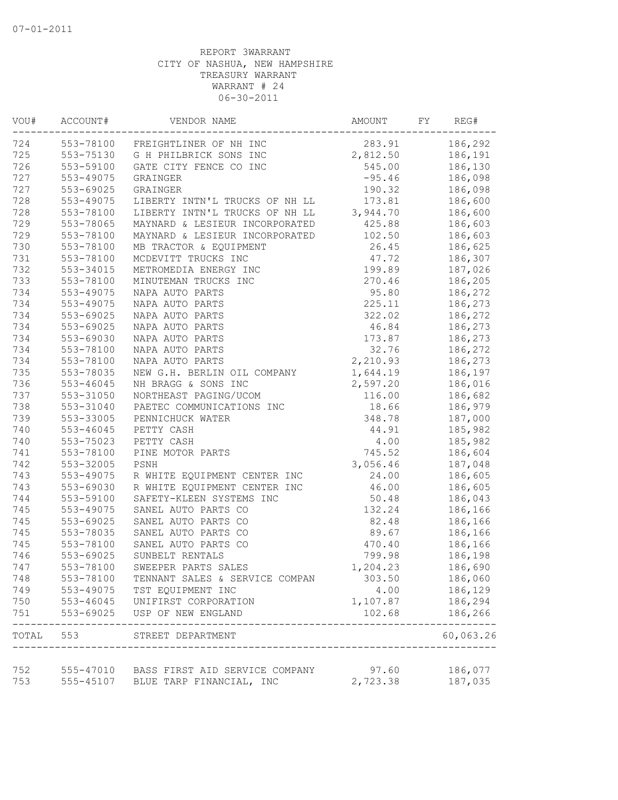| VOU#  | ACCOUNT#  | VENDOR NAME                                                 | AMOUNT   | FY | REG#                |
|-------|-----------|-------------------------------------------------------------|----------|----|---------------------|
| 724   | 553-78100 | FREIGHTLINER OF NH INC                                      | 283.91   |    | 186,292             |
| 725   | 553-75130 | G H PHILBRICK SONS INC                                      | 2,812.50 |    | 186,191             |
| 726   | 553-59100 | GATE CITY FENCE CO INC                                      | 545.00   |    | 186,130             |
| 727   | 553-49075 | GRAINGER                                                    | $-95.46$ |    | 186,098             |
| 727   | 553-69025 | GRAINGER                                                    | 190.32   |    | 186,098             |
| 728   | 553-49075 | LIBERTY INTN'L TRUCKS OF NH LL                              | 173.81   |    | 186,600             |
| 728   | 553-78100 | LIBERTY INTN'L TRUCKS OF NH LL                              | 3,944.70 |    | 186,600             |
| 729   | 553-78065 | MAYNARD & LESIEUR INCORPORATED                              | 425.88   |    | 186,603             |
| 729   | 553-78100 | MAYNARD & LESIEUR INCORPORATED                              | 102.50   |    | 186,603             |
| 730   | 553-78100 | MB TRACTOR & EQUIPMENT                                      | 26.45    |    | 186,625             |
| 731   | 553-78100 | MCDEVITT TRUCKS INC                                         | 47.72    |    | 186,307             |
| 732   | 553-34015 | METROMEDIA ENERGY INC                                       | 199.89   |    | 187,026             |
| 733   | 553-78100 | MINUTEMAN TRUCKS INC                                        | 270.46   |    | 186,205             |
| 734   | 553-49075 | NAPA AUTO PARTS                                             | 95.80    |    | 186,272             |
| 734   | 553-49075 | NAPA AUTO PARTS                                             | 225.11   |    | 186,273             |
| 734   | 553-69025 | NAPA AUTO PARTS                                             | 322.02   |    | 186,272             |
| 734   | 553-69025 | NAPA AUTO PARTS                                             | 46.84    |    | 186,273             |
| 734   | 553-69030 | NAPA AUTO PARTS                                             | 173.87   |    | 186,273             |
| 734   | 553-78100 | NAPA AUTO PARTS                                             | 32.76    |    | 186,272             |
| 734   | 553-78100 | NAPA AUTO PARTS                                             | 2,210.93 |    | 186,273             |
| 735   | 553-78035 | NEW G.H. BERLIN OIL COMPANY                                 | 1,644.19 |    | 186,197             |
| 736   | 553-46045 | NH BRAGG & SONS INC                                         | 2,597.20 |    | 186,016             |
| 737   | 553-31050 | NORTHEAST PAGING/UCOM                                       | 116.00   |    | 186,682             |
| 738   | 553-31040 | PAETEC COMMUNICATIONS INC                                   | 18.66    |    | 186,979             |
| 739   | 553-33005 | PENNICHUCK WATER                                            | 348.78   |    | 187,000             |
| 740   | 553-46045 | PETTY CASH                                                  | 44.91    |    | 185,982             |
| 740   | 553-75023 | PETTY CASH                                                  | 4.00     |    | 185,982             |
| 741   | 553-78100 | PINE MOTOR PARTS                                            | 745.52   |    | 186,604             |
|       |           |                                                             |          |    |                     |
| 742   | 553-32005 | PSNH                                                        | 3,056.46 |    | 187,048             |
| 743   | 553-49075 | R WHITE EQUIPMENT CENTER INC                                | 24.00    |    | 186,605             |
| 743   | 553-69030 | R WHITE EQUIPMENT CENTER INC                                | 46.00    |    | 186,605             |
| 744   | 553-59100 | SAFETY-KLEEN SYSTEMS INC                                    | 50.48    |    | 186,043             |
| 745   | 553-49075 | SANEL AUTO PARTS CO                                         | 132.24   |    | 186,166             |
| 745   | 553-69025 | SANEL AUTO PARTS CO                                         | 82.48    |    | 186,166             |
| 745   | 553-78035 | SANEL AUTO PARTS CO                                         | 89.67    |    | 186,166             |
| 745   | 553-78100 | SANEL AUTO PARTS CO                                         | 470.40   |    | 186,166             |
| 746   | 553-69025 | SUNBELT RENTALS                                             | 799.98   |    | 186,198             |
| 747   | 553-78100 | SWEEPER PARTS SALES                                         | 1,204.23 |    | 186,690             |
| 748   | 553-78100 | TENNANT SALES & SERVICE COMPAN                              | 303.50   |    | 186,060             |
| 749   | 553-49075 | TST EQUIPMENT INC                                           | 4.00     |    | 186,129             |
| 750   | 553-46045 | UNIFIRST CORPORATION                                        | 1,107.87 |    | 186,294             |
| 751   | 553-69025 | USP OF NEW ENGLAND                                          | 102.68   |    | 186,266<br>-------- |
| TOTAL | 553       | STREET DEPARTMENT<br>-------------------------------------- |          |    | 60,063.26           |
|       |           |                                                             |          |    |                     |
| 752   |           | 555-47010 BASS FIRST AID SERVICE COMPANY                    | 97.60    |    | 186,077             |
| 753   |           | 555-45107 BLUE TARP FINANCIAL, INC                          | 2,723.38 |    | 187,035             |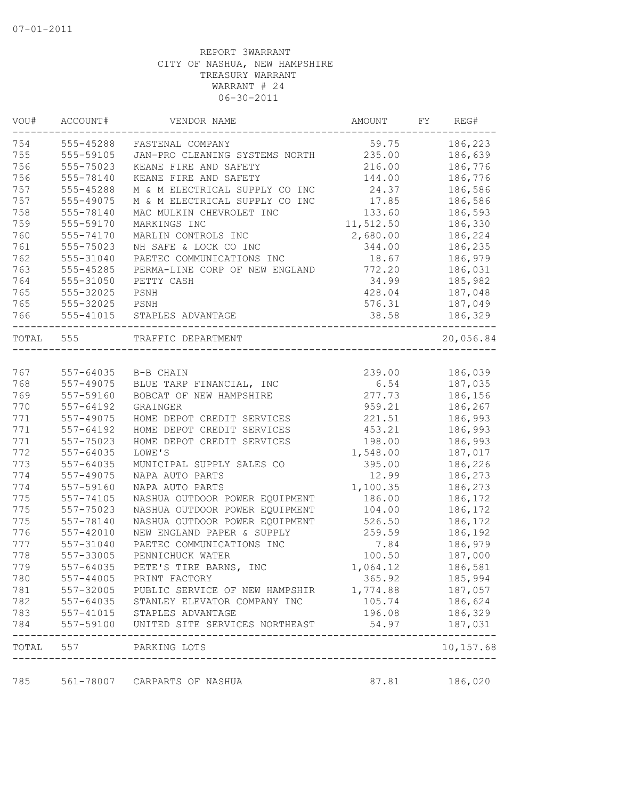| VOU#      | ACCOUNT#      | VENDOR NAME                                       | AMOUNT    | FY | REG#                         |
|-----------|---------------|---------------------------------------------------|-----------|----|------------------------------|
| 754       | 555-45288     | FASTENAL COMPANY                                  | 59.75     |    | 186,223                      |
| 755       | 555-59105     | JAN-PRO CLEANING SYSTEMS NORTH                    | 235.00    |    | 186,639                      |
| 756       | 555-75023     | KEANE FIRE AND SAFETY                             | 216.00    |    | 186,776                      |
| 756       | 555-78140     | KEANE FIRE AND SAFETY                             | 144.00    |    | 186,776                      |
| 757       | 555-45288     | M & M ELECTRICAL SUPPLY CO INC                    | 24.37     |    | 186,586                      |
| 757       | 555-49075     | M & M ELECTRICAL SUPPLY CO INC                    | 17.85     |    | 186,586                      |
| 758       | 555-78140     | MAC MULKIN CHEVROLET INC                          | 133.60    |    | 186,593                      |
| 759       | 555-59170     | MARKINGS INC                                      | 11,512.50 |    | 186,330                      |
| 760       | 555-74170     | MARLIN CONTROLS INC                               | 2,680.00  |    | 186,224                      |
| 761       | 555-75023     | NH SAFE & LOCK CO INC                             | 344.00    |    | 186,235                      |
| 762       | 555-31040     | PAETEC COMMUNICATIONS INC                         | 18.67     |    | 186,979                      |
| 763       | 555-45285     | PERMA-LINE CORP OF NEW ENGLAND                    | 772.20    |    | 186,031                      |
| 764       | 555-31050     | PETTY CASH                                        | 34.99     |    | 185,982                      |
| 765       | 555-32025     | PSNH                                              | 428.04    |    | 187,048                      |
| 765       | 555-32025     | PSNH                                              | 576.31    |    | 187,049                      |
| 766       | 555-41015     | STAPLES ADVANTAGE                                 | 38.58     |    | 186,329                      |
| TOTAL 555 |               | TRAFFIC DEPARTMENT                                |           |    | 20,056.84                    |
|           |               |                                                   |           |    |                              |
| 767       | $557 - 64035$ | B-B CHAIN                                         | 239.00    |    | 186,039                      |
| 768       | $557 - 49075$ | BLUE TARP FINANCIAL, INC                          | 6.54      |    | 187,035                      |
| 769       | 557-59160     | BOBCAT OF NEW HAMPSHIRE                           | 277.73    |    | 186,156                      |
| 770       | 557-64192     | GRAINGER                                          | 959.21    |    | 186,267                      |
| 771       | 557-49075     | HOME DEPOT CREDIT SERVICES                        | 221.51    |    | 186,993                      |
| 771       | 557-64192     | HOME DEPOT CREDIT SERVICES                        | 453.21    |    | 186,993                      |
| 771       | 557-75023     | HOME DEPOT CREDIT SERVICES                        | 198.00    |    | 186,993                      |
| 772       | 557-64035     | LOWE'S                                            | 1,548.00  |    | 187,017                      |
| 773       | 557-64035     | MUNICIPAL SUPPLY SALES CO                         | 395.00    |    | 186,226                      |
| 774       | 557-49075     | NAPA AUTO PARTS                                   | 12.99     |    | 186,273                      |
| 774       | 557-59160     | NAPA AUTO PARTS                                   | 1,100.35  |    | 186,273                      |
| 775       | $557 - 74105$ | NASHUA OUTDOOR POWER EQUIPMENT                    | 186.00    |    | 186,172                      |
| 775       | 557-75023     | NASHUA OUTDOOR POWER EQUIPMENT                    | 104.00    |    | 186,172                      |
| 775       | 557-78140     | NASHUA OUTDOOR POWER EQUIPMENT                    | 526.50    |    | 186,172                      |
| 776       | 557-42010     | NEW ENGLAND PAPER & SUPPLY                        | 259.59    |    | 186,192                      |
| 777       | 557-31040     | PAETEC COMMUNICATIONS INC                         | 7.84      |    | 186,979                      |
| 778       | 557-33005     | PENNICHUCK WATER                                  | 100.50    |    | 187,000                      |
| 779       | 557-64035     | PETE'S TIRE BARNS, INC                            | 1,064.12  |    | 186,581                      |
| 780       |               | 557-44005 PRINT FACTORY                           | 365.92    |    | 185,994                      |
| 781       |               | 557-32005 PUBLIC SERVICE OF NEW HAMPSHIR 1,774.88 |           |    | 187,057                      |
| 782       |               | 557-64035 STANLEY ELEVATOR COMPANY INC            | 105.74    |    | 186,624                      |
| 783       |               | 557-41015 STAPLES ADVANTAGE                       | 196.08    |    | 186,329                      |
| 784       |               | 557-59100 UNITED SITE SERVICES NORTHEAST          | 54.97     |    | 187,031                      |
|           |               | TOTAL 557 PARKING LOTS                            |           |    | $- - - - - - -$<br>10,157.68 |
|           |               |                                                   |           |    |                              |
| 785       |               | 561-78007 CARPARTS OF NASHUA                      | 87.81     |    | 186,020                      |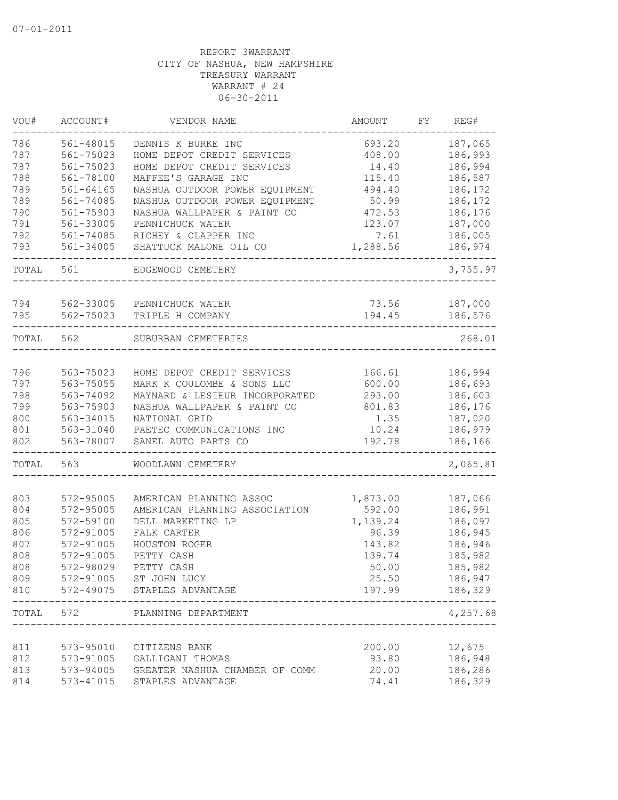| VOU#       | ACCOUNT#               | VENDOR NAME                                              | AMOUNT             | FY | REG#     |
|------------|------------------------|----------------------------------------------------------|--------------------|----|----------|
| 786        | 561-48015              | DENNIS K BURKE INC                                       | 693.20             |    | 187,065  |
| 787        | 561-75023              | HOME DEPOT CREDIT SERVICES                               | 408.00             |    | 186,993  |
| 787        | 561-75023              | HOME DEPOT CREDIT SERVICES                               | 14.40              |    | 186,994  |
| 788        | 561-78100              | MAFFEE'S GARAGE INC                                      | 115.40             |    | 186,587  |
| 789        | $561 - 64165$          | NASHUA OUTDOOR POWER EQUIPMENT                           | 494.40             |    | 186,172  |
| 789        | 561-74085              | NASHUA OUTDOOR POWER EQUIPMENT                           | 50.99              |    | 186,172  |
| 790        | 561-75903              | NASHUA WALLPAPER & PAINT CO                              | 472.53             |    | 186,176  |
| 791        | 561-33005              | PENNICHUCK WATER                                         | 123.07             |    | 187,000  |
| 792        | 561-74085              | RICHEY & CLAPPER INC                                     | 7.61               |    | 186,005  |
| 793        | 561-34005              | SHATTUCK MALONE OIL CO                                   | 1,288.56           |    | 186,974  |
| TOTAL      | 561                    | EDGEWOOD CEMETERY                                        |                    |    | 3,755.97 |
| 794        | 562-33005              | PENNICHUCK WATER                                         | 73.56              |    | 187,000  |
| 795        | 562-75023              | TRIPLE H COMPANY                                         | 194.45             |    | 186,576  |
| TOTAL      | 562                    | SUBURBAN CEMETERIES                                      |                    |    | 268.01   |
|            |                        |                                                          |                    |    |          |
| 796        | 563-75023              | HOME DEPOT CREDIT SERVICES                               | 166.61             |    | 186,994  |
| 797        | 563-75055              | MARK K COULOMBE & SONS LLC                               | 600.00             |    | 186,693  |
| 798        | 563-74092              | MAYNARD & LESIEUR INCORPORATED                           | 293.00             |    | 186,603  |
| 799        | 563-75903              | NASHUA WALLPAPER & PAINT CO                              | 801.83             |    | 186,176  |
| 800        | 563-34015              | NATIONAL GRID                                            | 1.35               |    | 187,020  |
| 801        | 563-31040              | PAETEC COMMUNICATIONS INC                                | 10.24              |    | 186,979  |
| 802        | 563-78007              | SANEL AUTO PARTS CO                                      | 192.78             |    | 186,166  |
| TOTAL      | 563                    | WOODLAWN CEMETERY                                        |                    |    | 2,065.81 |
|            |                        |                                                          |                    |    |          |
| 803<br>804 | 572-95005<br>572-95005 | AMERICAN PLANNING ASSOC<br>AMERICAN PLANNING ASSOCIATION | 1,873.00<br>592.00 |    | 187,066  |
|            | 572-59100              |                                                          |                    |    | 186,991  |
| 805        |                        | DELL MARKETING LP<br>FALK CARTER                         | 1,139.24<br>96.39  |    | 186,097  |
| 806        | 572-91005              |                                                          |                    |    | 186,945  |
| 807        | 572-91005              | HOUSTON ROGER                                            | 143.82             |    | 186,946  |
| 808        | 572-91005              | PETTY CASH                                               | 139.74             |    | 185,982  |
| 808        | 572-98029              | PETTY CASH                                               | 50.00              |    | 185,982  |
| 809        |                        | 572-91005 ST JOHN LUCY                                   | 25.50              |    | 186,947  |
| 810        |                        | 572-49075 STAPLES ADVANTAGE                              | 197.99             |    | 186,329  |
| TOTAL      | 572                    | PLANNING DEPARTMENT                                      |                    |    | 4,257.68 |
| 811        | 573-95010              | CITIZENS BANK                                            | 200.00             |    | 12,675   |
| 812        | 573-91005              | GALLIGANI THOMAS                                         | 93.80              |    | 186,948  |
| 813        | 573-94005              | GREATER NASHUA CHAMBER OF COMM                           | 20.00              |    | 186,286  |
| 814        | 573-41015              | STAPLES ADVANTAGE                                        | 74.41              |    | 186,329  |
|            |                        |                                                          |                    |    |          |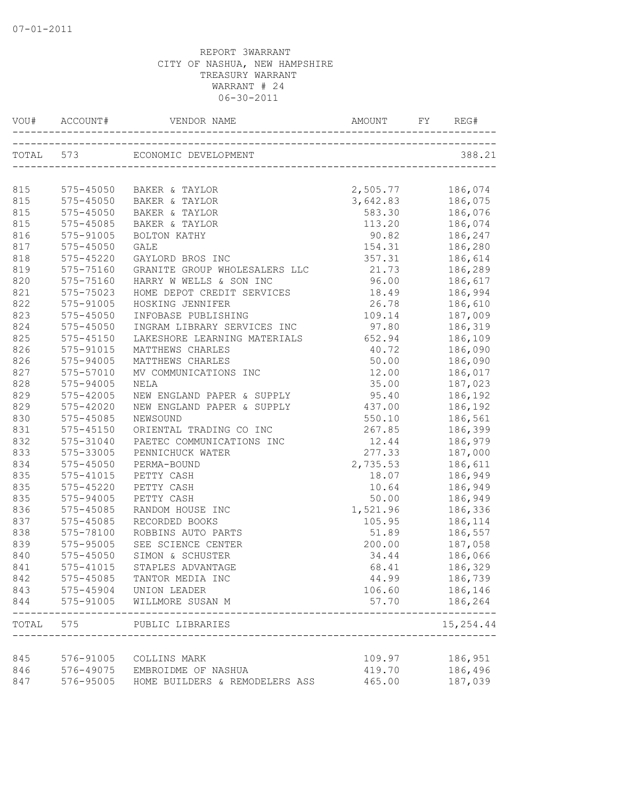| VOU# ACCOUNT# |               |                                | AMOUNT<br>REG# |  |                |  |
|---------------|---------------|--------------------------------|----------------|--|----------------|--|
|               | TOTAL 573     | ECONOMIC DEVELOPMENT           |                |  | 388.21         |  |
|               |               |                                |                |  |                |  |
| 815           |               | 575-45050 BAKER & TAYLOR       | 2,505.77       |  | 186,074        |  |
| 815           | 575-45050     | BAKER & TAYLOR                 | 3,642.83       |  | 186,075        |  |
| 815           | 575-45050     | BAKER & TAYLOR                 | 583.30         |  | 186,076        |  |
| 815           | 575-45085     | BAKER & TAYLOR                 | 113.20         |  | 186,074        |  |
| 816           | 575-91005     | BOLTON KATHY                   | 90.82 186,247  |  |                |  |
| 817           | $575 - 45050$ | <b>GALE</b>                    | 154.31 186,280 |  |                |  |
| 818           | $575 - 45220$ | GAYLORD BROS INC               | 357.31         |  | 186,614        |  |
| 819           | 575-75160     | GRANITE GROUP WHOLESALERS LLC  | 21.73 186,289  |  |                |  |
| 820           | 575-75160     | HARRY W WELLS & SON INC        | 96.00          |  | 186,617        |  |
| 821           | 575-75023     | HOME DEPOT CREDIT SERVICES     | 18.49          |  | 186,994        |  |
| 822           | 575-91005     | HOSKING JENNIFER               | 26.78          |  | 186,610        |  |
| 823           | $575 - 45050$ | INFOBASE PUBLISHING            | 109.14         |  | 187,009        |  |
| 824           | $575 - 45050$ | INGRAM LIBRARY SERVICES INC    | 97.80          |  | 186,319        |  |
| 825           | $575 - 45150$ | LAKESHORE LEARNING MATERIALS   | 652.94         |  | 186,109        |  |
| 826           | 575-91015     | MATTHEWS CHARLES               | 40.72          |  | 186,090        |  |
| 826           | 575-94005     | MATTHEWS CHARLES               | 50.00          |  | 186,090        |  |
| 827           | 575-57010     | MV COMMUNICATIONS INC          | 12.00          |  | 186,017        |  |
| 828           | 575-94005     | NELA                           | 35.00          |  | 187,023        |  |
| 829           | 575-42005     | NEW ENGLAND PAPER & SUPPLY     | 95.40          |  | 186,192        |  |
| 829           | 575-42020     | NEW ENGLAND PAPER & SUPPLY     | 437.00         |  | 186,192        |  |
| 830           | 575-45085     | NEWSOUND                       | 550.10         |  | 186,561        |  |
| 831           | $575 - 45150$ | ORIENTAL TRADING CO INC        | 267.85         |  | 186,399        |  |
| 832           | 575-31040     | PAETEC COMMUNICATIONS INC      | 12.44          |  | 186,979        |  |
| 833           | 575-33005     | PENNICHUCK WATER               | 277.33         |  | 187,000        |  |
| 834           | 575-45050     | PERMA-BOUND                    | 2,735.53       |  | 186,611        |  |
| 835           | 575-41015     | PETTY CASH                     | 18.07          |  | 186,949        |  |
| 835           | $575 - 45220$ | PETTY CASH                     | 10.64          |  | 186,949        |  |
| 835           | 575-94005     | PETTY CASH                     | 50.00          |  | 186,949        |  |
| 836           | 575-45085     | RANDOM HOUSE INC               | 1,521.96       |  | 186,336        |  |
| 837           | 575-45085     | RECORDED BOOKS                 | 105.95         |  | 186,114        |  |
| 838           | 575-78100     | ROBBINS AUTO PARTS             | 51.89          |  | 186,557        |  |
| 839           | 575-95005     | SEE SCIENCE CENTER             | 200.00         |  | 187,058        |  |
| 840           | $575 - 45050$ | SIMON & SCHUSTER               | 34.44          |  | 186,066        |  |
| 841           | 575-41015     | STAPLES ADVANTAGE              | 68.41          |  | 186,329        |  |
| 842           | 575-45085     | TANTOR MEDIA INC               | 44.99          |  | 186,739        |  |
| 843           |               | 575-45904 UNION LEADER         | 106.60         |  | 186,146        |  |
| 844           | 575-91005     | WILLMORE SUSAN M               | 57.70          |  | 186,264        |  |
| TOTAL         | 575           | PUBLIC LIBRARIES               |                |  | .<br>15,254.44 |  |
|               |               |                                |                |  |                |  |
| 845           | 576-91005     | COLLINS MARK                   | 109.97         |  | 186,951        |  |
| 846           | 576-49075     | EMBROIDME OF NASHUA            | 419.70         |  | 186,496        |  |
| 847           | 576-95005     | HOME BUILDERS & REMODELERS ASS | 465.00         |  | 187,039        |  |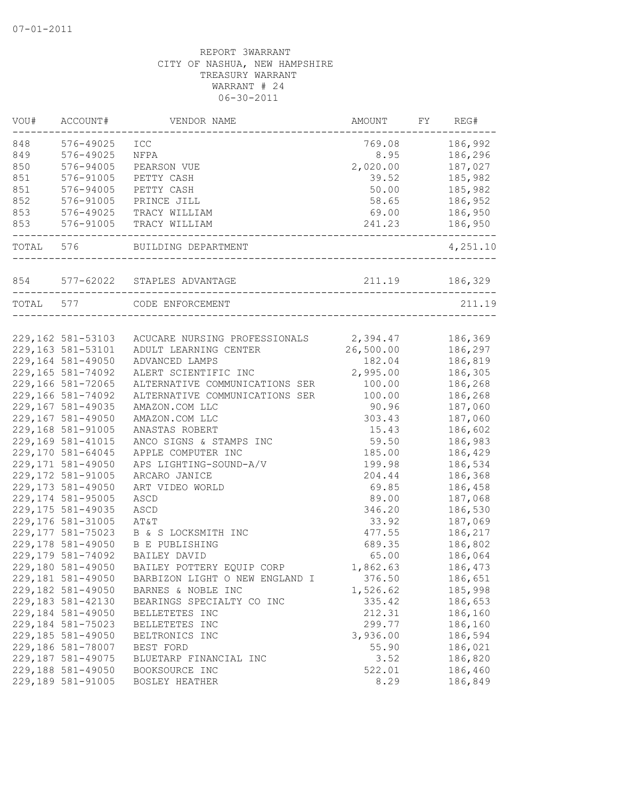| 848<br>576-49025<br>186,992<br>ICC<br>769.08<br>849<br>576-49025<br>NFPA<br>8.95<br>186,296<br>850<br>576-94005<br>2,020.00<br>187,027<br>PEARSON VUE<br>851<br>576-91005<br>PETTY CASH<br>39.52<br>185,982<br>851<br>576-94005<br>PETTY CASH<br>50.00<br>185,982<br>852<br>576-91005<br>58.65<br>186,952<br>PRINCE JILL<br>853<br>576-49025<br>69.00<br>186,950<br>TRACY WILLIAM<br>853<br>576-91005<br>186,950<br>TRACY WILLIAM<br>241.23<br>-------<br>TOTAL 576<br>BUILDING DEPARTMENT<br>577-62022<br>211.19<br>186,329<br>854<br>STAPLES ADVANTAGE<br>TOTAL 577<br>211.19<br>CODE ENFORCEMENT<br>2,394.47<br>186,369<br>229,162 581-53103<br>ACUCARE NURSING PROFESSIONALS<br>26,500.00<br>186,297<br>ADULT LEARNING CENTER<br>229,164 581-49050<br>182.04<br>186,819<br>ADVANCED LAMPS<br>229,165 581-74092<br>2,995.00<br>ALERT SCIENTIFIC INC<br>186,305<br>ALTERNATIVE COMMUNICATIONS SER<br>100.00<br>186,268<br>229,166 581-74092<br>100.00<br>ALTERNATIVE COMMUNICATIONS SER<br>186,268<br>229,167 581-49035<br>90.96<br>187,060<br>AMAZON.COM LLC<br>229,167 581-49050<br>303.43<br>187,060<br>AMAZON.COM LLC<br>229,168 581-91005<br>15.43<br>186,602<br>ANASTAS ROBERT<br>229,169 581-41015<br>59.50<br>186,983<br>ANCO SIGNS & STAMPS INC<br>229,170 581-64045<br>APPLE COMPUTER INC<br>185.00<br>186,429<br>229,171 581-49050<br>APS LIGHTING-SOUND-A/V<br>199.98<br>186,534<br>229,172 581-91005<br>186,368<br>ARCARO JANICE<br>204.44<br>229, 173 581-49050<br>69.85<br>186,458<br>ART VIDEO WORLD<br>229,174 581-95005<br>89.00<br>187,068<br>ASCD<br>229, 175 581-49035<br>346.20<br>186,530<br>ASCD<br>229,176 581-31005<br>187,069<br>33.92<br>AT&T<br>229,177 581-75023<br>477.55<br>186,217<br>B & S LOCKSMITH INC<br>186,802<br><b>B E PUBLISHING</b><br>689.35<br>BAILEY DAVID<br>65.00<br>186,064<br>229,180 581-49050<br>BAILEY POTTERY EQUIP CORP<br>1,862.63<br>186,473<br>229,181 581-49050<br>BARBIZON LIGHT O NEW ENGLAND I<br>376.50<br>186,651<br>229,182 581-49050<br>1,526.62<br>185,998<br>BARNES & NOBLE INC<br>229,183 581-42130<br>335.42<br>186,653<br>BEARINGS SPECIALTY CO INC<br>229,184 581-49050<br>212.31<br>186,160<br>BELLETETES INC<br>229,184 581-75023<br>299.77<br>186,160<br>BELLETETES INC<br>229,185 581-49050<br>3,936.00<br>186,594<br>BELTRONICS INC<br>229,186 581-78007<br>55.90<br>186,021<br>BEST FORD<br>229,187 581-49075<br>3.52<br>186,820<br>BLUETARP FINANCIAL INC<br>229,188 581-49050<br>522.01<br>186,460<br>BOOKSOURCE INC | VOU# | ACCOUNT#<br>VENDOR NAME |  | AMOUNT<br>FY |  | REG#     |  |
|--------------------------------------------------------------------------------------------------------------------------------------------------------------------------------------------------------------------------------------------------------------------------------------------------------------------------------------------------------------------------------------------------------------------------------------------------------------------------------------------------------------------------------------------------------------------------------------------------------------------------------------------------------------------------------------------------------------------------------------------------------------------------------------------------------------------------------------------------------------------------------------------------------------------------------------------------------------------------------------------------------------------------------------------------------------------------------------------------------------------------------------------------------------------------------------------------------------------------------------------------------------------------------------------------------------------------------------------------------------------------------------------------------------------------------------------------------------------------------------------------------------------------------------------------------------------------------------------------------------------------------------------------------------------------------------------------------------------------------------------------------------------------------------------------------------------------------------------------------------------------------------------------------------------------------------------------------------------------------------------------------------------------------------------------------------------------------------------------------------------------------------------------------------------------------------------------------------------------------------------------------------------------------------------------------------------------------------------------------------------------------------------------------------------------------------------------------------------------------------------------------|------|-------------------------|--|--------------|--|----------|--|
| 229,163 581-53101<br>229,166 581-72065<br>229,178 581-49050<br>229,179 581-74092                                                                                                                                                                                                                                                                                                                                                                                                                                                                                                                                                                                                                                                                                                                                                                                                                                                                                                                                                                                                                                                                                                                                                                                                                                                                                                                                                                                                                                                                                                                                                                                                                                                                                                                                                                                                                                                                                                                                                                                                                                                                                                                                                                                                                                                                                                                                                                                                                       |      |                         |  |              |  |          |  |
|                                                                                                                                                                                                                                                                                                                                                                                                                                                                                                                                                                                                                                                                                                                                                                                                                                                                                                                                                                                                                                                                                                                                                                                                                                                                                                                                                                                                                                                                                                                                                                                                                                                                                                                                                                                                                                                                                                                                                                                                                                                                                                                                                                                                                                                                                                                                                                                                                                                                                                        |      |                         |  |              |  |          |  |
|                                                                                                                                                                                                                                                                                                                                                                                                                                                                                                                                                                                                                                                                                                                                                                                                                                                                                                                                                                                                                                                                                                                                                                                                                                                                                                                                                                                                                                                                                                                                                                                                                                                                                                                                                                                                                                                                                                                                                                                                                                                                                                                                                                                                                                                                                                                                                                                                                                                                                                        |      |                         |  |              |  |          |  |
|                                                                                                                                                                                                                                                                                                                                                                                                                                                                                                                                                                                                                                                                                                                                                                                                                                                                                                                                                                                                                                                                                                                                                                                                                                                                                                                                                                                                                                                                                                                                                                                                                                                                                                                                                                                                                                                                                                                                                                                                                                                                                                                                                                                                                                                                                                                                                                                                                                                                                                        |      |                         |  |              |  |          |  |
|                                                                                                                                                                                                                                                                                                                                                                                                                                                                                                                                                                                                                                                                                                                                                                                                                                                                                                                                                                                                                                                                                                                                                                                                                                                                                                                                                                                                                                                                                                                                                                                                                                                                                                                                                                                                                                                                                                                                                                                                                                                                                                                                                                                                                                                                                                                                                                                                                                                                                                        |      |                         |  |              |  |          |  |
|                                                                                                                                                                                                                                                                                                                                                                                                                                                                                                                                                                                                                                                                                                                                                                                                                                                                                                                                                                                                                                                                                                                                                                                                                                                                                                                                                                                                                                                                                                                                                                                                                                                                                                                                                                                                                                                                                                                                                                                                                                                                                                                                                                                                                                                                                                                                                                                                                                                                                                        |      |                         |  |              |  |          |  |
|                                                                                                                                                                                                                                                                                                                                                                                                                                                                                                                                                                                                                                                                                                                                                                                                                                                                                                                                                                                                                                                                                                                                                                                                                                                                                                                                                                                                                                                                                                                                                                                                                                                                                                                                                                                                                                                                                                                                                                                                                                                                                                                                                                                                                                                                                                                                                                                                                                                                                                        |      |                         |  |              |  |          |  |
|                                                                                                                                                                                                                                                                                                                                                                                                                                                                                                                                                                                                                                                                                                                                                                                                                                                                                                                                                                                                                                                                                                                                                                                                                                                                                                                                                                                                                                                                                                                                                                                                                                                                                                                                                                                                                                                                                                                                                                                                                                                                                                                                                                                                                                                                                                                                                                                                                                                                                                        |      |                         |  |              |  |          |  |
|                                                                                                                                                                                                                                                                                                                                                                                                                                                                                                                                                                                                                                                                                                                                                                                                                                                                                                                                                                                                                                                                                                                                                                                                                                                                                                                                                                                                                                                                                                                                                                                                                                                                                                                                                                                                                                                                                                                                                                                                                                                                                                                                                                                                                                                                                                                                                                                                                                                                                                        |      |                         |  |              |  | 4,251.10 |  |
|                                                                                                                                                                                                                                                                                                                                                                                                                                                                                                                                                                                                                                                                                                                                                                                                                                                                                                                                                                                                                                                                                                                                                                                                                                                                                                                                                                                                                                                                                                                                                                                                                                                                                                                                                                                                                                                                                                                                                                                                                                                                                                                                                                                                                                                                                                                                                                                                                                                                                                        |      |                         |  |              |  |          |  |
|                                                                                                                                                                                                                                                                                                                                                                                                                                                                                                                                                                                                                                                                                                                                                                                                                                                                                                                                                                                                                                                                                                                                                                                                                                                                                                                                                                                                                                                                                                                                                                                                                                                                                                                                                                                                                                                                                                                                                                                                                                                                                                                                                                                                                                                                                                                                                                                                                                                                                                        |      |                         |  |              |  |          |  |
|                                                                                                                                                                                                                                                                                                                                                                                                                                                                                                                                                                                                                                                                                                                                                                                                                                                                                                                                                                                                                                                                                                                                                                                                                                                                                                                                                                                                                                                                                                                                                                                                                                                                                                                                                                                                                                                                                                                                                                                                                                                                                                                                                                                                                                                                                                                                                                                                                                                                                                        |      |                         |  |              |  |          |  |
|                                                                                                                                                                                                                                                                                                                                                                                                                                                                                                                                                                                                                                                                                                                                                                                                                                                                                                                                                                                                                                                                                                                                                                                                                                                                                                                                                                                                                                                                                                                                                                                                                                                                                                                                                                                                                                                                                                                                                                                                                                                                                                                                                                                                                                                                                                                                                                                                                                                                                                        |      |                         |  |              |  |          |  |
|                                                                                                                                                                                                                                                                                                                                                                                                                                                                                                                                                                                                                                                                                                                                                                                                                                                                                                                                                                                                                                                                                                                                                                                                                                                                                                                                                                                                                                                                                                                                                                                                                                                                                                                                                                                                                                                                                                                                                                                                                                                                                                                                                                                                                                                                                                                                                                                                                                                                                                        |      |                         |  |              |  |          |  |
|                                                                                                                                                                                                                                                                                                                                                                                                                                                                                                                                                                                                                                                                                                                                                                                                                                                                                                                                                                                                                                                                                                                                                                                                                                                                                                                                                                                                                                                                                                                                                                                                                                                                                                                                                                                                                                                                                                                                                                                                                                                                                                                                                                                                                                                                                                                                                                                                                                                                                                        |      |                         |  |              |  |          |  |
|                                                                                                                                                                                                                                                                                                                                                                                                                                                                                                                                                                                                                                                                                                                                                                                                                                                                                                                                                                                                                                                                                                                                                                                                                                                                                                                                                                                                                                                                                                                                                                                                                                                                                                                                                                                                                                                                                                                                                                                                                                                                                                                                                                                                                                                                                                                                                                                                                                                                                                        |      |                         |  |              |  |          |  |
|                                                                                                                                                                                                                                                                                                                                                                                                                                                                                                                                                                                                                                                                                                                                                                                                                                                                                                                                                                                                                                                                                                                                                                                                                                                                                                                                                                                                                                                                                                                                                                                                                                                                                                                                                                                                                                                                                                                                                                                                                                                                                                                                                                                                                                                                                                                                                                                                                                                                                                        |      |                         |  |              |  |          |  |
|                                                                                                                                                                                                                                                                                                                                                                                                                                                                                                                                                                                                                                                                                                                                                                                                                                                                                                                                                                                                                                                                                                                                                                                                                                                                                                                                                                                                                                                                                                                                                                                                                                                                                                                                                                                                                                                                                                                                                                                                                                                                                                                                                                                                                                                                                                                                                                                                                                                                                                        |      |                         |  |              |  |          |  |
|                                                                                                                                                                                                                                                                                                                                                                                                                                                                                                                                                                                                                                                                                                                                                                                                                                                                                                                                                                                                                                                                                                                                                                                                                                                                                                                                                                                                                                                                                                                                                                                                                                                                                                                                                                                                                                                                                                                                                                                                                                                                                                                                                                                                                                                                                                                                                                                                                                                                                                        |      |                         |  |              |  |          |  |
|                                                                                                                                                                                                                                                                                                                                                                                                                                                                                                                                                                                                                                                                                                                                                                                                                                                                                                                                                                                                                                                                                                                                                                                                                                                                                                                                                                                                                                                                                                                                                                                                                                                                                                                                                                                                                                                                                                                                                                                                                                                                                                                                                                                                                                                                                                                                                                                                                                                                                                        |      |                         |  |              |  |          |  |
|                                                                                                                                                                                                                                                                                                                                                                                                                                                                                                                                                                                                                                                                                                                                                                                                                                                                                                                                                                                                                                                                                                                                                                                                                                                                                                                                                                                                                                                                                                                                                                                                                                                                                                                                                                                                                                                                                                                                                                                                                                                                                                                                                                                                                                                                                                                                                                                                                                                                                                        |      |                         |  |              |  |          |  |
|                                                                                                                                                                                                                                                                                                                                                                                                                                                                                                                                                                                                                                                                                                                                                                                                                                                                                                                                                                                                                                                                                                                                                                                                                                                                                                                                                                                                                                                                                                                                                                                                                                                                                                                                                                                                                                                                                                                                                                                                                                                                                                                                                                                                                                                                                                                                                                                                                                                                                                        |      |                         |  |              |  |          |  |
|                                                                                                                                                                                                                                                                                                                                                                                                                                                                                                                                                                                                                                                                                                                                                                                                                                                                                                                                                                                                                                                                                                                                                                                                                                                                                                                                                                                                                                                                                                                                                                                                                                                                                                                                                                                                                                                                                                                                                                                                                                                                                                                                                                                                                                                                                                                                                                                                                                                                                                        |      |                         |  |              |  |          |  |
|                                                                                                                                                                                                                                                                                                                                                                                                                                                                                                                                                                                                                                                                                                                                                                                                                                                                                                                                                                                                                                                                                                                                                                                                                                                                                                                                                                                                                                                                                                                                                                                                                                                                                                                                                                                                                                                                                                                                                                                                                                                                                                                                                                                                                                                                                                                                                                                                                                                                                                        |      |                         |  |              |  |          |  |
|                                                                                                                                                                                                                                                                                                                                                                                                                                                                                                                                                                                                                                                                                                                                                                                                                                                                                                                                                                                                                                                                                                                                                                                                                                                                                                                                                                                                                                                                                                                                                                                                                                                                                                                                                                                                                                                                                                                                                                                                                                                                                                                                                                                                                                                                                                                                                                                                                                                                                                        |      |                         |  |              |  |          |  |
|                                                                                                                                                                                                                                                                                                                                                                                                                                                                                                                                                                                                                                                                                                                                                                                                                                                                                                                                                                                                                                                                                                                                                                                                                                                                                                                                                                                                                                                                                                                                                                                                                                                                                                                                                                                                                                                                                                                                                                                                                                                                                                                                                                                                                                                                                                                                                                                                                                                                                                        |      |                         |  |              |  |          |  |
|                                                                                                                                                                                                                                                                                                                                                                                                                                                                                                                                                                                                                                                                                                                                                                                                                                                                                                                                                                                                                                                                                                                                                                                                                                                                                                                                                                                                                                                                                                                                                                                                                                                                                                                                                                                                                                                                                                                                                                                                                                                                                                                                                                                                                                                                                                                                                                                                                                                                                                        |      |                         |  |              |  |          |  |
|                                                                                                                                                                                                                                                                                                                                                                                                                                                                                                                                                                                                                                                                                                                                                                                                                                                                                                                                                                                                                                                                                                                                                                                                                                                                                                                                                                                                                                                                                                                                                                                                                                                                                                                                                                                                                                                                                                                                                                                                                                                                                                                                                                                                                                                                                                                                                                                                                                                                                                        |      |                         |  |              |  |          |  |
|                                                                                                                                                                                                                                                                                                                                                                                                                                                                                                                                                                                                                                                                                                                                                                                                                                                                                                                                                                                                                                                                                                                                                                                                                                                                                                                                                                                                                                                                                                                                                                                                                                                                                                                                                                                                                                                                                                                                                                                                                                                                                                                                                                                                                                                                                                                                                                                                                                                                                                        |      |                         |  |              |  |          |  |
|                                                                                                                                                                                                                                                                                                                                                                                                                                                                                                                                                                                                                                                                                                                                                                                                                                                                                                                                                                                                                                                                                                                                                                                                                                                                                                                                                                                                                                                                                                                                                                                                                                                                                                                                                                                                                                                                                                                                                                                                                                                                                                                                                                                                                                                                                                                                                                                                                                                                                                        |      |                         |  |              |  |          |  |
|                                                                                                                                                                                                                                                                                                                                                                                                                                                                                                                                                                                                                                                                                                                                                                                                                                                                                                                                                                                                                                                                                                                                                                                                                                                                                                                                                                                                                                                                                                                                                                                                                                                                                                                                                                                                                                                                                                                                                                                                                                                                                                                                                                                                                                                                                                                                                                                                                                                                                                        |      |                         |  |              |  |          |  |
|                                                                                                                                                                                                                                                                                                                                                                                                                                                                                                                                                                                                                                                                                                                                                                                                                                                                                                                                                                                                                                                                                                                                                                                                                                                                                                                                                                                                                                                                                                                                                                                                                                                                                                                                                                                                                                                                                                                                                                                                                                                                                                                                                                                                                                                                                                                                                                                                                                                                                                        |      |                         |  |              |  |          |  |
|                                                                                                                                                                                                                                                                                                                                                                                                                                                                                                                                                                                                                                                                                                                                                                                                                                                                                                                                                                                                                                                                                                                                                                                                                                                                                                                                                                                                                                                                                                                                                                                                                                                                                                                                                                                                                                                                                                                                                                                                                                                                                                                                                                                                                                                                                                                                                                                                                                                                                                        |      |                         |  |              |  |          |  |
|                                                                                                                                                                                                                                                                                                                                                                                                                                                                                                                                                                                                                                                                                                                                                                                                                                                                                                                                                                                                                                                                                                                                                                                                                                                                                                                                                                                                                                                                                                                                                                                                                                                                                                                                                                                                                                                                                                                                                                                                                                                                                                                                                                                                                                                                                                                                                                                                                                                                                                        |      |                         |  |              |  |          |  |
|                                                                                                                                                                                                                                                                                                                                                                                                                                                                                                                                                                                                                                                                                                                                                                                                                                                                                                                                                                                                                                                                                                                                                                                                                                                                                                                                                                                                                                                                                                                                                                                                                                                                                                                                                                                                                                                                                                                                                                                                                                                                                                                                                                                                                                                                                                                                                                                                                                                                                                        |      |                         |  |              |  |          |  |
|                                                                                                                                                                                                                                                                                                                                                                                                                                                                                                                                                                                                                                                                                                                                                                                                                                                                                                                                                                                                                                                                                                                                                                                                                                                                                                                                                                                                                                                                                                                                                                                                                                                                                                                                                                                                                                                                                                                                                                                                                                                                                                                                                                                                                                                                                                                                                                                                                                                                                                        |      |                         |  |              |  |          |  |
|                                                                                                                                                                                                                                                                                                                                                                                                                                                                                                                                                                                                                                                                                                                                                                                                                                                                                                                                                                                                                                                                                                                                                                                                                                                                                                                                                                                                                                                                                                                                                                                                                                                                                                                                                                                                                                                                                                                                                                                                                                                                                                                                                                                                                                                                                                                                                                                                                                                                                                        |      |                         |  |              |  |          |  |
|                                                                                                                                                                                                                                                                                                                                                                                                                                                                                                                                                                                                                                                                                                                                                                                                                                                                                                                                                                                                                                                                                                                                                                                                                                                                                                                                                                                                                                                                                                                                                                                                                                                                                                                                                                                                                                                                                                                                                                                                                                                                                                                                                                                                                                                                                                                                                                                                                                                                                                        |      |                         |  |              |  |          |  |
|                                                                                                                                                                                                                                                                                                                                                                                                                                                                                                                                                                                                                                                                                                                                                                                                                                                                                                                                                                                                                                                                                                                                                                                                                                                                                                                                                                                                                                                                                                                                                                                                                                                                                                                                                                                                                                                                                                                                                                                                                                                                                                                                                                                                                                                                                                                                                                                                                                                                                                        |      |                         |  |              |  |          |  |
|                                                                                                                                                                                                                                                                                                                                                                                                                                                                                                                                                                                                                                                                                                                                                                                                                                                                                                                                                                                                                                                                                                                                                                                                                                                                                                                                                                                                                                                                                                                                                                                                                                                                                                                                                                                                                                                                                                                                                                                                                                                                                                                                                                                                                                                                                                                                                                                                                                                                                                        |      |                         |  |              |  |          |  |
|                                                                                                                                                                                                                                                                                                                                                                                                                                                                                                                                                                                                                                                                                                                                                                                                                                                                                                                                                                                                                                                                                                                                                                                                                                                                                                                                                                                                                                                                                                                                                                                                                                                                                                                                                                                                                                                                                                                                                                                                                                                                                                                                                                                                                                                                                                                                                                                                                                                                                                        |      |                         |  |              |  |          |  |
|                                                                                                                                                                                                                                                                                                                                                                                                                                                                                                                                                                                                                                                                                                                                                                                                                                                                                                                                                                                                                                                                                                                                                                                                                                                                                                                                                                                                                                                                                                                                                                                                                                                                                                                                                                                                                                                                                                                                                                                                                                                                                                                                                                                                                                                                                                                                                                                                                                                                                                        |      |                         |  |              |  |          |  |
|                                                                                                                                                                                                                                                                                                                                                                                                                                                                                                                                                                                                                                                                                                                                                                                                                                                                                                                                                                                                                                                                                                                                                                                                                                                                                                                                                                                                                                                                                                                                                                                                                                                                                                                                                                                                                                                                                                                                                                                                                                                                                                                                                                                                                                                                                                                                                                                                                                                                                                        |      |                         |  |              |  |          |  |
| 229,189 581-91005<br>186,849<br>BOSLEY HEATHER<br>8.29                                                                                                                                                                                                                                                                                                                                                                                                                                                                                                                                                                                                                                                                                                                                                                                                                                                                                                                                                                                                                                                                                                                                                                                                                                                                                                                                                                                                                                                                                                                                                                                                                                                                                                                                                                                                                                                                                                                                                                                                                                                                                                                                                                                                                                                                                                                                                                                                                                                 |      |                         |  |              |  |          |  |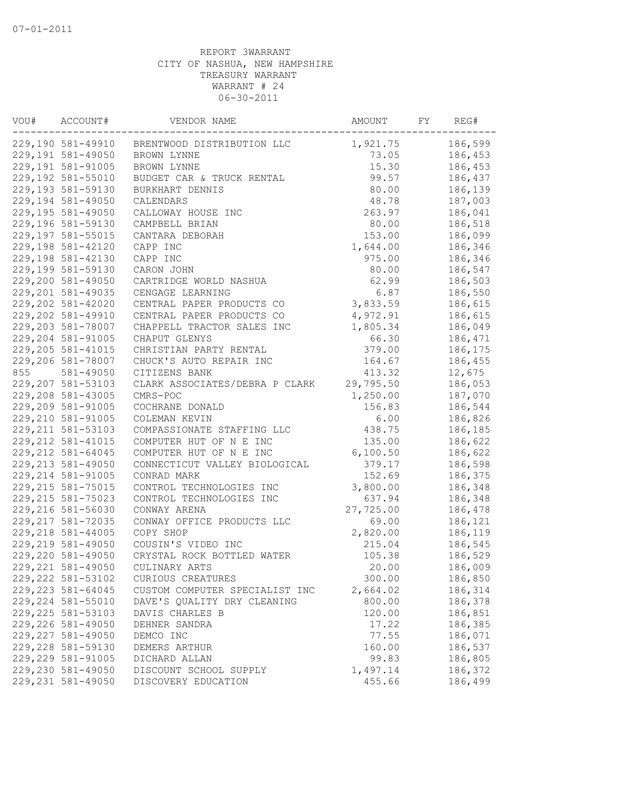| VOU# | ACCOUNT#<br>VENDOR NAME |                                | AMOUNT    | FY | REG#    |
|------|-------------------------|--------------------------------|-----------|----|---------|
|      | 229,190 581-49910       | BRENTWOOD DISTRIBUTION LLC     | 1,921.75  |    | 186,599 |
|      | 229,191 581-49050       | BROWN LYNNE                    | 73.05     |    | 186,453 |
|      | 229,191 581-91005       | BROWN LYNNE                    | 15.30     |    | 186,453 |
|      | 229,192 581-55010       | BUDGET CAR & TRUCK RENTAL      | 99.57     |    | 186,437 |
|      | 229,193 581-59130       | BURKHART DENNIS                | 80.00     |    | 186,139 |
|      | 229,194 581-49050       | CALENDARS                      | 48.78     |    | 187,003 |
|      | 229,195 581-49050       | CALLOWAY HOUSE INC             | 263.97    |    | 186,041 |
|      | 229,196 581-59130       | CAMPBELL BRIAN                 | 80.00     |    | 186,518 |
|      | 229,197 581-55015       | CANTARA DEBORAH                | 153.00    |    | 186,099 |
|      | 229,198 581-42120       | CAPP INC                       | 1,644.00  |    | 186,346 |
|      | 229,198 581-42130       | CAPP INC                       | 975.00    |    | 186,346 |
|      | 229,199 581-59130       | CARON JOHN                     | 80.00     |    | 186,547 |
|      | 229,200 581-49050       | CARTRIDGE WORLD NASHUA         | 62.99     |    | 186,503 |
|      | 229, 201 581-49035      | CENGAGE LEARNING               | 6.87      |    | 186,550 |
|      | 229,202 581-42020       | CENTRAL PAPER PRODUCTS CO      | 3,833.59  |    | 186,615 |
|      | 229,202 581-49910       | CENTRAL PAPER PRODUCTS CO      | 4,972.91  |    | 186,615 |
|      | 229,203 581-78007       | CHAPPELL TRACTOR SALES INC     | 1,805.34  |    | 186,049 |
|      | 229,204 581-91005       | CHAPUT GLENYS                  | 66.30     |    | 186,471 |
|      | 229, 205 581-41015      | CHRISTIAN PARTY RENTAL         | 379.00    |    | 186,175 |
|      | 229,206 581-78007       | CHUCK'S AUTO REPAIR INC        | 164.67    |    | 186,455 |
| 855  | 581-49050               | CITIZENS BANK                  | 413.32    |    | 12,675  |
|      | 229, 207 581-53103      | CLARK ASSOCIATES/DEBRA P CLARK | 29,795.50 |    | 186,053 |
|      | 229,208 581-43005       | CMRS-POC                       | 1,250.00  |    | 187,070 |
|      | 229,209 581-91005       | COCHRANE DONALD                | 156.83    |    | 186,544 |
|      | 229, 210 581-91005      | COLEMAN KEVIN                  | 6.00      |    | 186,826 |
|      | 229, 211 581-53103      |                                | 438.75    |    | 186,185 |
|      | 229, 212 581-41015      | COMPASSIONATE STAFFING LLC     |           |    |         |
|      |                         | COMPUTER HUT OF N E INC        | 135.00    |    | 186,622 |
|      | 229, 212 581-64045      | COMPUTER HUT OF N E INC        | 6,100.50  |    | 186,622 |
|      | 229, 213 581-49050      | CONNECTICUT VALLEY BIOLOGICAL  | 379.17    |    | 186,598 |
|      | 229, 214 581-91005      | CONRAD MARK                    | 152.69    |    | 186,375 |
|      | 229, 215 581-75015      | CONTROL TECHNOLOGIES INC       | 3,800.00  |    | 186,348 |
|      | 229, 215 581-75023      | CONTROL TECHNOLOGIES INC       | 637.94    |    | 186,348 |
|      | 229, 216 581-56030      | CONWAY ARENA                   | 27,725.00 |    | 186,478 |
|      | 229, 217 581-72035      | CONWAY OFFICE PRODUCTS LLC     | 69.00     |    | 186,121 |
|      | 229, 218 581-44005      | COPY SHOP                      | 2,820.00  |    | 186,119 |
|      | 229, 219 581-49050      | COUSIN'S VIDEO INC             | 215.04    |    | 186,545 |
|      | 229,220 581-49050       | CRYSTAL ROCK BOTTLED WATER     | 105.38    |    | 186,529 |
|      | 229, 221 581-49050      | CULINARY ARTS                  | 20.00     |    | 186,009 |
|      | 229, 222 581-53102      | CURIOUS CREATURES              | 300.00    |    | 186,850 |
|      | 229, 223 581-64045      | CUSTOM COMPUTER SPECIALIST INC | 2,664.02  |    | 186,314 |
|      | 229, 224 581-55010      | DAVE'S QUALITY DRY CLEANING    | 800.00    |    | 186,378 |
|      | 229, 225 581-53103      | DAVIS CHARLES B                | 120.00    |    | 186,851 |
|      | 229, 226 581-49050      | DEHNER SANDRA                  | 17.22     |    | 186,385 |
|      | 229, 227 581-49050      | DEMCO INC                      | 77.55     |    | 186,071 |
|      | 229, 228 581-59130      | DEMERS ARTHUR                  | 160.00    |    | 186,537 |
|      | 229, 229 581-91005      | DICHARD ALLAN                  | 99.83     |    | 186,805 |
|      | 229,230 581-49050       | DISCOUNT SCHOOL SUPPLY         | 1,497.14  |    | 186,372 |
|      | 229, 231 581-49050      | DISCOVERY EDUCATION            | 455.66    |    | 186,499 |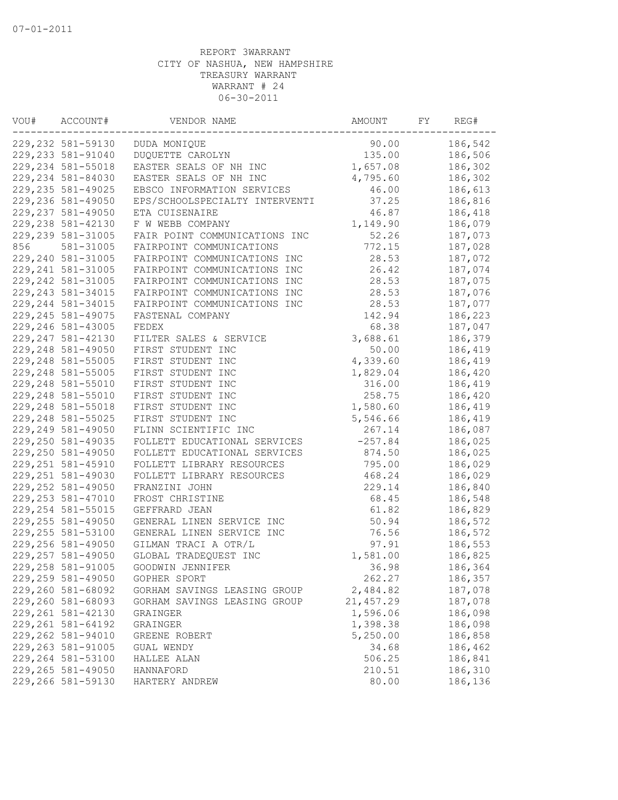| VOU# | ACCOUNT#<br>VENDOR NAME |                                | AMOUNT     | FY | REG#    |
|------|-------------------------|--------------------------------|------------|----|---------|
|      | 229, 232 581-59130      | DUDA MONIQUE                   | 90.00      |    | 186,542 |
|      | 229, 233 581-91040      | DUQUETTE CAROLYN               | 135.00     |    | 186,506 |
|      | 229, 234 581-55018      | EASTER SEALS OF NH INC         | 1,657.08   |    | 186,302 |
|      | 229, 234 581-84030      | EASTER SEALS OF NH INC         | 4,795.60   |    | 186,302 |
|      | 229, 235 581-49025      | EBSCO INFORMATION SERVICES     | 46.00      |    | 186,613 |
|      | 229,236 581-49050       | EPS/SCHOOLSPECIALTY INTERVENTI | 37.25      |    | 186,816 |
|      | 229, 237 581-49050      | ETA CUISENAIRE                 | 46.87      |    | 186,418 |
|      | 229, 238 581-42130      | F W WEBB COMPANY               | 1,149.90   |    | 186,079 |
|      | 229, 239 581-31005      | FAIR POINT COMMUNICATIONS INC  | 52.26      |    | 187,073 |
| 856  | 581-31005               | FAIRPOINT COMMUNICATIONS       | 772.15     |    | 187,028 |
|      | 229, 240 581-31005      | FAIRPOINT COMMUNICATIONS INC   | 28.53      |    | 187,072 |
|      | 229, 241 581-31005      | FAIRPOINT COMMUNICATIONS INC   | 26.42      |    | 187,074 |
|      | 229, 242 581-31005      | FAIRPOINT COMMUNICATIONS INC   | 28.53      |    | 187,075 |
|      | 229, 243 581-34015      | FAIRPOINT COMMUNICATIONS INC   | 28.53      |    | 187,076 |
|      | 229, 244 581-34015      | FAIRPOINT COMMUNICATIONS INC   | 28.53      |    | 187,077 |
|      | 229, 245 581-49075      | FASTENAL COMPANY               | 142.94     |    | 186,223 |
|      | 229, 246 581-43005      | FEDEX                          | 68.38      |    | 187,047 |
|      | 229, 247 581-42130      | FILTER SALES & SERVICE         | 3,688.61   |    | 186,379 |
|      | 229, 248 581-49050      | FIRST STUDENT INC              | 50.00      |    | 186,419 |
|      | 229, 248 581-55005      | FIRST STUDENT INC              | 4,339.60   |    | 186,419 |
|      | 229, 248 581-55005      | FIRST STUDENT INC              | 1,829.04   |    | 186,420 |
|      | 229, 248 581-55010      | FIRST STUDENT INC              | 316.00     |    | 186,419 |
|      | 229, 248 581-55010      | FIRST STUDENT INC              | 258.75     |    | 186,420 |
|      | 229, 248 581-55018      | FIRST STUDENT INC              | 1,580.60   |    | 186,419 |
|      | 229, 248 581-55025      | FIRST STUDENT INC              | 5,546.66   |    | 186,419 |
|      | 229, 249 581-49050      | FLINN SCIENTIFIC INC           | 267.14     |    | 186,087 |
|      | 229,250 581-49035       | FOLLETT EDUCATIONAL SERVICES   | $-257.84$  |    | 186,025 |
|      | 229,250 581-49050       | FOLLETT EDUCATIONAL SERVICES   | 874.50     |    | 186,025 |
|      | 229, 251 581-45910      |                                | 795.00     |    | 186,029 |
|      | 229, 251 581-49030      | FOLLETT LIBRARY RESOURCES      | 468.24     |    | 186,029 |
|      |                         | FOLLETT LIBRARY RESOURCES      | 229.14     |    | 186,840 |
|      | 229, 252 581-49050      | FRANZINI JOHN                  |            |    |         |
|      | 229, 253 581-47010      | FROST CHRISTINE                | 68.45      |    | 186,548 |
|      | 229, 254 581-55015      | GEFFRARD JEAN                  | 61.82      |    | 186,829 |
|      | 229, 255 581-49050      | GENERAL LINEN SERVICE INC      | 50.94      |    | 186,572 |
|      | 229, 255 581-53100      | GENERAL LINEN SERVICE INC      | 76.56      |    | 186,572 |
|      | 229, 256 581-49050      | GILMAN TRACI A OTR/L           | 97.91      |    | 186,553 |
|      | 229, 257 581-49050      | GLOBAL TRADEQUEST INC          | 1,581.00   |    | 186,825 |
|      | 229, 258 581-91005      | GOODWIN JENNIFER               | 36.98      |    | 186,364 |
|      | 229,259 581-49050       | GOPHER SPORT                   | 262.27     |    | 186,357 |
|      | 229,260 581-68092       | GORHAM SAVINGS LEASING GROUP   | 2,484.82   |    | 187,078 |
|      | 229,260 581-68093       | GORHAM SAVINGS LEASING GROUP   | 21, 457.29 |    | 187,078 |
|      | 229, 261 581-42130      | GRAINGER                       | 1,596.06   |    | 186,098 |
|      | 229, 261 581-64192      | GRAINGER                       | 1,398.38   |    | 186,098 |
|      | 229,262 581-94010       | GREENE ROBERT                  | 5,250.00   |    | 186,858 |
|      | 229, 263 581-91005      | GUAL WENDY                     | 34.68      |    | 186,462 |
|      | 229,264 581-53100       | HALLEE ALAN                    | 506.25     |    | 186,841 |
|      | 229, 265 581-49050      | HANNAFORD                      | 210.51     |    | 186,310 |
|      | 229,266 581-59130       | HARTERY ANDREW                 | 80.00      |    | 186,136 |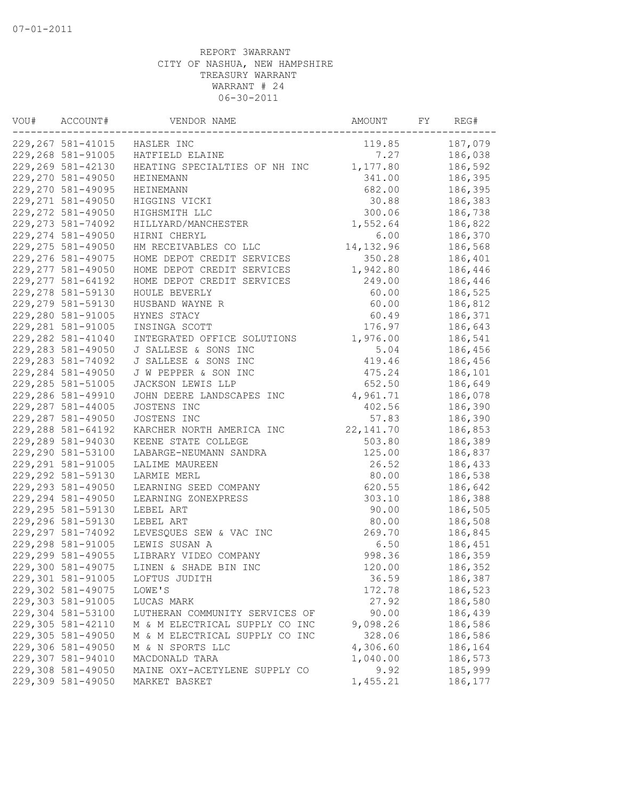| VOU# | ACCOUNT#           | VENDOR NAME                    |            | FY | REG#    |
|------|--------------------|--------------------------------|------------|----|---------|
|      | 229, 267 581-41015 | HASLER INC                     | 119.85     |    | 187,079 |
|      | 229,268 581-91005  | HATFIELD ELAINE                | 7.27       |    | 186,038 |
|      | 229,269 581-42130  | HEATING SPECIALTIES OF NH INC  | 1,177.80   |    | 186,592 |
|      | 229, 270 581-49050 | <b>HEINEMANN</b>               | 341.00     |    | 186,395 |
|      | 229, 270 581-49095 | HEINEMANN                      | 682.00     |    | 186,395 |
|      | 229, 271 581-49050 | HIGGINS VICKI                  | 30.88      |    | 186,383 |
|      | 229, 272 581-49050 | HIGHSMITH LLC                  | 300.06     |    | 186,738 |
|      | 229, 273 581-74092 | HILLYARD/MANCHESTER            | 1,552.64   |    | 186,822 |
|      | 229, 274 581-49050 | HIRNI CHERYL                   | 6.00       |    | 186,370 |
|      | 229, 275 581-49050 | HM RECEIVABLES CO LLC          | 14, 132.96 |    | 186,568 |
|      | 229, 276 581-49075 | HOME DEPOT CREDIT SERVICES     | 350.28     |    | 186,401 |
|      | 229, 277 581-49050 | HOME DEPOT CREDIT SERVICES     | 1,942.80   |    | 186,446 |
|      | 229, 277 581-64192 | HOME DEPOT CREDIT SERVICES     | 249.00     |    | 186,446 |
|      | 229, 278 581-59130 | HOULE BEVERLY                  | 60.00      |    | 186,525 |
|      | 229, 279 581-59130 | HUSBAND WAYNE R                | 60.00      |    | 186,812 |
|      | 229,280 581-91005  | HYNES STACY                    | 60.49      |    | 186,371 |
|      | 229, 281 581-91005 | INSINGA SCOTT                  | 176.97     |    | 186,643 |
|      | 229, 282 581-41040 | INTEGRATED OFFICE SOLUTIONS    | 1,976.00   |    | 186,541 |
|      | 229, 283 581-49050 | J SALLESE & SONS INC           | 5.04       |    | 186,456 |
|      | 229, 283 581-74092 | J SALLESE & SONS INC           | 419.46     |    | 186,456 |
|      | 229,284 581-49050  | J W PEPPER & SON INC           | 475.24     |    | 186,101 |
|      | 229, 285 581-51005 | JACKSON LEWIS LLP              | 652.50     |    | 186,649 |
|      | 229,286 581-49910  | JOHN DEERE LANDSCAPES INC      | 4,961.71   |    | 186,078 |
|      | 229, 287 581-44005 | JOSTENS INC                    | 402.56     |    | 186,390 |
|      | 229,287 581-49050  | JOSTENS INC                    | 57.83      |    | 186,390 |
|      | 229, 288 581-64192 | KARCHER NORTH AMERICA INC      | 22, 141.70 |    | 186,853 |
|      | 229,289 581-94030  | KEENE STATE COLLEGE            | 503.80     |    | 186,389 |
|      | 229,290 581-53100  | LABARGE-NEUMANN SANDRA         | 125.00     |    | 186,837 |
|      | 229, 291 581-91005 | LALIME MAUREEN                 | 26.52      |    | 186,433 |
|      | 229, 292 581-59130 | LARMIE MERL                    | 80.00      |    | 186,538 |
|      | 229, 293 581-49050 | LEARNING SEED COMPANY          | 620.55     |    | 186,642 |
|      | 229, 294 581-49050 | LEARNING ZONEXPRESS            | 303.10     |    | 186,388 |
|      | 229, 295 581-59130 | LEBEL ART                      | 90.00      |    | 186,505 |
|      | 229,296 581-59130  | LEBEL ART                      | 80.00      |    | 186,508 |
|      | 229, 297 581-74092 | LEVESQUES SEW & VAC INC        | 269.70     |    | 186,845 |
|      | 229,298 581-91005  | LEWIS SUSAN A                  | 6.50       |    | 186,451 |
|      | 229,299 581-49055  | LIBRARY VIDEO COMPANY          | 998.36     |    | 186,359 |
|      | 229,300 581-49075  | LINEN & SHADE BIN INC          | 120.00     |    | 186,352 |
|      | 229,301 581-91005  | LOFTUS JUDITH                  | 36.59      |    | 186,387 |
|      | 229,302 581-49075  | LOWE'S                         | 172.78     |    | 186,523 |
|      | 229,303 581-91005  | LUCAS MARK                     | 27.92      |    | 186,580 |
|      | 229,304 581-53100  | LUTHERAN COMMUNITY SERVICES OF | 90.00      |    | 186,439 |
|      | 229,305 581-42110  | M & M ELECTRICAL SUPPLY CO INC | 9,098.26   |    | 186,586 |
|      | 229,305 581-49050  | M & M ELECTRICAL SUPPLY CO INC | 328.06     |    | 186,586 |
|      | 229,306 581-49050  | M & N SPORTS LLC               | 4,306.60   |    | 186,164 |
|      | 229,307 581-94010  | MACDONALD TARA                 | 1,040.00   |    | 186,573 |
|      | 229,308 581-49050  | MAINE OXY-ACETYLENE SUPPLY CO  | 9.92       |    | 185,999 |
|      | 229,309 581-49050  | MARKET BASKET                  | 1,455.21   |    | 186,177 |
|      |                    |                                |            |    |         |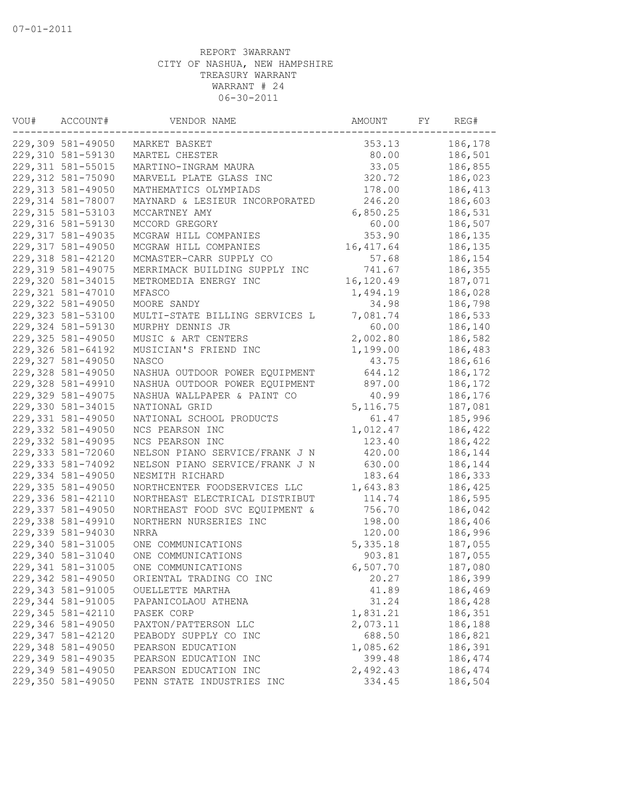| VOU# | ACCOUNT#<br>VENDOR NAME |                                | AMOUNT             | FY | REG#    |
|------|-------------------------|--------------------------------|--------------------|----|---------|
|      | 229,309 581-49050       | MARKET BASKET                  | 353.13             |    | 186,178 |
|      | 229,310 581-59130       | MARTEL CHESTER                 | 80.00              |    | 186,501 |
|      | 229, 311 581-55015      | MARTINO-INGRAM MAURA           | 33.05              |    | 186,855 |
|      | 229, 312 581-75090      | MARVELL PLATE GLASS INC        | 320.72             |    | 186,023 |
|      | 229, 313 581-49050      | MATHEMATICS OLYMPIADS          | 178.00             |    | 186,413 |
|      | 229, 314 581-78007      | MAYNARD & LESIEUR INCORPORATED | 246.20             |    | 186,603 |
|      | 229, 315 581-53103      | MCCARTNEY AMY                  | 6,850.25           |    | 186,531 |
|      | 229, 316 581-59130      | MCCORD GREGORY                 | 60.00              |    | 186,507 |
|      | 229, 317 581-49035      | MCGRAW HILL COMPANIES          | 353.90             |    | 186,135 |
|      | 229, 317 581-49050      | MCGRAW HILL COMPANIES          | 16, 417.64         |    | 186,135 |
|      | 229,318 581-42120       | MCMASTER-CARR SUPPLY CO        | 57.68              |    | 186,154 |
|      | 229, 319 581-49075      | MERRIMACK BUILDING SUPPLY INC  | 741.67             |    | 186,355 |
|      | 229,320 581-34015       | METROMEDIA ENERGY INC          | 16,120.49          |    | 187,071 |
|      | 229, 321 581-47010      | MFASCO                         | 1,494.19           |    | 186,028 |
|      | 229,322 581-49050       | MOORE SANDY                    | 34.98              |    | 186,798 |
|      | 229, 323 581-53100      | MULTI-STATE BILLING SERVICES L | 7,081.74           |    | 186,533 |
|      | 229, 324 581-59130      | MURPHY DENNIS JR               | 60.00              |    | 186,140 |
|      | 229, 325 581-49050      | MUSIC & ART CENTERS            | 2,002.80           |    | 186,582 |
|      | 229,326 581-64192       | MUSICIAN'S FRIEND INC          | 1,199.00           |    | 186,483 |
|      | 229,327 581-49050       | <b>NASCO</b>                   | 43.75              |    | 186,616 |
|      | 229,328 581-49050       | NASHUA OUTDOOR POWER EQUIPMENT | 644.12             |    | 186,172 |
|      | 229,328 581-49910       | NASHUA OUTDOOR POWER EQUIPMENT | 897.00             |    | 186,172 |
|      | 229,329 581-49075       | NASHUA WALLPAPER & PAINT CO    | 40.99              |    | 186,176 |
|      | 229,330 581-34015       | NATIONAL GRID                  | 5, 116.75          |    | 187,081 |
|      | 229,331 581-49050       | NATIONAL SCHOOL PRODUCTS       | 61.47              |    | 185,996 |
|      | 229,332 581-49050       | NCS PEARSON INC                | 1,012.47           |    | 186,422 |
|      | 229,332 581-49095       | NCS PEARSON INC                | 123.40             |    | 186,422 |
|      | 229,333 581-72060       | NELSON PIANO SERVICE/FRANK J N | 420.00             |    | 186,144 |
|      | 229, 333 581-74092      | NELSON PIANO SERVICE/FRANK J N | 630.00             |    | 186,144 |
|      | 229,334 581-49050       | NESMITH RICHARD                | 183.64             |    | 186,333 |
|      | 229,335 581-49050       | NORTHCENTER FOODSERVICES LLC   | 1,643.83           |    | 186,425 |
|      | 229,336 581-42110       | NORTHEAST ELECTRICAL DISTRIBUT | 114.74             |    | 186,595 |
|      | 229,337 581-49050       | NORTHEAST FOOD SVC EQUIPMENT & | 756.70             |    | 186,042 |
|      | 229,338 581-49910       | NORTHERN NURSERIES INC         | 198.00             |    | 186,406 |
|      | 229,339 581-94030       | NRRA                           | 120.00             |    | 186,996 |
|      | 229,340 581-31005       |                                |                    |    |         |
|      |                         | ONE COMMUNICATIONS             | 5,335.18<br>903.81 |    | 187,055 |
|      | 229,340 581-31040       | ONE COMMUNICATIONS             |                    |    | 187,055 |
|      | 229,341 581-31005       | ONE COMMUNICATIONS             | 6,507.70           |    | 187,080 |
|      | 229,342 581-49050       | ORIENTAL TRADING CO INC        | 20.27              |    | 186,399 |
|      | 229, 343 581-91005      | OUELLETTE MARTHA               | 41.89              |    | 186,469 |
|      | 229,344 581-91005       | PAPANICOLAOU ATHENA            | 31.24              |    | 186,428 |
|      | 229,345 581-42110       | PASEK CORP                     | 1,831.21           |    | 186,351 |
|      | 229,346 581-49050       | PAXTON/PATTERSON LLC           | 2,073.11           |    | 186,188 |
|      | 229,347 581-42120       | PEABODY SUPPLY CO INC          | 688.50             |    | 186,821 |
|      | 229,348 581-49050       | PEARSON EDUCATION              | 1,085.62           |    | 186,391 |
|      | 229,349 581-49035       | PEARSON EDUCATION INC          | 399.48             |    | 186,474 |
|      | 229,349 581-49050       | PEARSON EDUCATION INC          | 2,492.43           |    | 186,474 |
|      | 229,350 581-49050       | PENN STATE INDUSTRIES INC      | 334.45             |    | 186,504 |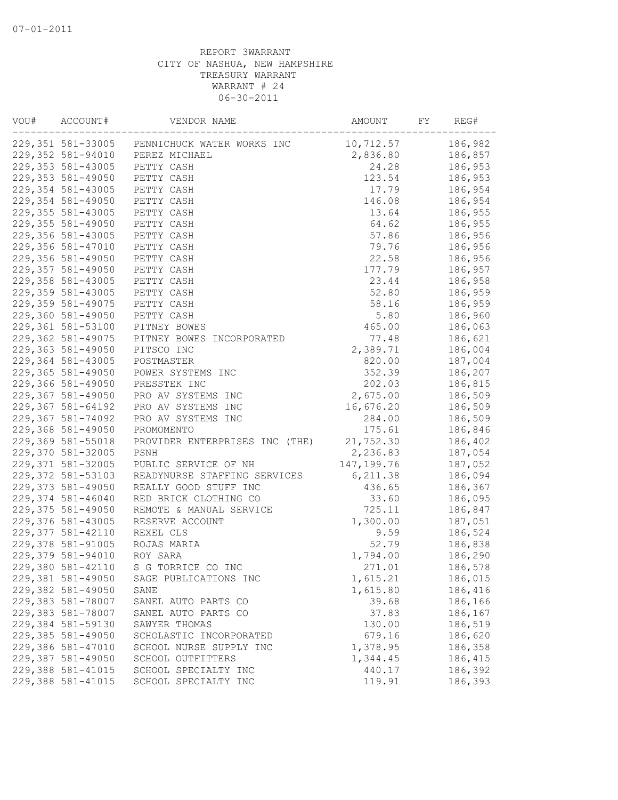| 229,351 581-33005 PENNICHUCK WATER WORKS INC<br>186,982<br>10,712.57<br>229,352 581-94010<br>PEREZ MICHAEL<br>2,836.80<br>186,857<br>229,353 581-43005<br>PETTY CASH<br>186,953<br>24.28<br>229,353 581-49050<br>PETTY CASH<br>123.54<br>186,953<br>229,354 581-43005<br>PETTY CASH<br>17.79<br>186,954<br>229,354 581-49050<br>146.08<br>PETTY CASH<br>186,954<br>229, 355 581-43005<br>186,955<br>PETTY CASH<br>13.64<br>229, 355 581-49050<br>64.62<br>PETTY CASH<br>186,955<br>229,356 581-43005<br>57.86<br>186,956<br>PETTY CASH<br>229,356 581-47010<br>PETTY CASH<br>79.76<br>186,956<br>229,356 581-49050<br>PETTY CASH<br>22.58<br>186,956<br>229,357 581-49050<br>PETTY CASH<br>177.79<br>186,957<br>229,358 581-43005<br>PETTY CASH<br>23.44<br>186,958<br>229,359 581-43005<br>52.80<br>186,959<br>PETTY CASH<br>229,359 581-49075<br>PETTY CASH<br>58.16<br>186,959<br>229,360 581-49050<br>PETTY CASH<br>5.80<br>186,960<br>229,361 581-53100<br>465.00<br>186,063<br>PITNEY BOWES<br>229,362 581-49075<br>77.48<br>186,621<br>PITNEY BOWES INCORPORATED<br>229,363 581-49050<br>2,389.71<br>PITSCO INC<br>186,004<br>229,364 581-43005<br>POSTMASTER<br>820.00<br>187,004<br>229,365 581-49050<br>POWER SYSTEMS INC<br>352.39<br>186,207<br>229,366 581-49050<br>PRESSTEK INC<br>202.03<br>186,815<br>229,367 581-49050<br>PRO AV SYSTEMS INC<br>2,675.00<br>186,509<br>229,367 581-64192<br>16,676.20<br>186,509<br>PRO AV SYSTEMS INC<br>229,367 581-74092<br>186,509<br>PRO AV SYSTEMS INC<br>284.00<br>229,368 581-49050<br>175.61<br>186,846<br>PROMOMENTO<br>229,369 581-55018<br>PROVIDER ENTERPRISES INC (THE)<br>21,752.30<br>186,402<br>229,370 581-32005<br>2,236.83<br>187,054<br>PSNH<br>229,371 581-32005<br>PUBLIC SERVICE OF NH<br>147, 199. 76<br>187,052<br>229,372 581-53103<br>READYNURSE STAFFING SERVICES<br>6, 211.38<br>186,094<br>229,373 581-49050<br>REALLY GOOD STUFF INC<br>436.65<br>186,367<br>229,374 581-46040<br>RED BRICK CLOTHING CO<br>33.60<br>186,095<br>725.11<br>229,375 581-49050<br>REMOTE & MANUAL SERVICE<br>186,847<br>229,376 581-43005<br>1,300.00<br>187,051<br>RESERVE ACCOUNT<br>229,377 581-42110<br>REXEL CLS<br>9.59<br>186,524<br>229,378 581-91005<br>ROJAS MARIA<br>52.79<br>186,838<br>229,379 581-94010<br>ROY SARA<br>1,794.00<br>186,290<br>229,380 581-42110<br>S G TORRICE CO INC<br>271.01<br>186,578<br>229,381 581-49050<br>1,615.21<br>186,015<br>SAGE PUBLICATIONS INC<br>229,382 581-49050<br>1,615.80<br>186,416<br>SANE<br>229,383 581-78007<br>39.68<br>186,166<br>SANEL AUTO PARTS CO<br>229,383 581-78007<br>37.83<br>186,167<br>SANEL AUTO PARTS CO<br>229,384 581-59130<br>186,519<br>SAWYER THOMAS<br>130.00<br>229,385 581-49050<br>679.16<br>186,620<br>SCHOLASTIC INCORPORATED<br>229,386 581-47010<br>1,378.95<br>186,358<br>SCHOOL NURSE SUPPLY INC<br>229,387 581-49050<br>1,344.45<br>186,415<br>SCHOOL OUTFITTERS<br>229,388 581-41015<br>186,392<br>SCHOOL SPECIALTY INC<br>440.17<br>229,388 581-41015<br>186,393<br>SCHOOL SPECIALTY INC<br>119.91 | VOU# | ACCOUNT#<br>VENDOR NAME |  | AMOUNT | FY | REG# |
|------------------------------------------------------------------------------------------------------------------------------------------------------------------------------------------------------------------------------------------------------------------------------------------------------------------------------------------------------------------------------------------------------------------------------------------------------------------------------------------------------------------------------------------------------------------------------------------------------------------------------------------------------------------------------------------------------------------------------------------------------------------------------------------------------------------------------------------------------------------------------------------------------------------------------------------------------------------------------------------------------------------------------------------------------------------------------------------------------------------------------------------------------------------------------------------------------------------------------------------------------------------------------------------------------------------------------------------------------------------------------------------------------------------------------------------------------------------------------------------------------------------------------------------------------------------------------------------------------------------------------------------------------------------------------------------------------------------------------------------------------------------------------------------------------------------------------------------------------------------------------------------------------------------------------------------------------------------------------------------------------------------------------------------------------------------------------------------------------------------------------------------------------------------------------------------------------------------------------------------------------------------------------------------------------------------------------------------------------------------------------------------------------------------------------------------------------------------------------------------------------------------------------------------------------------------------------------------------------------------------------------------------------------------------------------------------------------------------------------------------------------------------------------------------------------------------------------------------------------------------------------------------------------------------------------------------------------------------------------------------------------------------------------------------------------|------|-------------------------|--|--------|----|------|
|                                                                                                                                                                                                                                                                                                                                                                                                                                                                                                                                                                                                                                                                                                                                                                                                                                                                                                                                                                                                                                                                                                                                                                                                                                                                                                                                                                                                                                                                                                                                                                                                                                                                                                                                                                                                                                                                                                                                                                                                                                                                                                                                                                                                                                                                                                                                                                                                                                                                                                                                                                                                                                                                                                                                                                                                                                                                                                                                                                                                                                                            |      |                         |  |        |    |      |
|                                                                                                                                                                                                                                                                                                                                                                                                                                                                                                                                                                                                                                                                                                                                                                                                                                                                                                                                                                                                                                                                                                                                                                                                                                                                                                                                                                                                                                                                                                                                                                                                                                                                                                                                                                                                                                                                                                                                                                                                                                                                                                                                                                                                                                                                                                                                                                                                                                                                                                                                                                                                                                                                                                                                                                                                                                                                                                                                                                                                                                                            |      |                         |  |        |    |      |
|                                                                                                                                                                                                                                                                                                                                                                                                                                                                                                                                                                                                                                                                                                                                                                                                                                                                                                                                                                                                                                                                                                                                                                                                                                                                                                                                                                                                                                                                                                                                                                                                                                                                                                                                                                                                                                                                                                                                                                                                                                                                                                                                                                                                                                                                                                                                                                                                                                                                                                                                                                                                                                                                                                                                                                                                                                                                                                                                                                                                                                                            |      |                         |  |        |    |      |
|                                                                                                                                                                                                                                                                                                                                                                                                                                                                                                                                                                                                                                                                                                                                                                                                                                                                                                                                                                                                                                                                                                                                                                                                                                                                                                                                                                                                                                                                                                                                                                                                                                                                                                                                                                                                                                                                                                                                                                                                                                                                                                                                                                                                                                                                                                                                                                                                                                                                                                                                                                                                                                                                                                                                                                                                                                                                                                                                                                                                                                                            |      |                         |  |        |    |      |
|                                                                                                                                                                                                                                                                                                                                                                                                                                                                                                                                                                                                                                                                                                                                                                                                                                                                                                                                                                                                                                                                                                                                                                                                                                                                                                                                                                                                                                                                                                                                                                                                                                                                                                                                                                                                                                                                                                                                                                                                                                                                                                                                                                                                                                                                                                                                                                                                                                                                                                                                                                                                                                                                                                                                                                                                                                                                                                                                                                                                                                                            |      |                         |  |        |    |      |
|                                                                                                                                                                                                                                                                                                                                                                                                                                                                                                                                                                                                                                                                                                                                                                                                                                                                                                                                                                                                                                                                                                                                                                                                                                                                                                                                                                                                                                                                                                                                                                                                                                                                                                                                                                                                                                                                                                                                                                                                                                                                                                                                                                                                                                                                                                                                                                                                                                                                                                                                                                                                                                                                                                                                                                                                                                                                                                                                                                                                                                                            |      |                         |  |        |    |      |
|                                                                                                                                                                                                                                                                                                                                                                                                                                                                                                                                                                                                                                                                                                                                                                                                                                                                                                                                                                                                                                                                                                                                                                                                                                                                                                                                                                                                                                                                                                                                                                                                                                                                                                                                                                                                                                                                                                                                                                                                                                                                                                                                                                                                                                                                                                                                                                                                                                                                                                                                                                                                                                                                                                                                                                                                                                                                                                                                                                                                                                                            |      |                         |  |        |    |      |
|                                                                                                                                                                                                                                                                                                                                                                                                                                                                                                                                                                                                                                                                                                                                                                                                                                                                                                                                                                                                                                                                                                                                                                                                                                                                                                                                                                                                                                                                                                                                                                                                                                                                                                                                                                                                                                                                                                                                                                                                                                                                                                                                                                                                                                                                                                                                                                                                                                                                                                                                                                                                                                                                                                                                                                                                                                                                                                                                                                                                                                                            |      |                         |  |        |    |      |
|                                                                                                                                                                                                                                                                                                                                                                                                                                                                                                                                                                                                                                                                                                                                                                                                                                                                                                                                                                                                                                                                                                                                                                                                                                                                                                                                                                                                                                                                                                                                                                                                                                                                                                                                                                                                                                                                                                                                                                                                                                                                                                                                                                                                                                                                                                                                                                                                                                                                                                                                                                                                                                                                                                                                                                                                                                                                                                                                                                                                                                                            |      |                         |  |        |    |      |
|                                                                                                                                                                                                                                                                                                                                                                                                                                                                                                                                                                                                                                                                                                                                                                                                                                                                                                                                                                                                                                                                                                                                                                                                                                                                                                                                                                                                                                                                                                                                                                                                                                                                                                                                                                                                                                                                                                                                                                                                                                                                                                                                                                                                                                                                                                                                                                                                                                                                                                                                                                                                                                                                                                                                                                                                                                                                                                                                                                                                                                                            |      |                         |  |        |    |      |
|                                                                                                                                                                                                                                                                                                                                                                                                                                                                                                                                                                                                                                                                                                                                                                                                                                                                                                                                                                                                                                                                                                                                                                                                                                                                                                                                                                                                                                                                                                                                                                                                                                                                                                                                                                                                                                                                                                                                                                                                                                                                                                                                                                                                                                                                                                                                                                                                                                                                                                                                                                                                                                                                                                                                                                                                                                                                                                                                                                                                                                                            |      |                         |  |        |    |      |
|                                                                                                                                                                                                                                                                                                                                                                                                                                                                                                                                                                                                                                                                                                                                                                                                                                                                                                                                                                                                                                                                                                                                                                                                                                                                                                                                                                                                                                                                                                                                                                                                                                                                                                                                                                                                                                                                                                                                                                                                                                                                                                                                                                                                                                                                                                                                                                                                                                                                                                                                                                                                                                                                                                                                                                                                                                                                                                                                                                                                                                                            |      |                         |  |        |    |      |
|                                                                                                                                                                                                                                                                                                                                                                                                                                                                                                                                                                                                                                                                                                                                                                                                                                                                                                                                                                                                                                                                                                                                                                                                                                                                                                                                                                                                                                                                                                                                                                                                                                                                                                                                                                                                                                                                                                                                                                                                                                                                                                                                                                                                                                                                                                                                                                                                                                                                                                                                                                                                                                                                                                                                                                                                                                                                                                                                                                                                                                                            |      |                         |  |        |    |      |
|                                                                                                                                                                                                                                                                                                                                                                                                                                                                                                                                                                                                                                                                                                                                                                                                                                                                                                                                                                                                                                                                                                                                                                                                                                                                                                                                                                                                                                                                                                                                                                                                                                                                                                                                                                                                                                                                                                                                                                                                                                                                                                                                                                                                                                                                                                                                                                                                                                                                                                                                                                                                                                                                                                                                                                                                                                                                                                                                                                                                                                                            |      |                         |  |        |    |      |
|                                                                                                                                                                                                                                                                                                                                                                                                                                                                                                                                                                                                                                                                                                                                                                                                                                                                                                                                                                                                                                                                                                                                                                                                                                                                                                                                                                                                                                                                                                                                                                                                                                                                                                                                                                                                                                                                                                                                                                                                                                                                                                                                                                                                                                                                                                                                                                                                                                                                                                                                                                                                                                                                                                                                                                                                                                                                                                                                                                                                                                                            |      |                         |  |        |    |      |
|                                                                                                                                                                                                                                                                                                                                                                                                                                                                                                                                                                                                                                                                                                                                                                                                                                                                                                                                                                                                                                                                                                                                                                                                                                                                                                                                                                                                                                                                                                                                                                                                                                                                                                                                                                                                                                                                                                                                                                                                                                                                                                                                                                                                                                                                                                                                                                                                                                                                                                                                                                                                                                                                                                                                                                                                                                                                                                                                                                                                                                                            |      |                         |  |        |    |      |
|                                                                                                                                                                                                                                                                                                                                                                                                                                                                                                                                                                                                                                                                                                                                                                                                                                                                                                                                                                                                                                                                                                                                                                                                                                                                                                                                                                                                                                                                                                                                                                                                                                                                                                                                                                                                                                                                                                                                                                                                                                                                                                                                                                                                                                                                                                                                                                                                                                                                                                                                                                                                                                                                                                                                                                                                                                                                                                                                                                                                                                                            |      |                         |  |        |    |      |
|                                                                                                                                                                                                                                                                                                                                                                                                                                                                                                                                                                                                                                                                                                                                                                                                                                                                                                                                                                                                                                                                                                                                                                                                                                                                                                                                                                                                                                                                                                                                                                                                                                                                                                                                                                                                                                                                                                                                                                                                                                                                                                                                                                                                                                                                                                                                                                                                                                                                                                                                                                                                                                                                                                                                                                                                                                                                                                                                                                                                                                                            |      |                         |  |        |    |      |
|                                                                                                                                                                                                                                                                                                                                                                                                                                                                                                                                                                                                                                                                                                                                                                                                                                                                                                                                                                                                                                                                                                                                                                                                                                                                                                                                                                                                                                                                                                                                                                                                                                                                                                                                                                                                                                                                                                                                                                                                                                                                                                                                                                                                                                                                                                                                                                                                                                                                                                                                                                                                                                                                                                                                                                                                                                                                                                                                                                                                                                                            |      |                         |  |        |    |      |
|                                                                                                                                                                                                                                                                                                                                                                                                                                                                                                                                                                                                                                                                                                                                                                                                                                                                                                                                                                                                                                                                                                                                                                                                                                                                                                                                                                                                                                                                                                                                                                                                                                                                                                                                                                                                                                                                                                                                                                                                                                                                                                                                                                                                                                                                                                                                                                                                                                                                                                                                                                                                                                                                                                                                                                                                                                                                                                                                                                                                                                                            |      |                         |  |        |    |      |
|                                                                                                                                                                                                                                                                                                                                                                                                                                                                                                                                                                                                                                                                                                                                                                                                                                                                                                                                                                                                                                                                                                                                                                                                                                                                                                                                                                                                                                                                                                                                                                                                                                                                                                                                                                                                                                                                                                                                                                                                                                                                                                                                                                                                                                                                                                                                                                                                                                                                                                                                                                                                                                                                                                                                                                                                                                                                                                                                                                                                                                                            |      |                         |  |        |    |      |
|                                                                                                                                                                                                                                                                                                                                                                                                                                                                                                                                                                                                                                                                                                                                                                                                                                                                                                                                                                                                                                                                                                                                                                                                                                                                                                                                                                                                                                                                                                                                                                                                                                                                                                                                                                                                                                                                                                                                                                                                                                                                                                                                                                                                                                                                                                                                                                                                                                                                                                                                                                                                                                                                                                                                                                                                                                                                                                                                                                                                                                                            |      |                         |  |        |    |      |
|                                                                                                                                                                                                                                                                                                                                                                                                                                                                                                                                                                                                                                                                                                                                                                                                                                                                                                                                                                                                                                                                                                                                                                                                                                                                                                                                                                                                                                                                                                                                                                                                                                                                                                                                                                                                                                                                                                                                                                                                                                                                                                                                                                                                                                                                                                                                                                                                                                                                                                                                                                                                                                                                                                                                                                                                                                                                                                                                                                                                                                                            |      |                         |  |        |    |      |
|                                                                                                                                                                                                                                                                                                                                                                                                                                                                                                                                                                                                                                                                                                                                                                                                                                                                                                                                                                                                                                                                                                                                                                                                                                                                                                                                                                                                                                                                                                                                                                                                                                                                                                                                                                                                                                                                                                                                                                                                                                                                                                                                                                                                                                                                                                                                                                                                                                                                                                                                                                                                                                                                                                                                                                                                                                                                                                                                                                                                                                                            |      |                         |  |        |    |      |
|                                                                                                                                                                                                                                                                                                                                                                                                                                                                                                                                                                                                                                                                                                                                                                                                                                                                                                                                                                                                                                                                                                                                                                                                                                                                                                                                                                                                                                                                                                                                                                                                                                                                                                                                                                                                                                                                                                                                                                                                                                                                                                                                                                                                                                                                                                                                                                                                                                                                                                                                                                                                                                                                                                                                                                                                                                                                                                                                                                                                                                                            |      |                         |  |        |    |      |
|                                                                                                                                                                                                                                                                                                                                                                                                                                                                                                                                                                                                                                                                                                                                                                                                                                                                                                                                                                                                                                                                                                                                                                                                                                                                                                                                                                                                                                                                                                                                                                                                                                                                                                                                                                                                                                                                                                                                                                                                                                                                                                                                                                                                                                                                                                                                                                                                                                                                                                                                                                                                                                                                                                                                                                                                                                                                                                                                                                                                                                                            |      |                         |  |        |    |      |
|                                                                                                                                                                                                                                                                                                                                                                                                                                                                                                                                                                                                                                                                                                                                                                                                                                                                                                                                                                                                                                                                                                                                                                                                                                                                                                                                                                                                                                                                                                                                                                                                                                                                                                                                                                                                                                                                                                                                                                                                                                                                                                                                                                                                                                                                                                                                                                                                                                                                                                                                                                                                                                                                                                                                                                                                                                                                                                                                                                                                                                                            |      |                         |  |        |    |      |
|                                                                                                                                                                                                                                                                                                                                                                                                                                                                                                                                                                                                                                                                                                                                                                                                                                                                                                                                                                                                                                                                                                                                                                                                                                                                                                                                                                                                                                                                                                                                                                                                                                                                                                                                                                                                                                                                                                                                                                                                                                                                                                                                                                                                                                                                                                                                                                                                                                                                                                                                                                                                                                                                                                                                                                                                                                                                                                                                                                                                                                                            |      |                         |  |        |    |      |
|                                                                                                                                                                                                                                                                                                                                                                                                                                                                                                                                                                                                                                                                                                                                                                                                                                                                                                                                                                                                                                                                                                                                                                                                                                                                                                                                                                                                                                                                                                                                                                                                                                                                                                                                                                                                                                                                                                                                                                                                                                                                                                                                                                                                                                                                                                                                                                                                                                                                                                                                                                                                                                                                                                                                                                                                                                                                                                                                                                                                                                                            |      |                         |  |        |    |      |
|                                                                                                                                                                                                                                                                                                                                                                                                                                                                                                                                                                                                                                                                                                                                                                                                                                                                                                                                                                                                                                                                                                                                                                                                                                                                                                                                                                                                                                                                                                                                                                                                                                                                                                                                                                                                                                                                                                                                                                                                                                                                                                                                                                                                                                                                                                                                                                                                                                                                                                                                                                                                                                                                                                                                                                                                                                                                                                                                                                                                                                                            |      |                         |  |        |    |      |
|                                                                                                                                                                                                                                                                                                                                                                                                                                                                                                                                                                                                                                                                                                                                                                                                                                                                                                                                                                                                                                                                                                                                                                                                                                                                                                                                                                                                                                                                                                                                                                                                                                                                                                                                                                                                                                                                                                                                                                                                                                                                                                                                                                                                                                                                                                                                                                                                                                                                                                                                                                                                                                                                                                                                                                                                                                                                                                                                                                                                                                                            |      |                         |  |        |    |      |
|                                                                                                                                                                                                                                                                                                                                                                                                                                                                                                                                                                                                                                                                                                                                                                                                                                                                                                                                                                                                                                                                                                                                                                                                                                                                                                                                                                                                                                                                                                                                                                                                                                                                                                                                                                                                                                                                                                                                                                                                                                                                                                                                                                                                                                                                                                                                                                                                                                                                                                                                                                                                                                                                                                                                                                                                                                                                                                                                                                                                                                                            |      |                         |  |        |    |      |
|                                                                                                                                                                                                                                                                                                                                                                                                                                                                                                                                                                                                                                                                                                                                                                                                                                                                                                                                                                                                                                                                                                                                                                                                                                                                                                                                                                                                                                                                                                                                                                                                                                                                                                                                                                                                                                                                                                                                                                                                                                                                                                                                                                                                                                                                                                                                                                                                                                                                                                                                                                                                                                                                                                                                                                                                                                                                                                                                                                                                                                                            |      |                         |  |        |    |      |
|                                                                                                                                                                                                                                                                                                                                                                                                                                                                                                                                                                                                                                                                                                                                                                                                                                                                                                                                                                                                                                                                                                                                                                                                                                                                                                                                                                                                                                                                                                                                                                                                                                                                                                                                                                                                                                                                                                                                                                                                                                                                                                                                                                                                                                                                                                                                                                                                                                                                                                                                                                                                                                                                                                                                                                                                                                                                                                                                                                                                                                                            |      |                         |  |        |    |      |
|                                                                                                                                                                                                                                                                                                                                                                                                                                                                                                                                                                                                                                                                                                                                                                                                                                                                                                                                                                                                                                                                                                                                                                                                                                                                                                                                                                                                                                                                                                                                                                                                                                                                                                                                                                                                                                                                                                                                                                                                                                                                                                                                                                                                                                                                                                                                                                                                                                                                                                                                                                                                                                                                                                                                                                                                                                                                                                                                                                                                                                                            |      |                         |  |        |    |      |
|                                                                                                                                                                                                                                                                                                                                                                                                                                                                                                                                                                                                                                                                                                                                                                                                                                                                                                                                                                                                                                                                                                                                                                                                                                                                                                                                                                                                                                                                                                                                                                                                                                                                                                                                                                                                                                                                                                                                                                                                                                                                                                                                                                                                                                                                                                                                                                                                                                                                                                                                                                                                                                                                                                                                                                                                                                                                                                                                                                                                                                                            |      |                         |  |        |    |      |
|                                                                                                                                                                                                                                                                                                                                                                                                                                                                                                                                                                                                                                                                                                                                                                                                                                                                                                                                                                                                                                                                                                                                                                                                                                                                                                                                                                                                                                                                                                                                                                                                                                                                                                                                                                                                                                                                                                                                                                                                                                                                                                                                                                                                                                                                                                                                                                                                                                                                                                                                                                                                                                                                                                                                                                                                                                                                                                                                                                                                                                                            |      |                         |  |        |    |      |
|                                                                                                                                                                                                                                                                                                                                                                                                                                                                                                                                                                                                                                                                                                                                                                                                                                                                                                                                                                                                                                                                                                                                                                                                                                                                                                                                                                                                                                                                                                                                                                                                                                                                                                                                                                                                                                                                                                                                                                                                                                                                                                                                                                                                                                                                                                                                                                                                                                                                                                                                                                                                                                                                                                                                                                                                                                                                                                                                                                                                                                                            |      |                         |  |        |    |      |
|                                                                                                                                                                                                                                                                                                                                                                                                                                                                                                                                                                                                                                                                                                                                                                                                                                                                                                                                                                                                                                                                                                                                                                                                                                                                                                                                                                                                                                                                                                                                                                                                                                                                                                                                                                                                                                                                                                                                                                                                                                                                                                                                                                                                                                                                                                                                                                                                                                                                                                                                                                                                                                                                                                                                                                                                                                                                                                                                                                                                                                                            |      |                         |  |        |    |      |
|                                                                                                                                                                                                                                                                                                                                                                                                                                                                                                                                                                                                                                                                                                                                                                                                                                                                                                                                                                                                                                                                                                                                                                                                                                                                                                                                                                                                                                                                                                                                                                                                                                                                                                                                                                                                                                                                                                                                                                                                                                                                                                                                                                                                                                                                                                                                                                                                                                                                                                                                                                                                                                                                                                                                                                                                                                                                                                                                                                                                                                                            |      |                         |  |        |    |      |
|                                                                                                                                                                                                                                                                                                                                                                                                                                                                                                                                                                                                                                                                                                                                                                                                                                                                                                                                                                                                                                                                                                                                                                                                                                                                                                                                                                                                                                                                                                                                                                                                                                                                                                                                                                                                                                                                                                                                                                                                                                                                                                                                                                                                                                                                                                                                                                                                                                                                                                                                                                                                                                                                                                                                                                                                                                                                                                                                                                                                                                                            |      |                         |  |        |    |      |
|                                                                                                                                                                                                                                                                                                                                                                                                                                                                                                                                                                                                                                                                                                                                                                                                                                                                                                                                                                                                                                                                                                                                                                                                                                                                                                                                                                                                                                                                                                                                                                                                                                                                                                                                                                                                                                                                                                                                                                                                                                                                                                                                                                                                                                                                                                                                                                                                                                                                                                                                                                                                                                                                                                                                                                                                                                                                                                                                                                                                                                                            |      |                         |  |        |    |      |
|                                                                                                                                                                                                                                                                                                                                                                                                                                                                                                                                                                                                                                                                                                                                                                                                                                                                                                                                                                                                                                                                                                                                                                                                                                                                                                                                                                                                                                                                                                                                                                                                                                                                                                                                                                                                                                                                                                                                                                                                                                                                                                                                                                                                                                                                                                                                                                                                                                                                                                                                                                                                                                                                                                                                                                                                                                                                                                                                                                                                                                                            |      |                         |  |        |    |      |
|                                                                                                                                                                                                                                                                                                                                                                                                                                                                                                                                                                                                                                                                                                                                                                                                                                                                                                                                                                                                                                                                                                                                                                                                                                                                                                                                                                                                                                                                                                                                                                                                                                                                                                                                                                                                                                                                                                                                                                                                                                                                                                                                                                                                                                                                                                                                                                                                                                                                                                                                                                                                                                                                                                                                                                                                                                                                                                                                                                                                                                                            |      |                         |  |        |    |      |
|                                                                                                                                                                                                                                                                                                                                                                                                                                                                                                                                                                                                                                                                                                                                                                                                                                                                                                                                                                                                                                                                                                                                                                                                                                                                                                                                                                                                                                                                                                                                                                                                                                                                                                                                                                                                                                                                                                                                                                                                                                                                                                                                                                                                                                                                                                                                                                                                                                                                                                                                                                                                                                                                                                                                                                                                                                                                                                                                                                                                                                                            |      |                         |  |        |    |      |
|                                                                                                                                                                                                                                                                                                                                                                                                                                                                                                                                                                                                                                                                                                                                                                                                                                                                                                                                                                                                                                                                                                                                                                                                                                                                                                                                                                                                                                                                                                                                                                                                                                                                                                                                                                                                                                                                                                                                                                                                                                                                                                                                                                                                                                                                                                                                                                                                                                                                                                                                                                                                                                                                                                                                                                                                                                                                                                                                                                                                                                                            |      |                         |  |        |    |      |
|                                                                                                                                                                                                                                                                                                                                                                                                                                                                                                                                                                                                                                                                                                                                                                                                                                                                                                                                                                                                                                                                                                                                                                                                                                                                                                                                                                                                                                                                                                                                                                                                                                                                                                                                                                                                                                                                                                                                                                                                                                                                                                                                                                                                                                                                                                                                                                                                                                                                                                                                                                                                                                                                                                                                                                                                                                                                                                                                                                                                                                                            |      |                         |  |        |    |      |
|                                                                                                                                                                                                                                                                                                                                                                                                                                                                                                                                                                                                                                                                                                                                                                                                                                                                                                                                                                                                                                                                                                                                                                                                                                                                                                                                                                                                                                                                                                                                                                                                                                                                                                                                                                                                                                                                                                                                                                                                                                                                                                                                                                                                                                                                                                                                                                                                                                                                                                                                                                                                                                                                                                                                                                                                                                                                                                                                                                                                                                                            |      |                         |  |        |    |      |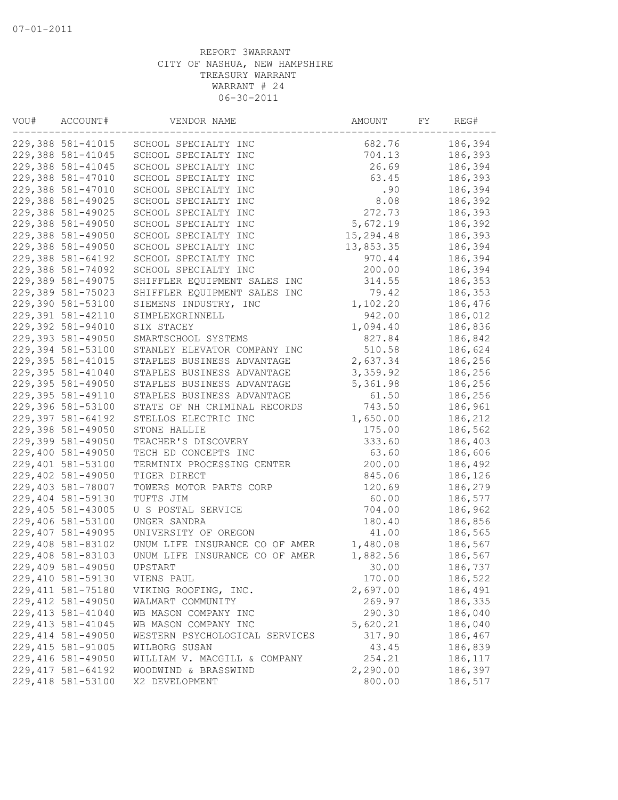| VOU# | ACCOUNT#           | VENDOR NAME                    |           | FY | REG#    |
|------|--------------------|--------------------------------|-----------|----|---------|
|      | 229,388 581-41015  | SCHOOL SPECIALTY INC           | 682.76    |    | 186,394 |
|      | 229,388 581-41045  | SCHOOL SPECIALTY INC           | 704.13    |    | 186,393 |
|      | 229,388 581-41045  | SCHOOL SPECIALTY INC           | 26.69     |    | 186,394 |
|      | 229,388 581-47010  | SCHOOL SPECIALTY INC           | 63.45     |    | 186,393 |
|      | 229,388 581-47010  | SCHOOL SPECIALTY INC           | .90       |    | 186,394 |
|      | 229,388 581-49025  | SCHOOL SPECIALTY INC           | 8.08      |    | 186,392 |
|      | 229,388 581-49025  | SCHOOL SPECIALTY INC           | 272.73    |    | 186,393 |
|      | 229,388 581-49050  | SCHOOL SPECIALTY INC           | 5,672.19  |    | 186,392 |
|      | 229,388 581-49050  | SCHOOL SPECIALTY INC           | 15,294.48 |    | 186,393 |
|      | 229,388 581-49050  | SCHOOL SPECIALTY INC           | 13,853.35 |    | 186,394 |
|      | 229,388 581-64192  | SCHOOL SPECIALTY INC           | 970.44    |    | 186,394 |
|      | 229,388 581-74092  | SCHOOL SPECIALTY INC           | 200.00    |    | 186,394 |
|      | 229,389 581-49075  | SHIFFLER EQUIPMENT SALES INC   | 314.55    |    | 186,353 |
|      | 229,389 581-75023  | SHIFFLER EQUIPMENT SALES INC   | 79.42     |    | 186,353 |
|      | 229,390 581-53100  | SIEMENS INDUSTRY, INC          | 1,102.20  |    | 186,476 |
|      | 229,391 581-42110  | SIMPLEXGRINNELL                | 942.00    |    | 186,012 |
|      | 229,392 581-94010  | SIX STACEY                     | 1,094.40  |    | 186,836 |
|      | 229,393 581-49050  | SMARTSCHOOL SYSTEMS            | 827.84    |    | 186,842 |
|      | 229,394 581-53100  | STANLEY ELEVATOR COMPANY INC   | 510.58    |    | 186,624 |
|      | 229,395 581-41015  | STAPLES BUSINESS ADVANTAGE     | 2,637.34  |    | 186,256 |
|      | 229,395 581-41040  | STAPLES BUSINESS ADVANTAGE     | 3,359.92  |    | 186,256 |
|      | 229,395 581-49050  | STAPLES BUSINESS ADVANTAGE     | 5,361.98  |    | 186,256 |
|      | 229,395 581-49110  | STAPLES BUSINESS ADVANTAGE     | 61.50     |    | 186,256 |
|      | 229,396 581-53100  | STATE OF NH CRIMINAL RECORDS   | 743.50    |    | 186,961 |
|      | 229,397 581-64192  | STELLOS ELECTRIC INC           | 1,650.00  |    | 186,212 |
|      | 229,398 581-49050  | STONE HALLIE                   | 175.00    |    | 186,562 |
|      | 229,399 581-49050  | TEACHER'S DISCOVERY            | 333.60    |    | 186,403 |
|      | 229,400 581-49050  | TECH ED CONCEPTS INC           | 63.60     |    | 186,606 |
|      | 229,401 581-53100  | TERMINIX PROCESSING CENTER     | 200.00    |    | 186,492 |
|      | 229,402 581-49050  | TIGER DIRECT                   | 845.06    |    | 186,126 |
|      | 229,403 581-78007  | TOWERS MOTOR PARTS CORP        | 120.69    |    | 186,279 |
|      | 229,404 581-59130  | TUFTS JIM                      | 60.00     |    | 186,577 |
|      | 229,405 581-43005  | U S POSTAL SERVICE             | 704.00    |    | 186,962 |
|      | 229,406 581-53100  | UNGER SANDRA                   | 180.40    |    | 186,856 |
|      | 229,407 581-49095  | UNIVERSITY OF OREGON           | 41.00     |    | 186,565 |
|      | 229,408 581-83102  | UNUM LIFE INSURANCE CO OF AMER | 1,480.08  |    | 186,567 |
|      | 229,408 581-83103  | UNUM LIFE INSURANCE CO OF AMER | 1,882.56  |    | 186,567 |
|      | 229,409 581-49050  | UPSTART                        | 30.00     |    | 186,737 |
|      | 229,410 581-59130  | VIENS PAUL                     | 170.00    |    | 186,522 |
|      | 229, 411 581-75180 | VIKING ROOFING, INC.           | 2,697.00  |    | 186,491 |
|      | 229, 412 581-49050 | WALMART COMMUNITY              | 269.97    |    | 186,335 |
|      | 229, 413 581-41040 | WB MASON COMPANY INC           | 290.30    |    | 186,040 |
|      | 229, 413 581-41045 | WB MASON COMPANY INC           | 5,620.21  |    | 186,040 |
|      | 229, 414 581-49050 | WESTERN PSYCHOLOGICAL SERVICES | 317.90    |    | 186,467 |
|      | 229, 415 581-91005 | WILBORG SUSAN                  | 43.45     |    | 186,839 |
|      | 229,416 581-49050  | WILLIAM V. MACGILL & COMPANY   | 254.21    |    | 186,117 |
|      | 229, 417 581-64192 | WOODWIND & BRASSWIND           | 2,290.00  |    | 186,397 |
|      | 229,418 581-53100  | X2 DEVELOPMENT                 | 800.00    |    | 186,517 |
|      |                    |                                |           |    |         |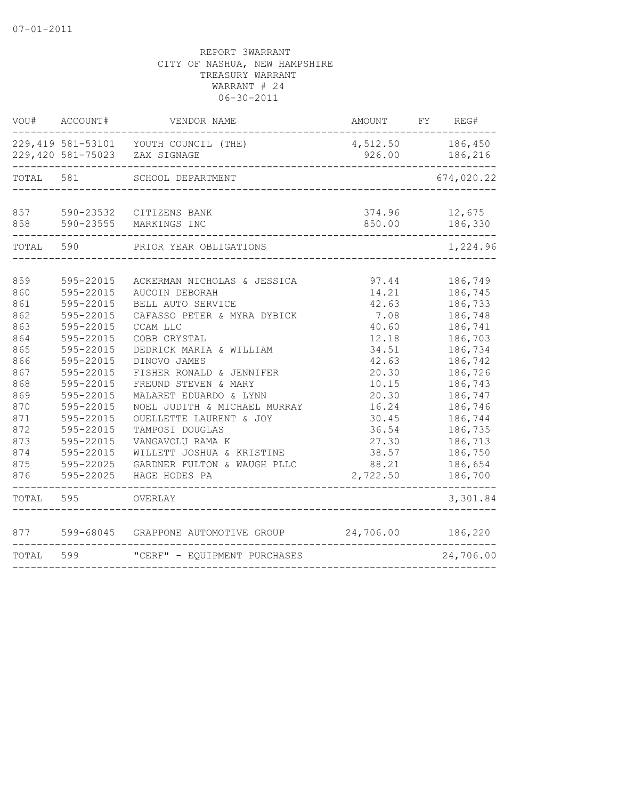| VOU#                                                                                                                       | ACCOUNT#                                                                                                                                                                                                                               | VENDOR NAME                                                                                                                                                                                                                                                                                                                                                                                                                           | AMOUNT                                                                                                                                                           | FY REG#                                                                                                                                                                                            |
|----------------------------------------------------------------------------------------------------------------------------|----------------------------------------------------------------------------------------------------------------------------------------------------------------------------------------------------------------------------------------|---------------------------------------------------------------------------------------------------------------------------------------------------------------------------------------------------------------------------------------------------------------------------------------------------------------------------------------------------------------------------------------------------------------------------------------|------------------------------------------------------------------------------------------------------------------------------------------------------------------|----------------------------------------------------------------------------------------------------------------------------------------------------------------------------------------------------|
|                                                                                                                            |                                                                                                                                                                                                                                        | 229,419 581-53101 YOUTH COUNCIL (THE)<br>229,420 581-75023 ZAX SIGNAGE                                                                                                                                                                                                                                                                                                                                                                | 4,512.50 186,450<br>926.00                                                                                                                                       | 186,216                                                                                                                                                                                            |
| TOTAL                                                                                                                      | 581<br>SCHOOL DEPARTMENT                                                                                                                                                                                                               |                                                                                                                                                                                                                                                                                                                                                                                                                                       |                                                                                                                                                                  | 674,020.22                                                                                                                                                                                         |
| 857<br>858                                                                                                                 |                                                                                                                                                                                                                                        | 590-23532 CITIZENS BANK<br>590-23555 MARKINGS INC                                                                                                                                                                                                                                                                                                                                                                                     | 374.96<br>850.00                                                                                                                                                 | 12,675<br>186,330                                                                                                                                                                                  |
| TOTAL                                                                                                                      | 590                                                                                                                                                                                                                                    | PRIOR YEAR OBLIGATIONS                                                                                                                                                                                                                                                                                                                                                                                                                |                                                                                                                                                                  | 1,224.96                                                                                                                                                                                           |
| 859<br>860<br>861<br>862<br>863<br>864<br>865<br>866<br>867<br>868<br>869<br>870<br>871<br>872<br>873<br>874<br>875<br>876 | 595-22015<br>595-22015<br>595-22015<br>595-22015<br>595-22015<br>595-22015<br>595-22015<br>595-22015<br>595-22015<br>595-22015<br>595-22015<br>595-22015<br>595-22015<br>595-22015<br>595-22015<br>595-22015<br>595-22025<br>595-22025 | ACKERMAN NICHOLAS & JESSICA<br>AUCOIN DEBORAH<br>BELL AUTO SERVICE<br>CAFASSO PETER & MYRA DYBICK<br>CCAM LLC<br>COBB CRYSTAL<br>DEDRICK MARIA & WILLIAM<br>DINOVO JAMES<br>FISHER RONALD & JENNIFER<br>FREUND STEVEN & MARY<br>MALARET EDUARDO & LYNN<br>NOEL JUDITH & MICHAEL MURRAY<br>OUELLETTE LAURENT & JOY<br>TAMPOSI DOUGLAS<br>VANGAVOLU RAMA K<br>WILLETT JOSHUA & KRISTINE<br>GARDNER FULTON & WAUGH PLLC<br>HAGE HODES PA | 97.44<br>14.21<br>42.63<br>7.08<br>40.60<br>12.18<br>34.51<br>42.63<br>20.30<br>10.15<br>20.30<br>16.24<br>30.45<br>36.54<br>27.30<br>38.57<br>88.21<br>2,722.50 | 186,749<br>186,745<br>186,733<br>186,748<br>186,741<br>186,703<br>186,734<br>186,742<br>186,726<br>186,743<br>186,747<br>186,746<br>186,744<br>186,735<br>186,713<br>186,750<br>186,654<br>186,700 |
| TOTAL                                                                                                                      | 595                                                                                                                                                                                                                                    | OVERLAY                                                                                                                                                                                                                                                                                                                                                                                                                               |                                                                                                                                                                  | 3,301.84                                                                                                                                                                                           |
| 877                                                                                                                        |                                                                                                                                                                                                                                        | 599-68045 GRAPPONE AUTOMOTIVE GROUP                                                                                                                                                                                                                                                                                                                                                                                                   | 24,706.00                                                                                                                                                        | 186,220                                                                                                                                                                                            |
| TOTAL                                                                                                                      | 599                                                                                                                                                                                                                                    | "CERF" - EQUIPMENT PURCHASES                                                                                                                                                                                                                                                                                                                                                                                                          |                                                                                                                                                                  | 24,706.00                                                                                                                                                                                          |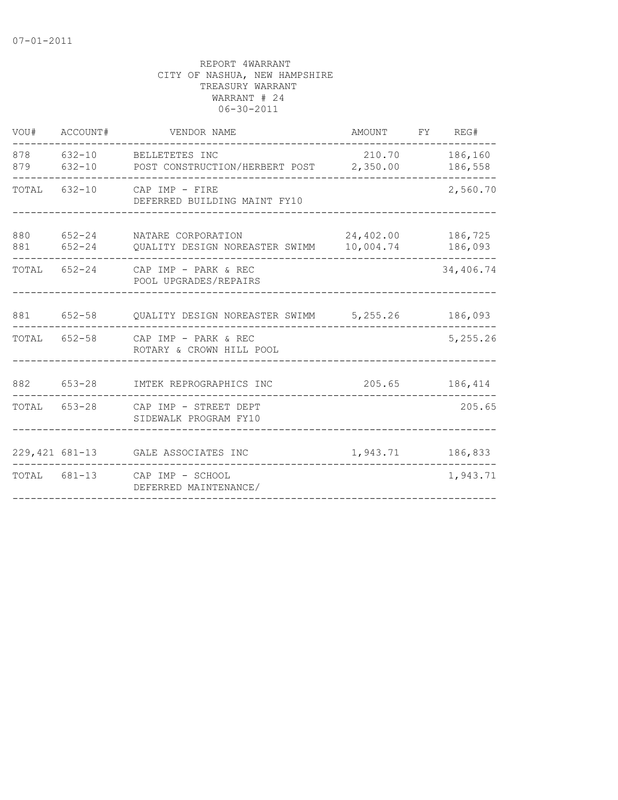| VOU#       | ACCOUNT#             | VENDOR NAME                                                 | AMOUNT                 | FY | REG#               |
|------------|----------------------|-------------------------------------------------------------|------------------------|----|--------------------|
| 878<br>879 | $632 - 10$           | 632-10 BELLETETES INC<br>POST CONSTRUCTION/HERBERT POST     | 210.70<br>2,350.00     |    | 186,160<br>186,558 |
| TOTAL      | 632-10               | CAP IMP - FIRE<br>DEFERRED BUILDING MAINT FY10              | 2,560.70               |    |                    |
| 880<br>881 | 652-24<br>$652 - 24$ | NATARE CORPORATION<br>QUALITY DESIGN NOREASTER SWIMM        | 24,402.00<br>10,004.74 |    |                    |
| TOTAL      |                      | $652-24$ CAP IMP - PARK & REC<br>POOL UPGRADES/REPAIRS      |                        |    |                    |
| 881        | $652 - 58$           | QUALITY DESIGN NOREASTER SWIMM 5,255.26                     |                        |    | 186,093            |
| TOTAL      |                      | $652 - 58$ CAP IMP - PARK & REC<br>ROTARY & CROWN HILL POOL |                        |    | 5,255.26           |
| 882        | 653-28               | IMTEK REPROGRAPHICS INC                                     | 205.65                 |    | 186,414            |
| TOTAL      |                      | 653-28 CAP IMP - STREET DEPT<br>SIDEWALK PROGRAM FY10       |                        |    | 205.65             |
|            |                      | 229,421 681-13 GALE ASSOCIATES INC                          | 1,943.71               |    | 186,833            |
|            | TOTAL 681-13         | CAP IMP - SCHOOL<br>DEFERRED MAINTENANCE/                   |                        |    | 1,943.71           |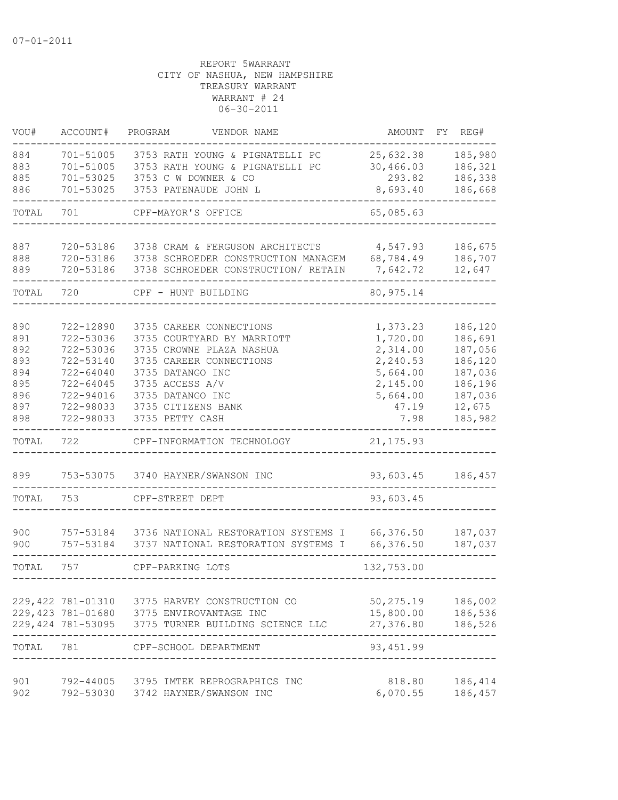| VOU#                            | ACCOUNT#                                                      | PROGRAM<br>VENDOR NAME                                                                                                                          | AMOUNT                                                   | FY.<br>REG#                                         |
|---------------------------------|---------------------------------------------------------------|-------------------------------------------------------------------------------------------------------------------------------------------------|----------------------------------------------------------|-----------------------------------------------------|
| 884<br>883<br>885               | 701-51005<br>701-51005<br>701-53025                           | 3753 RATH YOUNG & PIGNATELLI PC<br>3753 RATH YOUNG & PIGNATELLI PC<br>3753 C W DOWNER & CO                                                      | 25,632.38<br>30,466.03<br>293.82                         | 185,980<br>186,321<br>186,338                       |
| 886                             | 701-53025                                                     | 3753 PATENAUDE JOHN L                                                                                                                           | 8,693.40                                                 | 186,668                                             |
| TOTAL                           | 701                                                           | CPF-MAYOR'S OFFICE                                                                                                                              | 65,085.63                                                |                                                     |
| 887<br>888<br>889               | 720-53186<br>720-53186<br>720-53186                           | 3738 CRAM & FERGUSON ARCHITECTS<br>3738 SCHROEDER CONSTRUCTION MANAGEM<br>3738 SCHROEDER CONSTRUCTION/ RETAIN                                   | 4,547.93<br>68,784.49<br>7,642.72                        | 186,675<br>186,707<br>12,647                        |
| TOTAL                           | 720                                                           | CPF - HUNT BUILDING                                                                                                                             | 80, 975.14                                               |                                                     |
| 890<br>891<br>892<br>893<br>894 | 722-12890<br>722-53036<br>722-53036<br>722-53140<br>722-64040 | 3735 CAREER CONNECTIONS<br>3735 COURTYARD BY MARRIOTT<br>3735 CROWNE PLAZA NASHUA<br>3735 CAREER CONNECTIONS<br>3735 DATANGO INC                | 1,373.23<br>1,720.00<br>2,314.00<br>2,240.53<br>5,664.00 | 186,120<br>186,691<br>187,056<br>186,120<br>187,036 |
| 895<br>896<br>897<br>898        | $722 - 64045$<br>722-94016<br>722-98033<br>722-98033          | 3735 ACCESS A/V<br>3735 DATANGO INC<br>3735 CITIZENS BANK<br>3735 PETTY CASH                                                                    | 2,145.00<br>5,664.00<br>47.19<br>7.98                    | 186,196<br>187,036<br>12,675<br>185,982             |
| TOTAL                           | 722                                                           | CPF-INFORMATION TECHNOLOGY                                                                                                                      | 21, 175.93                                               |                                                     |
| 899                             | 753-53075                                                     | 3740 HAYNER/SWANSON INC                                                                                                                         | 93,603.45                                                | 186,457                                             |
| TOTAL                           | 753                                                           | CPF-STREET DEPT                                                                                                                                 | 93,603.45                                                |                                                     |
| 900<br>900                      | 757-53184<br>757-53184                                        | 3736 NATIONAL RESTORATION SYSTEMS I<br>3737 NATIONAL RESTORATION SYSTEMS I                                                                      | 66,376.50<br>66,376.50                                   | 187,037<br>187,037                                  |
| TOTAL                           | 757                                                           | CPF-PARKING LOTS                                                                                                                                | 132,753.00                                               |                                                     |
|                                 |                                                               | 229,422 781-01310 3775 HARVEY CONSTRUCTION CO<br>229,423 781-01680 3775 ENVIROVANTAGE INC<br>229,424 781-53095 3775 TURNER BUILDING SCIENCE LLC | 50, 275.19<br>15,800.00<br>27,376.80                     | 186,002<br>186,536<br>186,526                       |
| TOTAL 781                       |                                                               | CPF-SCHOOL DEPARTMENT                                                                                                                           | 93,451.99                                                |                                                     |
| 901<br>902                      |                                                               | 792-44005 3795 IMTEK REPROGRAPHICS INC<br>792-53030 3742 HAYNER/SWANSON INC                                                                     | 818.80<br>6,070.55                                       | 186,414<br>186,457                                  |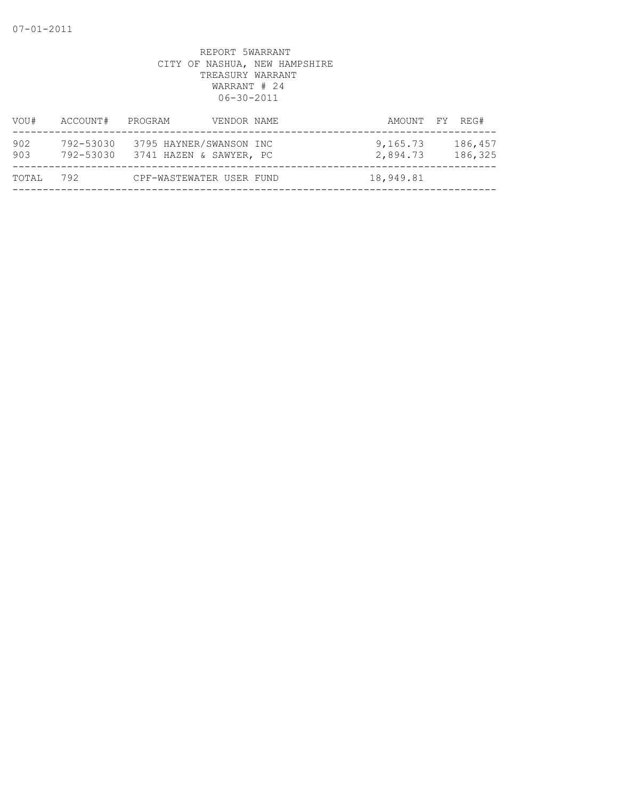| VOU#       | ACCOUNT#               | PROGRAM                                            | VENDOR NAME | AMOUNT FY REG#       |                    |
|------------|------------------------|----------------------------------------------------|-------------|----------------------|--------------------|
| 902<br>903 | 792-53030<br>792-53030 | 3795 HAYNER/SWANSON INC<br>3741 HAZEN & SAWYER, PC |             | 9,165.73<br>2,894.73 | 186,457<br>186,325 |
| TOTAL      | 792                    | CPF-WASTEWATER USER FUND                           |             | 18,949.81            |                    |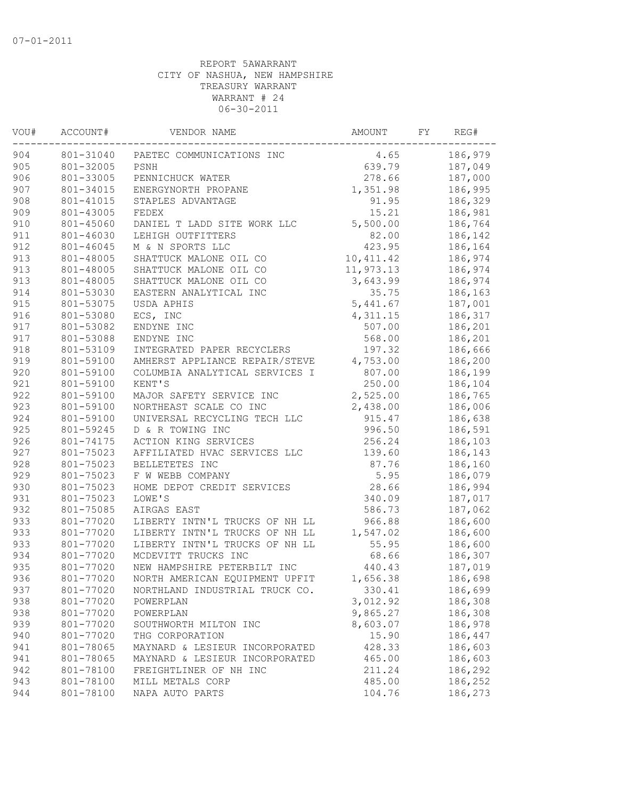| 186,979<br>801-31040<br>PAETEC COMMUNICATIONS INC<br>4.65<br>801-32005<br>PSNH<br>187,049<br>639.79<br>801-33005<br>PENNICHUCK WATER<br>278.66<br>187,000<br>1,351.98<br>801-34015<br>ENERGYNORTH PROPANE<br>186,995<br>801-41015<br>91.95<br>186,329<br>STAPLES ADVANTAGE<br>801-43005<br>15.21<br>186,981<br>FEDEX<br>5,500.00<br>186,764<br>801-45060<br>DANIEL T LADD SITE WORK LLC<br>82.00<br>801-46030<br>LEHIGH OUTFITTERS<br>186,142<br>801-46045<br>423.95<br>186,164<br>M & N SPORTS LLC<br>801-48005<br>10, 411.42<br>186,974<br>SHATTUCK MALONE OIL CO<br>801-48005<br>SHATTUCK MALONE OIL CO<br>11,973.13<br>186,974<br>801-48005<br>SHATTUCK MALONE OIL CO<br>3,643.99<br>186,974<br>801-53030<br>EASTERN ANALYTICAL INC<br>35.75<br>186,163<br>801-53075<br>5,441.67<br>187,001<br>USDA APHIS<br>801-53080<br>ECS, INC<br>186,317<br>4,311.15<br>801-53082<br>507.00<br>186,201<br>ENDYNE INC<br>568.00<br>186,201<br>801-53088<br>ENDYNE INC<br>801-53109<br>197.32<br>186,666<br>INTEGRATED PAPER RECYCLERS<br>801-59100<br>4,753.00<br>186,200<br>AMHERST APPLIANCE REPAIR/STEVE<br>801-59100<br>COLUMBIA ANALYTICAL SERVICES I<br>807.00<br>186,199<br>801-59100<br>250.00<br>KENT'S<br>186,104<br>801-59100<br>2,525.00<br>MAJOR SAFETY SERVICE INC<br>186,765<br>923<br>801-59100<br>NORTHEAST SCALE CO INC<br>2,438.00<br>186,006<br>924<br>801-59100<br>UNIVERSAL RECYCLING TECH LLC<br>915.47<br>186,638<br>801-59245<br>996.50<br>186,591<br>D & R TOWING INC<br>256.24<br>186,103<br>801-74175<br>ACTION KING SERVICES<br>139.60<br>186,143<br>801-75023<br>AFFILIATED HVAC SERVICES LLC<br>801-75023<br>87.76<br>186,160<br>BELLETETES INC<br>801-75023<br>5.95<br>186,079<br>F W WEBB COMPANY<br>28.66<br>801-75023<br>HOME DEPOT CREDIT SERVICES<br>186,994<br>801-75023<br>LOWE'S<br>340.09<br>187,017<br>932<br>801-75085<br>AIRGAS EAST<br>586.73<br>187,062<br>933<br>801-77020<br>966.88<br>186,600<br>LIBERTY INTN'L TRUCKS OF NH LL<br>801-77020<br>LIBERTY INTN'L TRUCKS OF NH LL<br>1,547.02<br>186,600<br>933<br>801-77020<br>LIBERTY INTN'L TRUCKS OF NH LL<br>55.95<br>186,600<br>MCDEVITT TRUCKS INC<br>68.66<br>801-77020<br>186,307<br>801-77020<br>NEW HAMPSHIRE PETERBILT INC<br>440.43<br>187,019<br>801-77020<br>NORTH AMERICAN EOUIPMENT UPFIT<br>1,656.38<br>186,698<br>937<br>801-77020<br>NORTHLAND INDUSTRIAL TRUCK CO.<br>330.41<br>186,699<br>938<br>801-77020<br>3,012.92<br>186,308<br>POWERPLAN<br>938<br>801-77020<br>9,865.27<br>186,308<br>POWERPLAN<br>939<br>801-77020<br>8,603.07<br>186,978<br>SOUTHWORTH MILTON INC<br>15.90<br>940<br>801-77020<br>186,447<br>THG CORPORATION<br>941<br>801-78065<br>428.33<br>186,603<br>MAYNARD & LESIEUR INCORPORATED<br>941<br>801-78065<br>465.00<br>186,603<br>MAYNARD & LESIEUR INCORPORATED<br>942<br>801-78100<br>186,292<br>FREIGHTLINER OF NH INC<br>211.24<br>943<br>801-78100<br>MILL METALS CORP<br>485.00<br>186,252<br>801-78100<br>NAPA AUTO PARTS<br>104.76<br>186,273 | VOU# | ACCOUNT# | VENDOR NAME | AMOUNT | FY | REG# |
|----------------------------------------------------------------------------------------------------------------------------------------------------------------------------------------------------------------------------------------------------------------------------------------------------------------------------------------------------------------------------------------------------------------------------------------------------------------------------------------------------------------------------------------------------------------------------------------------------------------------------------------------------------------------------------------------------------------------------------------------------------------------------------------------------------------------------------------------------------------------------------------------------------------------------------------------------------------------------------------------------------------------------------------------------------------------------------------------------------------------------------------------------------------------------------------------------------------------------------------------------------------------------------------------------------------------------------------------------------------------------------------------------------------------------------------------------------------------------------------------------------------------------------------------------------------------------------------------------------------------------------------------------------------------------------------------------------------------------------------------------------------------------------------------------------------------------------------------------------------------------------------------------------------------------------------------------------------------------------------------------------------------------------------------------------------------------------------------------------------------------------------------------------------------------------------------------------------------------------------------------------------------------------------------------------------------------------------------------------------------------------------------------------------------------------------------------------------------------------------------------------------------------------------------------------------------------------------------------------------------------------------------------------------------------------------------------------------------------------------------------------------------------------------------------------------------------------------------------------------------------------------------------------------------------------------------------------------------------------------------|------|----------|-------------|--------|----|------|
|                                                                                                                                                                                                                                                                                                                                                                                                                                                                                                                                                                                                                                                                                                                                                                                                                                                                                                                                                                                                                                                                                                                                                                                                                                                                                                                                                                                                                                                                                                                                                                                                                                                                                                                                                                                                                                                                                                                                                                                                                                                                                                                                                                                                                                                                                                                                                                                                                                                                                                                                                                                                                                                                                                                                                                                                                                                                                                                                                                                              | 904  |          |             |        |    |      |
|                                                                                                                                                                                                                                                                                                                                                                                                                                                                                                                                                                                                                                                                                                                                                                                                                                                                                                                                                                                                                                                                                                                                                                                                                                                                                                                                                                                                                                                                                                                                                                                                                                                                                                                                                                                                                                                                                                                                                                                                                                                                                                                                                                                                                                                                                                                                                                                                                                                                                                                                                                                                                                                                                                                                                                                                                                                                                                                                                                                              | 905  |          |             |        |    |      |
|                                                                                                                                                                                                                                                                                                                                                                                                                                                                                                                                                                                                                                                                                                                                                                                                                                                                                                                                                                                                                                                                                                                                                                                                                                                                                                                                                                                                                                                                                                                                                                                                                                                                                                                                                                                                                                                                                                                                                                                                                                                                                                                                                                                                                                                                                                                                                                                                                                                                                                                                                                                                                                                                                                                                                                                                                                                                                                                                                                                              | 906  |          |             |        |    |      |
|                                                                                                                                                                                                                                                                                                                                                                                                                                                                                                                                                                                                                                                                                                                                                                                                                                                                                                                                                                                                                                                                                                                                                                                                                                                                                                                                                                                                                                                                                                                                                                                                                                                                                                                                                                                                                                                                                                                                                                                                                                                                                                                                                                                                                                                                                                                                                                                                                                                                                                                                                                                                                                                                                                                                                                                                                                                                                                                                                                                              | 907  |          |             |        |    |      |
|                                                                                                                                                                                                                                                                                                                                                                                                                                                                                                                                                                                                                                                                                                                                                                                                                                                                                                                                                                                                                                                                                                                                                                                                                                                                                                                                                                                                                                                                                                                                                                                                                                                                                                                                                                                                                                                                                                                                                                                                                                                                                                                                                                                                                                                                                                                                                                                                                                                                                                                                                                                                                                                                                                                                                                                                                                                                                                                                                                                              | 908  |          |             |        |    |      |
|                                                                                                                                                                                                                                                                                                                                                                                                                                                                                                                                                                                                                                                                                                                                                                                                                                                                                                                                                                                                                                                                                                                                                                                                                                                                                                                                                                                                                                                                                                                                                                                                                                                                                                                                                                                                                                                                                                                                                                                                                                                                                                                                                                                                                                                                                                                                                                                                                                                                                                                                                                                                                                                                                                                                                                                                                                                                                                                                                                                              | 909  |          |             |        |    |      |
|                                                                                                                                                                                                                                                                                                                                                                                                                                                                                                                                                                                                                                                                                                                                                                                                                                                                                                                                                                                                                                                                                                                                                                                                                                                                                                                                                                                                                                                                                                                                                                                                                                                                                                                                                                                                                                                                                                                                                                                                                                                                                                                                                                                                                                                                                                                                                                                                                                                                                                                                                                                                                                                                                                                                                                                                                                                                                                                                                                                              | 910  |          |             |        |    |      |
|                                                                                                                                                                                                                                                                                                                                                                                                                                                                                                                                                                                                                                                                                                                                                                                                                                                                                                                                                                                                                                                                                                                                                                                                                                                                                                                                                                                                                                                                                                                                                                                                                                                                                                                                                                                                                                                                                                                                                                                                                                                                                                                                                                                                                                                                                                                                                                                                                                                                                                                                                                                                                                                                                                                                                                                                                                                                                                                                                                                              | 911  |          |             |        |    |      |
|                                                                                                                                                                                                                                                                                                                                                                                                                                                                                                                                                                                                                                                                                                                                                                                                                                                                                                                                                                                                                                                                                                                                                                                                                                                                                                                                                                                                                                                                                                                                                                                                                                                                                                                                                                                                                                                                                                                                                                                                                                                                                                                                                                                                                                                                                                                                                                                                                                                                                                                                                                                                                                                                                                                                                                                                                                                                                                                                                                                              | 912  |          |             |        |    |      |
|                                                                                                                                                                                                                                                                                                                                                                                                                                                                                                                                                                                                                                                                                                                                                                                                                                                                                                                                                                                                                                                                                                                                                                                                                                                                                                                                                                                                                                                                                                                                                                                                                                                                                                                                                                                                                                                                                                                                                                                                                                                                                                                                                                                                                                                                                                                                                                                                                                                                                                                                                                                                                                                                                                                                                                                                                                                                                                                                                                                              | 913  |          |             |        |    |      |
|                                                                                                                                                                                                                                                                                                                                                                                                                                                                                                                                                                                                                                                                                                                                                                                                                                                                                                                                                                                                                                                                                                                                                                                                                                                                                                                                                                                                                                                                                                                                                                                                                                                                                                                                                                                                                                                                                                                                                                                                                                                                                                                                                                                                                                                                                                                                                                                                                                                                                                                                                                                                                                                                                                                                                                                                                                                                                                                                                                                              | 913  |          |             |        |    |      |
|                                                                                                                                                                                                                                                                                                                                                                                                                                                                                                                                                                                                                                                                                                                                                                                                                                                                                                                                                                                                                                                                                                                                                                                                                                                                                                                                                                                                                                                                                                                                                                                                                                                                                                                                                                                                                                                                                                                                                                                                                                                                                                                                                                                                                                                                                                                                                                                                                                                                                                                                                                                                                                                                                                                                                                                                                                                                                                                                                                                              | 913  |          |             |        |    |      |
|                                                                                                                                                                                                                                                                                                                                                                                                                                                                                                                                                                                                                                                                                                                                                                                                                                                                                                                                                                                                                                                                                                                                                                                                                                                                                                                                                                                                                                                                                                                                                                                                                                                                                                                                                                                                                                                                                                                                                                                                                                                                                                                                                                                                                                                                                                                                                                                                                                                                                                                                                                                                                                                                                                                                                                                                                                                                                                                                                                                              | 914  |          |             |        |    |      |
|                                                                                                                                                                                                                                                                                                                                                                                                                                                                                                                                                                                                                                                                                                                                                                                                                                                                                                                                                                                                                                                                                                                                                                                                                                                                                                                                                                                                                                                                                                                                                                                                                                                                                                                                                                                                                                                                                                                                                                                                                                                                                                                                                                                                                                                                                                                                                                                                                                                                                                                                                                                                                                                                                                                                                                                                                                                                                                                                                                                              | 915  |          |             |        |    |      |
|                                                                                                                                                                                                                                                                                                                                                                                                                                                                                                                                                                                                                                                                                                                                                                                                                                                                                                                                                                                                                                                                                                                                                                                                                                                                                                                                                                                                                                                                                                                                                                                                                                                                                                                                                                                                                                                                                                                                                                                                                                                                                                                                                                                                                                                                                                                                                                                                                                                                                                                                                                                                                                                                                                                                                                                                                                                                                                                                                                                              | 916  |          |             |        |    |      |
|                                                                                                                                                                                                                                                                                                                                                                                                                                                                                                                                                                                                                                                                                                                                                                                                                                                                                                                                                                                                                                                                                                                                                                                                                                                                                                                                                                                                                                                                                                                                                                                                                                                                                                                                                                                                                                                                                                                                                                                                                                                                                                                                                                                                                                                                                                                                                                                                                                                                                                                                                                                                                                                                                                                                                                                                                                                                                                                                                                                              | 917  |          |             |        |    |      |
|                                                                                                                                                                                                                                                                                                                                                                                                                                                                                                                                                                                                                                                                                                                                                                                                                                                                                                                                                                                                                                                                                                                                                                                                                                                                                                                                                                                                                                                                                                                                                                                                                                                                                                                                                                                                                                                                                                                                                                                                                                                                                                                                                                                                                                                                                                                                                                                                                                                                                                                                                                                                                                                                                                                                                                                                                                                                                                                                                                                              | 917  |          |             |        |    |      |
|                                                                                                                                                                                                                                                                                                                                                                                                                                                                                                                                                                                                                                                                                                                                                                                                                                                                                                                                                                                                                                                                                                                                                                                                                                                                                                                                                                                                                                                                                                                                                                                                                                                                                                                                                                                                                                                                                                                                                                                                                                                                                                                                                                                                                                                                                                                                                                                                                                                                                                                                                                                                                                                                                                                                                                                                                                                                                                                                                                                              | 918  |          |             |        |    |      |
|                                                                                                                                                                                                                                                                                                                                                                                                                                                                                                                                                                                                                                                                                                                                                                                                                                                                                                                                                                                                                                                                                                                                                                                                                                                                                                                                                                                                                                                                                                                                                                                                                                                                                                                                                                                                                                                                                                                                                                                                                                                                                                                                                                                                                                                                                                                                                                                                                                                                                                                                                                                                                                                                                                                                                                                                                                                                                                                                                                                              | 919  |          |             |        |    |      |
|                                                                                                                                                                                                                                                                                                                                                                                                                                                                                                                                                                                                                                                                                                                                                                                                                                                                                                                                                                                                                                                                                                                                                                                                                                                                                                                                                                                                                                                                                                                                                                                                                                                                                                                                                                                                                                                                                                                                                                                                                                                                                                                                                                                                                                                                                                                                                                                                                                                                                                                                                                                                                                                                                                                                                                                                                                                                                                                                                                                              | 920  |          |             |        |    |      |
|                                                                                                                                                                                                                                                                                                                                                                                                                                                                                                                                                                                                                                                                                                                                                                                                                                                                                                                                                                                                                                                                                                                                                                                                                                                                                                                                                                                                                                                                                                                                                                                                                                                                                                                                                                                                                                                                                                                                                                                                                                                                                                                                                                                                                                                                                                                                                                                                                                                                                                                                                                                                                                                                                                                                                                                                                                                                                                                                                                                              | 921  |          |             |        |    |      |
|                                                                                                                                                                                                                                                                                                                                                                                                                                                                                                                                                                                                                                                                                                                                                                                                                                                                                                                                                                                                                                                                                                                                                                                                                                                                                                                                                                                                                                                                                                                                                                                                                                                                                                                                                                                                                                                                                                                                                                                                                                                                                                                                                                                                                                                                                                                                                                                                                                                                                                                                                                                                                                                                                                                                                                                                                                                                                                                                                                                              | 922  |          |             |        |    |      |
|                                                                                                                                                                                                                                                                                                                                                                                                                                                                                                                                                                                                                                                                                                                                                                                                                                                                                                                                                                                                                                                                                                                                                                                                                                                                                                                                                                                                                                                                                                                                                                                                                                                                                                                                                                                                                                                                                                                                                                                                                                                                                                                                                                                                                                                                                                                                                                                                                                                                                                                                                                                                                                                                                                                                                                                                                                                                                                                                                                                              |      |          |             |        |    |      |
|                                                                                                                                                                                                                                                                                                                                                                                                                                                                                                                                                                                                                                                                                                                                                                                                                                                                                                                                                                                                                                                                                                                                                                                                                                                                                                                                                                                                                                                                                                                                                                                                                                                                                                                                                                                                                                                                                                                                                                                                                                                                                                                                                                                                                                                                                                                                                                                                                                                                                                                                                                                                                                                                                                                                                                                                                                                                                                                                                                                              |      |          |             |        |    |      |
|                                                                                                                                                                                                                                                                                                                                                                                                                                                                                                                                                                                                                                                                                                                                                                                                                                                                                                                                                                                                                                                                                                                                                                                                                                                                                                                                                                                                                                                                                                                                                                                                                                                                                                                                                                                                                                                                                                                                                                                                                                                                                                                                                                                                                                                                                                                                                                                                                                                                                                                                                                                                                                                                                                                                                                                                                                                                                                                                                                                              | 925  |          |             |        |    |      |
|                                                                                                                                                                                                                                                                                                                                                                                                                                                                                                                                                                                                                                                                                                                                                                                                                                                                                                                                                                                                                                                                                                                                                                                                                                                                                                                                                                                                                                                                                                                                                                                                                                                                                                                                                                                                                                                                                                                                                                                                                                                                                                                                                                                                                                                                                                                                                                                                                                                                                                                                                                                                                                                                                                                                                                                                                                                                                                                                                                                              | 926  |          |             |        |    |      |
|                                                                                                                                                                                                                                                                                                                                                                                                                                                                                                                                                                                                                                                                                                                                                                                                                                                                                                                                                                                                                                                                                                                                                                                                                                                                                                                                                                                                                                                                                                                                                                                                                                                                                                                                                                                                                                                                                                                                                                                                                                                                                                                                                                                                                                                                                                                                                                                                                                                                                                                                                                                                                                                                                                                                                                                                                                                                                                                                                                                              | 927  |          |             |        |    |      |
|                                                                                                                                                                                                                                                                                                                                                                                                                                                                                                                                                                                                                                                                                                                                                                                                                                                                                                                                                                                                                                                                                                                                                                                                                                                                                                                                                                                                                                                                                                                                                                                                                                                                                                                                                                                                                                                                                                                                                                                                                                                                                                                                                                                                                                                                                                                                                                                                                                                                                                                                                                                                                                                                                                                                                                                                                                                                                                                                                                                              | 928  |          |             |        |    |      |
|                                                                                                                                                                                                                                                                                                                                                                                                                                                                                                                                                                                                                                                                                                                                                                                                                                                                                                                                                                                                                                                                                                                                                                                                                                                                                                                                                                                                                                                                                                                                                                                                                                                                                                                                                                                                                                                                                                                                                                                                                                                                                                                                                                                                                                                                                                                                                                                                                                                                                                                                                                                                                                                                                                                                                                                                                                                                                                                                                                                              | 929  |          |             |        |    |      |
|                                                                                                                                                                                                                                                                                                                                                                                                                                                                                                                                                                                                                                                                                                                                                                                                                                                                                                                                                                                                                                                                                                                                                                                                                                                                                                                                                                                                                                                                                                                                                                                                                                                                                                                                                                                                                                                                                                                                                                                                                                                                                                                                                                                                                                                                                                                                                                                                                                                                                                                                                                                                                                                                                                                                                                                                                                                                                                                                                                                              | 930  |          |             |        |    |      |
|                                                                                                                                                                                                                                                                                                                                                                                                                                                                                                                                                                                                                                                                                                                                                                                                                                                                                                                                                                                                                                                                                                                                                                                                                                                                                                                                                                                                                                                                                                                                                                                                                                                                                                                                                                                                                                                                                                                                                                                                                                                                                                                                                                                                                                                                                                                                                                                                                                                                                                                                                                                                                                                                                                                                                                                                                                                                                                                                                                                              | 931  |          |             |        |    |      |
|                                                                                                                                                                                                                                                                                                                                                                                                                                                                                                                                                                                                                                                                                                                                                                                                                                                                                                                                                                                                                                                                                                                                                                                                                                                                                                                                                                                                                                                                                                                                                                                                                                                                                                                                                                                                                                                                                                                                                                                                                                                                                                                                                                                                                                                                                                                                                                                                                                                                                                                                                                                                                                                                                                                                                                                                                                                                                                                                                                                              |      |          |             |        |    |      |
|                                                                                                                                                                                                                                                                                                                                                                                                                                                                                                                                                                                                                                                                                                                                                                                                                                                                                                                                                                                                                                                                                                                                                                                                                                                                                                                                                                                                                                                                                                                                                                                                                                                                                                                                                                                                                                                                                                                                                                                                                                                                                                                                                                                                                                                                                                                                                                                                                                                                                                                                                                                                                                                                                                                                                                                                                                                                                                                                                                                              |      |          |             |        |    |      |
|                                                                                                                                                                                                                                                                                                                                                                                                                                                                                                                                                                                                                                                                                                                                                                                                                                                                                                                                                                                                                                                                                                                                                                                                                                                                                                                                                                                                                                                                                                                                                                                                                                                                                                                                                                                                                                                                                                                                                                                                                                                                                                                                                                                                                                                                                                                                                                                                                                                                                                                                                                                                                                                                                                                                                                                                                                                                                                                                                                                              | 933  |          |             |        |    |      |
|                                                                                                                                                                                                                                                                                                                                                                                                                                                                                                                                                                                                                                                                                                                                                                                                                                                                                                                                                                                                                                                                                                                                                                                                                                                                                                                                                                                                                                                                                                                                                                                                                                                                                                                                                                                                                                                                                                                                                                                                                                                                                                                                                                                                                                                                                                                                                                                                                                                                                                                                                                                                                                                                                                                                                                                                                                                                                                                                                                                              |      |          |             |        |    |      |
|                                                                                                                                                                                                                                                                                                                                                                                                                                                                                                                                                                                                                                                                                                                                                                                                                                                                                                                                                                                                                                                                                                                                                                                                                                                                                                                                                                                                                                                                                                                                                                                                                                                                                                                                                                                                                                                                                                                                                                                                                                                                                                                                                                                                                                                                                                                                                                                                                                                                                                                                                                                                                                                                                                                                                                                                                                                                                                                                                                                              | 934  |          |             |        |    |      |
|                                                                                                                                                                                                                                                                                                                                                                                                                                                                                                                                                                                                                                                                                                                                                                                                                                                                                                                                                                                                                                                                                                                                                                                                                                                                                                                                                                                                                                                                                                                                                                                                                                                                                                                                                                                                                                                                                                                                                                                                                                                                                                                                                                                                                                                                                                                                                                                                                                                                                                                                                                                                                                                                                                                                                                                                                                                                                                                                                                                              | 935  |          |             |        |    |      |
|                                                                                                                                                                                                                                                                                                                                                                                                                                                                                                                                                                                                                                                                                                                                                                                                                                                                                                                                                                                                                                                                                                                                                                                                                                                                                                                                                                                                                                                                                                                                                                                                                                                                                                                                                                                                                                                                                                                                                                                                                                                                                                                                                                                                                                                                                                                                                                                                                                                                                                                                                                                                                                                                                                                                                                                                                                                                                                                                                                                              | 936  |          |             |        |    |      |
|                                                                                                                                                                                                                                                                                                                                                                                                                                                                                                                                                                                                                                                                                                                                                                                                                                                                                                                                                                                                                                                                                                                                                                                                                                                                                                                                                                                                                                                                                                                                                                                                                                                                                                                                                                                                                                                                                                                                                                                                                                                                                                                                                                                                                                                                                                                                                                                                                                                                                                                                                                                                                                                                                                                                                                                                                                                                                                                                                                                              |      |          |             |        |    |      |
|                                                                                                                                                                                                                                                                                                                                                                                                                                                                                                                                                                                                                                                                                                                                                                                                                                                                                                                                                                                                                                                                                                                                                                                                                                                                                                                                                                                                                                                                                                                                                                                                                                                                                                                                                                                                                                                                                                                                                                                                                                                                                                                                                                                                                                                                                                                                                                                                                                                                                                                                                                                                                                                                                                                                                                                                                                                                                                                                                                                              |      |          |             |        |    |      |
|                                                                                                                                                                                                                                                                                                                                                                                                                                                                                                                                                                                                                                                                                                                                                                                                                                                                                                                                                                                                                                                                                                                                                                                                                                                                                                                                                                                                                                                                                                                                                                                                                                                                                                                                                                                                                                                                                                                                                                                                                                                                                                                                                                                                                                                                                                                                                                                                                                                                                                                                                                                                                                                                                                                                                                                                                                                                                                                                                                                              |      |          |             |        |    |      |
|                                                                                                                                                                                                                                                                                                                                                                                                                                                                                                                                                                                                                                                                                                                                                                                                                                                                                                                                                                                                                                                                                                                                                                                                                                                                                                                                                                                                                                                                                                                                                                                                                                                                                                                                                                                                                                                                                                                                                                                                                                                                                                                                                                                                                                                                                                                                                                                                                                                                                                                                                                                                                                                                                                                                                                                                                                                                                                                                                                                              |      |          |             |        |    |      |
|                                                                                                                                                                                                                                                                                                                                                                                                                                                                                                                                                                                                                                                                                                                                                                                                                                                                                                                                                                                                                                                                                                                                                                                                                                                                                                                                                                                                                                                                                                                                                                                                                                                                                                                                                                                                                                                                                                                                                                                                                                                                                                                                                                                                                                                                                                                                                                                                                                                                                                                                                                                                                                                                                                                                                                                                                                                                                                                                                                                              |      |          |             |        |    |      |
|                                                                                                                                                                                                                                                                                                                                                                                                                                                                                                                                                                                                                                                                                                                                                                                                                                                                                                                                                                                                                                                                                                                                                                                                                                                                                                                                                                                                                                                                                                                                                                                                                                                                                                                                                                                                                                                                                                                                                                                                                                                                                                                                                                                                                                                                                                                                                                                                                                                                                                                                                                                                                                                                                                                                                                                                                                                                                                                                                                                              |      |          |             |        |    |      |
|                                                                                                                                                                                                                                                                                                                                                                                                                                                                                                                                                                                                                                                                                                                                                                                                                                                                                                                                                                                                                                                                                                                                                                                                                                                                                                                                                                                                                                                                                                                                                                                                                                                                                                                                                                                                                                                                                                                                                                                                                                                                                                                                                                                                                                                                                                                                                                                                                                                                                                                                                                                                                                                                                                                                                                                                                                                                                                                                                                                              |      |          |             |        |    |      |
|                                                                                                                                                                                                                                                                                                                                                                                                                                                                                                                                                                                                                                                                                                                                                                                                                                                                                                                                                                                                                                                                                                                                                                                                                                                                                                                                                                                                                                                                                                                                                                                                                                                                                                                                                                                                                                                                                                                                                                                                                                                                                                                                                                                                                                                                                                                                                                                                                                                                                                                                                                                                                                                                                                                                                                                                                                                                                                                                                                                              |      |          |             |        |    |      |
|                                                                                                                                                                                                                                                                                                                                                                                                                                                                                                                                                                                                                                                                                                                                                                                                                                                                                                                                                                                                                                                                                                                                                                                                                                                                                                                                                                                                                                                                                                                                                                                                                                                                                                                                                                                                                                                                                                                                                                                                                                                                                                                                                                                                                                                                                                                                                                                                                                                                                                                                                                                                                                                                                                                                                                                                                                                                                                                                                                                              |      |          |             |        |    |      |
|                                                                                                                                                                                                                                                                                                                                                                                                                                                                                                                                                                                                                                                                                                                                                                                                                                                                                                                                                                                                                                                                                                                                                                                                                                                                                                                                                                                                                                                                                                                                                                                                                                                                                                                                                                                                                                                                                                                                                                                                                                                                                                                                                                                                                                                                                                                                                                                                                                                                                                                                                                                                                                                                                                                                                                                                                                                                                                                                                                                              | 944  |          |             |        |    |      |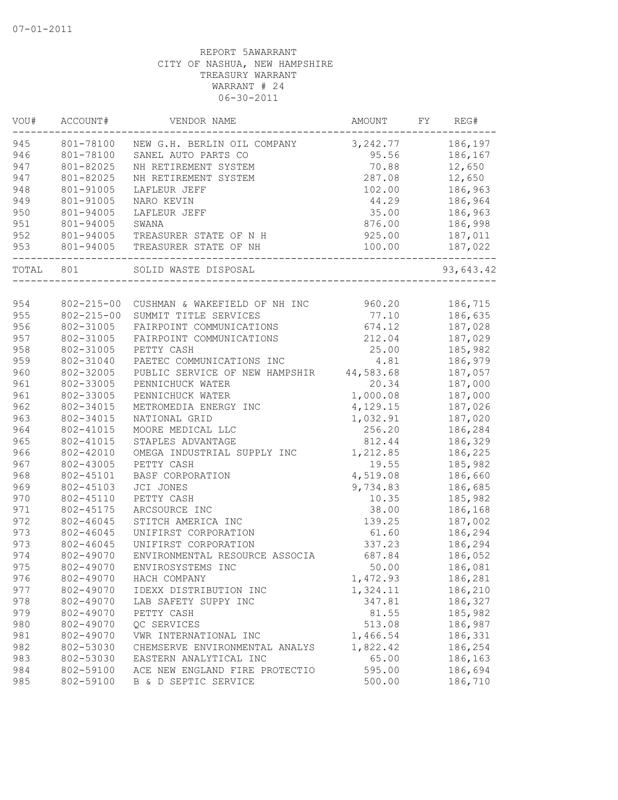| VOU#  | ACCOUNT#         | VENDOR NAME                              | AMOUNT   | FY | REG#      |
|-------|------------------|------------------------------------------|----------|----|-----------|
| 945   | 801-78100        | NEW G.H. BERLIN OIL COMPANY              | 3,242.77 |    | 186,197   |
| 946   | 801-78100        | SANEL AUTO PARTS CO                      | 95.56    |    | 186,167   |
| 947   | 801-82025        | NH RETIREMENT SYSTEM                     | 70.88    |    | 12,650    |
| 947   | 801-82025        | NH RETIREMENT SYSTEM                     | 287.08   |    | 12,650    |
| 948   | 801-91005        | LAFLEUR JEFF                             | 102.00   |    | 186,963   |
| 949   | 801-91005        | NARO KEVIN                               | 44.29    |    | 186,964   |
| 950   | 801-94005        | LAFLEUR JEFF                             | 35.00    |    | 186,963   |
| 951   | 801-94005        | SWANA                                    | 876.00   |    | 186,998   |
| 952   | 801-94005        | TREASURER STATE OF N H                   | 925.00   |    | 187,011   |
| 953   | 801-94005        | TREASURER STATE OF NH                    | 100.00   |    | 187,022   |
| TOTAL | 801              | SOLID WASTE DISPOSAL                     |          |    | 93,643.42 |
|       |                  |                                          |          |    |           |
| 954   | $802 - 215 - 00$ | CUSHMAN & WAKEFIELD OF NH INC            | 960.20   |    | 186,715   |
| 955   | $802 - 215 - 00$ | SUMMIT TITLE SERVICES                    | 77.10    |    | 186,635   |
| 956   | 802-31005        | FAIRPOINT COMMUNICATIONS                 | 674.12   |    | 187,028   |
| 957   | 802-31005        | FAIRPOINT COMMUNICATIONS                 | 212.04   |    | 187,029   |
| 958   | 802-31005        | PETTY CASH                               | 25.00    |    | 185,982   |
| 959   | 802-31040        | PAETEC COMMUNICATIONS INC                | 4.81     |    | 186,979   |
| 960   | 802-32005        | PUBLIC SERVICE OF NEW HAMPSHIR 44,583.68 |          |    | 187,057   |
| 961   | 802-33005        | PENNICHUCK WATER                         | 20.34    |    | 187,000   |
| 961   | 802-33005        | PENNICHUCK WATER                         | 1,000.08 |    | 187,000   |
| 962   | 802-34015        | METROMEDIA ENERGY INC                    | 4,129.15 |    | 187,026   |
| 963   | 802-34015        | NATIONAL GRID                            | 1,032.91 |    | 187,020   |
| 964   | 802-41015        | MOORE MEDICAL LLC                        | 256.20   |    | 186,284   |
| 965   | 802-41015        | STAPLES ADVANTAGE                        | 812.44   |    | 186,329   |
| 966   | 802-42010        | OMEGA INDUSTRIAL SUPPLY INC              | 1,212.85 |    | 186,225   |
| 967   | 802-43005        | PETTY CASH                               | 19.55    |    | 185,982   |
| 968   | 802-45101        | BASF CORPORATION                         | 4,519.08 |    | 186,660   |
| 969   | 802-45103        | JCI JONES                                | 9,734.83 |    | 186,685   |
| 970   | 802-45110        | PETTY CASH                               | 10.35    |    | 185,982   |
| 971   | 802-45175        | ARCSOURCE INC                            | 38.00    |    | 186,168   |
| 972   | 802-46045        | STITCH AMERICA INC                       | 139.25   |    | 187,002   |
| 973   | 802-46045        | UNIFIRST CORPORATION                     | 61.60    |    | 186,294   |
| 973   | 802-46045        | UNIFIRST CORPORATION                     | 337.23   |    | 186,294   |
| 974   | 802-49070        | ENVIRONMENTAL RESOURCE ASSOCIA           | 687.84   |    | 186,052   |
| 975   | 802-49070        | ENVIROSYSTEMS INC                        | 50.00    |    | 186,081   |
| 976   | 802-49070        | HACH COMPANY                             | 1,472.93 |    | 186,281   |
| 977   | 802-49070        | IDEXX DISTRIBUTION INC                   | 1,324.11 |    | 186,210   |
| 978   | 802-49070        | LAB SAFETY SUPPY INC                     | 347.81   |    | 186,327   |
| 979   | 802-49070        | PETTY CASH                               | 81.55    |    | 185,982   |
| 980   | 802-49070        | QC SERVICES                              | 513.08   |    | 186,987   |
| 981   | 802-49070        | VWR INTERNATIONAL INC                    | 1,466.54 |    | 186,331   |
| 982   | 802-53030        | CHEMSERVE ENVIRONMENTAL ANALYS           | 1,822.42 |    | 186,254   |
| 983   | 802-53030        | EASTERN ANALYTICAL INC                   | 65.00    |    | 186,163   |
| 984   | 802-59100        | ACE NEW ENGLAND FIRE PROTECTIO           | 595.00   |    | 186,694   |
| 985   | 802-59100        | B & D SEPTIC SERVICE                     | 500.00   |    | 186,710   |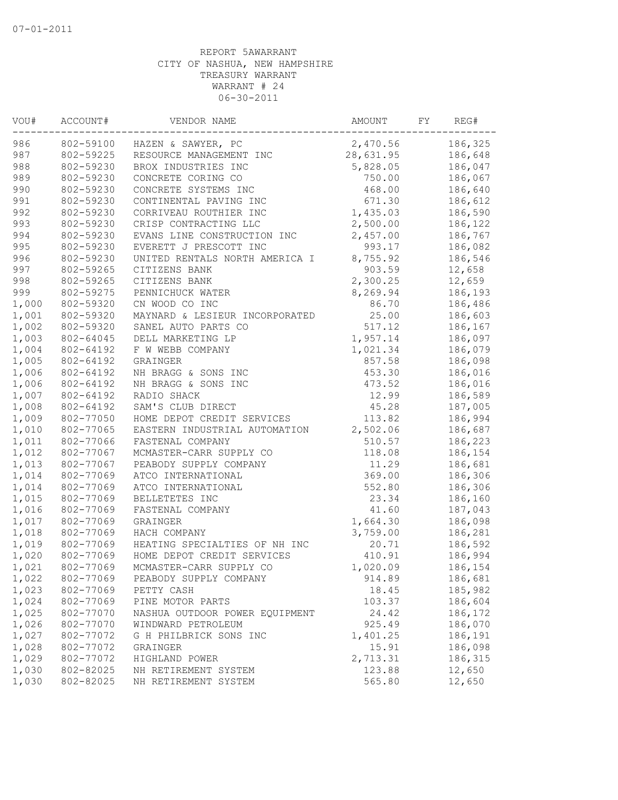| VOU#  | ACCOUNT#  | VENDOR NAME                    | AMOUNT    | FΥ | REG#    |
|-------|-----------|--------------------------------|-----------|----|---------|
| 986   | 802-59100 | HAZEN & SAWYER, PC             | 2,470.56  |    | 186,325 |
| 987   | 802-59225 | RESOURCE MANAGEMENT INC        | 28,631.95 |    | 186,648 |
| 988   | 802-59230 | BROX INDUSTRIES INC            | 5,828.05  |    | 186,047 |
| 989   | 802-59230 | CONCRETE CORING CO             | 750.00    |    | 186,067 |
| 990   | 802-59230 | CONCRETE SYSTEMS INC           | 468.00    |    | 186,640 |
| 991   | 802-59230 | CONTINENTAL PAVING INC         | 671.30    |    | 186,612 |
| 992   | 802-59230 | CORRIVEAU ROUTHIER INC         | 1,435.03  |    | 186,590 |
| 993   | 802-59230 | CRISP CONTRACTING LLC          | 2,500.00  |    | 186,122 |
| 994   | 802-59230 | EVANS LINE CONSTRUCTION INC    | 2,457.00  |    | 186,767 |
| 995   | 802-59230 | EVERETT J PRESCOTT INC         | 993.17    |    | 186,082 |
| 996   | 802-59230 | UNITED RENTALS NORTH AMERICA I | 8,755.92  |    | 186,546 |
| 997   | 802-59265 | CITIZENS BANK                  | 903.59    |    | 12,658  |
| 998   | 802-59265 | CITIZENS BANK                  | 2,300.25  |    | 12,659  |
| 999   | 802-59275 | PENNICHUCK WATER               | 8,269.94  |    | 186,193 |
| 1,000 | 802-59320 | CN WOOD CO INC                 | 86.70     |    | 186,486 |
| 1,001 | 802-59320 | MAYNARD & LESIEUR INCORPORATED | 25.00     |    | 186,603 |
| 1,002 | 802-59320 | SANEL AUTO PARTS CO            | 517.12    |    | 186,167 |
| 1,003 | 802-64045 | DELL MARKETING LP              | 1,957.14  |    | 186,097 |
| 1,004 | 802-64192 | F W WEBB COMPANY               | 1,021.34  |    | 186,079 |
| 1,005 | 802-64192 | GRAINGER                       | 857.58    |    | 186,098 |
| 1,006 | 802-64192 | NH BRAGG & SONS INC            | 453.30    |    | 186,016 |
| 1,006 | 802-64192 | NH BRAGG & SONS INC            | 473.52    |    | 186,016 |
| 1,007 | 802-64192 | RADIO SHACK                    | 12.99     |    | 186,589 |
| 1,008 | 802-64192 | SAM'S CLUB DIRECT              | 45.28     |    | 187,005 |
| 1,009 | 802-77050 | HOME DEPOT CREDIT SERVICES     | 113.82    |    | 186,994 |
| 1,010 | 802-77065 | EASTERN INDUSTRIAL AUTOMATION  | 2,502.06  |    | 186,687 |
| 1,011 | 802-77066 | FASTENAL COMPANY               | 510.57    |    | 186,223 |
| 1,012 | 802-77067 | MCMASTER-CARR SUPPLY CO        | 118.08    |    | 186,154 |
| 1,013 | 802-77067 | PEABODY SUPPLY COMPANY         | 11.29     |    | 186,681 |
| 1,014 | 802-77069 | ATCO INTERNATIONAL             | 369.00    |    | 186,306 |
| 1,014 | 802-77069 | ATCO INTERNATIONAL             | 552.80    |    | 186,306 |
| 1,015 | 802-77069 | BELLETETES INC                 | 23.34     |    | 186,160 |
| 1,016 | 802-77069 | FASTENAL COMPANY               | 41.60     |    | 187,043 |
| 1,017 | 802-77069 | GRAINGER                       | 1,664.30  |    | 186,098 |
| 1,018 | 802-77069 | HACH COMPANY                   | 3,759.00  |    | 186,281 |
| 1,019 | 802-77069 | HEATING SPECIALTIES OF NH INC  | 20.71     |    | 186,592 |
| 1,020 | 802-77069 | HOME DEPOT CREDIT SERVICES     | 410.91    |    | 186,994 |
| 1,021 | 802-77069 | MCMASTER-CARR SUPPLY CO        | 1,020.09  |    | 186,154 |
|       |           |                                |           |    |         |
| 1,022 | 802-77069 | PEABODY SUPPLY COMPANY         | 914.89    |    | 186,681 |
| 1,023 | 802-77069 | PETTY CASH                     | 18.45     |    | 185,982 |
| 1,024 | 802-77069 | PINE MOTOR PARTS               | 103.37    |    | 186,604 |
| 1,025 | 802-77070 | NASHUA OUTDOOR POWER EQUIPMENT | 24.42     |    | 186,172 |
| 1,026 | 802-77070 | WINDWARD PETROLEUM             | 925.49    |    | 186,070 |
| 1,027 | 802-77072 | G H PHILBRICK SONS INC         | 1,401.25  |    | 186,191 |
| 1,028 | 802-77072 | GRAINGER                       | 15.91     |    | 186,098 |
| 1,029 | 802-77072 | HIGHLAND POWER                 | 2,713.31  |    | 186,315 |
| 1,030 | 802-82025 | NH RETIREMENT SYSTEM           | 123.88    |    | 12,650  |
| 1,030 | 802-82025 | NH RETIREMENT SYSTEM           | 565.80    |    | 12,650  |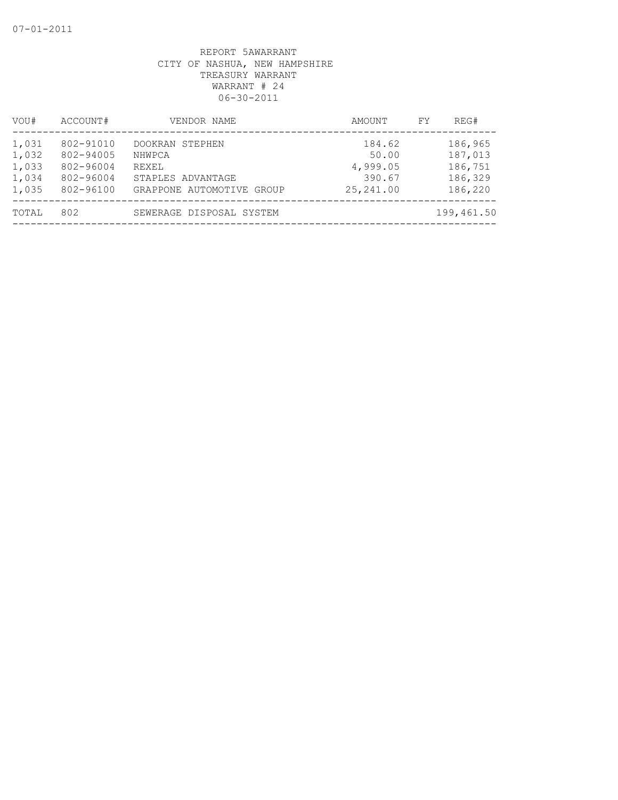| VOU#                                      | ACCOUNT#                                                      | VENDOR NAME                                                                          | AMOUNT                                             | REG#<br>FY                                          |
|-------------------------------------------|---------------------------------------------------------------|--------------------------------------------------------------------------------------|----------------------------------------------------|-----------------------------------------------------|
| 1,031<br>1,032<br>1,033<br>1,034<br>1,035 | 802-91010<br>802-94005<br>802-96004<br>802-96004<br>802-96100 | DOOKRAN STEPHEN<br>NHWPCA<br>REXEL<br>STAPLES ADVANTAGE<br>GRAPPONE AUTOMOTIVE GROUP | 184.62<br>50.00<br>4,999.05<br>390.67<br>25,241.00 | 186,965<br>187,013<br>186,751<br>186,329<br>186,220 |
| TOTAL                                     | 802                                                           | SEWERAGE DISPOSAL SYSTEM                                                             |                                                    | 199,461.50                                          |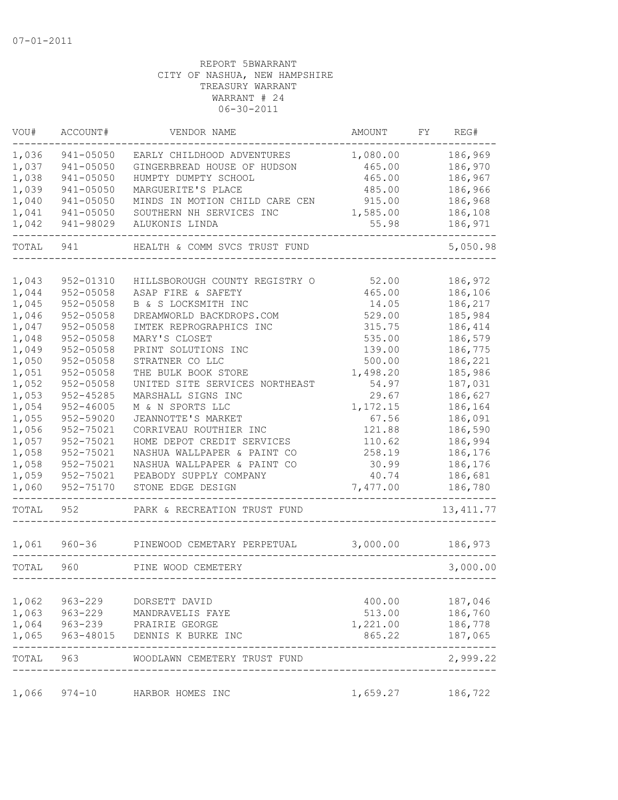| VOU#  | ACCOUNT#      | VENDOR NAME                    | AMOUNT   | FY | REG#       |
|-------|---------------|--------------------------------|----------|----|------------|
| 1,036 | 941-05050     | EARLY CHILDHOOD ADVENTURES     | 1,080.00 |    | 186,969    |
| 1,037 | 941-05050     | GINGERBREAD HOUSE OF HUDSON    | 465.00   |    | 186,970    |
| 1,038 | 941-05050     | HUMPTY DUMPTY SCHOOL           | 465.00   |    | 186,967    |
| 1,039 | 941-05050     | MARGUERITE'S PLACE             | 485.00   |    | 186,966    |
| 1,040 | 941-05050     | MINDS IN MOTION CHILD CARE CEN | 915.00   |    | 186,968    |
| 1,041 | 941-05050     | SOUTHERN NH SERVICES INC       | 1,585.00 |    | 186,108    |
| 1,042 | 941-98029     | ALUKONIS LINDA                 | 55.98    |    | 186,971    |
| TOTAL | 941           | HEALTH & COMM SVCS TRUST FUND  |          |    | 5,050.98   |
|       |               |                                |          |    |            |
| 1,043 | 952-01310     | HILLSBOROUGH COUNTY REGISTRY O | 52.00    |    | 186,972    |
| 1,044 | $952 - 05058$ | ASAP FIRE & SAFETY             | 465.00   |    | 186,106    |
| 1,045 | 952-05058     | B & S LOCKSMITH INC            | 14.05    |    | 186,217    |
| 1,046 | $952 - 05058$ | DREAMWORLD BACKDROPS.COM       | 529.00   |    | 185,984    |
| 1,047 | $952 - 05058$ | IMTEK REPROGRAPHICS INC        | 315.75   |    | 186,414    |
| 1,048 | 952-05058     | MARY'S CLOSET                  | 535.00   |    | 186,579    |
| 1,049 | $952 - 05058$ | PRINT SOLUTIONS INC            | 139.00   |    | 186,775    |
| 1,050 | $952 - 05058$ | STRATNER CO LLC                | 500.00   |    | 186,221    |
| 1,051 | 952-05058     | THE BULK BOOK STORE            | 1,498.20 |    | 185,986    |
| 1,052 | 952-05058     | UNITED SITE SERVICES NORTHEAST | 54.97    |    | 187,031    |
| 1,053 | $952 - 45285$ | MARSHALL SIGNS INC             | 29.67    |    | 186,627    |
| 1,054 | $952 - 46005$ | M & N SPORTS LLC               | 1,172.15 |    | 186,164    |
| 1,055 | 952-59020     | JEANNOTTE'S MARKET             | 67.56    |    | 186,091    |
| 1,056 | 952-75021     | CORRIVEAU ROUTHIER INC         | 121.88   |    | 186,590    |
| 1,057 | 952-75021     | HOME DEPOT CREDIT SERVICES     | 110.62   |    | 186,994    |
| 1,058 | 952-75021     | NASHUA WALLPAPER & PAINT CO    | 258.19   |    | 186,176    |
| 1,058 | 952-75021     | NASHUA WALLPAPER & PAINT CO    | 30.99    |    | 186,176    |
| 1,059 | 952-75021     | PEABODY SUPPLY COMPANY         | 40.74    |    | 186,681    |
| 1,060 | 952-75170     | STONE EDGE DESIGN              | 7,477.00 |    | 186,780    |
| TOTAL | 952           | PARK & RECREATION TRUST FUND   |          |    | 13, 411.77 |
| 1,061 | $960 - 36$    | PINEWOOD CEMETARY PERPETUAL    | 3,000.00 |    | 186,973    |
| TOTAL | 960           | PINE WOOD CEMETERY             |          |    | 3,000.00   |
|       |               |                                |          |    |            |
| 1,062 | $963 - 229$   | DORSETT DAVID                  | 400.00   |    | 187,046    |
| 1,063 | $963 - 229$   | MANDRAVELIS FAYE               | 513.00   |    | 186,760    |
| 1,064 | 963-239       | PRAIRIE GEORGE                 | 1,221.00 |    | 186,778    |
| 1,065 |               | 963-48015 DENNIS K BURKE INC   | 865.22   |    | 187,065    |
| TOTAL | 963           | WOODLAWN CEMETERY TRUST FUND   |          |    | 2,999.22   |
| 1,066 | 974-10        | HARBOR HOMES INC               | 1,659.27 |    | 186,722    |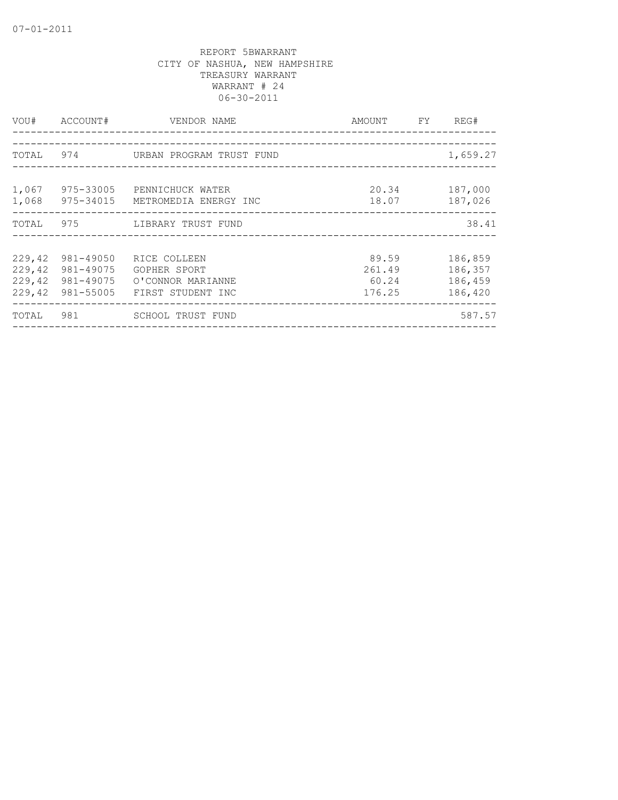| VOU#      | ACCOUNT#  | VENDOR NAME                     | AMOUNT FY | REG#     |
|-----------|-----------|---------------------------------|-----------|----------|
|           |           |                                 |           |          |
| TOTAL 974 |           | URBAN PROGRAM TRUST FUND        |           | 1,659.27 |
|           |           |                                 |           |          |
| 1,067     | 975-33005 | PENNICHUCK WATER                | 20.34     | 187,000  |
| 1,068     |           | 975-34015 METROMEDIA ENERGY INC | 18.07     | 187,026  |
|           |           | TOTAL 975 LIBRARY TRUST FUND    |           | 38.41    |
|           |           |                                 |           |          |
| 229,42    | 981-49050 | RICE COLLEEN                    | 89.59     | 186,859  |
| 229,42    | 981-49075 | GOPHER SPORT                    | 261.49    | 186,357  |
| 229, 42   | 981-49075 | O'CONNOR MARIANNE               | 60.24     | 186,459  |
| 229, 42   | 981-55005 | FIRST STUDENT INC               | 176.25    | 186,420  |
| TOTAL     | 981       | SCHOOL TRUST FUND               |           | 587.57   |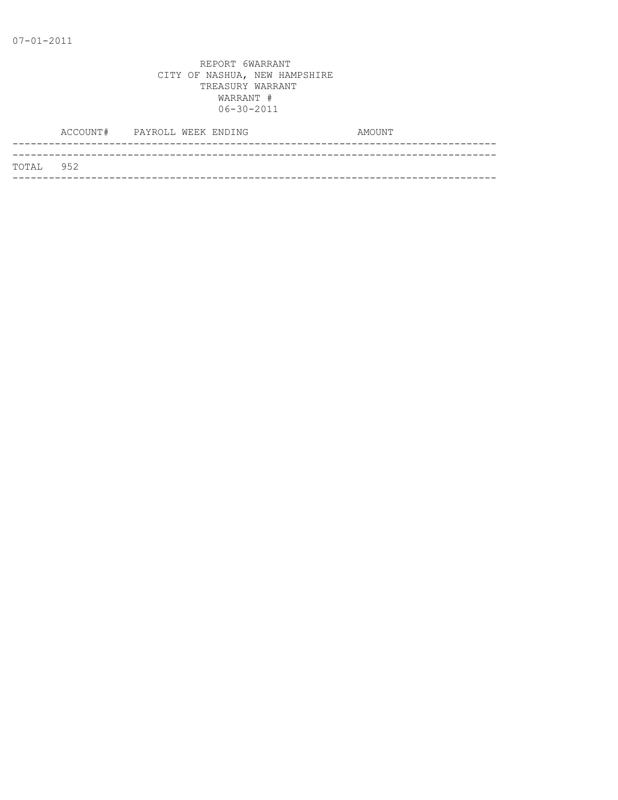|           | ACCOUNT# PAYROLL WEEK ENDING |  |  | AMOUNT |  |
|-----------|------------------------------|--|--|--------|--|
|           |                              |  |  |        |  |
| TOTAL 952 |                              |  |  |        |  |
|           |                              |  |  |        |  |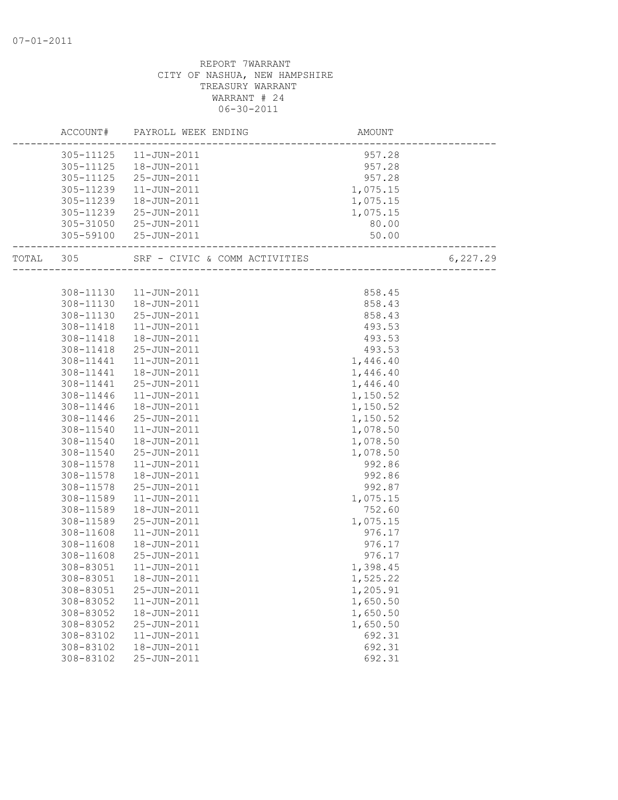|           | ACCOUNT#               | PAYROLL WEEK ENDING                               | AMOUNT               |          |
|-----------|------------------------|---------------------------------------------------|----------------------|----------|
|           |                        | 305-11125  11-JUN-2011                            | 957.28               |          |
|           |                        | 305-11125  18-JUN-2011                            | 957.28               |          |
|           |                        | 305-11125 25-JUN-2011                             | 957.28               |          |
|           | 305-11239              | $11 - JUN - 2011$                                 | 1,075.15             |          |
|           | 305-11239              | 18-JUN-2011                                       | 1,075.15             |          |
|           | 305-11239              | 25-JUN-2011                                       | 1,075.15             |          |
|           |                        | 305-31050 25-JUN-2011                             | 80.00                |          |
|           |                        | 305-59100 25-JUN-2011<br>------------------------ | 50.00                |          |
| TOTAL 305 |                        |                                                   |                      | 6,227.29 |
|           |                        |                                                   |                      |          |
|           | 308-11130              | 11-JUN-2011                                       | 858.45               |          |
|           | 308-11130              | $18 - JUN - 2011$                                 | 858.43               |          |
|           | 308-11130              | 25-JUN-2011                                       | 858.43               |          |
|           | 308-11418              | 11-JUN-2011                                       | 493.53               |          |
|           | 308-11418              | 18-JUN-2011                                       | 493.53               |          |
|           | 308-11418              | 25-JUN-2011<br>$11 - JUN - 2011$                  | 493.53               |          |
|           | 308-11441              | 18-JUN-2011                                       | 1,446.40             |          |
|           | 308-11441<br>308-11441 | 25-JUN-2011                                       | 1,446.40<br>1,446.40 |          |
|           | 308-11446              | 11-JUN-2011                                       | 1,150.52             |          |
|           | 308-11446              | 18-JUN-2011                                       | 1,150.52             |          |
|           | 308-11446              | 25-JUN-2011                                       | 1,150.52             |          |
|           | 308-11540              | 11-JUN-2011                                       | 1,078.50             |          |
|           | 308-11540              | 18-JUN-2011                                       | 1,078.50             |          |
|           | 308-11540              | 25-JUN-2011                                       | 1,078.50             |          |
|           | 308-11578              | $11 - JUN - 2011$                                 | 992.86               |          |
|           | 308-11578              | 18-JUN-2011                                       | 992.86               |          |
|           | 308-11578              | 25-JUN-2011                                       | 992.87               |          |
|           | 308-11589              | 11-JUN-2011                                       | 1,075.15             |          |
|           | 308-11589              | 18-JUN-2011                                       | 752.60               |          |
|           | 308-11589              | 25-JUN-2011                                       | 1,075.15             |          |
|           | 308-11608              | $11 - JUN - 2011$                                 | 976.17               |          |
|           | 308-11608              | 18-JUN-2011                                       | 976.17               |          |
|           | 308-11608              | 25-JUN-2011                                       | 976.17               |          |
|           | 308-83051              | 11-JUN-2011                                       | 1,398.45             |          |
|           |                        | 308-83051  18-JUN-2011                            | 1,525.22             |          |
|           | 308-83051              | 25-JUN-2011                                       | 1,205.91             |          |
|           | 308-83052              | 11-JUN-2011                                       | 1,650.50             |          |
|           | 308-83052              | 18-JUN-2011                                       | 1,650.50             |          |
|           | 308-83052              | 25-JUN-2011                                       | 1,650.50             |          |
|           | 308-83102              | 11-JUN-2011                                       | 692.31               |          |
|           | 308-83102              | 18-JUN-2011                                       | 692.31               |          |
|           | 308-83102              | 25-JUN-2011                                       | 692.31               |          |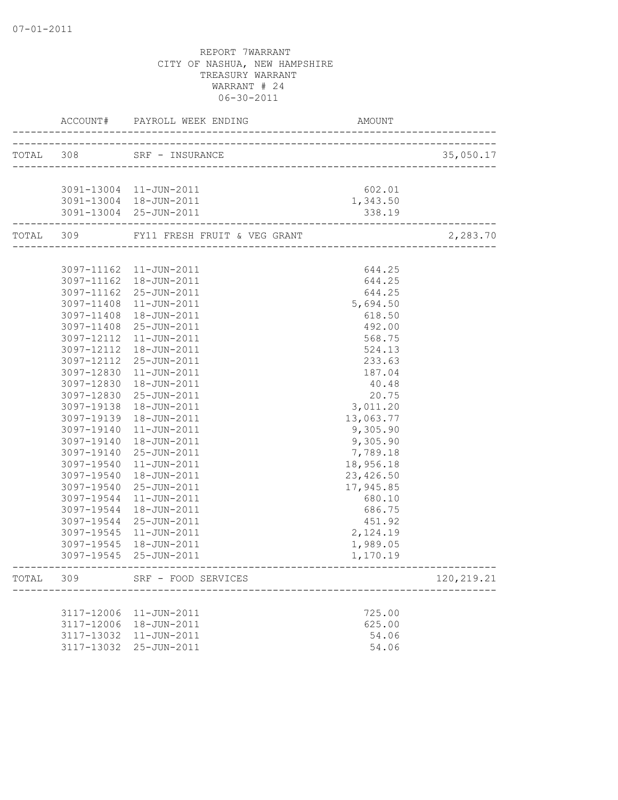|       |            | ACCOUNT# PAYROLL WEEK ENDING                           | AMOUNT    |            |
|-------|------------|--------------------------------------------------------|-----------|------------|
|       |            |                                                        |           |            |
|       |            | TOTAL 308 SRF - INSURANCE<br>_________________________ |           | 35,050.17  |
|       |            | 3091-13004 11-JUN-2011                                 | 602.01    |            |
|       |            | 3091-13004  18-JUN-2011                                | 1,343.50  |            |
|       |            | 3091-13004 25-JUN-2011                                 | 338.19    |            |
|       |            | TOTAL 309 FY11 FRESH FRUIT & VEG GRANT                 |           | 2,283.70   |
|       |            |                                                        |           |            |
|       |            | 3097-11162  11-JUN-2011                                | 644.25    |            |
|       |            | 3097-11162  18-JUN-2011                                | 644.25    |            |
|       |            | 3097-11162 25-JUN-2011                                 | 644.25    |            |
|       |            | 3097-11408 11-JUN-2011                                 | 5,694.50  |            |
|       | 3097-11408 | 18-JUN-2011                                            | 618.50    |            |
|       | 3097-11408 | 25-JUN-2011                                            | 492.00    |            |
|       | 3097-12112 | 11-JUN-2011                                            | 568.75    |            |
|       | 3097-12112 | 18-JUN-2011                                            | 524.13    |            |
|       | 3097-12112 | 25-JUN-2011                                            | 233.63    |            |
|       | 3097-12830 | 11-JUN-2011                                            | 187.04    |            |
|       | 3097-12830 | 18-JUN-2011                                            | 40.48     |            |
|       | 3097-12830 | 25-JUN-2011                                            | 20.75     |            |
|       | 3097-19138 | 18-JUN-2011                                            | 3,011.20  |            |
|       | 3097-19139 | 18-JUN-2011                                            | 13,063.77 |            |
|       | 3097-19140 | 11-JUN-2011                                            | 9,305.90  |            |
|       | 3097-19140 | 18-JUN-2011                                            | 9,305.90  |            |
|       | 3097-19140 | 25-JUN-2011                                            | 7,789.18  |            |
|       | 3097-19540 | 11-JUN-2011                                            | 18,956.18 |            |
|       | 3097-19540 | 18-JUN-2011                                            | 23,426.50 |            |
|       | 3097-19540 | 25-JUN-2011                                            | 17,945.85 |            |
|       | 3097-19544 | 11-JUN-2011                                            | 680.10    |            |
|       | 3097-19544 | 18-JUN-2011                                            | 686.75    |            |
|       | 3097-19544 | 25-JUN-2011                                            | 451.92    |            |
|       | 3097-19545 | 11-JUN-2011                                            | 2,124.19  |            |
|       |            | 3097-19545  18-JUN-2011                                | 1,989.05  |            |
|       |            | 3097-19545 25-JUN-2011                                 | 1,170.19  |            |
| TOTAL | 309        | SRF - FOOD SERVICES                                    |           | 120,219.21 |
|       |            |                                                        |           |            |
|       | 3117-12006 | 11-JUN-2011                                            | 725.00    |            |
|       | 3117-12006 | 18-JUN-2011                                            | 625.00    |            |
|       | 3117-13032 | $11 - JUN - 2011$                                      | 54.06     |            |
|       |            | 3117-13032 25-JUN-2011                                 | 54.06     |            |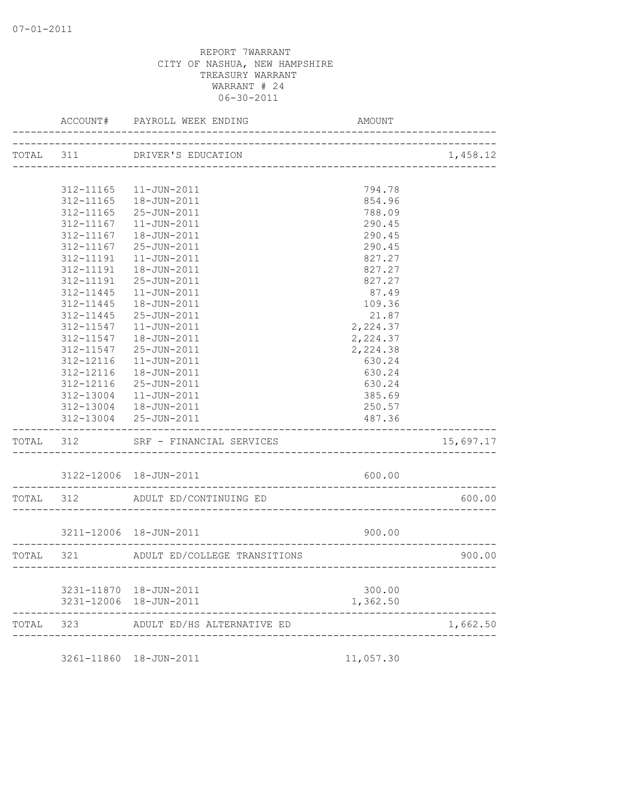|           | ACCOUNT#  | PAYROLL WEEK ENDING                              | AMOUNT                          |           |
|-----------|-----------|--------------------------------------------------|---------------------------------|-----------|
|           |           | TOTAL 311 DRIVER'S EDUCATION                     |                                 | 1,458.12  |
|           |           |                                                  |                                 |           |
|           | 312-11165 | 11-JUN-2011                                      | 794.78                          |           |
|           | 312-11165 | 18-JUN-2011                                      | 854.96                          |           |
|           | 312-11165 | 25-JUN-2011                                      | 788.09                          |           |
|           | 312-11167 | $11 - JUN - 2011$                                | 290.45                          |           |
|           | 312-11167 | 18-JUN-2011                                      | 290.45                          |           |
|           | 312-11167 | 25-JUN-2011                                      | 290.45                          |           |
|           | 312-11191 | $11 - JUN - 2011$                                | 827.27                          |           |
|           | 312-11191 | 18-JUN-2011                                      | 827.27                          |           |
|           | 312-11191 | 25-JUN-2011                                      | 827.27                          |           |
|           | 312-11445 | $11 - JUN - 2011$                                | 87.49                           |           |
|           | 312-11445 | 18-JUN-2011                                      | 109.36                          |           |
|           | 312-11445 | 25-JUN-2011                                      | 21.87                           |           |
|           | 312-11547 | $11 - JUN - 2011$                                | 2,224.37                        |           |
|           | 312-11547 | 18-JUN-2011                                      | 2,224.37                        |           |
|           | 312-11547 | 25-JUN-2011                                      | 2,224.38                        |           |
|           | 312-12116 | 11-JUN-2011                                      | 630.24                          |           |
|           | 312-12116 | 18-JUN-2011                                      | 630.24                          |           |
|           | 312-12116 | 25-JUN-2011                                      | 630.24                          |           |
|           | 312-13004 | 11-JUN-2011                                      | 385.69                          |           |
|           |           | 312-13004  18-JUN-2011                           | 250.57                          |           |
|           |           | 312-13004 25-JUN-2011                            | 487.36                          |           |
| TOTAL 312 |           | SRF - FINANCIAL SERVICES<br>-------------        |                                 | 15,697.17 |
|           |           | 3122-12006 18-JUN-2011<br>---------------------- | 600.00                          |           |
| TOTAL 312 |           | ADULT ED/CONTINUING ED                           |                                 | 600.00    |
|           |           | 3211-12006 18-JUN-2011                           | 900.00                          |           |
|           |           |                                                  |                                 |           |
| TOTAL 321 |           | ADULT ED/COLLEGE TRANSITIONS<br>------------     | ------------------------------- | 900.00    |
|           |           | 3231-11870  18-JUN-2011                          | 300.00                          |           |
|           |           | 3231-12006 18-JUN-2011                           | 1,362.50                        |           |
| TOTAL     | 323       | ADULT ED/HS ALTERNATIVE ED                       |                                 | 1,662.50  |

3261-11860 18-JUN-2011 11,057.30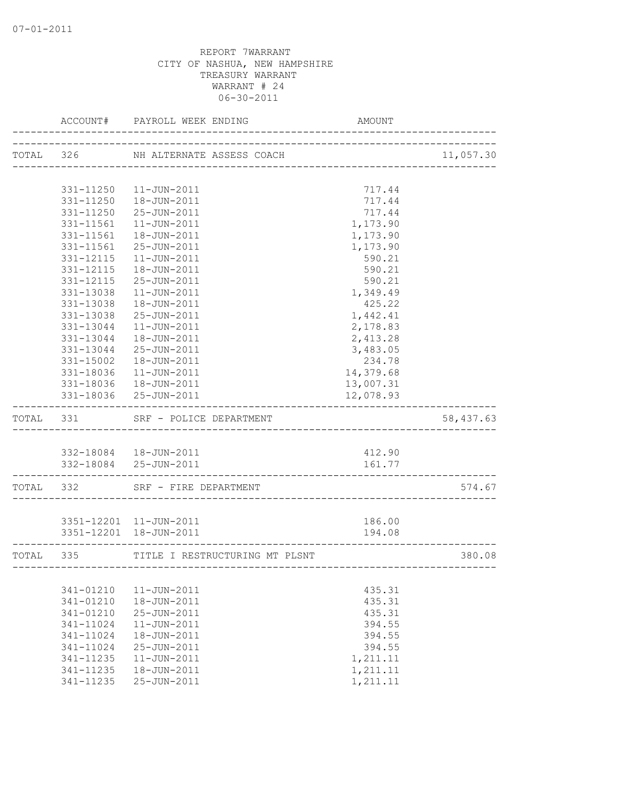|           |               | ACCOUNT# PAYROLL WEEK ENDING                    | AMOUNT                 |           |
|-----------|---------------|-------------------------------------------------|------------------------|-----------|
|           |               | TOTAL 326 NH ALTERNATE ASSESS COACH             | _____________________  | 11,057.30 |
|           |               |                                                 |                        |           |
|           |               | 331-11250  11-JUN-2011                          | 717.44                 |           |
|           |               | 331-11250  18-JUN-2011                          | 717.44                 |           |
|           | 331-11250     | 25-JUN-2011                                     | 717.44                 |           |
|           | 331-11561     | 11-JUN-2011                                     | 1,173.90               |           |
|           | 331-11561     | 18-JUN-2011                                     | 1,173.90               |           |
|           | 331-11561     | 25-JUN-2011                                     | 1,173.90               |           |
|           | 331-12115     | $11 - JUN - 2011$                               | 590.21                 |           |
|           | 331-12115     | 18-JUN-2011                                     | 590.21                 |           |
|           | 331-12115     | 25-JUN-2011                                     | 590.21                 |           |
|           | 331-13038     | $11 - JUN - 2011$                               | 1,349.49               |           |
|           | 331-13038     | 18-JUN-2011                                     | 425.22                 |           |
|           | 331-13038     | 25-JUN-2011                                     | 1,442.41               |           |
|           | 331-13044     | 11-JUN-2011                                     | 2,178.83               |           |
|           | 331-13044     | 18-JUN-2011                                     | 2,413.28               |           |
|           | 331-13044     | 25-JUN-2011                                     | 3,483.05               |           |
|           | 331-15002     | 18-JUN-2011                                     | 234.78                 |           |
|           | 331-18036     | 11-JUN-2011                                     | 14,379.68              |           |
|           |               | 331-18036  18-JUN-2011<br>331-18036 25-JUN-2011 | 13,007.31<br>12,078.93 |           |
| TOTAL 331 |               | SRF - POLICE DEPARTMENT                         |                        | 58,437.63 |
|           |               |                                                 |                        |           |
|           |               | 332-18084  18-JUN-2011                          | 412.90                 |           |
|           |               | 332-18084 25-JUN-2011                           | 161.77                 |           |
|           |               |                                                 |                        |           |
|           |               | TOTAL 332 SRF - FIRE DEPARTMENT                 |                        | 574.67    |
|           |               | 3351-12201 11-JUN-2011                          | 186.00                 |           |
|           |               | 3351-12201 18-JUN-2011                          | 194.08                 |           |
|           |               |                                                 |                        |           |
| TOTAL 335 |               | TITLE I RESTRUCTURING MT PLSNT                  |                        | 380.08    |
|           |               |                                                 |                        |           |
|           | 341-01210     | $11 - JUN - 2011$                               | 435.31                 |           |
|           | 341-01210     | 18-JUN-2011                                     | 435.31                 |           |
|           | 341-01210     | 25-JUN-2011                                     | 435.31                 |           |
|           | 341-11024     | 11-JUN-2011                                     | 394.55                 |           |
|           | 341-11024     | 18-JUN-2011                                     | 394.55                 |           |
|           | 341-11024     | 25-JUN-2011                                     | 394.55                 |           |
|           | $341 - 11235$ | $11 - JUN - 2011$                               | 1,211.11               |           |
|           | 341-11235     | 18-JUN-2011                                     | 1,211.11               |           |
|           | 341-11235     | 25-JUN-2011                                     | 1,211.11               |           |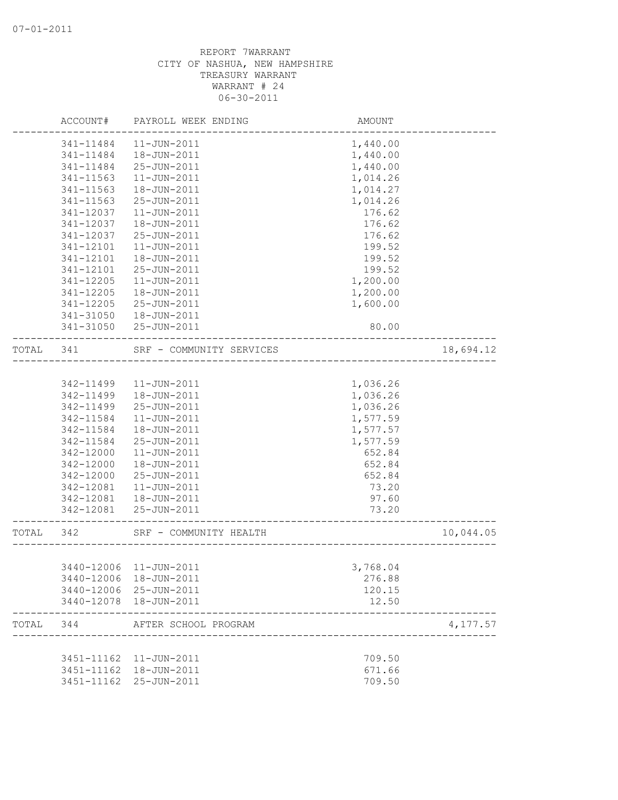|           | ACCOUNT#   | PAYROLL WEEK ENDING                         | AMOUNT               |           |
|-----------|------------|---------------------------------------------|----------------------|-----------|
|           | 341-11484  | $11 - JUN - 2011$                           | 1,440.00             |           |
|           | 341-11484  | 18-JUN-2011                                 | 1,440.00             |           |
|           | 341-11484  | 25-JUN-2011                                 | 1,440.00             |           |
|           | 341-11563  | $11 - JUN - 2011$                           | 1,014.26             |           |
|           | 341-11563  | 18-JUN-2011                                 | 1,014.27             |           |
|           | 341-11563  | 25-JUN-2011                                 | 1,014.26             |           |
|           | 341-12037  | 11-JUN-2011                                 | 176.62               |           |
|           | 341-12037  | 18-JUN-2011                                 | 176.62               |           |
|           | 341-12037  | 25-JUN-2011                                 | 176.62               |           |
|           | 341-12101  | $11 - JUN - 2011$                           | 199.52               |           |
|           | 341-12101  | 18-JUN-2011                                 | 199.52               |           |
|           | 341-12101  | 25-JUN-2011                                 | 199.52               |           |
|           | 341-12205  | $11 - JUN - 2011$                           | 1,200.00             |           |
|           | 341-12205  | 18-JUN-2011                                 | 1,200.00             |           |
|           | 341-12205  | 25-JUN-2011                                 | 1,600.00             |           |
|           | 341-31050  | 18-JUN-2011                                 |                      |           |
|           | 341-31050  | 25-JUN-2011                                 | 80.00                |           |
| TOTAL     | 341        | SRF - COMMUNITY SERVICES                    | ____________________ | 18,694.12 |
|           |            |                                             |                      |           |
|           | 342-11499  | $11 - JUN - 2011$                           | 1,036.26             |           |
|           | 342-11499  | 18-JUN-2011                                 | 1,036.26             |           |
|           | 342-11499  | 25-JUN-2011                                 | 1,036.26             |           |
|           | 342-11584  | $11 - JUN - 2011$                           | 1,577.59             |           |
|           | 342-11584  | 18-JUN-2011                                 | 1,577.57             |           |
|           | 342-11584  | 25-JUN-2011                                 | 1,577.59             |           |
|           | 342-12000  | $11 - JUN - 2011$                           | 652.84               |           |
|           | 342-12000  | 18-JUN-2011                                 | 652.84               |           |
|           | 342-12000  | 25-JUN-2011                                 | 652.84               |           |
|           | 342-12081  | 11-JUN-2011                                 | 73.20                |           |
|           | 342-12081  | 18-JUN-2011                                 | 97.60                |           |
|           | 342-12081  | 25-JUN-2011                                 | 73.20                |           |
| TOTAL 342 |            | SRF - COMMUNITY HEALTH                      | -------------------  | 10,044.05 |
|           |            |                                             |                      |           |
|           |            | 3440-12006 11-JUN-2011                      | 3,768.04             |           |
|           |            | 3440-12006 18-JUN-2011                      | 276.88               |           |
|           |            | 3440-12006 25-JUN-2011                      | 120.15               |           |
|           |            | 3440-12078  18-JUN-2011                     | 12.50                |           |
| TOTAL     | 344        | AFTER SCHOOL PROGRAM<br>___________________ |                      | 4,177.57  |
|           |            | 3451-11162  11-JUN-2011                     | 709.50               |           |
|           |            | 3451-11162  18-JUN-2011                     | 671.66               |           |
|           | 3451-11162 | 25-JUN-2011                                 | 709.50               |           |
|           |            |                                             |                      |           |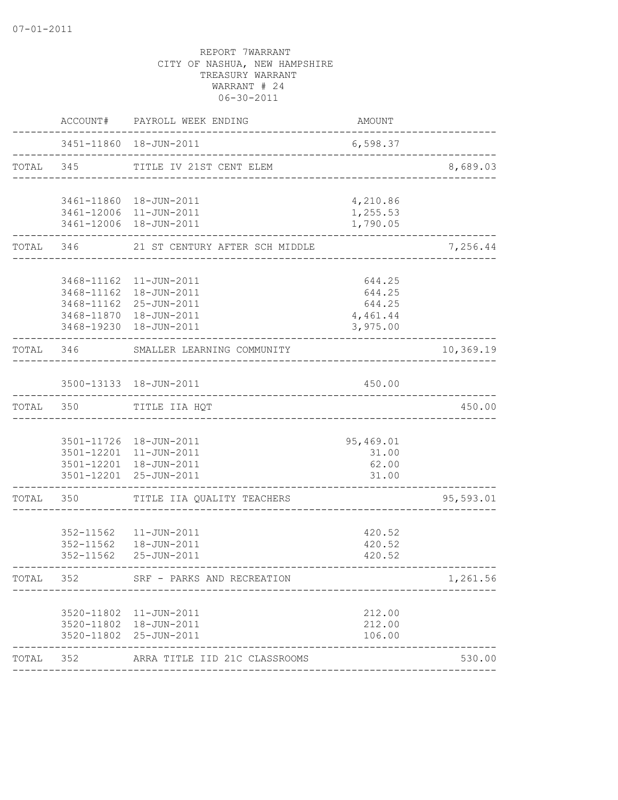|       |           | ACCOUNT# PAYROLL WEEK ENDING                                  | AMOUNT                            |           |
|-------|-----------|---------------------------------------------------------------|-----------------------------------|-----------|
|       |           | 3451-11860  18-JUN-2011<br>---------------------------------- | 6,598.37                          |           |
|       |           | TOTAL 345 TITLE IV 21ST CENT ELEM                             | _________________________________ | 8,689.03  |
|       |           | 3461-11860  18-JUN-2011                                       | 4,210.86                          |           |
|       |           | 3461-12006 11-JUN-2011<br>3461-12006 18-JUN-2011              | 1,255.53<br>1,790.05              |           |
|       |           | TOTAL 346 21 ST CENTURY AFTER SCH MIDDLE                      |                                   | 7,256.44  |
|       |           | 3468-11162  11-JUN-2011                                       | 644.25                            |           |
|       |           | 3468-11162  18-JUN-2011                                       | 644.25                            |           |
|       |           | 3468-11162 25-JUN-2011                                        | 644.25                            |           |
|       |           | 3468-11870  18-JUN-2011<br>3468-19230  18-JUN-2011            | 4,461.44<br>3,975.00              |           |
|       | TOTAL 346 | SMALLER LEARNING COMMUNITY<br>_____________________           |                                   | 10,369.19 |
|       |           | 3500-13133 18-JUN-2011                                        | 450.00                            |           |
|       | TOTAL 350 | TITLE IIA HQT                                                 |                                   | 450.00    |
|       |           |                                                               |                                   |           |
|       |           | 3501-11726  18-JUN-2011                                       | 95,469.01                         |           |
|       |           | 3501-12201 11-JUN-2011                                        | 31.00                             |           |
|       |           | 3501-12201  18-JUN-2011                                       | 62.00                             |           |
|       |           | 3501-12201 25-JUN-2011                                        | 31.00                             |           |
| TOTAL | 350       | TITLE IIA QUALITY TEACHERS                                    |                                   | 95,593.01 |
|       |           | 352-11562  11-JUN-2011                                        | 420.52                            |           |
|       |           | 352-11562  18-JUN-2011                                        | 420.52                            |           |
|       | 352-11562 | 25-JUN-2011                                                   | 420.52                            |           |
| TOTAL | 352       | SRF - PARKS AND RECREATION                                    |                                   | 1,261.56  |
|       |           | 3520-11802 11-JUN-2011                                        | 212.00                            |           |
|       |           | 3520-11802  18-JUN-2011                                       | 212.00                            |           |
|       |           | 3520-11802 25-JUN-2011                                        | 106.00                            |           |
| TOTAL | 352       | ARRA TITLE IID 21C CLASSROOMS                                 |                                   | 530.00    |
|       |           |                                                               |                                   |           |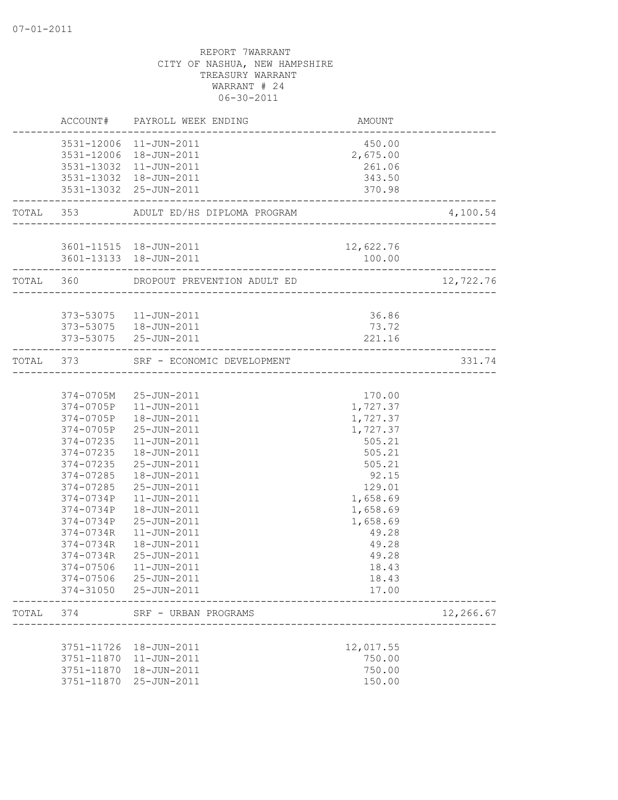|       |                        | ACCOUNT# PAYROLL WEEK ENDING                     | AMOUNT                                  |           |
|-------|------------------------|--------------------------------------------------|-----------------------------------------|-----------|
|       |                        | 3531-12006 11-JUN-2011<br>3531-12006 18-JUN-2011 | 450.00<br>2,675.00                      |           |
|       |                        | 3531-13032 11-JUN-2011<br>3531-13032 18-JUN-2011 | 261.06<br>343.50                        |           |
|       |                        | 3531-13032 25-JUN-2011                           | 370.98<br>_____________________________ |           |
|       |                        | TOTAL 353 ADULT ED/HS DIPLOMA PROGRAM            |                                         | 4,100.54  |
|       |                        | 3601-11515  18-JUN-2011                          | 12,622.76                               |           |
|       | ___________________    | 3601-13133  18-JUN-2011                          | 100.00                                  |           |
|       |                        | TOTAL 360 DROPOUT PREVENTION ADULT ED            |                                         | 12,722.76 |
|       |                        | 373-53075   11-JUN-2011                          | 36.86                                   |           |
|       |                        | 373-53075  18-JUN-2011<br>373-53075 25-JUN-2011  | 73.72<br>221.16                         |           |
|       |                        | TOTAL 373 SRF - ECONOMIC DEVELOPMENT             | _____________                           | 331.74    |
|       |                        |                                                  |                                         |           |
|       |                        | 374-0705M 25-JUN-2011                            | 170.00                                  |           |
|       |                        | 374-0705P 11-JUN-2011                            | 1,727.37                                |           |
|       | 374-0705P              | 18-JUN-2011                                      | 1,727.37                                |           |
|       |                        | 374-0705P 25-JUN-2011                            | 1,727.37                                |           |
|       | 374-07235              | 11-JUN-2011                                      | 505.21                                  |           |
|       |                        | 374-07235  18-JUN-2011                           | 505.21                                  |           |
|       |                        | 374-07235 25-JUN-2011                            | 505.21                                  |           |
|       |                        | 374-07285  18-JUN-2011                           | 92.15                                   |           |
|       | 374-07285              | 25-JUN-2011                                      | 129.01                                  |           |
|       | 374-0734P              | 11-JUN-2011                                      | 1,658.69                                |           |
|       | 374-0734P              | 18-JUN-2011                                      | 1,658.69                                |           |
|       | 374-0734P              | 25-JUN-2011                                      | 1,658.69                                |           |
|       | 374-0734R              | $11 - JUN - 2011$                                | 49.28                                   |           |
|       | 374-0734R              | 18-JUN-2011                                      | 49.28                                   |           |
|       | 374-0734R              | 25-JUN-2011                                      | 49.28                                   |           |
|       |                        | 374-07506 11-JUN-2011                            | 18.43                                   |           |
|       | 374-07506<br>374-31050 | 25-JUN-2011<br>25-JUN-2011                       | 18.43<br>17.00                          |           |
| TOTAL | 374                    | SRF - URBAN PROGRAMS                             |                                         | 12,266.67 |
|       |                        |                                                  |                                         |           |
|       | 3751-11726             | 18-JUN-2011                                      | 12,017.55                               |           |
|       | 3751-11870             | $11 - JUN - 2011$                                | 750.00                                  |           |
|       | 3751-11870             | 18-JUN-2011                                      | 750.00                                  |           |
|       | 3751-11870             | 25-JUN-2011                                      | 150.00                                  |           |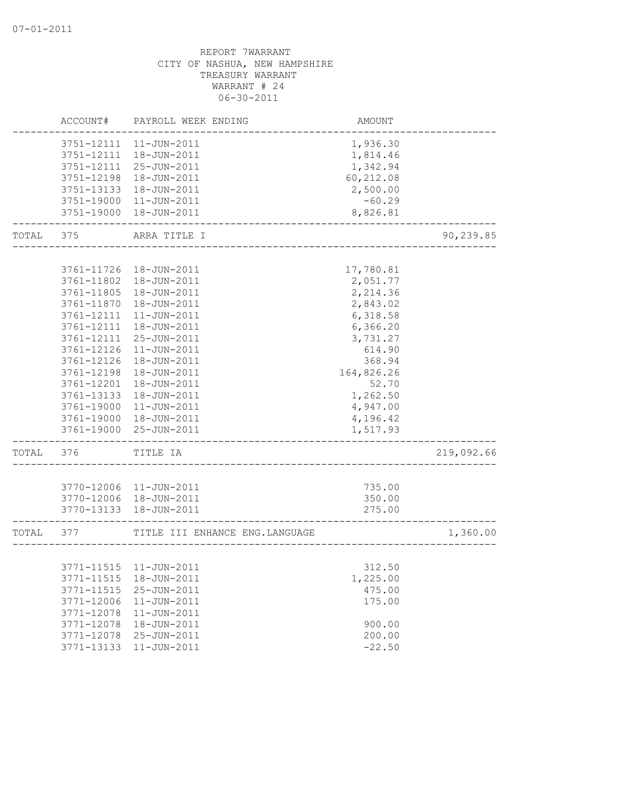|       | ACCOUNT#                 | PAYROLL WEEK ENDING             | AMOUNT               |            |
|-------|--------------------------|---------------------------------|----------------------|------------|
|       | 3751-12111               | $11 - JUN - 2011$               | 1,936.30             |            |
|       | 3751-12111               | 18-JUN-2011                     | 1,814.46             |            |
|       | 3751-12111               | 25-JUN-2011                     | 1,342.94             |            |
|       | 3751-12198               | 18-JUN-2011                     | 60,212.08            |            |
|       | 3751-13133               | 18-JUN-2011                     | 2,500.00             |            |
|       | 3751-19000               | 11-JUN-2011                     | $-60.29$             |            |
|       | 3751-19000               | 18-JUN-2011                     | 8,826.81             |            |
| TOTAL | 375                      | ARRA TITLE I                    |                      | 90,239.85  |
|       |                          |                                 |                      |            |
|       | 3761-11726               | 18-JUN-2011                     | 17,780.81            |            |
|       | 3761-11802               | 18-JUN-2011<br>18-JUN-2011      | 2,051.77             |            |
|       | 3761-11805               |                                 | 2,214.36             |            |
|       | 3761-11870               | 18-JUN-2011<br>11-JUN-2011      | 2,843.02             |            |
|       | 3761-12111<br>3761-12111 | 18-JUN-2011                     | 6,318.58             |            |
|       |                          | 25-JUN-2011                     | 6,366.20<br>3,731.27 |            |
|       | 3761-12111<br>3761-12126 | $11 - JUN - 2011$               | 614.90               |            |
|       | 3761-12126               | 18-JUN-2011                     | 368.94               |            |
|       | 3761-12198               | 18-JUN-2011                     | 164,826.26           |            |
|       | 3761-12201               | 18-JUN-2011                     | 52.70                |            |
|       | 3761-13133               | 18-JUN-2011                     | 1,262.50             |            |
|       | 3761-19000               | 11-JUN-2011                     | 4,947.00             |            |
|       | 3761-19000               | 18-JUN-2011                     | 4,196.42             |            |
|       | 3761-19000               | 25-JUN-2011                     | 1,517.93             |            |
| TOTAL | 376                      | TITLE IA                        |                      | 219,092.66 |
|       |                          |                                 |                      |            |
|       | 3770-12006               | 11-JUN-2011                     | 735.00               |            |
|       |                          | 3770-12006 18-JUN-2011          | 350.00               |            |
|       | 3770-13133               | 18-JUN-2011                     | 275.00               |            |
| TOTAL | 377                      | TITLE III ENHANCE ENG. LANGUAGE |                      | 1,360.00   |
|       |                          |                                 |                      |            |
|       |                          |                                 | 312.50               |            |
|       | 3771-11515               | 18-JUN-2011                     | 1,225.00             |            |
|       | 3771-11515               | 25-JUN-2011                     | 475.00               |            |
|       | 3771-12006               | $11 - JUN - 2011$               | 175.00               |            |
|       | 3771-12078               | $11 - JUN - 2011$               |                      |            |
|       | 3771-12078               | 18-JUN-2011                     | 900.00               |            |
|       | 3771-12078               | 25-JUN-2011                     | 200.00               |            |
|       | 3771-13133               | 11-JUN-2011                     | $-22.50$             |            |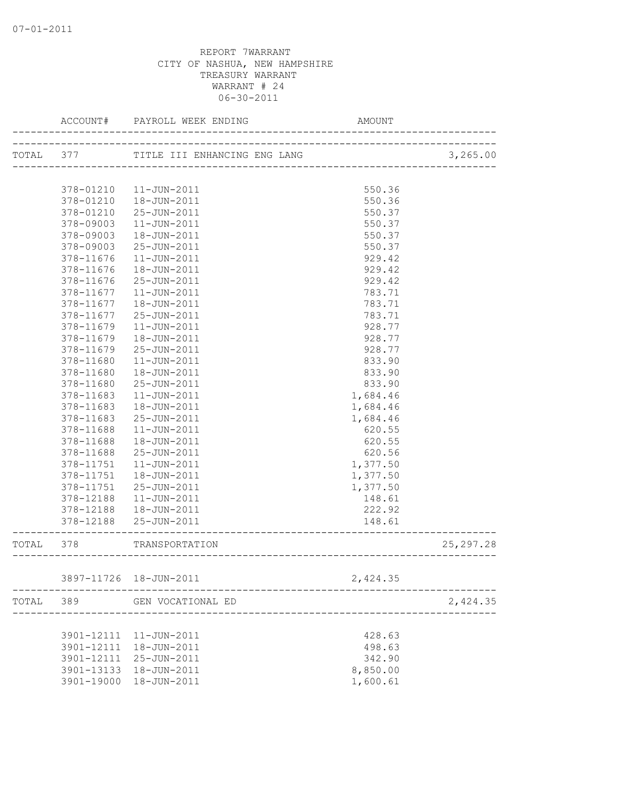|           | ACCOUNT#   | PAYROLL WEEK ENDING                                    | AMOUNT                    |            |
|-----------|------------|--------------------------------------------------------|---------------------------|------------|
| TOTAL 377 |            |                                                        |                           | 3,265.00   |
|           |            |                                                        |                           |            |
|           | 378-01210  | 11-JUN-2011                                            | 550.36                    |            |
|           | 378-01210  | 18-JUN-2011                                            | 550.36                    |            |
|           | 378-01210  | 25-JUN-2011                                            | 550.37                    |            |
|           | 378-09003  | $11 - JUN - 2011$                                      | 550.37                    |            |
|           | 378-09003  | 18-JUN-2011                                            | 550.37                    |            |
|           | 378-09003  | 25-JUN-2011                                            | 550.37                    |            |
|           | 378-11676  | 11-JUN-2011                                            | 929.42                    |            |
|           | 378-11676  | 18-JUN-2011                                            | 929.42                    |            |
|           | 378-11676  | 25-JUN-2011                                            | 929.42                    |            |
|           | 378-11677  | 11-JUN-2011                                            | 783.71                    |            |
|           | 378-11677  | 18-JUN-2011                                            | 783.71                    |            |
|           | 378-11677  | 25-JUN-2011                                            | 783.71                    |            |
|           | 378-11679  | 11-JUN-2011                                            | 928.77                    |            |
|           | 378-11679  | 18-JUN-2011                                            | 928.77                    |            |
|           | 378-11679  | $25 - JUN - 2011$                                      | 928.77                    |            |
|           | 378-11680  | $11 - JUN - 2011$                                      | 833.90                    |            |
|           | 378-11680  | 18-JUN-2011                                            | 833.90                    |            |
|           | 378-11680  | $25 - JUN - 2011$                                      | 833.90                    |            |
|           | 378-11683  | $11 - JUN - 2011$                                      | 1,684.46                  |            |
|           | 378-11683  | 18-JUN-2011                                            | 1,684.46                  |            |
|           | 378-11683  | 25-JUN-2011                                            | 1,684.46                  |            |
|           | 378-11688  | 11-JUN-2011                                            | 620.55                    |            |
|           | 378-11688  | 18-JUN-2011                                            | 620.55                    |            |
|           | 378-11688  | 25-JUN-2011                                            | 620.56                    |            |
|           | 378-11751  | 11-JUN-2011                                            | 1,377.50                  |            |
|           | 378-11751  | 18-JUN-2011                                            | 1,377.50                  |            |
|           | 378-11751  | 25-JUN-2011                                            | 1,377.50                  |            |
|           | 378-12188  | 11-JUN-2011                                            | 148.61                    |            |
|           | 378-12188  | 18-JUN-2011                                            | 222.92                    |            |
|           | 378-12188  | 25-JUN-2011                                            | 148.61                    |            |
| TOTAL     | 378        | TRANSPORTATION                                         |                           | 25, 297.28 |
|           |            |                                                        |                           |            |
|           |            | 3897-11726  18-JUN-2011<br>--------------------------- | 2,424.35                  |            |
| TOTAL     | 389        | GEN VOCATIONAL ED                                      | ------------------------- | 2,424.35   |
|           |            |                                                        |                           |            |
|           |            | 3901-12111 11-JUN-2011                                 | 428.63                    |            |
|           | 3901-12111 | 18-JUN-2011                                            | 498.63                    |            |
|           |            | 3901-12111 25-JUN-2011                                 | 342.90                    |            |
|           | 3901-13133 | 18-JUN-2011                                            | 8,850.00                  |            |
|           |            | 3901-19000 18-JUN-2011                                 | 1,600.61                  |            |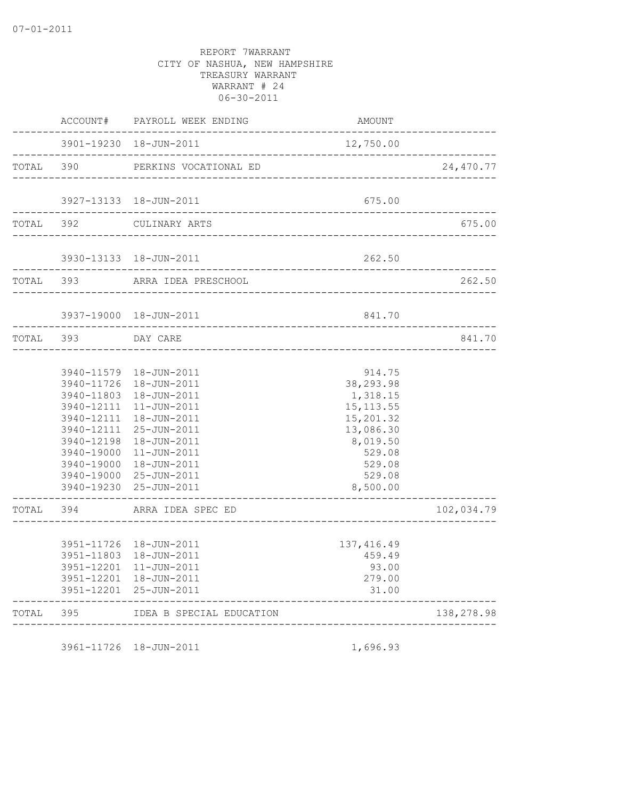|           | ACCOUNT#   | PAYROLL WEEK ENDING                               | AMOUNT                                |            |
|-----------|------------|---------------------------------------------------|---------------------------------------|------------|
|           |            | 3901-19230  18-JUN-2011                           | 12,750.00<br>________________________ |            |
| TOTAL 390 |            | PERKINS VOCATIONAL ED                             | ---------------                       | 24,470.77  |
|           |            | 3927-13133  18-JUN-2011                           | 675.00                                |            |
| TOTAL 392 |            | CULINARY ARTS                                     |                                       | 675.00     |
|           |            | 3930-13133  18-JUN-2011                           | 262.50                                |            |
| TOTAL 393 |            | ARRA IDEA PRESCHOOL                               |                                       | 262.50     |
|           |            | 3937-19000 18-JUN-2011                            | 841.70                                |            |
| TOTAL 393 |            | DAY CARE                                          | ---------------------------           | 841.70     |
|           |            |                                                   |                                       |            |
|           | 3940-11579 | 18-JUN-2011                                       | 914.75                                |            |
|           | 3940-11726 | 18-JUN-2011                                       | 38,293.98                             |            |
|           | 3940-11803 | 18-JUN-2011                                       | 1,318.15                              |            |
|           | 3940-12111 | 11-JUN-2011                                       | 15, 113.55                            |            |
|           | 3940-12111 | 3940-12111  18-JUN-2011<br>25-JUN-2011            | 15,201.32<br>13,086.30                |            |
|           | 3940-12198 | 18-JUN-2011                                       | 8,019.50                              |            |
|           | 3940-19000 | 11-JUN-2011                                       | 529.08                                |            |
|           | 3940-19000 | 18-JUN-2011                                       | 529.08                                |            |
|           | 3940-19000 | 25-JUN-2011                                       | 529.08                                |            |
|           |            | 3940-19230 25-JUN-2011                            | 8,500.00                              |            |
| TOTAL     | 394        | ARRA IDEA SPEC ED                                 |                                       | 102,034.79 |
|           |            |                                                   |                                       |            |
|           |            | 3951-11726  18-JUN-2011                           | 137, 416.49                           |            |
|           |            | 3951-11803  18-JUN-2011<br>3951-12201 11-JUN-2011 | 459.49<br>93.00                       |            |
|           |            | 3951-12201  18-JUN-2011                           | 279.00                                |            |
|           |            | 3951-12201 25-JUN-2011                            | 31.00                                 |            |
| TOTAL     | 395        | IDEA B SPECIAL EDUCATION                          | _______________________________       | 138,278.98 |
|           |            |                                                   |                                       |            |

3961-11726 18-JUN-2011 1,696.93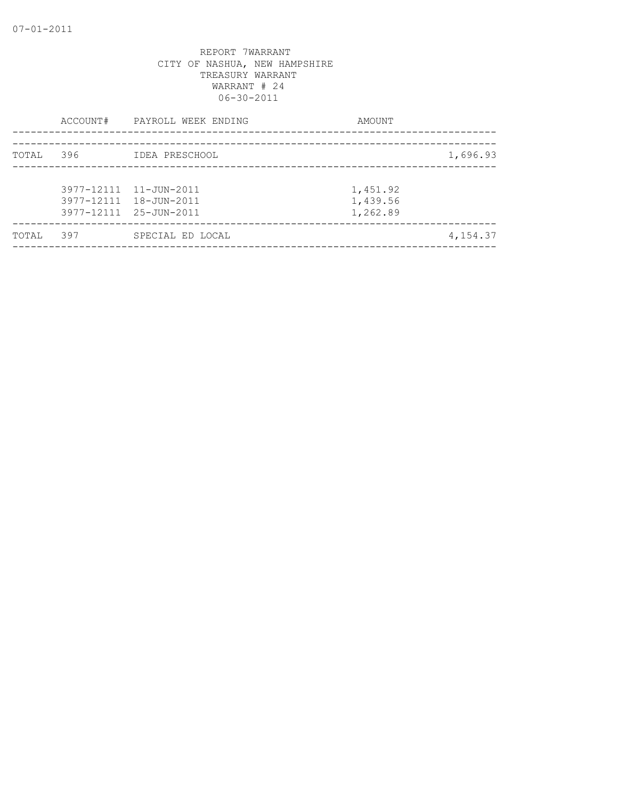|       | ACCOUNT# | PAYROLL WEEK ENDING                                                        | AMOUNT                           |  |
|-------|----------|----------------------------------------------------------------------------|----------------------------------|--|
| TOTAL | 396      | IDEA PRESCHOOL                                                             | 1,696.93                         |  |
|       |          | 3977-12111 11-JUN-2011<br>3977-12111 18-JUN-2011<br>3977-12111 25-JUN-2011 | 1,451.92<br>1,439.56<br>1,262.89 |  |
| TOTAL | 397      | SPECIAL ED LOCAL                                                           | 4,154.37                         |  |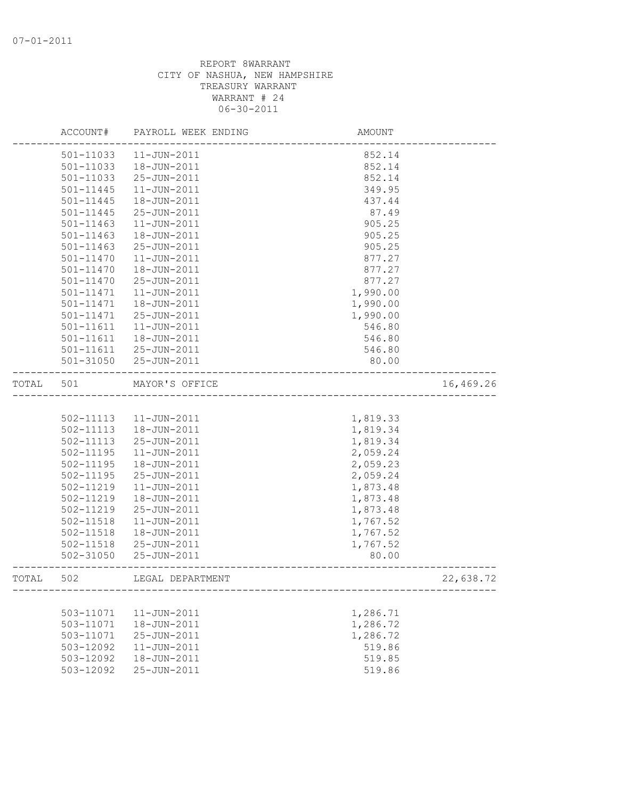|       | ACCOUNT#      | PAYROLL WEEK ENDING   | AMOUNT                              |           |
|-------|---------------|-----------------------|-------------------------------------|-----------|
|       | 501-11033     | $11 - JUN - 2011$     | 852.14                              |           |
|       | 501-11033     | 18-JUN-2011           | 852.14                              |           |
|       | 501-11033     | 25-JUN-2011           | 852.14                              |           |
|       | 501-11445     | $11 - JUN - 2011$     | 349.95                              |           |
|       | 501-11445     | 18-JUN-2011           | 437.44                              |           |
|       | 501-11445     | 25-JUN-2011           | 87.49                               |           |
|       | $501 - 11463$ | $11 - JUN - 2011$     | 905.25                              |           |
|       | $501 - 11463$ | 18-JUN-2011           | 905.25                              |           |
|       | $501 - 11463$ | 25-JUN-2011           | 905.25                              |           |
|       | 501-11470     | $11 - JUN - 2011$     | 877.27                              |           |
|       | 501-11470     | 18-JUN-2011           | 877.27                              |           |
|       | 501-11470     | 25-JUN-2011           | 877.27                              |           |
|       | 501-11471     | $11 - JUN - 2011$     | 1,990.00                            |           |
|       | 501-11471     | 18-JUN-2011           | 1,990.00                            |           |
|       | 501-11471     | 25-JUN-2011           | 1,990.00                            |           |
|       | 501-11611     | $11 - JUN - 2011$     | 546.80                              |           |
|       | 501-11611     | 18-JUN-2011           | 546.80                              |           |
|       | 501-11611     | 25-JUN-2011           | 546.80                              |           |
|       |               | 501-31050 25-JUN-2011 | 80.00                               |           |
| TOTAL | 501           | MAYOR'S OFFICE        | ___________________________________ | 16,469.26 |
|       |               |                       |                                     |           |
|       | 502-11113     | 11-JUN-2011           | 1,819.33                            |           |
|       | 502-11113     | 18-JUN-2011           | 1,819.34                            |           |
|       | 502-11113     | 25-JUN-2011           | 1,819.34                            |           |
|       | 502-11195     | 11-JUN-2011           | 2,059.24                            |           |
|       | $502 - 11195$ | 18-JUN-2011           | 2,059.23                            |           |
|       | 502-11195     | 25-JUN-2011           | 2,059.24                            |           |
|       | 502-11219     | $11 - JUN - 2011$     | 1,873.48                            |           |
|       | 502-11219     | 18-JUN-2011           | 1,873.48                            |           |
|       | 502-11219     | 25-JUN-2011           | 1,873.48                            |           |
|       | 502-11518     | $11 - JUN - 2011$     | 1,767.52                            |           |
|       | 502-11518     | 18-JUN-2011           | 1,767.52                            |           |
|       | 502-11518     | 25-JUN-2011           | 1,767.52                            |           |
|       | $502 - 31050$ | 25-JUN-2011           | 80.00                               |           |
| TOTAL | 502           | LEGAL DEPARTMENT      |                                     | 22,638.72 |
|       |               |                       |                                     |           |
|       | 503-11071     | $11 - JUN - 2011$     | 1,286.71                            |           |
|       | 503-11071     | 18-JUN-2011           | 1,286.72                            |           |
|       | 503-11071     | 25-JUN-2011           | 1,286.72                            |           |
|       | 503-12092     | 11-JUN-2011           | 519.86                              |           |
|       | 503-12092     | 18-JUN-2011           | 519.85                              |           |
|       | 503-12092     | 25-JUN-2011           | 519.86                              |           |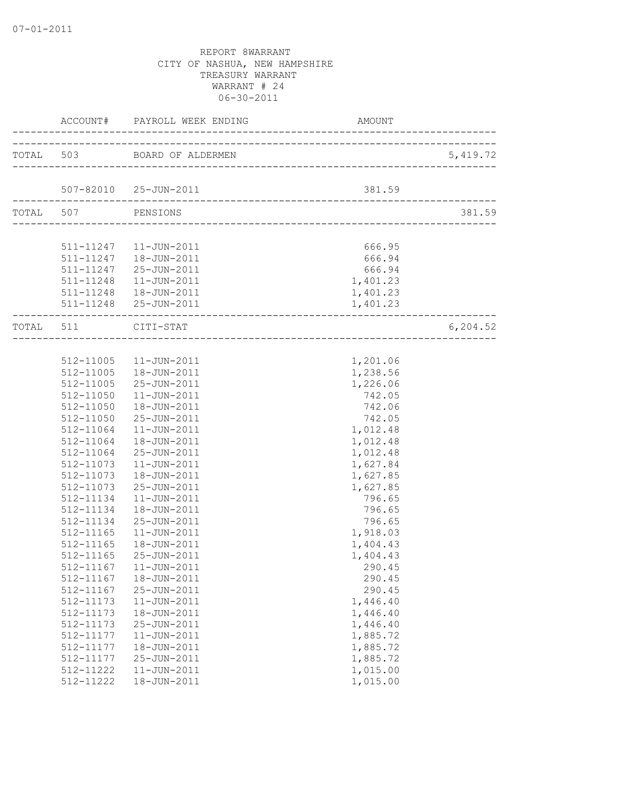| ____________________ | ACCOUNT# PAYROLL WEEK ENDING      | AMOUNT   |           |
|----------------------|-----------------------------------|----------|-----------|
|                      | TOTAL 503 BOARD OF ALDERMEN       |          | 5,419.72  |
|                      |                                   |          |           |
|                      | 507-82010 25-JUN-2011             | 381.59   |           |
| TOTAL 507 PENSIONS   |                                   |          | 381.59    |
|                      |                                   |          |           |
|                      | 511-11247   11-JUN-2011           | 666.95   |           |
|                      | 511-11247  18-JUN-2011            | 666.94   |           |
|                      | 511-11247 25-JUN-2011             | 666.94   |           |
|                      | 511-11248  11-JUN-2011            | 1,401.23 |           |
|                      | 511-11248  18-JUN-2011            | 1,401.23 |           |
|                      | 511-11248 25-JUN-2011             | 1,401.23 |           |
| TOTAL 511 CITI-STAT  | --------------------------------- |          | 6, 204.52 |
|                      |                                   |          |           |
|                      | 512-11005  11-JUN-2011            | 1,201.06 |           |
|                      | 512-11005  18-JUN-2011            | 1,238.56 |           |
|                      | 512-11005 25-JUN-2011             | 1,226.06 |           |
| 512-11050            | $11 - JUN - 2011$                 | 742.05   |           |
| 512-11050            | 18-JUN-2011                       | 742.06   |           |
| 512-11050            | 25-JUN-2011                       | 742.05   |           |
| 512-11064            | 11-JUN-2011                       | 1,012.48 |           |
| 512-11064            | 18-JUN-2011                       | 1,012.48 |           |
| 512-11064            | 25-JUN-2011                       | 1,012.48 |           |
|                      | 512-11073  11-JUN-2011            | 1,627.84 |           |
| 512-11073            | 18-JUN-2011                       | 1,627.85 |           |
| 512-11073            | 25-JUN-2011                       | 1,627.85 |           |
| 512-11134            | $11 - JUN - 2011$                 | 796.65   |           |
| 512-11134            | 18-JUN-2011                       | 796.65   |           |
| 512-11134            | 25-JUN-2011                       | 796.65   |           |
| 512-11165            | $11 - JUN - 2011$                 | 1,918.03 |           |
| 512-11165            | 18-JUN-2011                       | 1,404.43 |           |
| 512-11165            | 25-JUN-2011                       | 1,404.43 |           |
|                      | 512-11167    11-JUN-2011          | 290.45   |           |
| 512-11167            | 18-JUN-2011                       | 290.45   |           |
| 512-11167            | 25-JUN-2011                       | 290.45   |           |
| 512-11173            | 11-JUN-2011                       | 1,446.40 |           |
| 512-11173            | 18-JUN-2011                       | 1,446.40 |           |
| 512-11173            | 25-JUN-2011                       | 1,446.40 |           |
| 512-11177            | 11-JUN-2011                       | 1,885.72 |           |
| 512-11177            | 18-JUN-2011                       | 1,885.72 |           |
| 512-11177            | 25-JUN-2011                       | 1,885.72 |           |
| 512-11222            | $11 - JUN - 2011$                 | 1,015.00 |           |
| 512-11222            | 18-JUN-2011                       | 1,015.00 |           |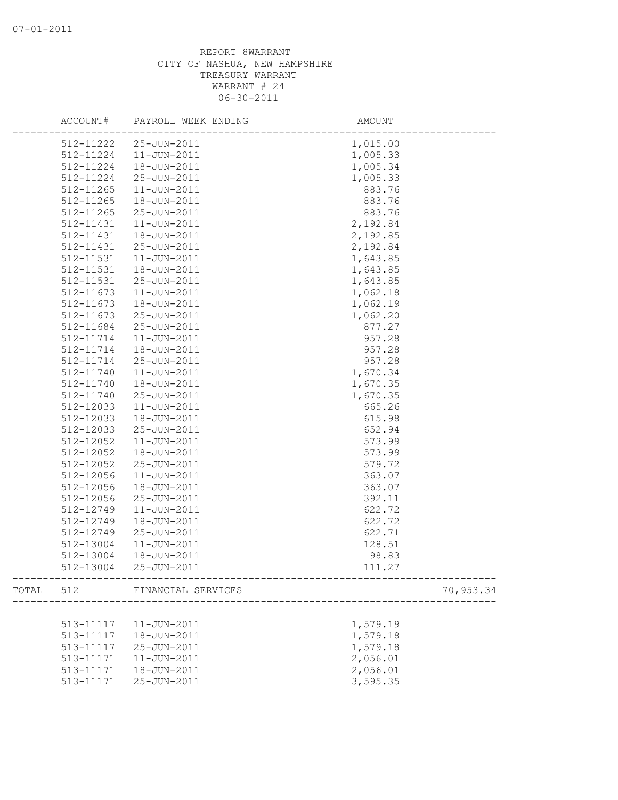| 512-11222<br>25-JUN-2011<br>1,015.00<br>$11 - JUN - 2011$<br>1,005.33<br>512-11224<br>1,005.34<br>512-11224<br>18-JUN-2011<br>1,005.33<br>512-11224<br>25-JUN-2011<br>512-11265<br>$11 - JUN - 2011$<br>883.76<br>512-11265<br>18-JUN-2011<br>883.76<br>512-11265<br>25-JUN-2011<br>883.76<br>2,192.84<br>512-11431<br>$11 - JUN - 2011$<br>2,192.85<br>512-11431<br>18-JUN-2011<br>512-11431<br>2,192.84<br>25-JUN-2011<br>512-11531<br>11-JUN-2011<br>1,643.85<br>1,643.85<br>512-11531<br>18-JUN-2011<br>25-JUN-2011<br>1,643.85<br>512-11531<br>512-11673<br>$11 - JUN - 2011$<br>1,062.18<br>512-11673<br>18-JUN-2011<br>1,062.19<br>512-11673<br>25-JUN-2011<br>1,062.20<br>877.27<br>512-11684<br>25-JUN-2011<br>957.28<br>512-11714<br>11-JUN-2011<br>512-11714<br>18-JUN-2011<br>957.28<br>957.28<br>512-11714<br>25-JUN-2011<br>512-11740<br>$11 - JUN - 2011$<br>1,670.34<br>512-11740<br>18-JUN-2011<br>1,670.35<br>512-11740<br>25-JUN-2011<br>1,670.35<br>512-12033<br>11-JUN-2011<br>665.26<br>512-12033<br>18-JUN-2011<br>615.98<br>652.94<br>512-12033<br>25-JUN-2011<br>573.99<br>512-12052<br>11-JUN-2011<br>573.99<br>512-12052<br>18-JUN-2011<br>512-12052<br>25-JUN-2011<br>579.72<br>512-12056<br>$11 - JUN - 2011$<br>363.07<br>512-12056<br>18-JUN-2011<br>363.07<br>512-12056<br>25-JUN-2011<br>392.11<br>512-12749<br>11-JUN-2011<br>622.72<br>512-12749<br>18-JUN-2011<br>622.72<br>512-12749<br>25-JUN-2011<br>622.71<br>512-13004<br>128.51<br>11-JUN-2011<br>512-13004<br>98.83<br>18-JUN-2011<br>512-13004<br>25-JUN-2011<br>111.27<br>---------------------------------<br>TOTAL 512 FINANCIAL SERVICES<br>70,953.34<br>--------------------------<br>513-11117<br>$11 - JUN - 2011$<br>1,579.19<br>18-JUN-2011<br>1,579.18<br>513-11117<br>1,579.18<br>513-11117<br>25-JUN-2011<br>2,056.01<br>513-11171<br>11-JUN-2011<br>2,056.01<br>18-JUN-2011<br>513-11171 | ACCOUNT#  | PAYROLL WEEK ENDING | AMOUNT   |  |
|---------------------------------------------------------------------------------------------------------------------------------------------------------------------------------------------------------------------------------------------------------------------------------------------------------------------------------------------------------------------------------------------------------------------------------------------------------------------------------------------------------------------------------------------------------------------------------------------------------------------------------------------------------------------------------------------------------------------------------------------------------------------------------------------------------------------------------------------------------------------------------------------------------------------------------------------------------------------------------------------------------------------------------------------------------------------------------------------------------------------------------------------------------------------------------------------------------------------------------------------------------------------------------------------------------------------------------------------------------------------------------------------------------------------------------------------------------------------------------------------------------------------------------------------------------------------------------------------------------------------------------------------------------------------------------------------------------------------------------------------------------------------------------------------------------------------------------------------------------------------------------------------------|-----------|---------------------|----------|--|
|                                                                                                                                                                                                                                                                                                                                                                                                                                                                                                                                                                                                                                                                                                                                                                                                                                                                                                                                                                                                                                                                                                                                                                                                                                                                                                                                                                                                                                                                                                                                                                                                                                                                                                                                                                                                                                                                                                   |           |                     |          |  |
|                                                                                                                                                                                                                                                                                                                                                                                                                                                                                                                                                                                                                                                                                                                                                                                                                                                                                                                                                                                                                                                                                                                                                                                                                                                                                                                                                                                                                                                                                                                                                                                                                                                                                                                                                                                                                                                                                                   |           |                     |          |  |
|                                                                                                                                                                                                                                                                                                                                                                                                                                                                                                                                                                                                                                                                                                                                                                                                                                                                                                                                                                                                                                                                                                                                                                                                                                                                                                                                                                                                                                                                                                                                                                                                                                                                                                                                                                                                                                                                                                   |           |                     |          |  |
|                                                                                                                                                                                                                                                                                                                                                                                                                                                                                                                                                                                                                                                                                                                                                                                                                                                                                                                                                                                                                                                                                                                                                                                                                                                                                                                                                                                                                                                                                                                                                                                                                                                                                                                                                                                                                                                                                                   |           |                     |          |  |
|                                                                                                                                                                                                                                                                                                                                                                                                                                                                                                                                                                                                                                                                                                                                                                                                                                                                                                                                                                                                                                                                                                                                                                                                                                                                                                                                                                                                                                                                                                                                                                                                                                                                                                                                                                                                                                                                                                   |           |                     |          |  |
|                                                                                                                                                                                                                                                                                                                                                                                                                                                                                                                                                                                                                                                                                                                                                                                                                                                                                                                                                                                                                                                                                                                                                                                                                                                                                                                                                                                                                                                                                                                                                                                                                                                                                                                                                                                                                                                                                                   |           |                     |          |  |
|                                                                                                                                                                                                                                                                                                                                                                                                                                                                                                                                                                                                                                                                                                                                                                                                                                                                                                                                                                                                                                                                                                                                                                                                                                                                                                                                                                                                                                                                                                                                                                                                                                                                                                                                                                                                                                                                                                   |           |                     |          |  |
|                                                                                                                                                                                                                                                                                                                                                                                                                                                                                                                                                                                                                                                                                                                                                                                                                                                                                                                                                                                                                                                                                                                                                                                                                                                                                                                                                                                                                                                                                                                                                                                                                                                                                                                                                                                                                                                                                                   |           |                     |          |  |
|                                                                                                                                                                                                                                                                                                                                                                                                                                                                                                                                                                                                                                                                                                                                                                                                                                                                                                                                                                                                                                                                                                                                                                                                                                                                                                                                                                                                                                                                                                                                                                                                                                                                                                                                                                                                                                                                                                   |           |                     |          |  |
|                                                                                                                                                                                                                                                                                                                                                                                                                                                                                                                                                                                                                                                                                                                                                                                                                                                                                                                                                                                                                                                                                                                                                                                                                                                                                                                                                                                                                                                                                                                                                                                                                                                                                                                                                                                                                                                                                                   |           |                     |          |  |
|                                                                                                                                                                                                                                                                                                                                                                                                                                                                                                                                                                                                                                                                                                                                                                                                                                                                                                                                                                                                                                                                                                                                                                                                                                                                                                                                                                                                                                                                                                                                                                                                                                                                                                                                                                                                                                                                                                   |           |                     |          |  |
|                                                                                                                                                                                                                                                                                                                                                                                                                                                                                                                                                                                                                                                                                                                                                                                                                                                                                                                                                                                                                                                                                                                                                                                                                                                                                                                                                                                                                                                                                                                                                                                                                                                                                                                                                                                                                                                                                                   |           |                     |          |  |
|                                                                                                                                                                                                                                                                                                                                                                                                                                                                                                                                                                                                                                                                                                                                                                                                                                                                                                                                                                                                                                                                                                                                                                                                                                                                                                                                                                                                                                                                                                                                                                                                                                                                                                                                                                                                                                                                                                   |           |                     |          |  |
|                                                                                                                                                                                                                                                                                                                                                                                                                                                                                                                                                                                                                                                                                                                                                                                                                                                                                                                                                                                                                                                                                                                                                                                                                                                                                                                                                                                                                                                                                                                                                                                                                                                                                                                                                                                                                                                                                                   |           |                     |          |  |
|                                                                                                                                                                                                                                                                                                                                                                                                                                                                                                                                                                                                                                                                                                                                                                                                                                                                                                                                                                                                                                                                                                                                                                                                                                                                                                                                                                                                                                                                                                                                                                                                                                                                                                                                                                                                                                                                                                   |           |                     |          |  |
|                                                                                                                                                                                                                                                                                                                                                                                                                                                                                                                                                                                                                                                                                                                                                                                                                                                                                                                                                                                                                                                                                                                                                                                                                                                                                                                                                                                                                                                                                                                                                                                                                                                                                                                                                                                                                                                                                                   |           |                     |          |  |
|                                                                                                                                                                                                                                                                                                                                                                                                                                                                                                                                                                                                                                                                                                                                                                                                                                                                                                                                                                                                                                                                                                                                                                                                                                                                                                                                                                                                                                                                                                                                                                                                                                                                                                                                                                                                                                                                                                   |           |                     |          |  |
|                                                                                                                                                                                                                                                                                                                                                                                                                                                                                                                                                                                                                                                                                                                                                                                                                                                                                                                                                                                                                                                                                                                                                                                                                                                                                                                                                                                                                                                                                                                                                                                                                                                                                                                                                                                                                                                                                                   |           |                     |          |  |
|                                                                                                                                                                                                                                                                                                                                                                                                                                                                                                                                                                                                                                                                                                                                                                                                                                                                                                                                                                                                                                                                                                                                                                                                                                                                                                                                                                                                                                                                                                                                                                                                                                                                                                                                                                                                                                                                                                   |           |                     |          |  |
|                                                                                                                                                                                                                                                                                                                                                                                                                                                                                                                                                                                                                                                                                                                                                                                                                                                                                                                                                                                                                                                                                                                                                                                                                                                                                                                                                                                                                                                                                                                                                                                                                                                                                                                                                                                                                                                                                                   |           |                     |          |  |
|                                                                                                                                                                                                                                                                                                                                                                                                                                                                                                                                                                                                                                                                                                                                                                                                                                                                                                                                                                                                                                                                                                                                                                                                                                                                                                                                                                                                                                                                                                                                                                                                                                                                                                                                                                                                                                                                                                   |           |                     |          |  |
|                                                                                                                                                                                                                                                                                                                                                                                                                                                                                                                                                                                                                                                                                                                                                                                                                                                                                                                                                                                                                                                                                                                                                                                                                                                                                                                                                                                                                                                                                                                                                                                                                                                                                                                                                                                                                                                                                                   |           |                     |          |  |
|                                                                                                                                                                                                                                                                                                                                                                                                                                                                                                                                                                                                                                                                                                                                                                                                                                                                                                                                                                                                                                                                                                                                                                                                                                                                                                                                                                                                                                                                                                                                                                                                                                                                                                                                                                                                                                                                                                   |           |                     |          |  |
|                                                                                                                                                                                                                                                                                                                                                                                                                                                                                                                                                                                                                                                                                                                                                                                                                                                                                                                                                                                                                                                                                                                                                                                                                                                                                                                                                                                                                                                                                                                                                                                                                                                                                                                                                                                                                                                                                                   |           |                     |          |  |
|                                                                                                                                                                                                                                                                                                                                                                                                                                                                                                                                                                                                                                                                                                                                                                                                                                                                                                                                                                                                                                                                                                                                                                                                                                                                                                                                                                                                                                                                                                                                                                                                                                                                                                                                                                                                                                                                                                   |           |                     |          |  |
|                                                                                                                                                                                                                                                                                                                                                                                                                                                                                                                                                                                                                                                                                                                                                                                                                                                                                                                                                                                                                                                                                                                                                                                                                                                                                                                                                                                                                                                                                                                                                                                                                                                                                                                                                                                                                                                                                                   |           |                     |          |  |
|                                                                                                                                                                                                                                                                                                                                                                                                                                                                                                                                                                                                                                                                                                                                                                                                                                                                                                                                                                                                                                                                                                                                                                                                                                                                                                                                                                                                                                                                                                                                                                                                                                                                                                                                                                                                                                                                                                   |           |                     |          |  |
|                                                                                                                                                                                                                                                                                                                                                                                                                                                                                                                                                                                                                                                                                                                                                                                                                                                                                                                                                                                                                                                                                                                                                                                                                                                                                                                                                                                                                                                                                                                                                                                                                                                                                                                                                                                                                                                                                                   |           |                     |          |  |
|                                                                                                                                                                                                                                                                                                                                                                                                                                                                                                                                                                                                                                                                                                                                                                                                                                                                                                                                                                                                                                                                                                                                                                                                                                                                                                                                                                                                                                                                                                                                                                                                                                                                                                                                                                                                                                                                                                   |           |                     |          |  |
|                                                                                                                                                                                                                                                                                                                                                                                                                                                                                                                                                                                                                                                                                                                                                                                                                                                                                                                                                                                                                                                                                                                                                                                                                                                                                                                                                                                                                                                                                                                                                                                                                                                                                                                                                                                                                                                                                                   |           |                     |          |  |
|                                                                                                                                                                                                                                                                                                                                                                                                                                                                                                                                                                                                                                                                                                                                                                                                                                                                                                                                                                                                                                                                                                                                                                                                                                                                                                                                                                                                                                                                                                                                                                                                                                                                                                                                                                                                                                                                                                   |           |                     |          |  |
|                                                                                                                                                                                                                                                                                                                                                                                                                                                                                                                                                                                                                                                                                                                                                                                                                                                                                                                                                                                                                                                                                                                                                                                                                                                                                                                                                                                                                                                                                                                                                                                                                                                                                                                                                                                                                                                                                                   |           |                     |          |  |
|                                                                                                                                                                                                                                                                                                                                                                                                                                                                                                                                                                                                                                                                                                                                                                                                                                                                                                                                                                                                                                                                                                                                                                                                                                                                                                                                                                                                                                                                                                                                                                                                                                                                                                                                                                                                                                                                                                   |           |                     |          |  |
|                                                                                                                                                                                                                                                                                                                                                                                                                                                                                                                                                                                                                                                                                                                                                                                                                                                                                                                                                                                                                                                                                                                                                                                                                                                                                                                                                                                                                                                                                                                                                                                                                                                                                                                                                                                                                                                                                                   |           |                     |          |  |
|                                                                                                                                                                                                                                                                                                                                                                                                                                                                                                                                                                                                                                                                                                                                                                                                                                                                                                                                                                                                                                                                                                                                                                                                                                                                                                                                                                                                                                                                                                                                                                                                                                                                                                                                                                                                                                                                                                   |           |                     |          |  |
|                                                                                                                                                                                                                                                                                                                                                                                                                                                                                                                                                                                                                                                                                                                                                                                                                                                                                                                                                                                                                                                                                                                                                                                                                                                                                                                                                                                                                                                                                                                                                                                                                                                                                                                                                                                                                                                                                                   |           |                     |          |  |
|                                                                                                                                                                                                                                                                                                                                                                                                                                                                                                                                                                                                                                                                                                                                                                                                                                                                                                                                                                                                                                                                                                                                                                                                                                                                                                                                                                                                                                                                                                                                                                                                                                                                                                                                                                                                                                                                                                   |           |                     |          |  |
|                                                                                                                                                                                                                                                                                                                                                                                                                                                                                                                                                                                                                                                                                                                                                                                                                                                                                                                                                                                                                                                                                                                                                                                                                                                                                                                                                                                                                                                                                                                                                                                                                                                                                                                                                                                                                                                                                                   |           |                     |          |  |
|                                                                                                                                                                                                                                                                                                                                                                                                                                                                                                                                                                                                                                                                                                                                                                                                                                                                                                                                                                                                                                                                                                                                                                                                                                                                                                                                                                                                                                                                                                                                                                                                                                                                                                                                                                                                                                                                                                   |           |                     |          |  |
|                                                                                                                                                                                                                                                                                                                                                                                                                                                                                                                                                                                                                                                                                                                                                                                                                                                                                                                                                                                                                                                                                                                                                                                                                                                                                                                                                                                                                                                                                                                                                                                                                                                                                                                                                                                                                                                                                                   |           |                     |          |  |
|                                                                                                                                                                                                                                                                                                                                                                                                                                                                                                                                                                                                                                                                                                                                                                                                                                                                                                                                                                                                                                                                                                                                                                                                                                                                                                                                                                                                                                                                                                                                                                                                                                                                                                                                                                                                                                                                                                   |           |                     |          |  |
|                                                                                                                                                                                                                                                                                                                                                                                                                                                                                                                                                                                                                                                                                                                                                                                                                                                                                                                                                                                                                                                                                                                                                                                                                                                                                                                                                                                                                                                                                                                                                                                                                                                                                                                                                                                                                                                                                                   |           |                     |          |  |
|                                                                                                                                                                                                                                                                                                                                                                                                                                                                                                                                                                                                                                                                                                                                                                                                                                                                                                                                                                                                                                                                                                                                                                                                                                                                                                                                                                                                                                                                                                                                                                                                                                                                                                                                                                                                                                                                                                   |           |                     |          |  |
|                                                                                                                                                                                                                                                                                                                                                                                                                                                                                                                                                                                                                                                                                                                                                                                                                                                                                                                                                                                                                                                                                                                                                                                                                                                                                                                                                                                                                                                                                                                                                                                                                                                                                                                                                                                                                                                                                                   |           |                     |          |  |
|                                                                                                                                                                                                                                                                                                                                                                                                                                                                                                                                                                                                                                                                                                                                                                                                                                                                                                                                                                                                                                                                                                                                                                                                                                                                                                                                                                                                                                                                                                                                                                                                                                                                                                                                                                                                                                                                                                   |           |                     |          |  |
|                                                                                                                                                                                                                                                                                                                                                                                                                                                                                                                                                                                                                                                                                                                                                                                                                                                                                                                                                                                                                                                                                                                                                                                                                                                                                                                                                                                                                                                                                                                                                                                                                                                                                                                                                                                                                                                                                                   | 513-11171 | 25-JUN-2011         | 3,595.35 |  |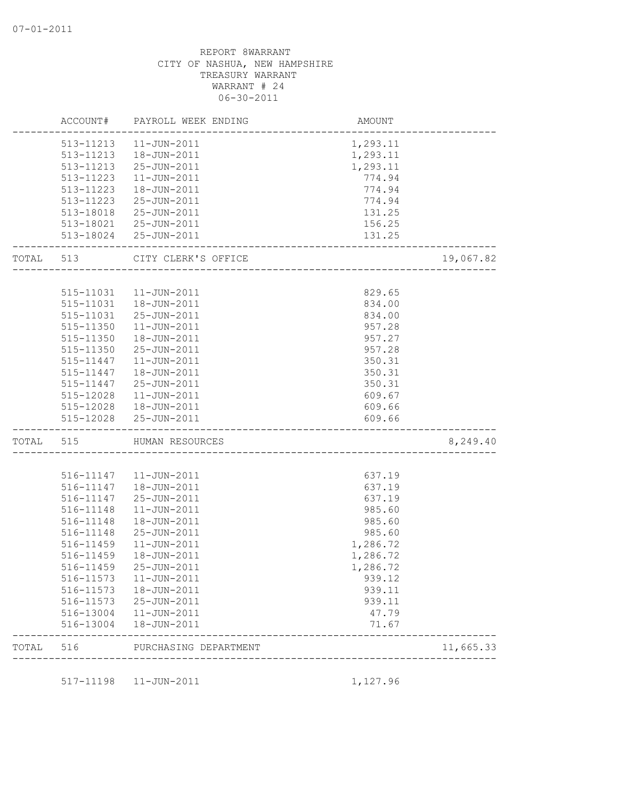|           |           | ACCOUNT# PAYROLL WEEK ENDING | AMOUNT                             |           |
|-----------|-----------|------------------------------|------------------------------------|-----------|
|           |           | 513-11213  11-JUN-2011       | 1,293.11                           |           |
|           |           | 513-11213  18-JUN-2011       | 1,293.11                           |           |
|           | 513-11213 | 25-JUN-2011                  | 1,293.11                           |           |
|           | 513-11223 | $11 - JUN - 2011$            | 774.94                             |           |
|           | 513-11223 | 18-JUN-2011                  | 774.94                             |           |
|           | 513-11223 | 25-JUN-2011                  | 774.94                             |           |
|           | 513-18018 | 25-JUN-2011                  | 131.25                             |           |
|           |           | 513-18021 25-JUN-2011        | 156.25                             |           |
|           |           | 513-18024 25-JUN-2011        | 131.25<br>------------------------ |           |
| TOTAL 513 |           | CITY CLERK'S OFFICE          | ________________                   | 19,067.82 |
|           |           |                              |                                    |           |
|           |           | 515-11031   11-JUN-2011      | 829.65                             |           |
|           | 515-11031 | 18-JUN-2011                  | 834.00                             |           |
|           | 515-11031 | 25-JUN-2011                  | 834.00                             |           |
|           | 515-11350 | $11 - JUN - 2011$            | 957.28                             |           |
|           | 515-11350 | 18-JUN-2011                  | 957.27                             |           |
|           | 515-11350 | 25-JUN-2011                  | 957.28                             |           |
|           | 515-11447 | 11-JUN-2011                  | 350.31                             |           |
|           | 515-11447 | 18-JUN-2011                  | 350.31                             |           |
|           | 515-11447 | 25-JUN-2011                  | 350.31                             |           |
|           | 515-12028 | 11-JUN-2011                  | 609.67                             |           |
|           |           | 515-12028  18-JUN-2011       | 609.66                             |           |
|           |           | 515-12028 25-JUN-2011        | 609.66                             |           |
| TOTAL 515 |           | HUMAN RESOURCES              | ______________________             | 8,249.40  |
|           |           |                              |                                    |           |
|           |           | 516-11147   11-JUN-2011      | 637.19                             |           |
|           | 516-11147 | 18-JUN-2011                  | 637.19                             |           |
|           | 516-11147 | 25-JUN-2011                  | 637.19                             |           |
|           | 516-11148 | $11 - JUN - 2011$            | 985.60                             |           |
|           | 516-11148 | 18-JUN-2011                  | 985.60                             |           |
|           | 516-11148 | 25-JUN-2011                  | 985.60                             |           |
|           | 516-11459 | $11 - JUN - 2011$            | 1,286.72                           |           |
|           | 516-11459 | 18-JUN-2011                  | 1,286.72                           |           |
|           | 516-11459 | 25-JUN-2011                  | 1,286.72                           |           |
|           | 516-11573 | $11 - JUN - 2011$            | 939.12                             |           |
|           | 516-11573 | 18-JUN-2011                  | 939.11                             |           |
|           | 516-11573 | 25-JUN-2011                  | 939.11                             |           |
|           | 516-13004 | 11-JUN-2011                  | 47.79                              |           |
|           | 516-13004 | 18-JUN-2011                  | 71.67                              |           |
| TOTAL     | 516       | PURCHASING DEPARTMENT        | -----------------------------      | 11,665.33 |
|           |           |                              |                                    |           |
|           | 517-11198 | $11 - JUN - 2011$            | 1,127.96                           |           |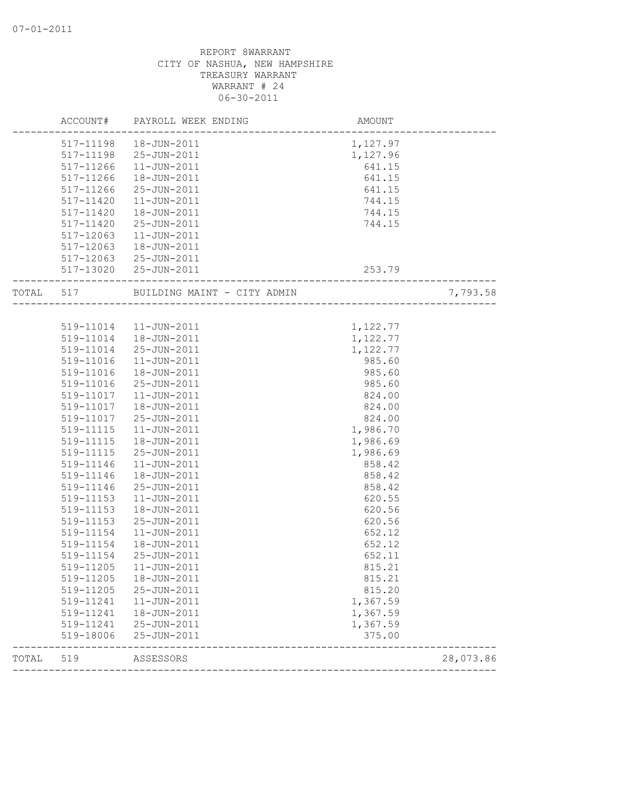|           | ACCOUNT#      | PAYROLL WEEK ENDING         | AMOUNT   |           |
|-----------|---------------|-----------------------------|----------|-----------|
|           |               | 517-11198  18-JUN-2011      | 1,127.97 |           |
|           | 517-11198     | 25-JUN-2011                 | 1,127.96 |           |
|           | 517-11266     | $11 - JUN - 2011$           | 641.15   |           |
|           | 517-11266     | 18-JUN-2011                 | 641.15   |           |
|           | 517-11266     | 25-JUN-2011                 | 641.15   |           |
|           | 517-11420     | $11 - JUN - 2011$           | 744.15   |           |
|           | 517-11420     | 18-JUN-2011                 | 744.15   |           |
|           | $517 - 11420$ | 25-JUN-2011                 | 744.15   |           |
|           | 517-12063     | $11 - JUN - 2011$           |          |           |
|           | 517-12063     | 18-JUN-2011                 |          |           |
|           |               | 517-12063 25-JUN-2011       |          |           |
|           |               | 517-13020 25-JUN-2011       | 253.79   |           |
| TOTAL 517 |               | BUILDING MAINT - CITY ADMIN |          | 7,793.58  |
|           |               |                             |          |           |
|           |               | 519-11014  11-JUN-2011      | 1,122.77 |           |
|           | 519-11014     | 18-JUN-2011                 | 1,122.77 |           |
|           | 519-11014     | $25 - JUN - 2011$           | 1,122.77 |           |
|           | 519-11016     | 11-JUN-2011                 | 985.60   |           |
|           | 519-11016     | 18-JUN-2011                 | 985.60   |           |
|           | 519-11016     | 25-JUN-2011                 | 985.60   |           |
|           | 519-11017     | $11 - JUN - 2011$           | 824.00   |           |
|           | 519-11017     | 18-JUN-2011                 | 824.00   |           |
|           | 519-11017     | 25-JUN-2011                 | 824.00   |           |
|           | 519-11115     | $11 - JUN - 2011$           | 1,986.70 |           |
|           | 519-11115     | 18-JUN-2011                 | 1,986.69 |           |
|           | 519-11115     | 25-JUN-2011                 | 1,986.69 |           |
|           | 519-11146     | $11 - JUN - 2011$           | 858.42   |           |
|           | 519-11146     | 18-JUN-2011                 | 858.42   |           |
|           | 519-11146     | 25-JUN-2011                 | 858.42   |           |
|           | 519-11153     | $11 - JUN - 2011$           | 620.55   |           |
|           | 519-11153     | 18-JUN-2011                 | 620.56   |           |
|           | 519-11153     | 25-JUN-2011                 | 620.56   |           |
|           | 519-11154     | $11 - JUN - 2011$           | 652.12   |           |
|           | 519-11154     | 18-JUN-2011                 | 652.12   |           |
|           | 519-11154     | 25-JUN-2011                 | 652.11   |           |
|           | 519-11205     | $11 - JUN - 2011$           | 815.21   |           |
|           | 519-11205     | 18-JUN-2011                 | 815.21   |           |
|           | 519-11205     | 25-JUN-2011                 | 815.20   |           |
|           | 519-11241     | $11 - JUN - 2011$           | 1,367.59 |           |
|           | 519-11241     | 18-JUN-2011                 | 1,367.59 |           |
|           | 519-11241     | 25-JUN-2011                 | 1,367.59 |           |
|           | 519-18006     | 25-JUN-2011                 | 375.00   |           |
| TOTAL     | 519           | ASSESSORS                   |          | 28,073.86 |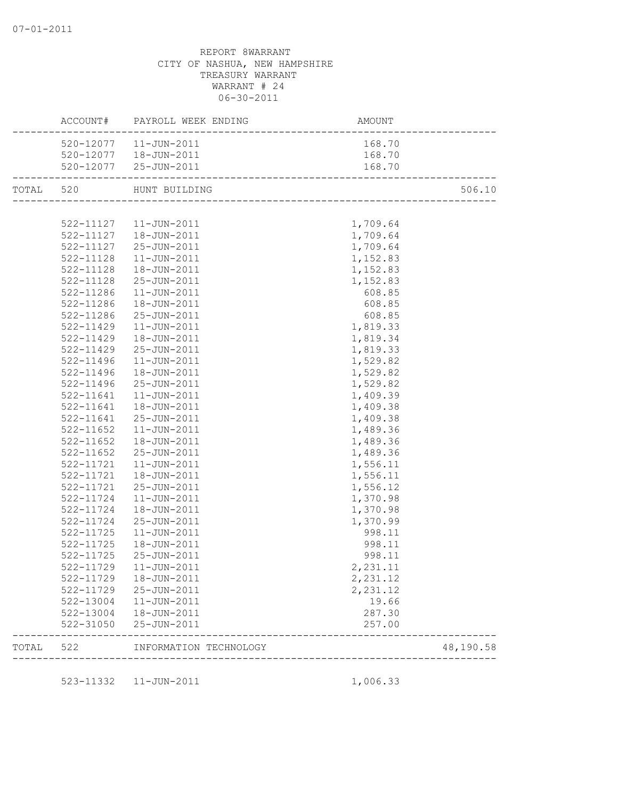|           |               | ACCOUNT# PAYROLL WEEK ENDING                    | AMOUNT                |           |
|-----------|---------------|-------------------------------------------------|-----------------------|-----------|
|           |               | 520-12077  11-JUN-2011                          | 168.70                |           |
|           |               | 520-12077  18-JUN-2011                          | 168.70                |           |
|           |               | 520-12077 25-JUN-2011                           | 168.70                |           |
| TOTAL 520 |               | HUNT BUILDING                                   |                       | 506.10    |
|           |               |                                                 |                       |           |
|           |               | 522-11127   11-JUN-2011                         | 1,709.64              |           |
|           |               | $522 - 11127$ $18 - JUN - 2011$                 | 1,709.64              |           |
|           |               | 522-11127 25-JUN-2011                           | 1,709.64              |           |
|           | 522-11128     | $11 - JUN - 2011$                               | 1,152.83              |           |
|           | 522-11128     | 18-JUN-2011                                     | 1,152.83              |           |
|           | 522-11128     | 25-JUN-2011                                     | 1,152.83              |           |
|           | 522-11286     | 11-JUN-2011                                     | 608.85                |           |
|           | 522-11286     | 18-JUN-2011                                     | 608.85                |           |
|           | 522-11286     | 25-JUN-2011                                     | 608.85                |           |
|           | 522-11429     | 11-JUN-2011                                     | 1,819.33              |           |
|           | 522-11429     | 18-JUN-2011                                     | 1,819.34              |           |
|           | $522 - 11429$ | 25-JUN-2011                                     | 1,819.33              |           |
|           | $522 - 11496$ | 11-JUN-2011                                     | 1,529.82              |           |
|           | 522-11496     | 18-JUN-2011                                     | 1,529.82              |           |
|           | 522-11496     | 25-JUN-2011                                     | 1,529.82              |           |
|           | 522-11641     | 11-JUN-2011                                     | 1,409.39              |           |
|           | 522-11641     | 18-JUN-2011                                     | 1,409.38              |           |
|           | 522-11641     | 25-JUN-2011                                     | 1,409.38              |           |
|           | 522-11652     | 11-JUN-2011                                     | 1,489.36              |           |
|           | 522-11652     | 18-JUN-2011                                     | 1,489.36              |           |
|           | 522-11652     | 25-JUN-2011                                     | 1,489.36              |           |
|           | 522-11721     | $11 - JUN - 2011$                               | 1,556.11              |           |
|           | 522-11721     | 18-JUN-2011                                     | 1,556.11              |           |
|           | 522-11721     | 25-JUN-2011                                     | 1,556.12              |           |
|           | 522-11724     | 11-JUN-2011                                     | 1,370.98              |           |
|           | 522-11724     | 18-JUN-2011                                     | 1,370.98              |           |
|           | 522-11724     | 25-JUN-2011                                     | 1,370.99              |           |
|           | 522-11725     |                                                 |                       |           |
|           | $522 - 11725$ | 11-JUN-2011                                     | 998.11                |           |
|           |               | 18-JUN-2011                                     | 998.11                |           |
|           | 522-11725     | 25-JUN-2011                                     | 998.11                |           |
|           |               | 522-11729  11-JUN-2011                          | 2,231.11              |           |
|           |               | 522-11729  18-JUN-2011                          | 2,231.12              |           |
|           |               | 522-11729 25-JUN-2011                           | 2,231.12              |           |
|           |               | 522-13004  11-JUN-2011                          | 19.66                 |           |
|           |               | 522-13004  18-JUN-2011<br>522-31050 25-JUN-2011 | 287.30<br>257.00      |           |
|           | TOTAL 522     | INFORMATION TECHNOLOGY                          |                       | 48,190.58 |
|           |               |                                                 | _____________________ |           |
|           |               | 523-11332  11-JUN-2011                          | 1,006.33              |           |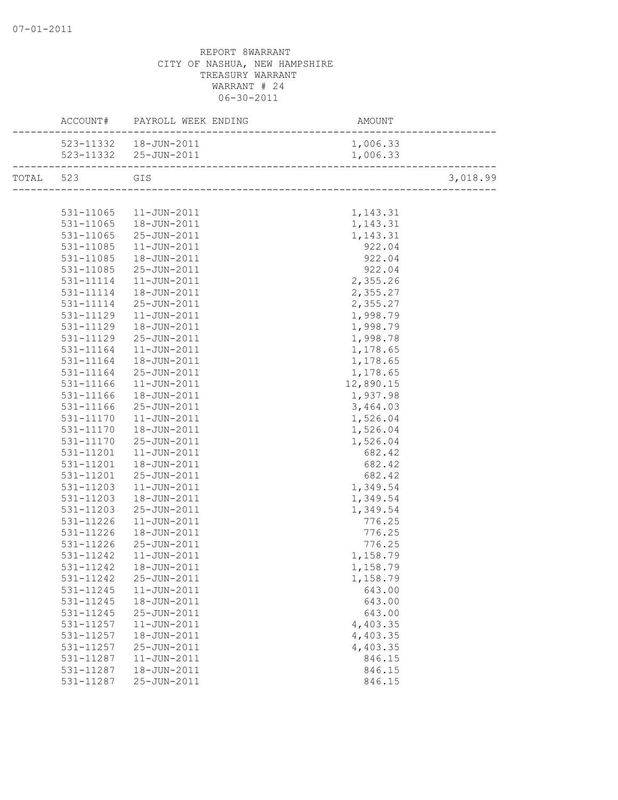|           |               | ACCOUNT# PAYROLL WEEK ENDING | AMOUNT    |          |
|-----------|---------------|------------------------------|-----------|----------|
|           |               | 523-11332  18-JUN-2011       | 1,006.33  |          |
|           |               | 523-11332 25-JUN-2011        | 1,006.33  |          |
| TOTAL 523 |               | GIS                          |           | 3,018.99 |
|           |               |                              |           |          |
|           | 531-11065     | 11-JUN-2011                  | 1,143.31  |          |
|           | 531-11065     | 18-JUN-2011                  | 1,143.31  |          |
|           | 531-11065     | 25-JUN-2011                  | 1,143.31  |          |
|           | 531-11085     | 11-JUN-2011                  | 922.04    |          |
|           | 531-11085     | 18-JUN-2011                  | 922.04    |          |
|           | 531-11085     | 25-JUN-2011                  | 922.04    |          |
|           | 531-11114     | 11-JUN-2011                  | 2,355.26  |          |
|           | 531-11114     | 18-JUN-2011                  | 2,355.27  |          |
|           | 531-11114     | 25-JUN-2011                  | 2,355.27  |          |
|           | 531-11129     | $11 - JUN - 2011$            | 1,998.79  |          |
|           | 531-11129     | 18-JUN-2011                  | 1,998.79  |          |
|           | 531-11129     | 25-JUN-2011                  | 1,998.78  |          |
|           | 531-11164     | 11-JUN-2011                  | 1,178.65  |          |
|           | 531-11164     | 18-JUN-2011                  | 1,178.65  |          |
|           | 531-11164     | 25-JUN-2011                  | 1,178.65  |          |
|           | 531-11166     | 11-JUN-2011                  | 12,890.15 |          |
|           | 531-11166     | 18-JUN-2011                  | 1,937.98  |          |
|           | 531-11166     | 25-JUN-2011                  | 3,464.03  |          |
|           | 531-11170     | 11-JUN-2011                  | 1,526.04  |          |
|           | 531-11170     | 18-JUN-2011                  | 1,526.04  |          |
|           | $531 - 11170$ | 25-JUN-2011                  | 1,526.04  |          |
|           | 531-11201     | 11-JUN-2011                  | 682.42    |          |
|           | 531-11201     | 18-JUN-2011                  | 682.42    |          |
|           | 531-11201     | 25-JUN-2011                  | 682.42    |          |
|           | 531-11203     | 11-JUN-2011                  | 1,349.54  |          |
|           | 531-11203     | 18-JUN-2011                  | 1,349.54  |          |
|           | 531-11203     | 25-JUN-2011                  | 1,349.54  |          |
|           | 531-11226     | 11-JUN-2011                  | 776.25    |          |
|           | 531-11226     | 18-JUN-2011                  | 776.25    |          |
|           | $531 - 11226$ | 25-JUN-2011                  | 776.25    |          |
|           | 531-11242     | $11 - JUN - 2011$            | 1,158.79  |          |
|           | 531-11242     | 18-JUN-2011                  | 1,158.79  |          |
|           | 531-11242     | 25-JUN-2011                  | 1,158.79  |          |
|           | 531-11245     | $11 - JUN - 2011$            | 643.00    |          |
|           | 531-11245     | 18-JUN-2011                  | 643.00    |          |
|           | 531-11245     | 25-JUN-2011                  | 643.00    |          |
|           | 531-11257     | $11 - JUN - 2011$            | 4,403.35  |          |
|           | 531-11257     | 18-JUN-2011                  | 4,403.35  |          |
|           | 531-11257     | 25-JUN-2011                  | 4,403.35  |          |
|           | 531-11287     | $11 - JUN - 2011$            | 846.15    |          |
|           | 531-11287     | 18-JUN-2011                  | 846.15    |          |
|           | 531-11287     | 25-JUN-2011                  | 846.15    |          |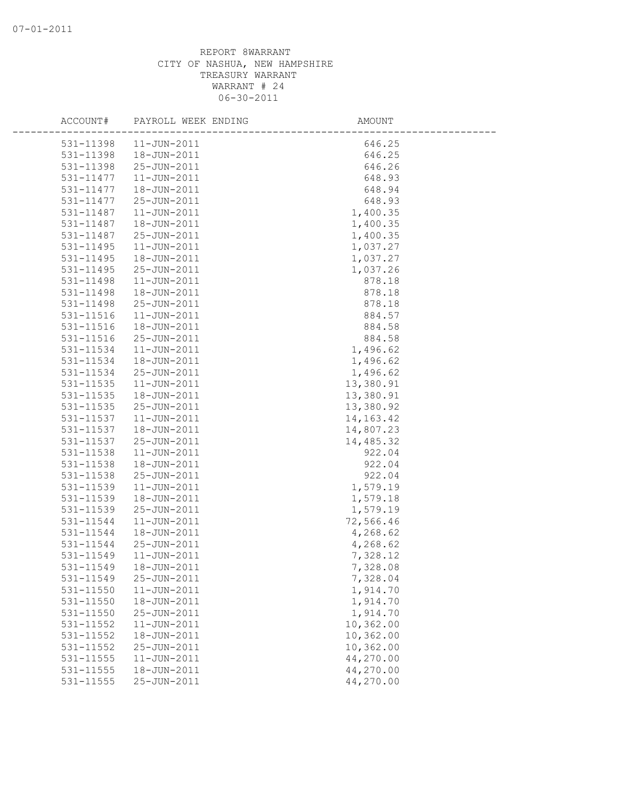| ACCOUNT#      | PAYROLL WEEK ENDING | AMOUNT      |
|---------------|---------------------|-------------|
| 531-11398     | $11 - JUN - 2011$   | 646.25      |
| 531-11398     | 18-JUN-2011         | 646.25      |
| 531-11398     | 25-JUN-2011         | 646.26      |
| 531-11477     | 11-JUN-2011         | 648.93      |
| 531-11477     | 18-JUN-2011         | 648.94      |
| 531-11477     | 25-JUN-2011         | 648.93      |
| 531-11487     | $11 - JUN - 2011$   | 1,400.35    |
| 531-11487     | 18-JUN-2011         | 1,400.35    |
| 531-11487     | 25-JUN-2011         | 1,400.35    |
| 531-11495     | $11 - JUN - 2011$   | 1,037.27    |
| 531-11495     | 18-JUN-2011         | 1,037.27    |
| 531-11495     | 25-JUN-2011         | 1,037.26    |
| 531-11498     | 11-JUN-2011         | 878.18      |
| 531-11498     | 18-JUN-2011         | 878.18      |
| 531-11498     | 25-JUN-2011         | 878.18      |
| 531-11516     | $11 - JUN - 2011$   | 884.57      |
| $531 - 11516$ | 18-JUN-2011         | 884.58      |
| 531-11516     | 25-JUN-2011         | 884.58      |
| 531-11534     | $11 - JUN - 2011$   | 1,496.62    |
| 531-11534     | 18-JUN-2011         | 1,496.62    |
| 531-11534     | 25-JUN-2011         | 1,496.62    |
| 531-11535     | 11-JUN-2011         | 13,380.91   |
| 531-11535     | 18-JUN-2011         | 13,380.91   |
| 531-11535     | 25-JUN-2011         | 13,380.92   |
| 531-11537     | $11 - JUN - 2011$   | 14, 163. 42 |
| 531-11537     | 18-JUN-2011         | 14,807.23   |
| 531-11537     | 25-JUN-2011         | 14,485.32   |
| 531-11538     | 11-JUN-2011         | 922.04      |
| 531-11538     | 18-JUN-2011         | 922.04      |
| 531-11538     | 25-JUN-2011         | 922.04      |
| 531-11539     | $11 - JUN - 2011$   | 1,579.19    |
| 531-11539     | 18-JUN-2011         | 1,579.18    |
| 531-11539     | 25-JUN-2011         | 1,579.19    |
| 531-11544     | $11 - JUN - 2011$   | 72,566.46   |
| 531-11544     | 18-JUN-2011         | 4,268.62    |
| 531-11544     | 25-JUN-2011         | 4,268.62    |
| 531-11549     | $11 - JUN - 2011$   | 7,328.12    |
| 531-11549     | 18-JUN-2011         | 7,328.08    |
| 531-11549     | 25-JUN-2011         | 7,328.04    |
| 531-11550     | 11-JUN-2011         | 1,914.70    |
| 531-11550     | 18-JUN-2011         | 1,914.70    |
| 531-11550     | 25-JUN-2011         | 1,914.70    |
| 531-11552     | 11-JUN-2011         | 10,362.00   |
| 531-11552     | 18-JUN-2011         | 10,362.00   |
| 531-11552     | 25-JUN-2011         | 10,362.00   |
| 531-11555     | $11 - JUN - 2011$   | 44,270.00   |
| 531-11555     | 18-JUN-2011         | 44,270.00   |
| 531-11555     | 25-JUN-2011         | 44,270.00   |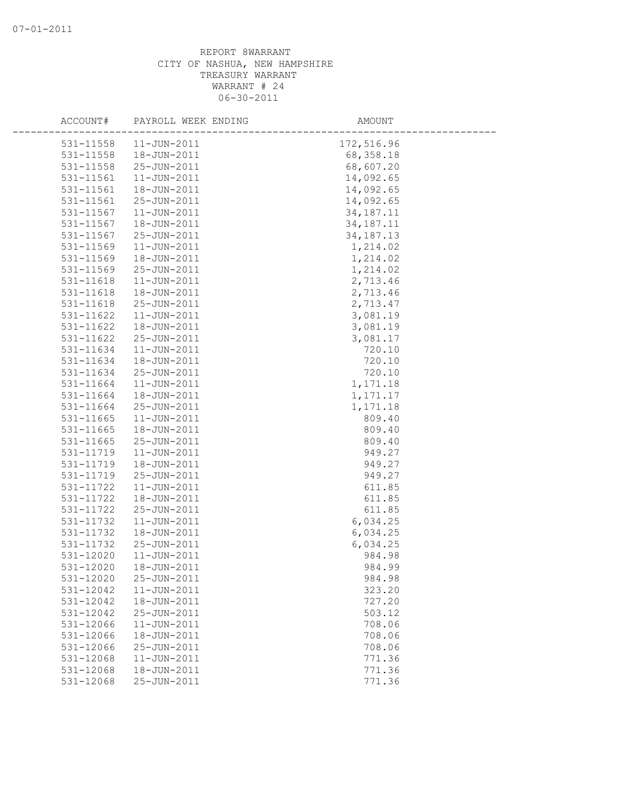| ACCOUNT#      | PAYROLL WEEK ENDING | AMOUNT      |  |
|---------------|---------------------|-------------|--|
| 531-11558     | $11 - JUN - 2011$   | 172,516.96  |  |
| 531-11558     | 18-JUN-2011         | 68,358.18   |  |
| 531-11558     | 25-JUN-2011         | 68,607.20   |  |
| 531-11561     | 11-JUN-2011         | 14,092.65   |  |
| 531-11561     | 18-JUN-2011         | 14,092.65   |  |
| 531-11561     | 25-JUN-2011         | 14,092.65   |  |
| 531-11567     | 11-JUN-2011         | 34, 187. 11 |  |
| 531-11567     | 18-JUN-2011         | 34, 187. 11 |  |
| 531-11567     | 25-JUN-2011         | 34, 187. 13 |  |
| 531-11569     | $11 - JUN - 2011$   | 1,214.02    |  |
| 531-11569     | 18-JUN-2011         | 1,214.02    |  |
| 531-11569     | 25-JUN-2011         | 1,214.02    |  |
| 531-11618     | 11-JUN-2011         | 2,713.46    |  |
| 531-11618     | 18-JUN-2011         | 2,713.46    |  |
| 531-11618     | 25-JUN-2011         | 2,713.47    |  |
| 531-11622     | 11-JUN-2011         | 3,081.19    |  |
| 531-11622     | 18-JUN-2011         | 3,081.19    |  |
| 531-11622     | 25-JUN-2011         | 3,081.17    |  |
| 531-11634     | $11 - JUN - 2011$   | 720.10      |  |
| 531-11634     | 18-JUN-2011         | 720.10      |  |
| 531-11634     | 25-JUN-2011         | 720.10      |  |
| 531-11664     | 11-JUN-2011         | 1,171.18    |  |
| 531-11664     | 18-JUN-2011         | 1,171.17    |  |
| 531-11664     | 25-JUN-2011         | 1,171.18    |  |
| 531-11665     | 11-JUN-2011         | 809.40      |  |
| $531 - 11665$ | 18-JUN-2011         | 809.40      |  |
| 531-11665     | 25-JUN-2011         | 809.40      |  |
| 531-11719     | $11 - JUN - 2011$   | 949.27      |  |
| 531-11719     | 18-JUN-2011         | 949.27      |  |
| 531-11719     | 25-JUN-2011         | 949.27      |  |
| 531-11722     | $11 - JUN - 2011$   | 611.85      |  |
| 531-11722     | 18-JUN-2011         | 611.85      |  |
| 531-11722     | 25-JUN-2011         | 611.85      |  |
| 531-11732     | 11-JUN-2011         | 6,034.25    |  |
| 531-11732     | 18-JUN-2011         | 6,034.25    |  |
| 531-11732     | 25-JUN-2011         | 6,034.25    |  |
| 531-12020     | $11 - JUN - 2011$   | 984.98      |  |
| 531-12020     | 18-JUN-2011         | 984.99      |  |
| 531-12020     | 25-JUN-2011         | 984.98      |  |
| 531-12042     | 11-JUN-2011         | 323.20      |  |
| 531-12042     | 18-JUN-2011         | 727.20      |  |
| 531-12042     | 25-JUN-2011         | 503.12      |  |
| 531-12066     | $11 - JUN - 2011$   | 708.06      |  |
| 531-12066     | 18-JUN-2011         | 708.06      |  |
| 531-12066     | 25-JUN-2011         | 708.06      |  |
| 531-12068     | $11 - JUN - 2011$   | 771.36      |  |
| 531-12068     | 18-JUN-2011         | 771.36      |  |
| 531-12068     | 25-JUN-2011         | 771.36      |  |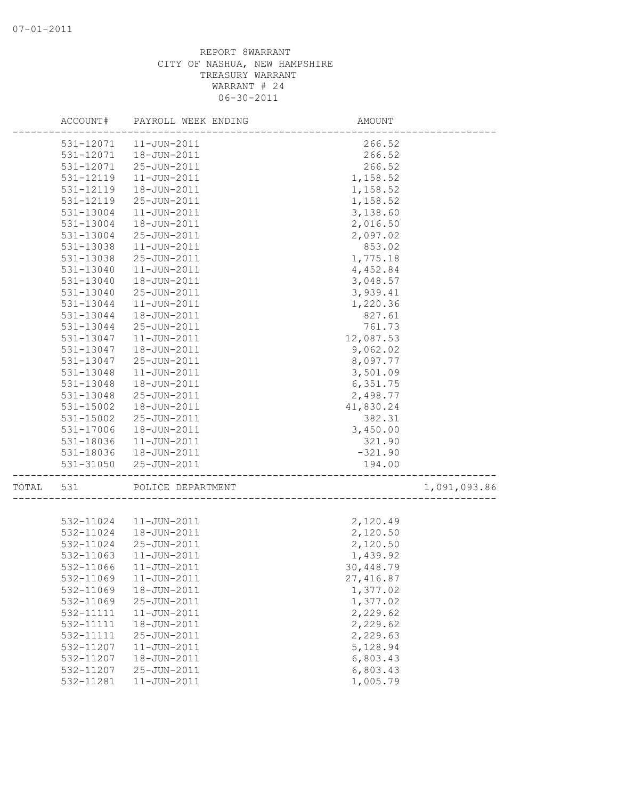|       | ACCOUNT#      | PAYROLL WEEK ENDING    | AMOUNT     |              |
|-------|---------------|------------------------|------------|--------------|
|       | 531-12071     | 11-JUN-2011            | 266.52     |              |
|       | 531-12071     | 18-JUN-2011            | 266.52     |              |
|       | 531-12071     | 25-JUN-2011            | 266.52     |              |
|       | 531-12119     | $11 - JUN - 2011$      | 1,158.52   |              |
|       | 531-12119     | 18-JUN-2011            | 1,158.52   |              |
|       | 531-12119     | 25-JUN-2011            | 1,158.52   |              |
|       | 531-13004     | $11 - JUN - 2011$      | 3,138.60   |              |
|       | 531-13004     | 18-JUN-2011            | 2,016.50   |              |
|       | 531-13004     | 25-JUN-2011            | 2,097.02   |              |
|       | 531-13038     | $11 - JUN - 2011$      | 853.02     |              |
|       | 531-13038     | 25-JUN-2011            | 1,775.18   |              |
|       | 531-13040     | $11 - JUN - 2011$      | 4,452.84   |              |
|       | 531-13040     | 18-JUN-2011            | 3,048.57   |              |
|       | 531-13040     | 25-JUN-2011            | 3,939.41   |              |
|       | 531-13044     | 11-JUN-2011            | 1,220.36   |              |
|       | 531-13044     | 18-JUN-2011            | 827.61     |              |
|       | 531-13044     | 25-JUN-2011            | 761.73     |              |
|       | 531-13047     | $11 - JUN - 2011$      | 12,087.53  |              |
|       | 531-13047     | 18-JUN-2011            | 9,062.02   |              |
|       | 531-13047     | 25-JUN-2011            | 8,097.77   |              |
|       |               | $11 - JUN - 2011$      | 3,501.09   |              |
|       | 531-13048     |                        |            |              |
|       | 531-13048     | 18-JUN-2011            | 6,351.75   |              |
|       | 531-13048     | 25-JUN-2011            | 2,498.77   |              |
|       | $531 - 15002$ | 18-JUN-2011            | 41,830.24  |              |
|       | 531-15002     | 25-JUN-2011            | 382.31     |              |
|       | 531-17006     | 18-JUN-2011            | 3,450.00   |              |
|       | 531-18036     | $11 - JUN - 2011$      | 321.90     |              |
|       | 531-18036     | 18-JUN-2011            | $-321.90$  |              |
|       | 531-31050     | 25-JUN-2011            | 194.00     |              |
| TOTAL | 531           | POLICE DEPARTMENT      |            | 1,091,093.86 |
|       |               |                        |            |              |
|       |               | 532-11024  11-JUN-2011 | 2,120.49   |              |
|       | 532-11024     | 18-JUN-2011            | 2,120.50   |              |
|       | 532-11024     | 25-JUN-2011            | 2,120.50   |              |
|       | 532-11063     | $11 - JUN - 2011$      | 1,439.92   |              |
|       |               | 532-11066 11-JUN-2011  | 30,448.79  |              |
|       | 532-11069     | $11 - JUN - 2011$      | 27, 416.87 |              |
|       | 532-11069     | 18-JUN-2011            | 1,377.02   |              |
|       | 532-11069     | 25-JUN-2011            | 1,377.02   |              |
|       | 532-11111     | 11-JUN-2011            | 2,229.62   |              |
|       | 532-11111     | 18-JUN-2011            | 2,229.62   |              |
|       | 532-11111     | 25-JUN-2011            | 2,229.63   |              |
|       | 532-11207     | 11-JUN-2011            | 5,128.94   |              |
|       | 532-11207     | 18-JUN-2011            | 6,803.43   |              |
|       | 532-11207     | 25-JUN-2011            | 6,803.43   |              |
|       | 532-11281     | 11-JUN-2011            | 1,005.79   |              |
|       |               |                        |            |              |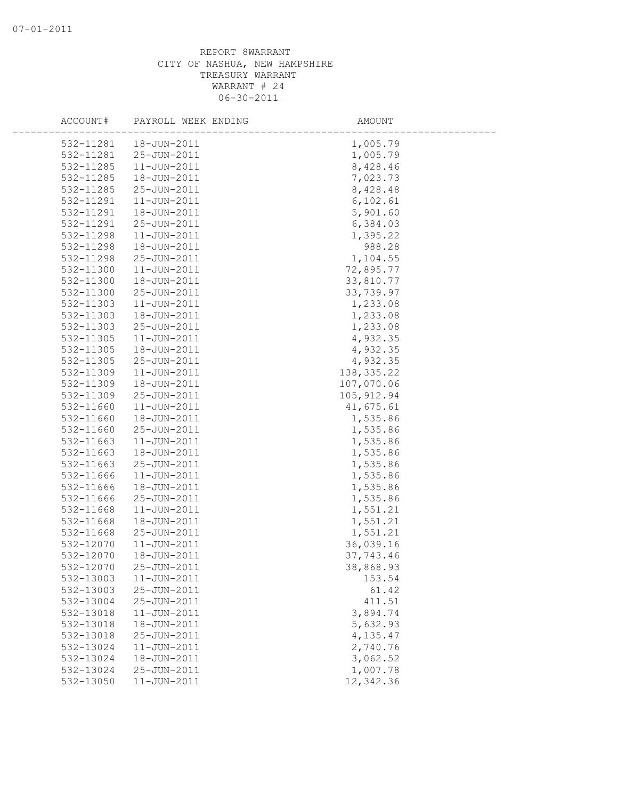| ACCOUNT#  | PAYROLL WEEK ENDING | AMOUNT      |  |
|-----------|---------------------|-------------|--|
| 532-11281 | 18-JUN-2011         | 1,005.79    |  |
| 532-11281 | 25-JUN-2011         | 1,005.79    |  |
| 532-11285 | $11 - JUN - 2011$   | 8,428.46    |  |
| 532-11285 | 18-JUN-2011         | 7,023.73    |  |
| 532-11285 | 25-JUN-2011         | 8,428.48    |  |
| 532-11291 | $11 - JUN - 2011$   | 6, 102.61   |  |
| 532-11291 | 18-JUN-2011         | 5,901.60    |  |
| 532-11291 | 25-JUN-2011         | 6,384.03    |  |
| 532-11298 | $11 - JUN - 2011$   | 1,395.22    |  |
| 532-11298 | 18-JUN-2011         | 988.28      |  |
| 532-11298 | 25-JUN-2011         | 1,104.55    |  |
| 532-11300 | $11 - JUN - 2011$   | 72,895.77   |  |
| 532-11300 | 18-JUN-2011         | 33,810.77   |  |
| 532-11300 | 25-JUN-2011         | 33,739.97   |  |
| 532-11303 | 11-JUN-2011         | 1,233.08    |  |
| 532-11303 | 18-JUN-2011         | 1,233.08    |  |
| 532-11303 | 25-JUN-2011         | 1,233.08    |  |
| 532-11305 | 11-JUN-2011         | 4,932.35    |  |
| 532-11305 | 18-JUN-2011         | 4,932.35    |  |
| 532-11305 | 25-JUN-2011         | 4,932.35    |  |
| 532-11309 | $11 - JUN - 2011$   | 138, 335.22 |  |
| 532-11309 | 18-JUN-2011         | 107,070.06  |  |
| 532-11309 | 25-JUN-2011         | 105, 912.94 |  |
| 532-11660 | $11 - JUN - 2011$   | 41,675.61   |  |
| 532-11660 | 18-JUN-2011         | 1,535.86    |  |
| 532-11660 | 25-JUN-2011         | 1,535.86    |  |
| 532-11663 | $11 - JUN - 2011$   | 1,535.86    |  |
| 532-11663 | 18-JUN-2011         | 1,535.86    |  |
| 532-11663 | 25-JUN-2011         | 1,535.86    |  |
| 532-11666 | $11 - JUN - 2011$   | 1,535.86    |  |
| 532-11666 | 18-JUN-2011         | 1,535.86    |  |
| 532-11666 | 25-JUN-2011         | 1,535.86    |  |
| 532-11668 | $11 - JUN - 2011$   | 1,551.21    |  |
| 532-11668 | 18-JUN-2011         | 1,551.21    |  |
| 532-11668 | 25-JUN-2011         | 1,551.21    |  |
| 532-12070 | $11 - JUN - 2011$   | 36,039.16   |  |
| 532-12070 | 18-JUN-2011         | 37,743.46   |  |
| 532-12070 | 25-JUN-2011         | 38,868.93   |  |
| 532-13003 | $11 - JUN - 2011$   | 153.54      |  |
| 532-13003 | 25-JUN-2011         | 61.42       |  |
| 532-13004 | 25-JUN-2011         | 411.51      |  |
| 532-13018 | $11 - JUN - 2011$   | 3,894.74    |  |
| 532-13018 | 18-JUN-2011         | 5,632.93    |  |
| 532-13018 | 25-JUN-2011         | 4,135.47    |  |
| 532-13024 | $11 - JUN - 2011$   | 2,740.76    |  |
| 532-13024 | 18-JUN-2011         | 3,062.52    |  |
| 532-13024 | 25-JUN-2011         | 1,007.78    |  |
| 532-13050 | 11-JUN-2011         | 12,342.36   |  |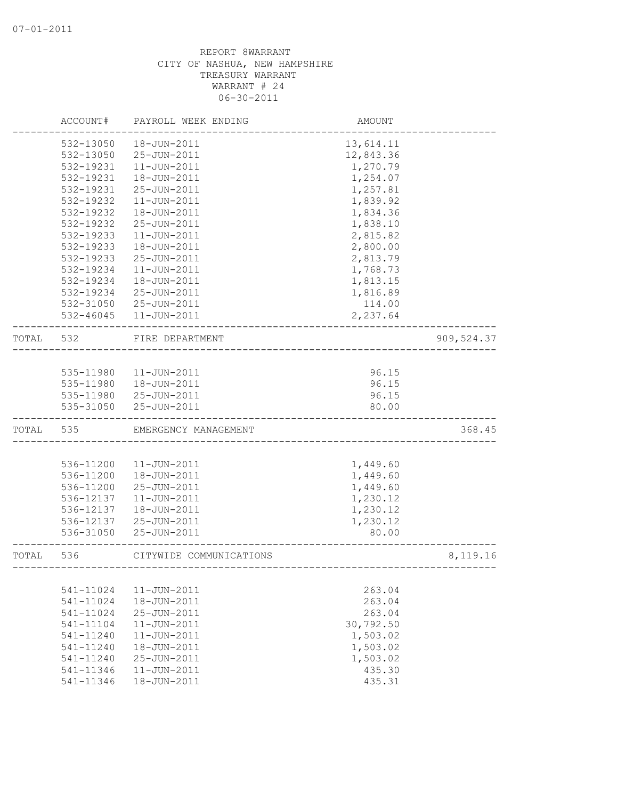|       | ACCOUNT#      | PAYROLL WEEK ENDING     | AMOUNT    |             |
|-------|---------------|-------------------------|-----------|-------------|
|       | 532-13050     | 18-JUN-2011             | 13,614.11 |             |
|       | 532-13050     | 25-JUN-2011             | 12,843.36 |             |
|       | 532-19231     | $11 - JUN - 2011$       | 1,270.79  |             |
|       | 532-19231     | 18-JUN-2011             | 1,254.07  |             |
|       | 532-19231     | 25-JUN-2011             | 1,257.81  |             |
|       | 532-19232     | $11 - JUN - 2011$       | 1,839.92  |             |
|       | 532-19232     | 18-JUN-2011             | 1,834.36  |             |
|       | 532-19232     | 25-JUN-2011             | 1,838.10  |             |
|       | 532-19233     | $11 - JUN - 2011$       | 2,815.82  |             |
|       | 532-19233     | 18-JUN-2011             | 2,800.00  |             |
|       | 532-19233     | 25-JUN-2011             | 2,813.79  |             |
|       | 532-19234     | $11 - JUN - 2011$       | 1,768.73  |             |
|       | 532-19234     | 18-JUN-2011             | 1,813.15  |             |
|       | 532-19234     | 25-JUN-2011             | 1,816.89  |             |
|       | 532-31050     | 25-JUN-2011             | 114.00    |             |
|       | $532 - 46045$ | 11-JUN-2011             | 2,237.64  |             |
| TOTAL | 532           | FIRE DEPARTMENT         |           | 909, 524.37 |
|       |               |                         |           |             |
|       | 535-11980     | 11-JUN-2011             | 96.15     |             |
|       | 535-11980     | 18-JUN-2011             | 96.15     |             |
|       | 535-11980     | 25-JUN-2011             | 96.15     |             |
|       | 535-31050     | 25-JUN-2011             | 80.00     |             |
| TOTAL | 535           | EMERGENCY MANAGEMENT    |           | 368.45      |
|       |               |                         |           |             |
|       | 536-11200     | $11 - JUN - 2011$       | 1,449.60  |             |
|       | 536-11200     | 18-JUN-2011             | 1,449.60  |             |
|       | 536-11200     | 25-JUN-2011             | 1,449.60  |             |
|       | 536-12137     | $11 - JUN - 2011$       | 1,230.12  |             |
|       | 536-12137     | 18-JUN-2011             | 1,230.12  |             |
|       | 536-12137     | 25-JUN-2011             | 1,230.12  |             |
|       | 536-31050     | 25-JUN-2011             | 80.00     |             |
| TOTAL | 536           | CITYWIDE COMMUNICATIONS |           | 8,119.16    |
|       |               |                         |           |             |
|       | 541-11024     | $11 - JUN - 2011$       | 263.04    |             |
|       | 541-11024     | 18-JUN-2011             | 263.04    |             |
|       | 541-11024     | 25-JUN-2011             | 263.04    |             |
|       | 541-11104     | $11 - JUN - 2011$       | 30,792.50 |             |
|       | 541-11240     | $11 - JUN - 2011$       | 1,503.02  |             |
|       | 541-11240     | 18-JUN-2011             | 1,503.02  |             |
|       | 541-11240     | 25-JUN-2011             | 1,503.02  |             |
|       | 541-11346     | $11 - JUN - 2011$       | 435.30    |             |
|       | 541-11346     | 18-JUN-2011             | 435.31    |             |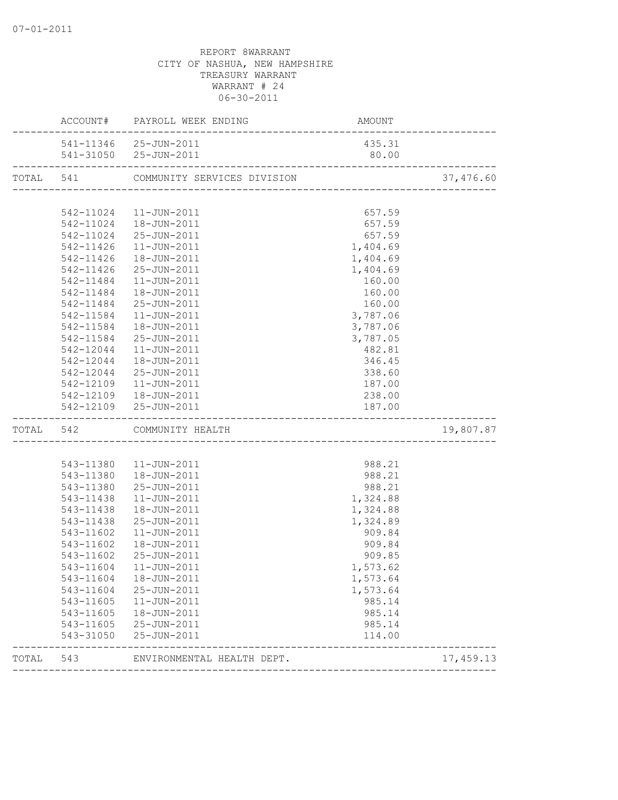|           |           | ACCOUNT# PAYROLL WEEK ENDING                   |                 |           |
|-----------|-----------|------------------------------------------------|-----------------|-----------|
|           |           | 541-11346 25-JUN-2011<br>541-31050 25-JUN-2011 | 435.31<br>80.00 |           |
| TOTAL 541 |           | COMMUNITY SERVICES DIVISION                    |                 | 37,476.60 |
|           |           |                                                |                 |           |
|           |           | 542-11024  11-JUN-2011                         | 657.59          |           |
|           |           | 542-11024  18-JUN-2011                         | 657.59          |           |
|           |           | 542-11024 25-JUN-2011                          | 657.59          |           |
|           | 542-11426 | 11-JUN-2011                                    | 1,404.69        |           |
|           | 542-11426 | 18-JUN-2011                                    | 1,404.69        |           |
|           |           | 542-11426 25-JUN-2011                          | 1,404.69        |           |
|           |           | 542-11484   11-JUN-2011                        | 160.00          |           |
|           |           | 542-11484  18-JUN-2011                         | 160.00          |           |
|           | 542-11484 | 25-JUN-2011                                    | 160.00          |           |
|           | 542-11584 | $11 - JUN - 2011$                              | 3,787.06        |           |
|           | 542-11584 | 18-JUN-2011                                    | 3,787.06        |           |
|           | 542-11584 | 25-JUN-2011                                    | 3,787.05        |           |
|           | 542-12044 | 11-JUN-2011                                    | 482.81          |           |
|           | 542-12044 | 18-JUN-2011                                    | 346.45          |           |
|           |           | 542-12044 25-JUN-2011                          | 338.60          |           |
|           |           | 542-12109  11-JUN-2011                         | 187.00          |           |
|           |           | 542-12109  18-JUN-2011                         | 238.00          |           |
|           |           | 542-12109 25-JUN-2011                          | 187.00          |           |
|           |           | TOTAL 542 COMMUNITY HEALTH                     |                 | 19,807.87 |
|           |           |                                                |                 |           |
|           |           | 543-11380  11-JUN-2011                         | 988.21          |           |
|           |           | 543-11380  18-JUN-2011                         | 988.21          |           |
|           |           | 543-11380 25-JUN-2011                          | 988.21          |           |
|           | 543-11438 | $11 - JUN - 2011$                              | 1,324.88        |           |
|           | 543-11438 | 18-JUN-2011                                    | 1,324.88        |           |
|           | 543-11438 | 25-JUN-2011                                    | 1,324.89        |           |
|           | 543-11602 | 11-JUN-2011                                    | 909.84          |           |
|           | 543-11602 | 18-JUN-2011                                    | 909.84          |           |
|           | 543-11602 | 25-JUN-2011                                    | 909.85          |           |
|           |           | 543-11604  11-JUN-2011                         | 1,573.62        |           |
|           | 543-11604 | 18-JUN-2011                                    | 1,573.64        |           |
|           |           | 543-11604 25-JUN-2011                          | 1,573.64        |           |
|           |           | 543-11605  11-JUN-2011                         | 985.14          |           |
|           | 543-11605 | 18-JUN-2011                                    | 985.14          |           |
|           |           | 543-11605 25-JUN-2011                          | 985.14          |           |
|           | 543-31050 | 25-JUN-2011                                    | 114.00          |           |
| TOTAL 543 |           | ENVIRONMENTAL HEALTH DEPT.                     |                 | 17,459.13 |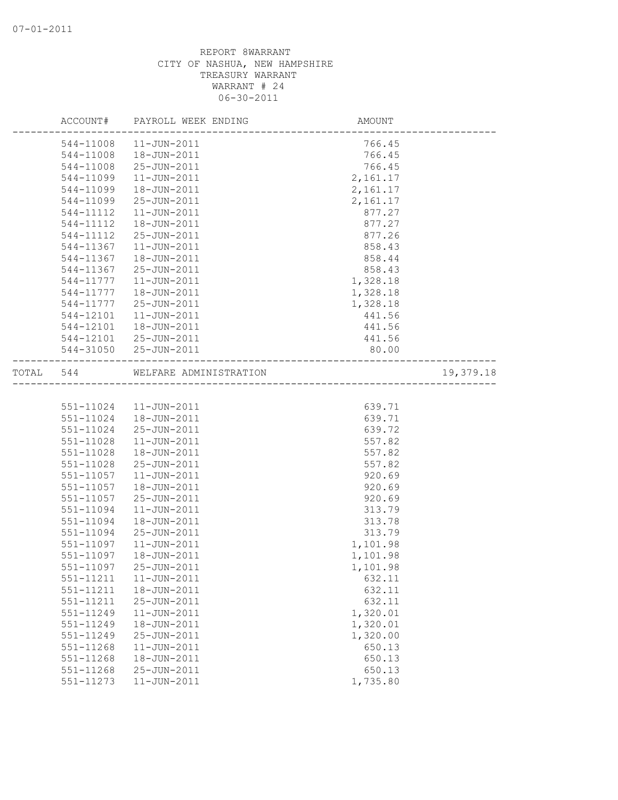|           |               | ACCOUNT# PAYROLL WEEK ENDING | AMOUNT   |           |
|-----------|---------------|------------------------------|----------|-----------|
|           | 544-11008     | 11-JUN-2011                  | 766.45   |           |
|           | 544-11008     | 18-JUN-2011                  | 766.45   |           |
|           | 544-11008     | 25-JUN-2011                  | 766.45   |           |
|           | 544-11099     | $11 - JUN - 2011$            | 2,161.17 |           |
|           | 544-11099     | 18-JUN-2011                  | 2,161.17 |           |
|           | 544-11099     | 25-JUN-2011                  | 2,161.17 |           |
|           | 544-11112     | $11 - JUN - 2011$            | 877.27   |           |
|           | 544-11112     | 18-JUN-2011                  | 877.27   |           |
|           | 544-11112     | 25-JUN-2011                  | 877.26   |           |
|           | 544-11367     | $11 - JUN - 2011$            | 858.43   |           |
|           | 544-11367     | 18-JUN-2011                  | 858.44   |           |
|           | 544-11367     | 25-JUN-2011                  | 858.43   |           |
|           | 544-11777     | $11 - JUN - 2011$            | 1,328.18 |           |
|           | 544-11777     | 18-JUN-2011                  | 1,328.18 |           |
|           | 544-11777     | 25-JUN-2011                  | 1,328.18 |           |
|           | 544-12101     | 11-JUN-2011                  | 441.56   |           |
|           | 544-12101     | 18-JUN-2011                  | 441.56   |           |
|           | 544-12101     | 25-JUN-2011                  | 441.56   |           |
|           |               | 544-31050 25-JUN-2011        | 80.00    |           |
| TOTAL 544 |               | WELFARE ADMINISTRATION       |          | 19,379.18 |
|           |               |                              |          |           |
|           | 551-11024     | 11-JUN-2011                  | 639.71   |           |
|           | 551-11024     | 18-JUN-2011                  | 639.71   |           |
|           | 551-11024     | 25-JUN-2011                  | 639.72   |           |
|           | 551-11028     | $11 - JUN - 2011$            | 557.82   |           |
|           | $551 - 11028$ | 18-JUN-2011                  | 557.82   |           |
|           | 551-11028     | 25-JUN-2011                  | 557.82   |           |
|           | 551-11057     | $11 - JUN - 2011$            | 920.69   |           |
|           | 551-11057     | 18-JUN-2011                  | 920.69   |           |
|           | 551-11057     | 25-JUN-2011                  | 920.69   |           |
|           | 551-11094     | $11 - JUN - 2011$            | 313.79   |           |
|           | 551-11094     | 18-JUN-2011                  | 313.78   |           |
|           | 551-11094     | 25-JUN-2011                  | 313.79   |           |
|           | 551-11097     | $11 - JUN - 2011$            | 1,101.98 |           |
|           | 551-11097     | 18-JUN-2011                  | 1,101.98 |           |
|           | 551-11097     | $25 - JUN - 2011$            | 1,101.98 |           |
|           | 551-11211     | $11 - JUN - 2011$            | 632.11   |           |
|           | 551-11211     | 18-JUN-2011                  | 632.11   |           |
|           | 551-11211     | 25-JUN-2011                  | 632.11   |           |
|           | 551-11249     | $11 - JUN - 2011$            | 1,320.01 |           |
|           | 551-11249     | 18-JUN-2011                  | 1,320.01 |           |
|           | 551-11249     | 25-JUN-2011                  | 1,320.00 |           |
|           | 551-11268     | 11-JUN-2011                  | 650.13   |           |
|           | 551-11268     | 18-JUN-2011                  | 650.13   |           |
|           | 551-11268     | 25-JUN-2011                  | 650.13   |           |
|           | 551-11273     | $11 - JUN - 2011$            | 1,735.80 |           |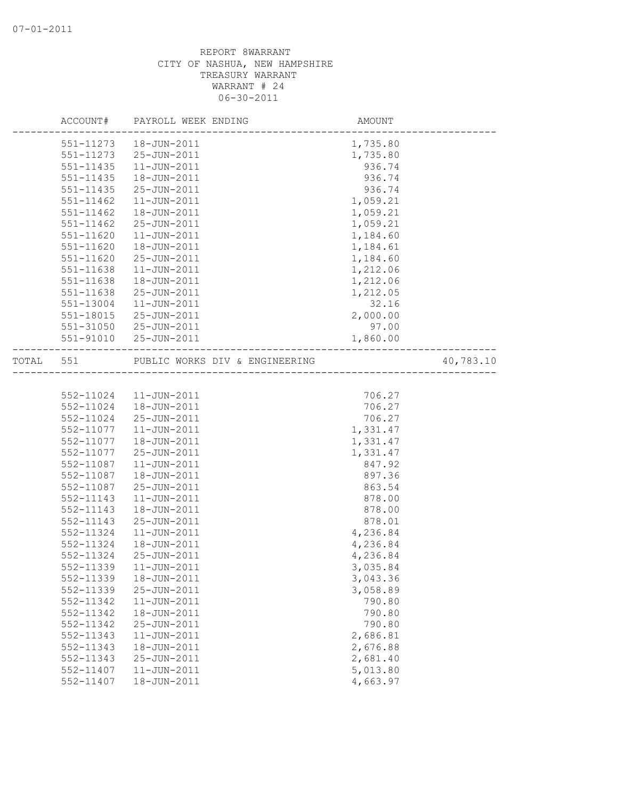|           |               | ACCOUNT# PAYROLL WEEK ENDING                                        | AMOUNT   |           |
|-----------|---------------|---------------------------------------------------------------------|----------|-----------|
|           |               | 551-11273  18-JUN-2011                                              | 1,735.80 |           |
|           |               | 551-11273 25-JUN-2011                                               | 1,735.80 |           |
|           | 551-11435     | $11 - JUN - 2011$                                                   | 936.74   |           |
|           | $551 - 11435$ | 18-JUN-2011                                                         | 936.74   |           |
|           | 551-11435     | 25-JUN-2011                                                         | 936.74   |           |
|           | 551-11462     | $11 - JUN - 2011$                                                   | 1,059.21 |           |
|           | 551-11462     | 18-JUN-2011                                                         | 1,059.21 |           |
|           | 551-11462     | 25-JUN-2011                                                         | 1,059.21 |           |
|           | 551-11620     | $11 - JUN - 2011$                                                   | 1,184.60 |           |
|           | 551-11620     | 18-JUN-2011                                                         | 1,184.61 |           |
|           | 551-11620     | 25-JUN-2011                                                         | 1,184.60 |           |
|           | 551-11638     | $11 - JUN - 2011$                                                   | 1,212.06 |           |
|           | 551-11638     | 18-JUN-2011                                                         | 1,212.06 |           |
|           | 551-11638     | 25-JUN-2011                                                         | 1,212.05 |           |
|           | 551-13004     | $11 - JUN - 2011$                                                   | 32.16    |           |
|           | 551-18015     | 25-JUN-2011                                                         | 2,000.00 |           |
|           | 551-31050     | 25-JUN-2011                                                         | 97.00    |           |
|           |               | 551-91010 25-JUN-2011                                               | 1,860.00 |           |
| TOTAL 551 |               | PUBLIC WORKS DIV & ENGINEERING<br>--------------------------------- |          | 40,783.10 |
|           |               |                                                                     |          |           |
|           |               | 552-11024  11-JUN-2011                                              | 706.27   |           |
|           | 552-11024     | 18-JUN-2011                                                         | 706.27   |           |
|           | 552-11024     | 25-JUN-2011                                                         | 706.27   |           |
|           | 552-11077     | $11 - JUN - 2011$                                                   | 1,331.47 |           |
|           | 552-11077     | 18-JUN-2011                                                         | 1,331.47 |           |
|           | 552-11077     | 25-JUN-2011                                                         | 1,331.47 |           |
|           | 552-11087     | $11 - JUN - 2011$                                                   | 847.92   |           |
|           | 552-11087     | 18-JUN-2011                                                         | 897.36   |           |
|           | 552-11087     | 25-JUN-2011                                                         | 863.54   |           |
|           | 552-11143     | $11 - JUN - 2011$                                                   | 878.00   |           |
|           | 552-11143     | 18-JUN-2011                                                         | 878.00   |           |
|           | 552-11143     | 25-JUN-2011                                                         | 878.01   |           |
|           | 552-11324     | $11 - JUN - 2011$                                                   | 4,236.84 |           |
|           | 552-11324     | 18-JUN-2011                                                         | 4,236.84 |           |
|           | 552-11324     | 25-JUN-2011                                                         | 4,236.84 |           |
|           | 552-11339     | $11 - JUN - 2011$                                                   | 3,035.84 |           |
|           | 552-11339     | 18-JUN-2011                                                         | 3,043.36 |           |
|           | 552-11339     | 25-JUN-2011                                                         | 3,058.89 |           |
|           | 552-11342     | $11 - JUN - 2011$                                                   | 790.80   |           |
|           | 552-11342     | 18-JUN-2011                                                         | 790.80   |           |
|           | 552-11342     | 25-JUN-2011                                                         | 790.80   |           |
|           | 552-11343     | $11 - JUN - 2011$                                                   | 2,686.81 |           |
|           | 552-11343     | 18-JUN-2011                                                         | 2,676.88 |           |
|           | 552-11343     | 25-JUN-2011                                                         | 2,681.40 |           |
|           | 552-11407     | 11-JUN-2011                                                         | 5,013.80 |           |
|           | 552-11407     | 18-JUN-2011                                                         | 4,663.97 |           |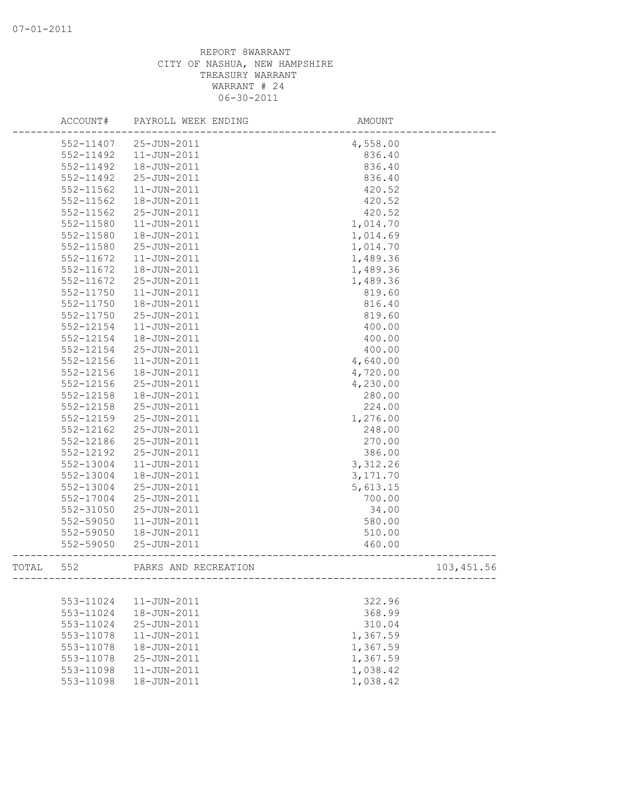|       | ACCOUNT#      | PAYROLL WEEK ENDING  | AMOUNT    |            |
|-------|---------------|----------------------|-----------|------------|
|       | 552-11407     | 25-JUN-2011          | 4,558.00  |            |
|       | 552-11492     | $11 - JUN - 2011$    | 836.40    |            |
|       | 552-11492     | 18-JUN-2011          | 836.40    |            |
|       | 552-11492     | 25-JUN-2011          | 836.40    |            |
|       | 552-11562     | $11 - JUN - 2011$    | 420.52    |            |
|       | 552-11562     | 18-JUN-2011          | 420.52    |            |
|       | 552-11562     | 25-JUN-2011          | 420.52    |            |
|       | 552-11580     | $11 - JUN - 2011$    | 1,014.70  |            |
|       | 552-11580     | 18-JUN-2011          | 1,014.69  |            |
|       | 552-11580     | 25-JUN-2011          | 1,014.70  |            |
|       | 552-11672     | $11 - JUN - 2011$    | 1,489.36  |            |
|       | 552-11672     | 18-JUN-2011          | 1,489.36  |            |
|       | 552-11672     | 25-JUN-2011          | 1,489.36  |            |
|       | 552-11750     | $11 - JUN - 2011$    | 819.60    |            |
|       | $552 - 11750$ | 18-JUN-2011          | 816.40    |            |
|       | 552-11750     | 25-JUN-2011          | 819.60    |            |
|       | 552-12154     | $11 - JUN - 2011$    | 400.00    |            |
|       | 552-12154     | 18-JUN-2011          | 400.00    |            |
|       | 552-12154     | 25-JUN-2011          | 400.00    |            |
|       | 552-12156     | $11 - JUN - 2011$    | 4,640.00  |            |
|       | 552-12156     | 18-JUN-2011          | 4,720.00  |            |
|       | 552-12156     | 25-JUN-2011          | 4,230.00  |            |
|       | 552-12158     | 18-JUN-2011          | 280.00    |            |
|       | $552 - 12158$ | 25-JUN-2011          | 224.00    |            |
|       | 552-12159     | 25-JUN-2011          | 1,276.00  |            |
|       | 552-12162     | 25-JUN-2011          | 248.00    |            |
|       | 552-12186     | 25-JUN-2011          | 270.00    |            |
|       | 552-12192     | 25-JUN-2011          | 386.00    |            |
|       | 552-13004     | $11 - JUN - 2011$    | 3,312.26  |            |
|       | 552-13004     | 18-JUN-2011          | 3, 171.70 |            |
|       | 552-13004     | 25-JUN-2011          | 5,613.15  |            |
|       | 552-17004     | 25-JUN-2011          | 700.00    |            |
|       | 552-31050     | 25-JUN-2011          | 34.00     |            |
|       | 552-59050     | $11 - JUN - 2011$    | 580.00    |            |
|       | 552-59050     | 18-JUN-2011          | 510.00    |            |
|       | 552-59050     | 25-JUN-2011          | 460.00    |            |
| TOTAL | 552           | PARKS AND RECREATION |           | 103,451.56 |
|       |               |                      |           |            |
|       | 553-11024     | 11-JUN-2011          | 322.96    |            |
|       | 553-11024     | 18-JUN-2011          | 368.99    |            |
|       | 553-11024     | 25-JUN-2011          | 310.04    |            |
|       | 553-11078     | 11-JUN-2011          | 1,367.59  |            |
|       | 553-11078     | 18-JUN-2011          | 1,367.59  |            |
|       | 553-11078     | 25-JUN-2011          | 1,367.59  |            |
|       | 553-11098     | $11 - JUN - 2011$    | 1,038.42  |            |
|       | 553-11098     | 18-JUN-2011          | 1,038.42  |            |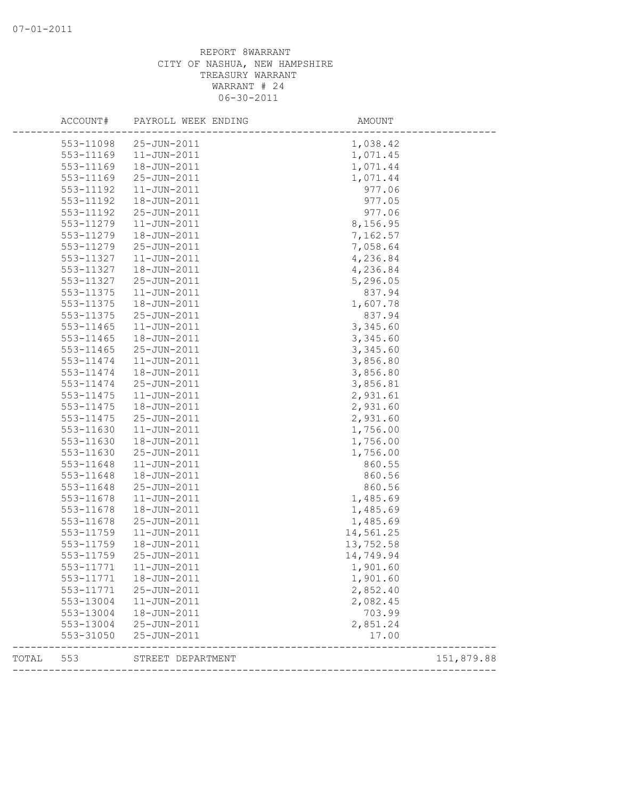|       | ACCOUNT#  | PAYROLL WEEK ENDING | AMOUNT    |            |
|-------|-----------|---------------------|-----------|------------|
|       | 553-11098 | 25-JUN-2011         | 1,038.42  |            |
|       | 553-11169 | $11 - JUN - 2011$   | 1,071.45  |            |
|       | 553-11169 | 18-JUN-2011         | 1,071.44  |            |
|       | 553-11169 | 25-JUN-2011         | 1,071.44  |            |
|       | 553-11192 | $11 - JUN - 2011$   | 977.06    |            |
|       | 553-11192 | 18-JUN-2011         | 977.05    |            |
|       | 553-11192 | 25-JUN-2011         | 977.06    |            |
|       | 553-11279 | 11-JUN-2011         | 8,156.95  |            |
|       | 553-11279 | 18-JUN-2011         | 7,162.57  |            |
|       | 553-11279 | 25-JUN-2011         | 7,058.64  |            |
|       | 553-11327 | $11 - JUN - 2011$   | 4,236.84  |            |
|       | 553-11327 | 18-JUN-2011         | 4,236.84  |            |
|       | 553-11327 | 25-JUN-2011         | 5,296.05  |            |
|       | 553-11375 | $11 - JUN - 2011$   | 837.94    |            |
|       | 553-11375 | 18-JUN-2011         | 1,607.78  |            |
|       | 553-11375 | 25-JUN-2011         | 837.94    |            |
|       | 553-11465 | 11-JUN-2011         | 3,345.60  |            |
|       | 553-11465 | 18-JUN-2011         | 3,345.60  |            |
|       | 553-11465 | 25-JUN-2011         | 3,345.60  |            |
|       | 553-11474 | $11 - JUN - 2011$   | 3,856.80  |            |
|       | 553-11474 | 18-JUN-2011         | 3,856.80  |            |
|       | 553-11474 | 25-JUN-2011         | 3,856.81  |            |
|       | 553-11475 | $11 - JUN - 2011$   | 2,931.61  |            |
|       | 553-11475 | 18-JUN-2011         | 2,931.60  |            |
|       | 553-11475 | 25-JUN-2011         | 2,931.60  |            |
|       | 553-11630 | 11-JUN-2011         | 1,756.00  |            |
|       | 553-11630 | 18-JUN-2011         | 1,756.00  |            |
|       | 553-11630 | 25-JUN-2011         | 1,756.00  |            |
|       | 553-11648 | $11 - JUN - 2011$   | 860.55    |            |
|       | 553-11648 | 18-JUN-2011         | 860.56    |            |
|       | 553-11648 | 25-JUN-2011         | 860.56    |            |
|       | 553-11678 | $11 - JUN - 2011$   | 1,485.69  |            |
|       | 553-11678 | 18-JUN-2011         | 1,485.69  |            |
|       | 553-11678 | 25-JUN-2011         | 1,485.69  |            |
|       | 553-11759 | $11 - JUN - 2011$   | 14,561.25 |            |
|       | 553-11759 | 18-JUN-2011         | 13,752.58 |            |
|       | 553-11759 | 25-JUN-2011         | 14,749.94 |            |
|       | 553-11771 | 11-JUN-2011         | 1,901.60  |            |
|       | 553-11771 | 18-JUN-2011         | 1,901.60  |            |
|       | 553-11771 | 25-JUN-2011         | 2,852.40  |            |
|       | 553-13004 | $11 - JUN - 2011$   | 2,082.45  |            |
|       | 553-13004 | 18-JUN-2011         | 703.99    |            |
|       | 553-13004 | 25-JUN-2011         | 2,851.24  |            |
|       | 553-31050 | 25-JUN-2011         | 17.00     |            |
| TOTAL | 553       | STREET DEPARTMENT   |           | 151,879.88 |
|       |           |                     |           |            |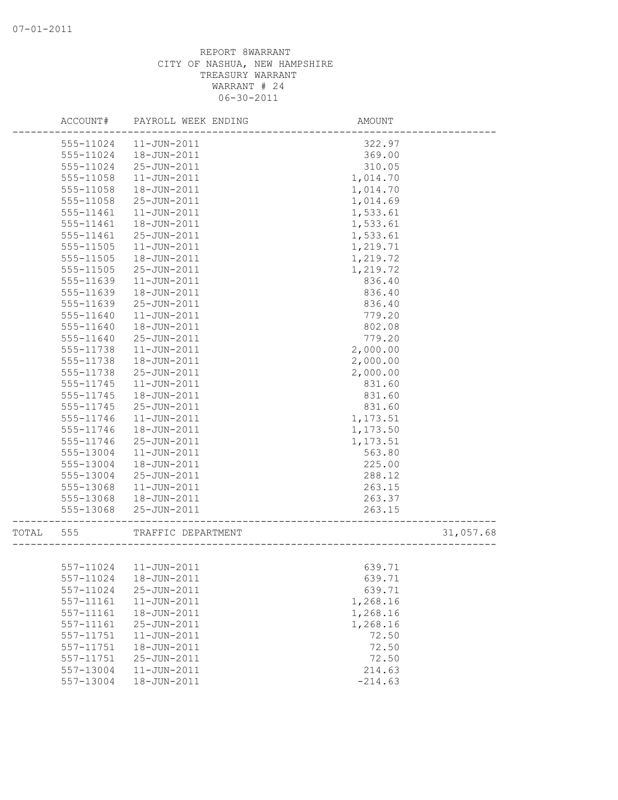|       | ACCOUNT#      | PAYROLL WEEK ENDING      | AMOUNT                                      |           |
|-------|---------------|--------------------------|---------------------------------------------|-----------|
|       | 555-11024     | $11 - JUN - 2011$        | 322.97                                      |           |
|       | 555-11024     | 18-JUN-2011              | 369.00                                      |           |
|       | 555-11024     | 25-JUN-2011              | 310.05                                      |           |
|       | 555-11058     | $11 - JUN - 2011$        | 1,014.70                                    |           |
|       | 555-11058     | 18-JUN-2011              | 1,014.70                                    |           |
|       | 555-11058     | 25-JUN-2011              | 1,014.69                                    |           |
|       | 555-11461     | $11 - JUN - 2011$        | 1,533.61                                    |           |
|       | 555-11461     | 18-JUN-2011              | 1,533.61                                    |           |
|       | 555-11461     | 25-JUN-2011              | 1,533.61                                    |           |
|       | 555-11505     | $11 - JUN - 2011$        | 1,219.71                                    |           |
|       | 555-11505     | 18-JUN-2011              | 1,219.72                                    |           |
|       | 555-11505     | 25-JUN-2011              | 1,219.72                                    |           |
|       | 555-11639     | $11 - JUN - 2011$        | 836.40                                      |           |
|       | 555-11639     | 18-JUN-2011              | 836.40                                      |           |
|       | 555-11639     | 25-JUN-2011              | 836.40                                      |           |
|       | 555-11640     | $11 - JUN - 2011$        | 779.20                                      |           |
|       | 555-11640     | 18-JUN-2011              | 802.08                                      |           |
|       | 555-11640     | 25-JUN-2011              | 779.20                                      |           |
|       | 555-11738     | $11 - JUN - 2011$        | 2,000.00                                    |           |
|       | 555-11738     | 18-JUN-2011              | 2,000.00                                    |           |
|       | 555-11738     | 25-JUN-2011              | 2,000.00                                    |           |
|       | 555-11745     | $11 - JUN - 2011$        | 831.60                                      |           |
|       | 555-11745     | 18-JUN-2011              | 831.60                                      |           |
|       | 555-11745     | 25-JUN-2011              | 831.60                                      |           |
|       | 555-11746     | $11 - JUN - 2011$        | 1,173.51                                    |           |
|       | 555-11746     | 18-JUN-2011              | 1,173.50                                    |           |
|       | 555-11746     | 25-JUN-2011              | 1,173.51                                    |           |
|       | 555-13004     | 11-JUN-2011              | 563.80                                      |           |
|       | 555-13004     | 18-JUN-2011              | 225.00                                      |           |
|       | 555-13004     | 25-JUN-2011              | 288.12                                      |           |
|       | 555-13068     | $11 - JUN - 2011$        | 263.15                                      |           |
|       | 555-13068     | 18-JUN-2011              | 263.37                                      |           |
|       | 555-13068     | 25-JUN-2011              | 263.15<br>--------------------------------- |           |
| TOTAL | 555           | TRAFFIC DEPARTMENT       | -<br>---------------------------            | 31,057.68 |
|       |               |                          |                                             |           |
|       |               | 557-11024    11-JUN-2011 | 639.71                                      |           |
|       | 557-11024     | 18-JUN-2011              | 639.71                                      |           |
|       | 557-11024     | $25 - JUN - 2011$        | 639.71                                      |           |
|       | $557 - 11161$ | $11 - JUN - 2011$        | 1,268.16                                    |           |
|       | 557-11161     | 18-JUN-2011              | 1,268.16                                    |           |
|       | 557-11161     | 25-JUN-2011              | 1,268.16                                    |           |
|       | 557-11751     | $11 - JUN - 2011$        | 72.50                                       |           |
|       | 557-11751     | 18-JUN-2011              | 72.50                                       |           |
|       | 557-11751     | 25-JUN-2011              | 72.50                                       |           |
|       | 557-13004     | $11 - JUN - 2011$        | 214.63                                      |           |
|       | 557-13004     | 18-JUN-2011              | $-214.63$                                   |           |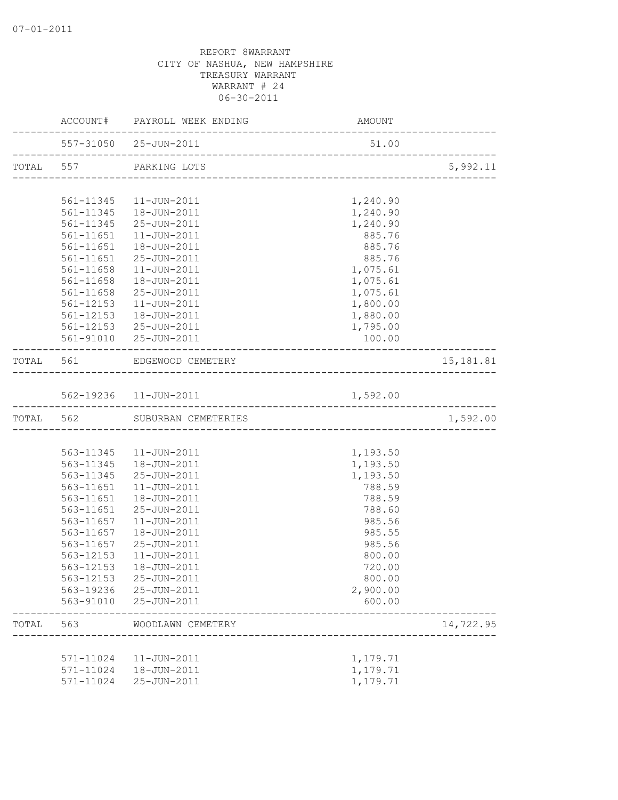|           |           | ACCOUNT# PAYROLL WEEK ENDING                | <b>AMOUNT</b> |                                     |
|-----------|-----------|---------------------------------------------|---------------|-------------------------------------|
|           |           | 557-31050 25-JUN-2011                       | 51.00         | . _ _ _ _ _ _ _ _ _ _ _ _ _ _ _ _ _ |
| TOTAL 557 |           | PARKING LOTS                                |               | 5,992.11                            |
|           |           |                                             |               |                                     |
|           |           | 561-11345  11-JUN-2011                      | 1,240.90      |                                     |
|           |           | 561-11345  18-JUN-2011                      | 1,240.90      |                                     |
|           |           | 561-11345 25-JUN-2011                       | 1,240.90      |                                     |
|           | 561-11651 | 11-JUN-2011                                 | 885.76        |                                     |
|           |           | 561-11651  18-JUN-2011                      | 885.76        |                                     |
|           |           | 561-11651 25-JUN-2011                       | 885.76        |                                     |
|           |           | 561-11658  11-JUN-2011                      | 1,075.61      |                                     |
|           |           | 561-11658  18-JUN-2011                      | 1,075.61      |                                     |
|           | 561-11658 | 25-JUN-2011                                 | 1,075.61      |                                     |
|           | 561-12153 | 11-JUN-2011                                 | 1,800.00      |                                     |
|           | 561-12153 | 18-JUN-2011                                 | 1,880.00      |                                     |
|           |           | 561-12153 25-JUN-2011                       | 1,795.00      |                                     |
|           |           | 561-91010 25-JUN-2011                       | 100.00        |                                     |
|           |           | TOTAL 561 EDGEWOOD CEMETERY                 |               | 15, 181.81                          |
|           |           |                                             |               |                                     |
|           |           | 562-19236 11-JUN-2011                       | 1,592.00      |                                     |
| TOTAL 562 |           | SUBURBAN CEMETERIES                         |               | 1,592.00                            |
|           |           |                                             |               |                                     |
|           |           | 563-11345  11-JUN-2011                      | 1,193.50      |                                     |
|           |           | 563-11345  18-JUN-2011                      | 1,193.50      |                                     |
|           |           | 563-11345 25-JUN-2011                       | 1,193.50      |                                     |
|           |           | 563-11651  11-JUN-2011                      | 788.59        |                                     |
|           | 563-11651 | 18-JUN-2011                                 | 788.59        |                                     |
|           | 563-11651 | 25-JUN-2011                                 | 788.60        |                                     |
|           | 563-11657 | 11-JUN-2011                                 | 985.56        |                                     |
|           | 563-11657 | 18-JUN-2011                                 | 985.55        |                                     |
|           | 563-11657 | 25-JUN-2011                                 | 985.56        |                                     |
|           | 563-12153 | $11 - JUN - 2011$                           | 800.00        |                                     |
|           |           | 563-12153  18-JUN-2011                      | 720.00        |                                     |
|           |           | 563-12153 25-JUN-2011                       | 800.00        |                                     |
|           |           | 563-19236 25-JUN-2011                       | 2,900.00      |                                     |
|           |           | 563-91010 25-JUN-2011                       | 600.00        |                                     |
| TOTAL     | 563       | WOODLAWN CEMETERY<br>---------------------- |               | 14,722.95                           |
|           |           |                                             |               |                                     |
|           |           | 571-11024   11-JUN-2011                     | 1,179.71      |                                     |
|           |           | 571-11024  18-JUN-2011                      | 1,179.71      |                                     |
|           | 571-11024 | 25-JUN-2011                                 | 1,179.71      |                                     |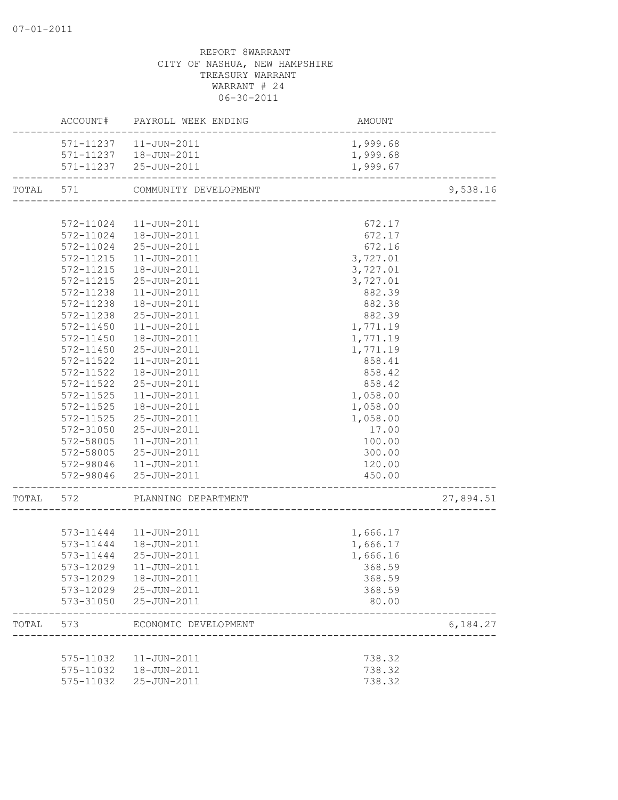|       |                        | ACCOUNT# PAYROLL WEEK ENDING | AMOUNT                               |           |
|-------|------------------------|------------------------------|--------------------------------------|-----------|
|       |                        | 571-11237   11-JUN-2011      | 1,999.68                             |           |
|       |                        | 571-11237  18-JUN-2011       | 1,999.68                             |           |
|       |                        | 571-11237 25-JUN-2011        | 1,999.67                             |           |
| TOTAL | 571                    | COMMUNITY DEVELOPMENT        | ____________________________________ | 9,538.16  |
|       |                        |                              |                                      |           |
|       | 572-11024              | 11-JUN-2011                  | 672.17                               |           |
|       | 572-11024              | 18-JUN-2011                  | 672.17                               |           |
|       |                        | 572-11024 25-JUN-2011        | 672.16                               |           |
|       |                        | 572-11215  11-JUN-2011       | 3,727.01                             |           |
|       |                        | 572-11215  18-JUN-2011       | 3,727.01                             |           |
|       | 572-11215              | 25-JUN-2011                  | 3,727.01                             |           |
|       | 572-11238              | 11-JUN-2011                  | 882.39                               |           |
|       | 572-11238              | 18-JUN-2011                  | 882.38                               |           |
|       | 572-11238              | 25-JUN-2011                  | 882.39                               |           |
|       | 572-11450              | $11 - JUN - 2011$            | 1,771.19                             |           |
|       | 572-11450              | 18-JUN-2011                  | 1,771.19                             |           |
|       | $572 - 11450$          | 25-JUN-2011                  | 1,771.19                             |           |
|       | 572-11522              | $11 - JUN - 2011$            | 858.41                               |           |
|       | 572-11522              | 18-JUN-2011                  | 858.42                               |           |
|       | 572-11522              | 25-JUN-2011                  | 858.42                               |           |
|       | 572-11525              | 11-JUN-2011                  | 1,058.00                             |           |
|       | 572-11525              | 18-JUN-2011                  | 1,058.00                             |           |
|       | 572-11525              | 25-JUN-2011                  | 1,058.00                             |           |
|       |                        | 25-JUN-2011                  |                                      |           |
|       | 572-31050<br>572-58005 | 11-JUN-2011                  | 17.00<br>100.00                      |           |
|       |                        |                              |                                      |           |
|       |                        | 572-58005 25-JUN-2011        | 300.00                               |           |
|       |                        | 572-98046  11-JUN-2011       | 120.00                               |           |
|       |                        | 572-98046 25-JUN-2011        | 450.00                               |           |
| TOTAL | 572                    | PLANNING DEPARTMENT          | ----------------------               | 27,894.51 |
|       |                        |                              |                                      |           |
|       |                        | 573-11444  11-JUN-2011       | 1,666.17                             |           |
|       |                        | 573-11444   18-JUN-2011      | 1,666.17                             |           |
|       | 573-11444              | 25-JUN-2011                  | 1,666.16                             |           |
|       |                        | 573-12029  11-JUN-2011       | 368.59                               |           |
|       |                        | 573-12029  18-JUN-2011       | 368.59                               |           |
|       |                        | 573-12029 25-JUN-2011        | 368.59                               |           |
|       |                        | 573-31050 25-JUN-2011        | 80.00                                |           |
| TOTAL | 573                    | ECONOMIC DEVELOPMENT         |                                      | 6,184.27  |
|       |                        |                              |                                      |           |
|       |                        | 575-11032  11-JUN-2011       | 738.32                               |           |
|       |                        | 575-11032  18-JUN-2011       | 738.32                               |           |
|       |                        | 575-11032 25-JUN-2011        | 738.32                               |           |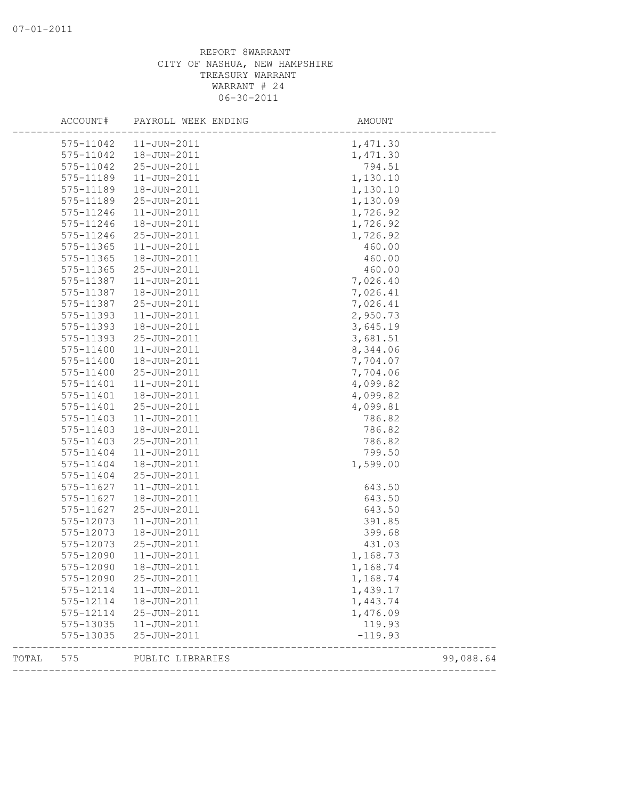|       | ACCOUNT#      | PAYROLL WEEK ENDING | AMOUNT    |           |
|-------|---------------|---------------------|-----------|-----------|
|       | 575-11042     | 11-JUN-2011         | 1,471.30  |           |
|       | 575-11042     | 18-JUN-2011         | 1,471.30  |           |
|       | 575-11042     | 25-JUN-2011         | 794.51    |           |
|       | 575-11189     | $11 - JUN - 2011$   | 1,130.10  |           |
|       | 575-11189     | 18-JUN-2011         | 1,130.10  |           |
|       | 575-11189     | 25-JUN-2011         | 1,130.09  |           |
|       | 575-11246     | $11 - JUN - 2011$   | 1,726.92  |           |
|       | 575-11246     | 18-JUN-2011         | 1,726.92  |           |
|       | 575-11246     | 25-JUN-2011         | 1,726.92  |           |
|       | $575 - 11365$ | $11 - JUN - 2011$   | 460.00    |           |
|       | 575-11365     | 18-JUN-2011         | 460.00    |           |
|       | $575 - 11365$ | 25-JUN-2011         | 460.00    |           |
|       | 575-11387     | $11 - JUN - 2011$   | 7,026.40  |           |
|       | 575-11387     | 18-JUN-2011         | 7,026.41  |           |
|       | 575-11387     | 25-JUN-2011         | 7,026.41  |           |
|       | 575-11393     | $11 - JUN - 2011$   | 2,950.73  |           |
|       | 575-11393     | 18-JUN-2011         | 3,645.19  |           |
|       | 575-11393     | 25-JUN-2011         | 3,681.51  |           |
|       | 575-11400     | $11 - JUN - 2011$   | 8,344.06  |           |
|       | 575-11400     | 18-JUN-2011         | 7,704.07  |           |
|       | 575-11400     | 25-JUN-2011         | 7,704.06  |           |
|       | 575-11401     | $11 - JUN - 2011$   | 4,099.82  |           |
|       | 575-11401     | 18-JUN-2011         | 4,099.82  |           |
|       | 575-11401     | 25-JUN-2011         | 4,099.81  |           |
|       | 575-11403     | $11 - JUN - 2011$   | 786.82    |           |
|       | 575-11403     | 18-JUN-2011         | 786.82    |           |
|       | 575-11403     | 25-JUN-2011         | 786.82    |           |
|       | 575-11404     | 11-JUN-2011         | 799.50    |           |
|       | 575-11404     | 18-JUN-2011         | 1,599.00  |           |
|       | 575-11404     | 25-JUN-2011         |           |           |
|       | 575-11627     | $11 - JUN - 2011$   | 643.50    |           |
|       | 575-11627     | 18-JUN-2011         | 643.50    |           |
|       | 575-11627     | 25-JUN-2011         | 643.50    |           |
|       | 575-12073     | $11 - JUN - 2011$   | 391.85    |           |
|       | 575-12073     | 18-JUN-2011         | 399.68    |           |
|       | 575-12073     | 25-JUN-2011         | 431.03    |           |
|       | 575-12090     | 11-JUN-2011         | 1,168.73  |           |
|       | 575-12090     | 18-JUN-2011         | 1,168.74  |           |
|       | 575-12090     | 25-JUN-2011         | 1,168.74  |           |
|       | 575-12114     | $11 - JUN - 2011$   | 1,439.17  |           |
|       | 575-12114     | 18-JUN-2011         | 1,443.74  |           |
|       | 575-12114     | 25-JUN-2011         | 1,476.09  |           |
|       | 575-13035     | 11-JUN-2011         | 119.93    |           |
|       | 575-13035     | 25-JUN-2011         | $-119.93$ |           |
| TOTAL | 575           | PUBLIC LIBRARIES    |           | 99,088.64 |
|       |               |                     |           |           |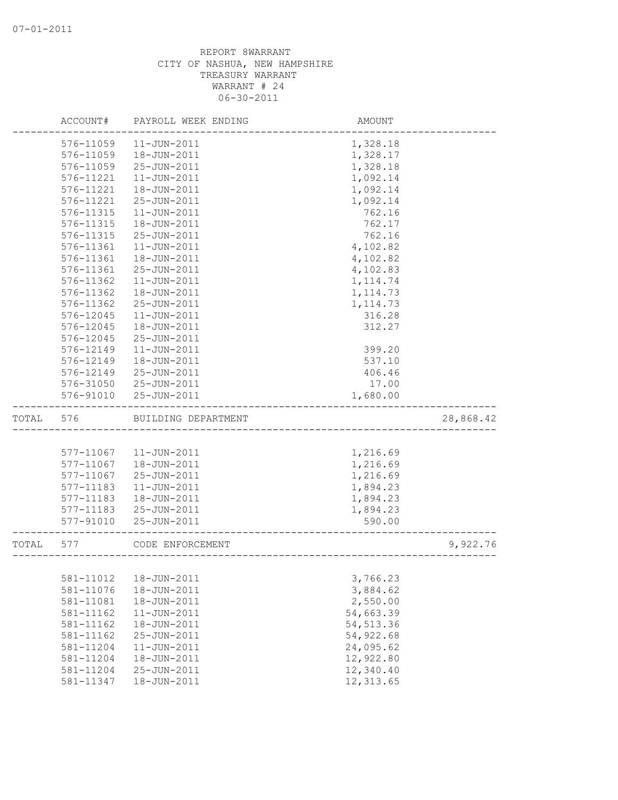|       | ACCOUNT#               | PAYROLL WEEK ENDING              | AMOUNT                  |           |
|-------|------------------------|----------------------------------|-------------------------|-----------|
|       | 576-11059              | $11 - JUN - 2011$                | 1,328.18                |           |
|       | 576-11059              | 18-JUN-2011                      | 1,328.17                |           |
|       | 576-11059              | 25-JUN-2011                      | 1,328.18                |           |
|       | 576-11221              | $11 - JUN - 2011$                | 1,092.14                |           |
|       | 576-11221              | 18-JUN-2011                      | 1,092.14                |           |
|       | 576-11221              | 25-JUN-2011                      | 1,092.14                |           |
|       | 576-11315              | $11 - JUN - 2011$                | 762.16                  |           |
|       | 576-11315              | 18-JUN-2011                      | 762.17                  |           |
|       | 576-11315              | 25-JUN-2011                      | 762.16                  |           |
|       | 576-11361              | $11 - JUN - 2011$                | 4,102.82                |           |
|       | 576-11361              | 18-JUN-2011                      | 4,102.82                |           |
|       | 576-11361              | 25-JUN-2011                      | 4,102.83                |           |
|       | 576-11362              | $11 - JUN - 2011$                | 1, 114.74               |           |
|       | 576-11362              | 18-JUN-2011                      | 1, 114.73               |           |
|       | 576-11362              | 25-JUN-2011                      | 1, 114.73               |           |
|       | 576-12045              | 11-JUN-2011                      | 316.28                  |           |
|       | 576-12045              | 18-JUN-2011                      | 312.27                  |           |
|       | 576-12045              | 25-JUN-2011                      |                         |           |
|       | 576-12149              | 11-JUN-2011                      | 399.20                  |           |
|       | 576-12149              | 18-JUN-2011                      | 537.10                  |           |
|       | 576-12149              | 25-JUN-2011                      | 406.46                  |           |
|       | 576-31050              | 25-JUN-2011                      | 17.00                   |           |
|       | 576-91010              | 25-JUN-2011                      | 1,680.00                |           |
| TOTAL | 576                    | BUILDING DEPARTMENT              |                         | 28,868.42 |
|       |                        |                                  |                         |           |
|       |                        |                                  |                         |           |
|       | 577-11067              | 11-JUN-2011                      | 1,216.69                |           |
|       | 577-11067              | 18-JUN-2011                      | 1,216.69                |           |
|       | 577-11067              | 25-JUN-2011                      | 1,216.69                |           |
|       | 577-11183              | $11 - JUN - 2011$                | 1,894.23                |           |
|       | 577-11183              | 18-JUN-2011                      | 1,894.23                |           |
|       | 577-11183              | 25-JUN-2011                      | 1,894.23                |           |
|       | 577-91010              | 25-JUN-2011                      | 590.00                  |           |
| TOTAL | 577                    | CODE ENFORCEMENT                 |                         | 9,922.76  |
|       |                        |                                  |                         |           |
|       | 581-11012              | 18-JUN-2011                      | 3,766.23                |           |
|       | 581-11076              | 18-JUN-2011                      | 3,884.62                |           |
|       | 581-11081              | 18-JUN-2011                      | 2,550.00                |           |
|       | 581-11162              | 11-JUN-2011                      | 54,663.39               |           |
|       | 581-11162              | 18-JUN-2011                      | 54, 513.36              |           |
|       | 581-11162              | 25-JUN-2011                      | 54, 922.68              |           |
|       | 581-11204              | $11 - JUN - 2011$                | 24,095.62               |           |
|       | 581-11204              | 18-JUN-2011                      | 12,922.80               |           |
|       | 581-11204<br>581-11347 | 25-JUN-2011<br>$18 - JUN - 2011$ | 12,340.40<br>12, 313.65 |           |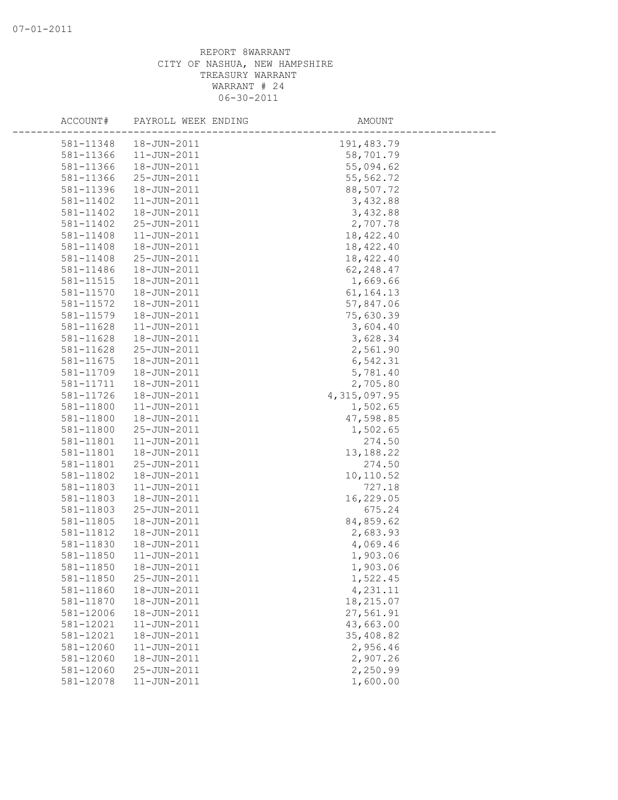| ACCOUNT#  | PAYROLL WEEK ENDING | AMOUNT       |  |
|-----------|---------------------|--------------|--|
| 581-11348 | 18-JUN-2011         | 191, 483.79  |  |
| 581-11366 | $11 - JUN - 2011$   | 58,701.79    |  |
| 581-11366 | 18-JUN-2011         | 55,094.62    |  |
| 581-11366 | 25-JUN-2011         | 55, 562.72   |  |
| 581-11396 | 18-JUN-2011         | 88,507.72    |  |
| 581-11402 | $11 - JUN - 2011$   | 3,432.88     |  |
| 581-11402 | 18-JUN-2011         | 3,432.88     |  |
| 581-11402 | 25-JUN-2011         | 2,707.78     |  |
| 581-11408 | $11 - JUN - 2011$   | 18,422.40    |  |
| 581-11408 | 18-JUN-2011         | 18,422.40    |  |
| 581-11408 | 25-JUN-2011         | 18,422.40    |  |
| 581-11486 | 18-JUN-2011         | 62,248.47    |  |
| 581-11515 | 18-JUN-2011         | 1,669.66     |  |
| 581-11570 | 18-JUN-2011         | 61, 164. 13  |  |
| 581-11572 | 18-JUN-2011         | 57,847.06    |  |
| 581-11579 | 18-JUN-2011         | 75,630.39    |  |
| 581-11628 | 11-JUN-2011         | 3,604.40     |  |
| 581-11628 | 18-JUN-2011         | 3,628.34     |  |
| 581-11628 | 25-JUN-2011         | 2,561.90     |  |
| 581-11675 | 18-JUN-2011         | 6,542.31     |  |
| 581-11709 | 18-JUN-2011         | 5,781.40     |  |
| 581-11711 | 18-JUN-2011         | 2,705.80     |  |
| 581-11726 | 18-JUN-2011         | 4,315,097.95 |  |
| 581-11800 | $11 - JUN - 2011$   | 1,502.65     |  |
| 581-11800 | 18-JUN-2011         | 47,598.85    |  |
| 581-11800 | 25-JUN-2011         | 1,502.65     |  |
| 581-11801 | $11 - JUN - 2011$   | 274.50       |  |
| 581-11801 | 18-JUN-2011         | 13,188.22    |  |
| 581-11801 | 25-JUN-2011         | 274.50       |  |
| 581-11802 | 18-JUN-2011         | 10,110.52    |  |
| 581-11803 | $11 - JUN - 2011$   | 727.18       |  |
| 581-11803 | 18-JUN-2011         | 16,229.05    |  |
| 581-11803 | 25-JUN-2011         | 675.24       |  |
| 581-11805 | 18-JUN-2011         | 84,859.62    |  |
| 581-11812 | 18-JUN-2011         | 2,683.93     |  |
| 581-11830 | 18-JUN-2011         | 4,069.46     |  |
| 581-11850 | $11 - JUN - 2011$   | 1,903.06     |  |
| 581-11850 | 18-JUN-2011         | 1,903.06     |  |
| 581-11850 | 25-JUN-2011         | 1,522.45     |  |
| 581-11860 | 18-JUN-2011         | 4,231.11     |  |
| 581-11870 | 18-JUN-2011         | 18,215.07    |  |
| 581-12006 | 18-JUN-2011         | 27,561.91    |  |
| 581-12021 | 11-JUN-2011         | 43,663.00    |  |
| 581-12021 | 18-JUN-2011         | 35,408.82    |  |
| 581-12060 | 11-JUN-2011         | 2,956.46     |  |
| 581-12060 | 18-JUN-2011         | 2,907.26     |  |
| 581-12060 | 25-JUN-2011         | 2,250.99     |  |
| 581-12078 | $11 - JUN - 2011$   | 1,600.00     |  |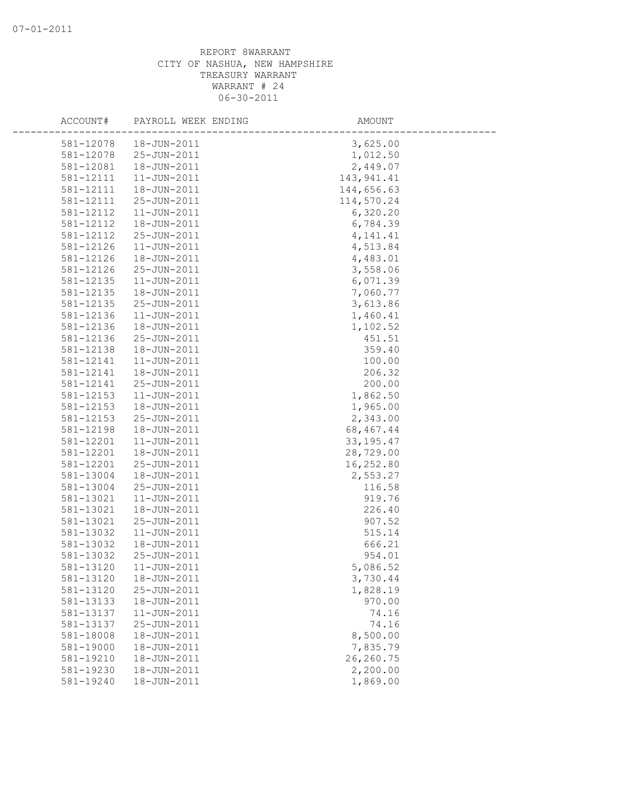| ACCOUNT#  | PAYROLL WEEK ENDING | AMOUNT      |
|-----------|---------------------|-------------|
| 581-12078 | 18-JUN-2011         | 3,625.00    |
| 581-12078 | 25-JUN-2011         | 1,012.50    |
| 581-12081 | 18-JUN-2011         | 2,449.07    |
| 581-12111 | 11-JUN-2011         | 143, 941.41 |
| 581-12111 | 18-JUN-2011         | 144,656.63  |
| 581-12111 | 25-JUN-2011         | 114,570.24  |
| 581-12112 | $11 - JUN - 2011$   | 6,320.20    |
| 581-12112 | 18-JUN-2011         | 6,784.39    |
| 581-12112 | 25-JUN-2011         | 4, 141.41   |
| 581-12126 | $11 - JUN - 2011$   | 4,513.84    |
| 581-12126 | 18-JUN-2011         | 4,483.01    |
| 581-12126 | 25-JUN-2011         | 3,558.06    |
| 581-12135 | $11 - JUN - 2011$   | 6,071.39    |
| 581-12135 | 18-JUN-2011         | 7,060.77    |
| 581-12135 | 25-JUN-2011         | 3,613.86    |
| 581-12136 | $11 - JUN - 2011$   | 1,460.41    |
| 581-12136 | 18-JUN-2011         | 1,102.52    |
| 581-12136 | 25-JUN-2011         | 451.51      |
| 581-12138 | 18-JUN-2011         | 359.40      |
| 581-12141 | $11 - JUN - 2011$   | 100.00      |
| 581-12141 | 18-JUN-2011         | 206.32      |
| 581-12141 | 25-JUN-2011         | 200.00      |
| 581-12153 | 11-JUN-2011         | 1,862.50    |
| 581-12153 | 18-JUN-2011         | 1,965.00    |
| 581-12153 | 25-JUN-2011         | 2,343.00    |
| 581-12198 | 18-JUN-2011         | 68, 467. 44 |
| 581-12201 | 11-JUN-2011         | 33, 195. 47 |
| 581-12201 | 18-JUN-2011         | 28,729.00   |
| 581-12201 | 25-JUN-2011         | 16,252.80   |
| 581-13004 | 18-JUN-2011         | 2,553.27    |
| 581-13004 | 25-JUN-2011         | 116.58      |
| 581-13021 | $11 - JUN - 2011$   | 919.76      |
| 581-13021 | 18-JUN-2011         | 226.40      |
| 581-13021 | 25-JUN-2011         | 907.52      |
| 581-13032 | $11 - JUN - 2011$   | 515.14      |
| 581-13032 | 18-JUN-2011         | 666.21      |
| 581-13032 | 25-JUN-2011         | 954.01      |
| 581-13120 | $11 - JUN - 2011$   | 5,086.52    |
| 581-13120 | 18-JUN-2011         | 3,730.44    |
| 581-13120 | 25-JUN-2011         | 1,828.19    |
| 581-13133 | 18-JUN-2011         | 970.00      |
| 581-13137 | 11-JUN-2011         | 74.16       |
| 581-13137 | 25-JUN-2011         | 74.16       |
| 581-18008 | 18-JUN-2011         | 8,500.00    |
| 581-19000 | 18-JUN-2011         | 7,835.79    |
| 581-19210 | 18-JUN-2011         | 26,260.75   |
| 581-19230 | 18-JUN-2011         | 2,200.00    |
| 581-19240 | 18-JUN-2011         | 1,869.00    |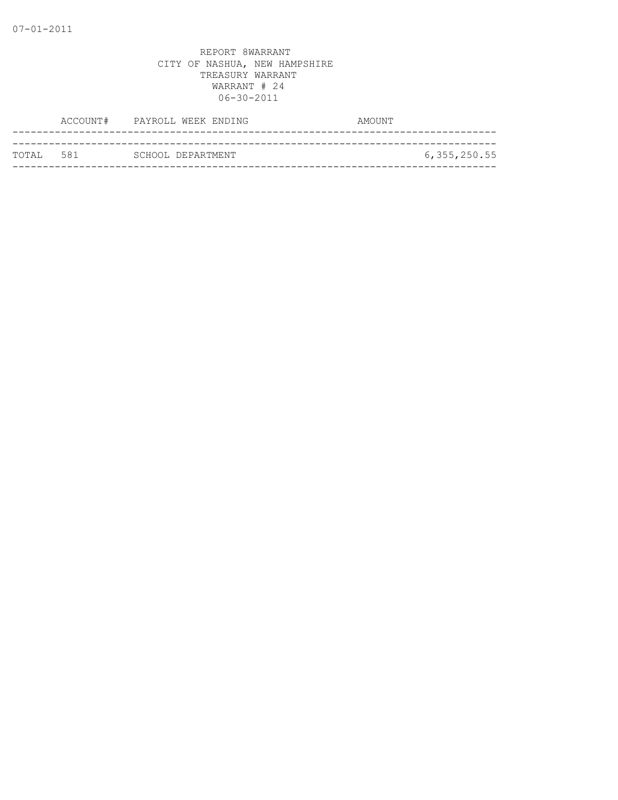|            | ACCOUNT# PAYROLL WEEK ENDING | AMOUNT         |
|------------|------------------------------|----------------|
|            |                              |                |
| тотат. 581 | SCHOOL DEPARTMENT            | 6, 355, 250.55 |
|            |                              |                |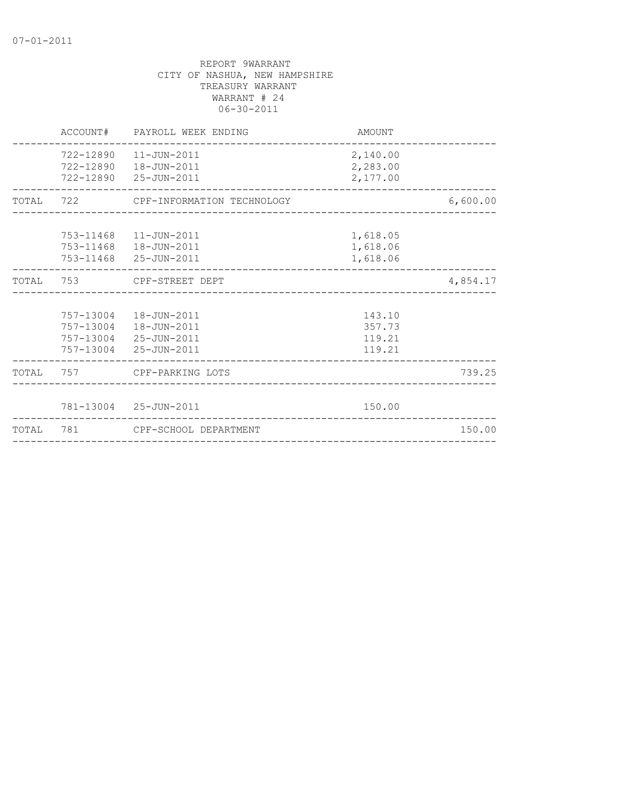|           | ACCOUNT# | PAYROLL WEEK ENDING                                                                                | AMOUNT                               |          |
|-----------|----------|----------------------------------------------------------------------------------------------------|--------------------------------------|----------|
|           |          | 722-12890    11-JUN-2011<br>722-12890  18-JUN-2011<br>722-12890 25-JUN-2011                        | 2,140.00<br>2,283.00<br>2,177.00     |          |
|           |          | TOTAL 722 CPF-INFORMATION TECHNOLOGY                                                               |                                      | 6,600.00 |
|           |          | 753-11468  11-JUN-2011<br>753-11468  18-JUN-2011<br>753-11468 25-JUN-2011                          | 1,618.05<br>1,618.06<br>1,618.06     |          |
| TOTAL     |          | 753 CPF-STREET DEPT                                                                                | _________________________________    | 4,854.17 |
|           |          | 757-13004  18-JUN-2011<br>757-13004  18-JUN-2011<br>757-13004 25-JUN-2011<br>757-13004 25-JUN-2011 | 143.10<br>357.73<br>119.21<br>119.21 |          |
|           |          | TOTAL 757 CPF-PARKING LOTS                                                                         |                                      | 739.25   |
|           |          | 781-13004 25-JUN-2011                                                                              | 150.00                               |          |
| TOTAL 781 |          | CPF-SCHOOL DEPARTMENT                                                                              |                                      | 150.00   |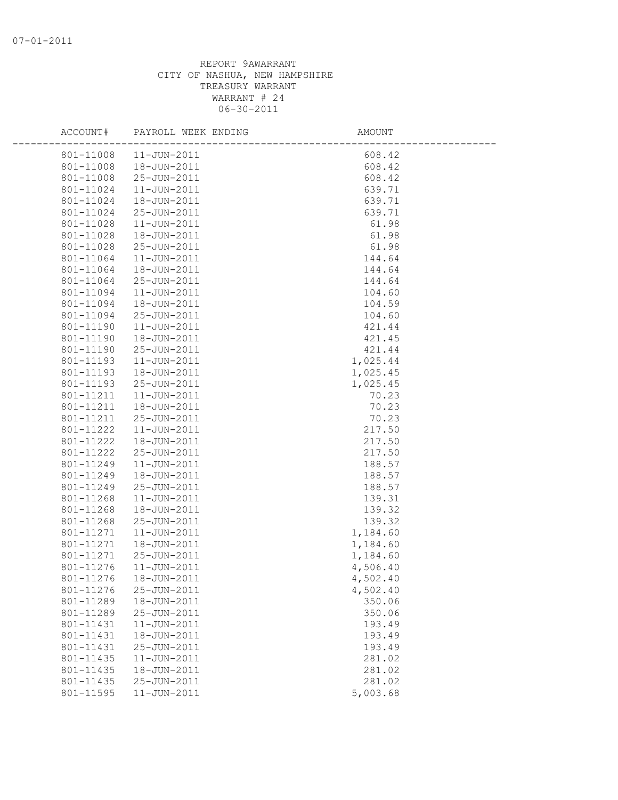| ACCOUNT#  | PAYROLL WEEK ENDING | AMOUNT   |  |
|-----------|---------------------|----------|--|
| 801-11008 | $11 - JUN - 2011$   | 608.42   |  |
| 801-11008 | 18-JUN-2011         | 608.42   |  |
| 801-11008 | 25-JUN-2011         | 608.42   |  |
| 801-11024 | $11 - JUN - 2011$   | 639.71   |  |
| 801-11024 | 18-JUN-2011         | 639.71   |  |
| 801-11024 | 25-JUN-2011         | 639.71   |  |
| 801-11028 | 11-JUN-2011         | 61.98    |  |
| 801-11028 | 18-JUN-2011         | 61.98    |  |
| 801-11028 | 25-JUN-2011         | 61.98    |  |
| 801-11064 | 11-JUN-2011         | 144.64   |  |
| 801-11064 | 18-JUN-2011         | 144.64   |  |
| 801-11064 | 25-JUN-2011         | 144.64   |  |
| 801-11094 | $11 - JUN - 2011$   | 104.60   |  |
| 801-11094 | 18-JUN-2011         | 104.59   |  |
| 801-11094 | 25-JUN-2011         | 104.60   |  |
| 801-11190 | $11 - JUN - 2011$   | 421.44   |  |
| 801-11190 | 18-JUN-2011         | 421.45   |  |
| 801-11190 | 25-JUN-2011         | 421.44   |  |
| 801-11193 | $11 - JUN - 2011$   | 1,025.44 |  |
| 801-11193 | 18-JUN-2011         | 1,025.45 |  |
| 801-11193 | 25-JUN-2011         | 1,025.45 |  |
| 801-11211 | $11 - JUN - 2011$   | 70.23    |  |
| 801-11211 | 18-JUN-2011         | 70.23    |  |
| 801-11211 | 25-JUN-2011         | 70.23    |  |
| 801-11222 | 11-JUN-2011         | 217.50   |  |
| 801-11222 | 18-JUN-2011         | 217.50   |  |
| 801-11222 | 25-JUN-2011         | 217.50   |  |
| 801-11249 | 11-JUN-2011         | 188.57   |  |
| 801-11249 | 18-JUN-2011         | 188.57   |  |
| 801-11249 | 25-JUN-2011         | 188.57   |  |
| 801-11268 | $11 - JUN - 2011$   | 139.31   |  |
| 801-11268 | 18-JUN-2011         | 139.32   |  |
| 801-11268 | 25-JUN-2011         | 139.32   |  |
| 801-11271 | $11 - JUN - 2011$   | 1,184.60 |  |
| 801-11271 | 18-JUN-2011         | 1,184.60 |  |
| 801-11271 | 25-JUN-2011         | 1,184.60 |  |
| 801-11276 | 11-JUN-2011         | 4,506.40 |  |
| 801-11276 | 18-JUN-2011         | 4,502.40 |  |
| 801-11276 | 25-JUN-2011         | 4,502.40 |  |
| 801-11289 | 18-JUN-2011         | 350.06   |  |
| 801-11289 | 25-JUN-2011         | 350.06   |  |
| 801-11431 | 11-JUN-2011         | 193.49   |  |
| 801-11431 | 18-JUN-2011         | 193.49   |  |
| 801-11431 | 25-JUN-2011         | 193.49   |  |
| 801-11435 | $11 - JUN - 2011$   | 281.02   |  |
| 801-11435 | 18-JUN-2011         | 281.02   |  |
| 801-11435 | 25-JUN-2011         | 281.02   |  |
| 801-11595 | 11-JUN-2011         | 5,003.68 |  |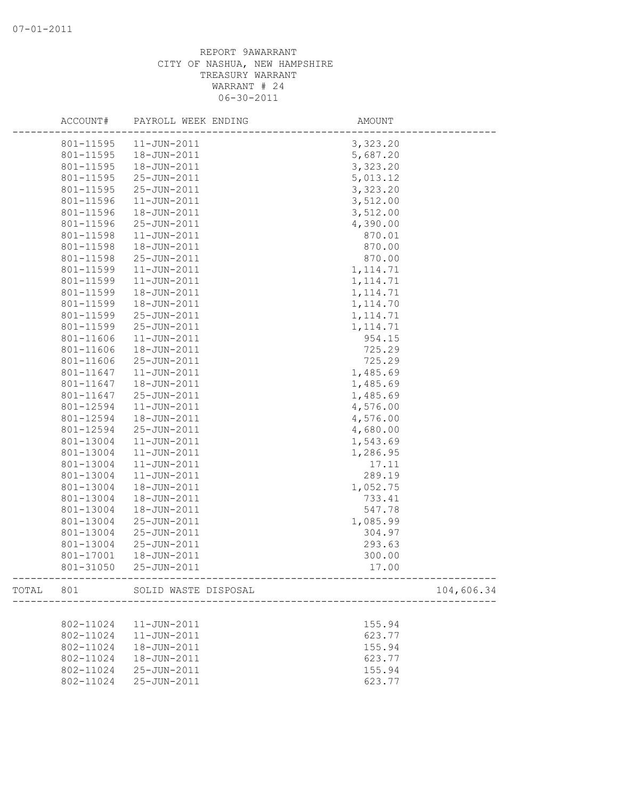|           | ACCOUNT#  | PAYROLL WEEK ENDING  | AMOUNT                                       |
|-----------|-----------|----------------------|----------------------------------------------|
|           | 801-11595 | $11 - JUN - 2011$    | 3,323.20                                     |
|           | 801-11595 | 18-JUN-2011          | 5,687.20                                     |
|           | 801-11595 | 18-JUN-2011          | 3,323.20                                     |
|           | 801-11595 | 25-JUN-2011          | 5,013.12                                     |
|           | 801-11595 | 25-JUN-2011          | 3,323.20                                     |
|           | 801-11596 | $11 - JUN - 2011$    | 3,512.00                                     |
|           | 801-11596 | 18-JUN-2011          | 3,512.00                                     |
|           | 801-11596 | 25-JUN-2011          | 4,390.00                                     |
|           | 801-11598 | 11-JUN-2011          | 870.01                                       |
|           | 801-11598 | 18-JUN-2011          | 870.00                                       |
|           | 801-11598 | 25-JUN-2011          | 870.00                                       |
|           | 801-11599 | $11 - JUN - 2011$    | 1, 114.71                                    |
|           | 801-11599 | $11 - JUN - 2011$    | 1, 114.71                                    |
|           | 801-11599 | 18-JUN-2011          | 1, 114.71                                    |
|           | 801-11599 | 18-JUN-2011          | 1, 114.70                                    |
|           | 801-11599 | 25-JUN-2011          | 1, 114.71                                    |
|           | 801-11599 | 25-JUN-2011          | 1, 114.71                                    |
|           | 801-11606 | 11-JUN-2011          | 954.15                                       |
|           | 801-11606 | 18-JUN-2011          | 725.29                                       |
|           | 801-11606 | 25-JUN-2011          | 725.29                                       |
|           | 801-11647 | $11 - JUN - 2011$    | 1,485.69                                     |
|           | 801-11647 | 18-JUN-2011          | 1,485.69                                     |
|           | 801-11647 | 25-JUN-2011          | 1,485.69                                     |
|           | 801-12594 | $11 - JUN - 2011$    | 4,576.00                                     |
|           | 801-12594 | 18-JUN-2011          | 4,576.00                                     |
|           | 801-12594 | 25-JUN-2011          | 4,680.00                                     |
|           | 801-13004 | 11-JUN-2011          | 1,543.69                                     |
|           | 801-13004 | 11-JUN-2011          | 1,286.95                                     |
|           | 801-13004 | $11 - JUN - 2011$    | 17.11                                        |
|           | 801-13004 | $11 - JUN - 2011$    | 289.19                                       |
|           | 801-13004 | 18-JUN-2011          | 1,052.75                                     |
|           | 801-13004 | 18-JUN-2011          | 733.41                                       |
|           | 801-13004 | 18-JUN-2011          | 547.78                                       |
|           | 801-13004 | 25-JUN-2011          | 1,085.99                                     |
|           | 801-13004 | 25-JUN-2011          | 304.97                                       |
|           | 801-13004 | 25-JUN-2011          | 293.63                                       |
|           | 801-17001 | 18-JUN-2011          | 300.00                                       |
|           | 801-31050 | 25-JUN-2011          | 17.00<br>___________________________________ |
| TOTAL 801 |           | SOLID WASTE DISPOSAL | 104,606.34                                   |
|           |           |                      |                                              |
|           | 802-11024 | $11 - JUN - 2011$    | 155.94                                       |
|           | 802-11024 | 11-JUN-2011          | 623.77                                       |
|           | 802-11024 | 18-JUN-2011          | 155.94                                       |
|           | 802-11024 | 18-JUN-2011          | 623.77                                       |
|           | 802-11024 | 25-JUN-2011          | 155.94                                       |
|           | 802-11024 | 25-JUN-2011          | 623.77                                       |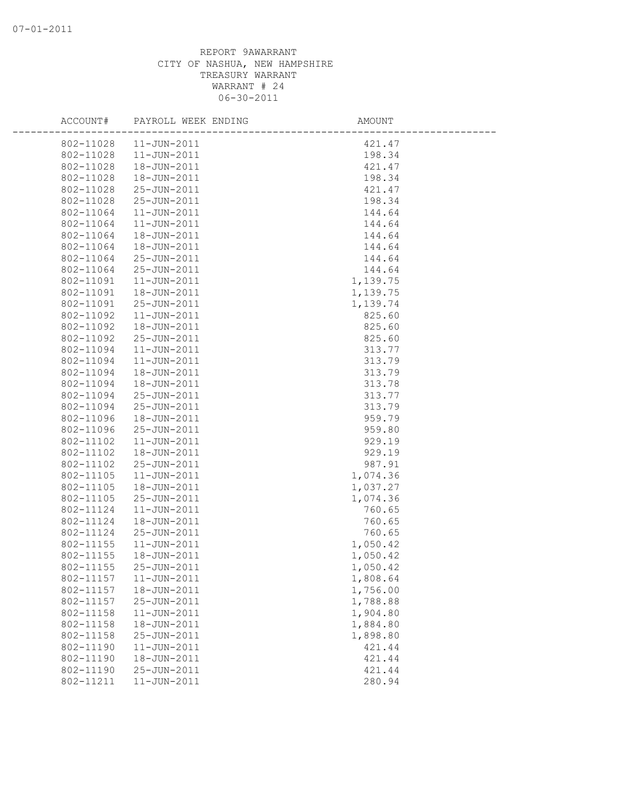| ACCOUNT#  | PAYROLL WEEK ENDING | AMOUNT   |  |
|-----------|---------------------|----------|--|
| 802-11028 | $11 - JUN - 2011$   | 421.47   |  |
| 802-11028 | 11-JUN-2011         | 198.34   |  |
| 802-11028 | 18-JUN-2011         | 421.47   |  |
| 802-11028 | 18-JUN-2011         | 198.34   |  |
| 802-11028 | 25-JUN-2011         | 421.47   |  |
| 802-11028 | 25-JUN-2011         | 198.34   |  |
| 802-11064 | $11 - JUN - 2011$   | 144.64   |  |
| 802-11064 | $11 - JUN - 2011$   | 144.64   |  |
| 802-11064 | 18-JUN-2011         | 144.64   |  |
| 802-11064 | 18-JUN-2011         | 144.64   |  |
| 802-11064 | 25-JUN-2011         | 144.64   |  |
| 802-11064 | 25-JUN-2011         | 144.64   |  |
| 802-11091 | $11 - JUN - 2011$   | 1,139.75 |  |
| 802-11091 | 18-JUN-2011         | 1,139.75 |  |
| 802-11091 | 25-JUN-2011         | 1,139.74 |  |
| 802-11092 | 11-JUN-2011         | 825.60   |  |
| 802-11092 | 18-JUN-2011         | 825.60   |  |
| 802-11092 | 25-JUN-2011         | 825.60   |  |
| 802-11094 | $11 - JUN - 2011$   | 313.77   |  |
| 802-11094 | $11 - JUN - 2011$   | 313.79   |  |
| 802-11094 | 18-JUN-2011         | 313.79   |  |
| 802-11094 | 18-JUN-2011         | 313.78   |  |
| 802-11094 | 25-JUN-2011         | 313.77   |  |
| 802-11094 | 25-JUN-2011         | 313.79   |  |
| 802-11096 | 18-JUN-2011         | 959.79   |  |
| 802-11096 | 25-JUN-2011         | 959.80   |  |
| 802-11102 | $11 - JUN - 2011$   | 929.19   |  |
| 802-11102 | 18-JUN-2011         | 929.19   |  |
| 802-11102 | 25-JUN-2011         | 987.91   |  |
| 802-11105 | 11-JUN-2011         | 1,074.36 |  |
| 802-11105 | 18-JUN-2011         | 1,037.27 |  |
| 802-11105 | 25-JUN-2011         | 1,074.36 |  |
| 802-11124 | 11-JUN-2011         | 760.65   |  |
| 802-11124 | 18-JUN-2011         | 760.65   |  |
| 802-11124 | 25-JUN-2011         | 760.65   |  |
| 802-11155 | $11 - JUN - 2011$   | 1,050.42 |  |
| 802-11155 | 18-JUN-2011         | 1,050.42 |  |
| 802-11155 | 25-JUN-2011         | 1,050.42 |  |
| 802-11157 | 11-JUN-2011         | 1,808.64 |  |
| 802-11157 | 18-JUN-2011         | 1,756.00 |  |
| 802-11157 | 25-JUN-2011         | 1,788.88 |  |
| 802-11158 | 11-JUN-2011         | 1,904.80 |  |
| 802-11158 | 18-JUN-2011         | 1,884.80 |  |
| 802-11158 | 25-JUN-2011         | 1,898.80 |  |
| 802-11190 | $11 - JUN - 2011$   | 421.44   |  |
| 802-11190 | 18-JUN-2011         | 421.44   |  |
| 802-11190 | 25-JUN-2011         | 421.44   |  |
| 802-11211 | 11-JUN-2011         | 280.94   |  |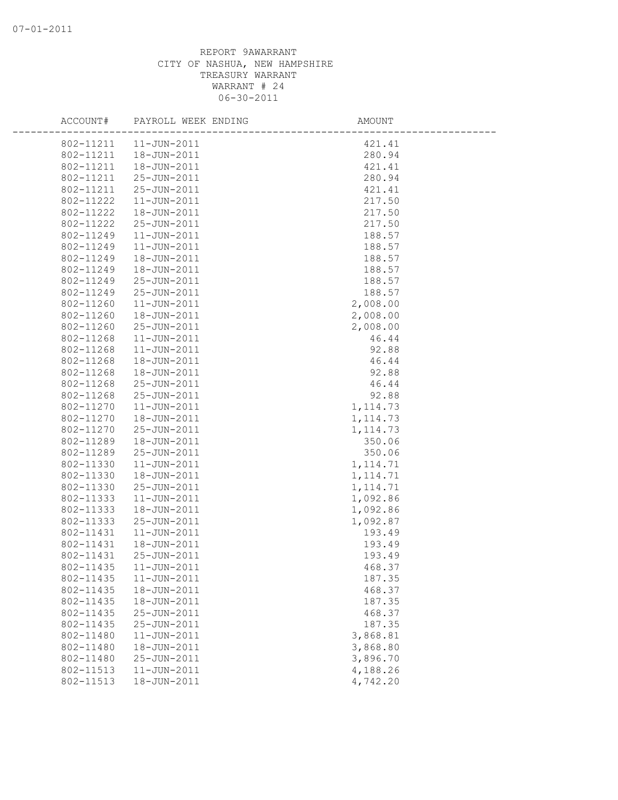| ACCOUNT#  | PAYROLL WEEK ENDING | AMOUNT    |  |
|-----------|---------------------|-----------|--|
| 802-11211 | $11 - JUN - 2011$   | 421.41    |  |
| 802-11211 | 18-JUN-2011         | 280.94    |  |
| 802-11211 | 18-JUN-2011         | 421.41    |  |
| 802-11211 | 25-JUN-2011         | 280.94    |  |
| 802-11211 | 25-JUN-2011         | 421.41    |  |
| 802-11222 | $11 - JUN - 2011$   | 217.50    |  |
| 802-11222 | 18-JUN-2011         | 217.50    |  |
| 802-11222 | 25-JUN-2011         | 217.50    |  |
| 802-11249 | $11 - JUN - 2011$   | 188.57    |  |
| 802-11249 | $11 - JUN - 2011$   | 188.57    |  |
| 802-11249 | 18-JUN-2011         | 188.57    |  |
| 802-11249 | 18-JUN-2011         | 188.57    |  |
| 802-11249 | 25-JUN-2011         | 188.57    |  |
| 802-11249 | 25-JUN-2011         | 188.57    |  |
| 802-11260 | 11-JUN-2011         | 2,008.00  |  |
| 802-11260 | 18-JUN-2011         | 2,008.00  |  |
| 802-11260 | 25-JUN-2011         | 2,008.00  |  |
| 802-11268 | $11 - JUN - 2011$   | 46.44     |  |
| 802-11268 | $11 - JUN - 2011$   | 92.88     |  |
| 802-11268 | 18-JUN-2011         | 46.44     |  |
| 802-11268 | 18-JUN-2011         | 92.88     |  |
| 802-11268 | 25-JUN-2011         | 46.44     |  |
| 802-11268 | 25-JUN-2011         | 92.88     |  |
| 802-11270 | $11 - JUN - 2011$   | 1, 114.73 |  |
| 802-11270 | 18-JUN-2011         | 1, 114.73 |  |
| 802-11270 | 25-JUN-2011         | 1, 114.73 |  |
| 802-11289 | 18-JUN-2011         | 350.06    |  |
| 802-11289 | 25-JUN-2011         | 350.06    |  |
| 802-11330 | $11 - JUN - 2011$   | 1, 114.71 |  |
| 802-11330 | 18-JUN-2011         | 1, 114.71 |  |
| 802-11330 | 25-JUN-2011         | 1, 114.71 |  |
| 802-11333 | $11 - JUN - 2011$   | 1,092.86  |  |
| 802-11333 | 18-JUN-2011         | 1,092.86  |  |
| 802-11333 | 25-JUN-2011         | 1,092.87  |  |
| 802-11431 | $11 - JUN - 2011$   | 193.49    |  |
| 802-11431 | 18-JUN-2011         | 193.49    |  |
| 802-11431 | 25-JUN-2011         | 193.49    |  |
| 802-11435 | $11 - JUN - 2011$   | 468.37    |  |
| 802-11435 | 11-JUN-2011         | 187.35    |  |
| 802-11435 | 18-JUN-2011         | 468.37    |  |
| 802-11435 | 18-JUN-2011         | 187.35    |  |
| 802-11435 | 25-JUN-2011         | 468.37    |  |
| 802-11435 | 25-JUN-2011         | 187.35    |  |
| 802-11480 | $11 - JUN - 2011$   | 3,868.81  |  |
| 802-11480 | 18-JUN-2011         | 3,868.80  |  |
| 802-11480 | 25-JUN-2011         | 3,896.70  |  |
| 802-11513 | 11-JUN-2011         | 4,188.26  |  |
| 802-11513 | 18-JUN-2011         | 4,742.20  |  |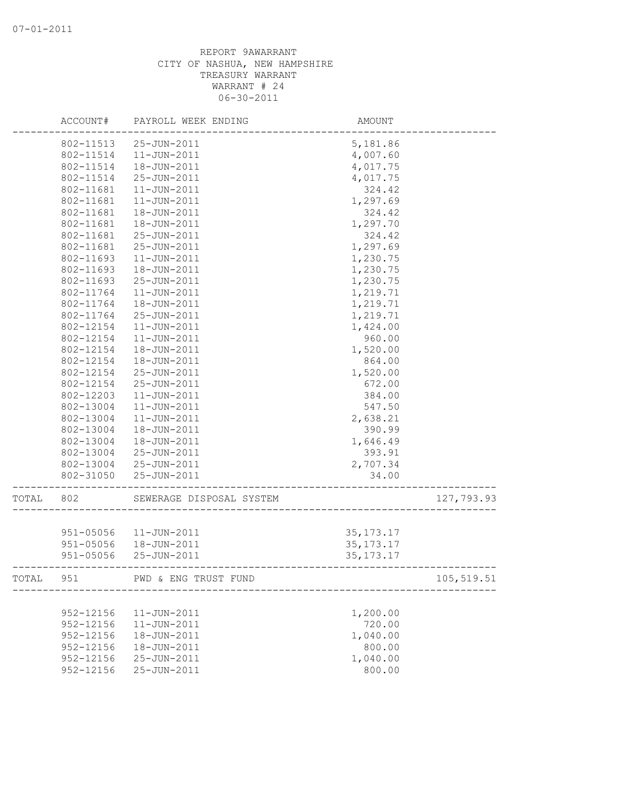|       | ACCOUNT#      | PAYROLL WEEK ENDING      | AMOUNT      |            |
|-------|---------------|--------------------------|-------------|------------|
|       | 802-11513     | 25-JUN-2011              | 5,181.86    |            |
|       | 802-11514     | $11 - JUN - 2011$        | 4,007.60    |            |
|       | 802-11514     | 18-JUN-2011              | 4,017.75    |            |
|       | 802-11514     | 25-JUN-2011              | 4,017.75    |            |
|       | 802-11681     | $11 - JUN - 2011$        | 324.42      |            |
|       | 802-11681     | 11-JUN-2011              | 1,297.69    |            |
|       | 802-11681     | 18-JUN-2011              | 324.42      |            |
|       | 802-11681     | 18-JUN-2011              | 1,297.70    |            |
|       | 802-11681     | 25-JUN-2011              | 324.42      |            |
|       | 802-11681     | 25-JUN-2011              | 1,297.69    |            |
|       | 802-11693     | $11 - JUN - 2011$        | 1,230.75    |            |
|       | 802-11693     | 18-JUN-2011              | 1,230.75    |            |
|       | 802-11693     | 25-JUN-2011              | 1,230.75    |            |
|       | 802-11764     | $11 - JUN - 2011$        | 1,219.71    |            |
|       | 802-11764     | 18-JUN-2011              | 1,219.71    |            |
|       | 802-11764     | 25-JUN-2011              | 1,219.71    |            |
|       | 802-12154     | $11 - JUN - 2011$        | 1,424.00    |            |
|       | 802-12154     | $11 - JUN - 2011$        | 960.00      |            |
|       | 802-12154     | 18-JUN-2011              | 1,520.00    |            |
|       | 802-12154     | 18-JUN-2011              | 864.00      |            |
|       | 802-12154     | 25-JUN-2011              | 1,520.00    |            |
|       | 802-12154     | 25-JUN-2011              | 672.00      |            |
|       | 802-12203     | $11 - JUN - 2011$        | 384.00      |            |
|       | 802-13004     | 11-JUN-2011              | 547.50      |            |
|       | 802-13004     | $11 - JUN - 2011$        | 2,638.21    |            |
|       | 802-13004     | 18-JUN-2011              | 390.99      |            |
|       | 802-13004     | 18-JUN-2011              | 1,646.49    |            |
|       | 802-13004     | 25-JUN-2011              | 393.91      |            |
|       | 802-13004     | 25-JUN-2011              | 2,707.34    |            |
|       | 802-31050     | 25-JUN-2011              | 34.00       |            |
| TOTAL | 802           | SEWERAGE DISPOSAL SYSTEM |             | 127,793.93 |
|       |               |                          |             |            |
|       | 951-05056     | $11 - JUN - 2011$        | 35, 173. 17 |            |
|       | 951-05056     | 18-JUN-2011              | 35, 173. 17 |            |
|       | $951 - 05056$ | 25-JUN-2011              | 35, 173. 17 |            |
| TOTAL | 951           | PWD & ENG TRUST FUND     |             | 105,519.51 |
|       |               |                          |             |            |
|       | 952-12156     | 11-JUN-2011              | 1,200.00    |            |
|       | $952 - 12156$ | $11 - JUN - 2011$        | 720.00      |            |
|       | 952-12156     | 18-JUN-2011              | 1,040.00    |            |
|       | 952-12156     | 18-JUN-2011              | 800.00      |            |
|       | 952-12156     | $25 - JUN - 2011$        | 1,040.00    |            |
|       | 952-12156     | 25-JUN-2011              | 800.00      |            |